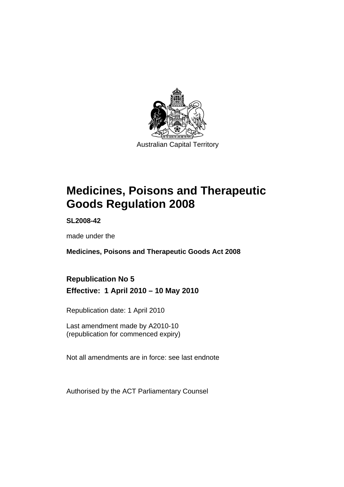

# **[Medicines, Poisons and Therapeutic](#page-24-0)  [Goods Regulation 2008](#page-24-0)**

**SL2008-42** 

made under the

**[Medicines, Poisons and Therapeutic Goods Act 2008](#page-24-0)** 

## **Republication No 5 Effective: 1 April 2010 – 10 May 2010**

Republication date: 1 April 2010

Last amendment made by A2010-10 (republication for commenced expiry)

Not all amendments are in force: see last endnote

Authorised by the ACT Parliamentary Counsel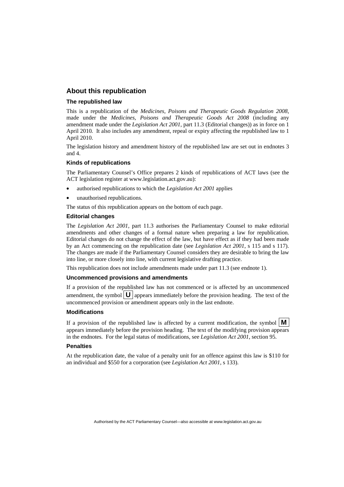#### **About this republication**

#### **The republished law**

This is a republication of the *Medicines, Poisons and Therapeutic Goods Regulation 2008*, made under the *[Medicines, Poisons and Therapeutic Goods Act 2008](#page-24-0)* (including any amendment made under the *Legislation Act 2001*, part 11.3 (Editorial changes)) as in force on 1 April 2010*.* It also includes any amendment, repeal or expiry affecting the republished law to 1 April 2010.

The legislation history and amendment history of the republished law are set out in endnotes 3 and 4.

#### **Kinds of republications**

The Parliamentary Counsel's Office prepares 2 kinds of republications of ACT laws (see the ACT legislation register at www.legislation.act.gov.au):

- authorised republications to which the *Legislation Act 2001* applies
- unauthorised republications.

The status of this republication appears on the bottom of each page.

#### **Editorial changes**

The *Legislation Act 2001*, part 11.3 authorises the Parliamentary Counsel to make editorial amendments and other changes of a formal nature when preparing a law for republication. Editorial changes do not change the effect of the law, but have effect as if they had been made by an Act commencing on the republication date (see *Legislation Act 2001*, s 115 and s 117). The changes are made if the Parliamentary Counsel considers they are desirable to bring the law into line, or more closely into line, with current legislative drafting practice.

This republication does not include amendments made under part 11.3 (see endnote 1).

#### **Uncommenced provisions and amendments**

If a provision of the republished law has not commenced or is affected by an uncommenced amendment, the symbol  $\mathbf{U}$  appears immediately before the provision heading. The text of the uncommenced provision or amendment appears only in the last endnote.

#### **Modifications**

If a provision of the republished law is affected by a current modification, the symbol  $\vert \mathbf{M} \vert$ appears immediately before the provision heading. The text of the modifying provision appears in the endnotes. For the legal status of modifications, see *Legislation Act 2001*, section 95.

#### **Penalties**

At the republication date, the value of a penalty unit for an offence against this law is \$110 for an individual and \$550 for a corporation (see *Legislation Act 2001*, s 133).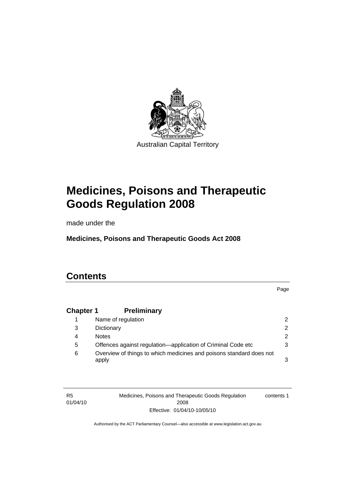

# **[Medicines, Poisons and Therapeutic](#page-24-0)  [Goods Regulation 2008](#page-24-0)**

made under the

**[Medicines, Poisons and Therapeutic Goods Act 2008](#page-24-0)** 

## **Contents**

R5

Page

## **Chapter 1 Preliminary**

|   | Name of regulation                                                           | 2             |
|---|------------------------------------------------------------------------------|---------------|
| 3 | Dictionary                                                                   | $\mathcal{P}$ |
| 4 | <b>Notes</b>                                                                 | 2             |
| 5 | Offences against regulation—application of Criminal Code etc                 | 3             |
| 6 | Overview of things to which medicines and poisons standard does not<br>apply | 3             |

01/04/10 Medicines, Poisons and Therapeutic Goods Regulation 2008 Effective: 01/04/10-10/05/10 contents 1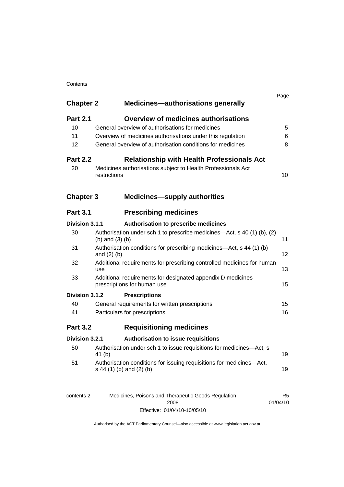#### **Contents**

| <b>Chapter 2</b> |                               | <b>Medicines-authorisations generally</b>                               |    |
|------------------|-------------------------------|-------------------------------------------------------------------------|----|
| <b>Part 2.1</b>  |                               | <b>Overview of medicines authorisations</b>                             |    |
| 10               |                               | General overview of authorisations for medicines                        | 5  |
| 11               |                               | Overview of medicines authorisations under this regulation              | 6  |
| 12               |                               | General overview of authorisation conditions for medicines              | 8  |
| <b>Part 2.2</b>  |                               | <b>Relationship with Health Professionals Act</b>                       |    |
| 20               | restrictions                  | Medicines authorisations subject to Health Professionals Act            | 10 |
| <b>Chapter 3</b> |                               | <b>Medicines-supply authorities</b>                                     |    |
| <b>Part 3.1</b>  |                               | <b>Prescribing medicines</b>                                            |    |
| Division 3.1.1   |                               | Authorisation to prescribe medicines                                    |    |
| 30               | (b) and $(3)$ (b)             | Authorisation under sch 1 to prescribe medicines—Act, s 40 (1) (b), (2) | 11 |
| 31               | and $(2)$ $(b)$               | Authorisation conditions for prescribing medicines—Act, s 44 (1) (b)    | 12 |
| 32               | use                           | Additional requirements for prescribing controlled medicines for human  | 13 |
| 33               | prescriptions for human use   | Additional requirements for designated appendix D medicines             | 15 |
| Division 3.1.2   | <b>Prescriptions</b>          |                                                                         |    |
| 40               |                               | General requirements for written prescriptions                          | 15 |
| 41               | Particulars for prescriptions |                                                                         | 16 |
| <b>Part 3.2</b>  |                               | <b>Requisitioning medicines</b>                                         |    |
| Division 3.2.1   |                               | Authorisation to issue requisitions                                     |    |
| 50               | 41 $(b)$                      | Authorisation under sch 1 to issue requisitions for medicines-Act, s    | 19 |
| 51               | s 44 (1) (b) and (2) (b)      | Authorisation conditions for issuing requisitions for medicines-Act,    | 19 |

| contents 2 | Medicines, Poisons and Therapeutic Goods Regulation | R5       |
|------------|-----------------------------------------------------|----------|
|            | 2008                                                | 01/04/10 |
|            | Effective: 01/04/10-10/05/10                        |          |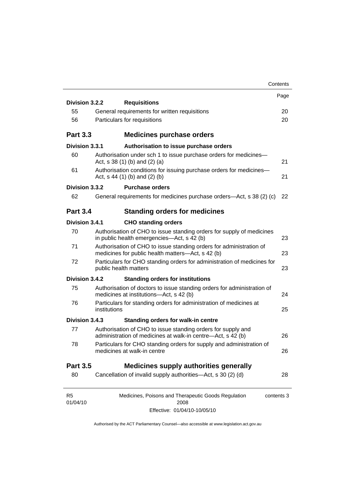|                            |                                                                                                                          | Contents   |
|----------------------------|--------------------------------------------------------------------------------------------------------------------------|------------|
|                            |                                                                                                                          | Page       |
| Division 3.2.2             | <b>Requisitions</b>                                                                                                      |            |
| 55                         | General requirements for written requisitions                                                                            | 20         |
| 56                         | Particulars for requisitions                                                                                             | 20         |
| <b>Part 3.3</b>            | <b>Medicines purchase orders</b>                                                                                         |            |
| Division 3.3.1             | Authorisation to issue purchase orders                                                                                   |            |
| 60                         | Authorisation under sch 1 to issue purchase orders for medicines-<br>Act, s $38(1)$ (b) and (2) (a)                      | 21         |
| 61                         | Authorisation conditions for issuing purchase orders for medicines-<br>Act, $s$ 44 (1) (b) and (2) (b)                   | 21         |
| Division 3.3.2             | <b>Purchase orders</b>                                                                                                   |            |
| 62                         | General requirements for medicines purchase orders—Act, s 38 (2) (c)                                                     | 22         |
| <b>Part 3.4</b>            | <b>Standing orders for medicines</b>                                                                                     |            |
| Division 3.4.1             | <b>CHO standing orders</b>                                                                                               |            |
| 70                         | Authorisation of CHO to issue standing orders for supply of medicines<br>in public health emergencies—Act, s 42 (b)      | 23         |
| 71                         | Authorisation of CHO to issue standing orders for administration of<br>medicines for public health matters—Act, s 42 (b) | 23         |
| 72                         | Particulars for CHO standing orders for administration of medicines for<br>public health matters                         | 23         |
| Division 3.4.2             | <b>Standing orders for institutions</b>                                                                                  |            |
| 75                         | Authorisation of doctors to issue standing orders for administration of<br>medicines at institutions-Act, s 42 (b)       | 24         |
| 76                         | Particulars for standing orders for administration of medicines at<br>institutions                                       | 25         |
| Division 3.4.3             | <b>Standing orders for walk-in centre</b>                                                                                |            |
| 77                         | Authorisation of CHO to issue standing orders for supply and                                                             |            |
|                            | administration of medicines at walk-in centre-Act, s 42 (b)                                                              | 26         |
| 78                         | Particulars for CHO standing orders for supply and administration of<br>medicines at walk-in centre                      | 26         |
| <b>Part 3.5</b>            | <b>Medicines supply authorities generally</b>                                                                            |            |
| 80                         | Cancellation of invalid supply authorities—Act, s 30 (2) (d)                                                             | 28         |
| R <sub>5</sub><br>01/04/10 | Medicines, Poisons and Therapeutic Goods Regulation<br>2008                                                              | contents 3 |
|                            | Effective: 01/04/10-10/05/10                                                                                             |            |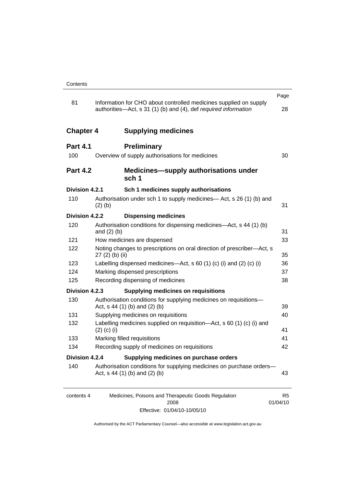|                  |                                                                                                                                      | Page                       |
|------------------|--------------------------------------------------------------------------------------------------------------------------------------|----------------------------|
| 81               | Information for CHO about controlled medicines supplied on supply<br>authorities-Act, s 31 (1) (b) and (4), def required information | 28                         |
| <b>Chapter 4</b> | <b>Supplying medicines</b>                                                                                                           |                            |
| <b>Part 4.1</b>  | <b>Preliminary</b>                                                                                                                   |                            |
| 100              | Overview of supply authorisations for medicines                                                                                      | 30                         |
| <b>Part 4.2</b>  | Medicines-supply authorisations under<br>sch <sub>1</sub>                                                                            |                            |
| Division 4.2.1   | Sch 1 medicines supply authorisations                                                                                                |                            |
| 110              | Authorisation under sch 1 to supply medicines— Act, s 26 (1) (b) and<br>$(2)$ (b)                                                    | 31                         |
| Division 4.2.2   | <b>Dispensing medicines</b>                                                                                                          |                            |
| 120              | Authorisation conditions for dispensing medicines-Act, s 44 (1) (b)<br>and $(2)$ $(b)$                                               | 31                         |
| 121              | How medicines are dispensed                                                                                                          | 33                         |
| 122              | Noting changes to prescriptions on oral direction of prescriber-Act, s<br>27 (2) (b) (ii)                                            | 35                         |
| 123              | Labelling dispensed medicines—Act, s 60 (1) (c) (i) and (2) (c) (i)                                                                  | 36                         |
| 124              | Marking dispensed prescriptions                                                                                                      | 37                         |
| 125              | Recording dispensing of medicines                                                                                                    | 38                         |
| Division 4.2.3   | <b>Supplying medicines on requisitions</b>                                                                                           |                            |
| 130              | Authorisation conditions for supplying medicines on requisitions-                                                                    |                            |
|                  | Act, s 44 (1) (b) and (2) (b)                                                                                                        | 39                         |
| 131              | Supplying medicines on requisitions                                                                                                  | 40                         |
| 132              | Labelling medicines supplied on requisition—Act, s 60 (1) (c) (i) and<br>$(2)$ (c) (i)                                               | 41                         |
| 133              | Marking filled requisitions                                                                                                          | 41                         |
| 134              | Recording supply of medicines on requisitions                                                                                        | 42                         |
| Division 4.2.4   | Supplying medicines on purchase orders                                                                                               |                            |
| 140              | Authorisation conditions for supplying medicines on purchase orders-<br>Act, $s$ 44 (1) (b) and (2) (b)                              | 43                         |
| contents 4       | Medicines, Poisons and Therapeutic Goods Regulation<br>2008                                                                          | R <sub>5</sub><br>01/04/10 |

Effective: 01/04/10-10/05/10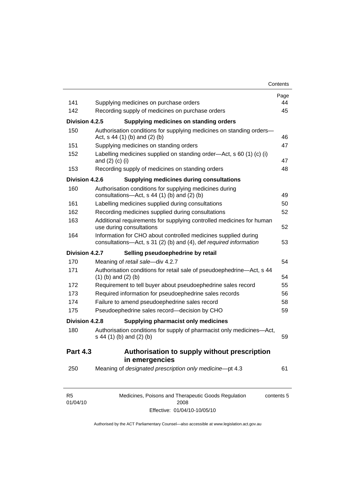| 141                        | Supplying medicines on purchase orders                                                                                              | Page<br>44 |
|----------------------------|-------------------------------------------------------------------------------------------------------------------------------------|------------|
| 142                        | Recording supply of medicines on purchase orders                                                                                    | 45         |
| Division 4.2.5             | Supplying medicines on standing orders                                                                                              |            |
| 150                        | Authorisation conditions for supplying medicines on standing orders-<br>Act, $s$ 44 (1) (b) and (2) (b)                             | 46         |
| 151                        | Supplying medicines on standing orders                                                                                              | 47         |
| 152                        | Labelling medicines supplied on standing order—Act, s 60 (1) (c) (i)<br>and $(2)$ $(c)$ $(i)$                                       | 47         |
| 153                        | Recording supply of medicines on standing orders                                                                                    | 48         |
| Division 4.2.6             | <b>Supplying medicines during consultations</b>                                                                                     |            |
| 160                        | Authorisation conditions for supplying medicines during<br>consultations- $-\text{Act}$ , s 44 (1) (b) and (2) (b)                  | 49         |
| 161                        | Labelling medicines supplied during consultations                                                                                   | 50         |
| 162                        | Recording medicines supplied during consultations                                                                                   | 52         |
| 163                        | Additional requirements for supplying controlled medicines for human<br>use during consultations                                    | 52         |
| 164                        | Information for CHO about controlled medicines supplied during<br>consultations-Act, s 31 (2) (b) and (4), def required information | 53         |
| Division 4.2.7             | Selling pseudoephedrine by retail                                                                                                   |            |
| 170                        | Meaning of retail sale-div 4.2.7                                                                                                    | 54         |
| 171                        | Authorisation conditions for retail sale of pseudoephedrine—Act, s 44<br>$(1)$ (b) and $(2)$ (b)                                    | 54         |
| 172                        | Requirement to tell buyer about pseudoephedrine sales record                                                                        | 55         |
| 173                        | Required information for pseudoephedrine sales records                                                                              | 56         |
| 174                        | Failure to amend pseudoephedrine sales record                                                                                       | 58         |
| 175                        | Pseudoephedrine sales record-decision by CHO                                                                                        | 59         |
| Division 4.2.8             | Supplying pharmacist only medicines                                                                                                 |            |
| 180                        | Authorisation conditions for supply of pharmacist only medicines-Act,<br>s 44 (1) (b) and (2) (b)                                   | 59         |
| <b>Part 4.3</b>            | Authorisation to supply without prescription<br>in emergencies                                                                      |            |
| 250                        | Meaning of designated prescription only medicine-pt 4.3                                                                             | 61         |
| R <sub>5</sub><br>01/04/10 | Medicines, Poisons and Therapeutic Goods Regulation<br>2008                                                                         | contents 5 |

Effective: 01/04/10-10/05/10

01/04/10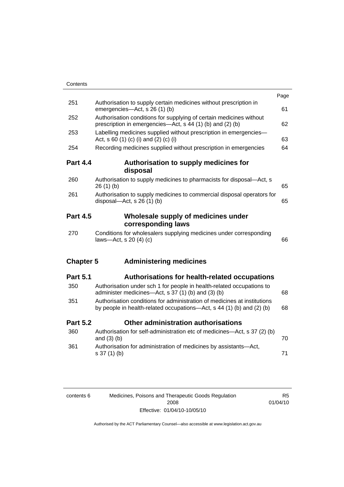| Contents         |                                                                                                                                                   |      |
|------------------|---------------------------------------------------------------------------------------------------------------------------------------------------|------|
|                  |                                                                                                                                                   | Page |
| 251              | Authorisation to supply certain medicines without prescription in<br>emergencies-Act, s 26 (1) (b)                                                | 61   |
| 252              | Authorisation conditions for supplying of certain medicines without<br>prescription in emergencies—Act, s 44 (1) (b) and (2) (b)                  | 62   |
| 253              | Labelling medicines supplied without prescription in emergencies-<br>Act, s 60 (1) (c) (i) and (2) (c) (i)                                        | 63   |
| 254              | Recording medicines supplied without prescription in emergencies                                                                                  | 64   |
| <b>Part 4.4</b>  | Authorisation to supply medicines for<br>disposal                                                                                                 |      |
| 260              | Authorisation to supply medicines to pharmacists for disposal-Act, s<br>26(1)(b)                                                                  | 65   |
| 261              | Authorisation to supply medicines to commercial disposal operators for<br>disposal- $-\text{Act}$ , s 26 (1) (b)                                  | 65   |
| <b>Part 4.5</b>  | Wholesale supply of medicines under<br>corresponding laws                                                                                         |      |
| 270              | Conditions for wholesalers supplying medicines under corresponding<br>laws-Act, s 20 (4) (c)                                                      | 66   |
| <b>Chapter 5</b> | <b>Administering medicines</b>                                                                                                                    |      |
| <b>Part 5.1</b>  | <b>Authorisations for health-related occupations</b>                                                                                              |      |
| 350              | Authorisation under sch 1 for people in health-related occupations to<br>administer medicines-Act, s 37 (1) (b) and (3) (b)                       | 68   |
| 351              | Authorisation conditions for administration of medicines at institutions<br>by people in health-related occupations—Act, s 44 (1) (b) and (2) (b) | 68   |
| <b>Part 5.2</b>  | Other administration authorisations                                                                                                               |      |
| 360              | Authorisation for self-administration etc of medicines-Act, s 37 (2) (b)<br>and $(3)$ $(b)$                                                       | 70   |
| 361              | Authorisation for administration of medicines by assistants-Act,<br>s 37 (1) (b)                                                                  | 71   |
|                  |                                                                                                                                                   |      |

| contents 6 | Medicines, Poisons and Therapeutic Goods Regulation | R5       |
|------------|-----------------------------------------------------|----------|
|            | 2008                                                | 01/04/10 |
|            | Effective: 01/04/10-10/05/10                        |          |

R5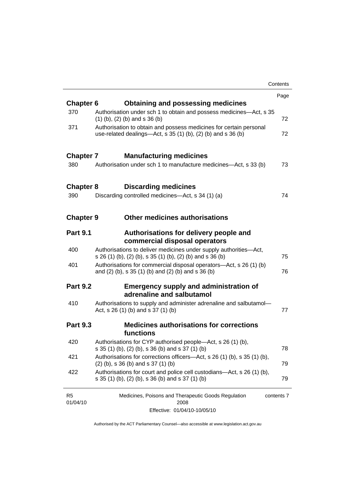|                            |                                                                                                                                       | Contents   |
|----------------------------|---------------------------------------------------------------------------------------------------------------------------------------|------------|
|                            |                                                                                                                                       | Page       |
| <b>Chapter 6</b>           | Obtaining and possessing medicines                                                                                                    |            |
| 370                        | Authorisation under sch 1 to obtain and possess medicines-Act, s 35<br>$(1)$ (b), (2) (b) and s 36 (b)                                | 72         |
| 371                        | Authorisation to obtain and possess medicines for certain personal<br>use-related dealings—Act, s $35(1)(b)$ , $(2)(b)$ and s $36(b)$ | 72         |
| <b>Chapter 7</b>           | <b>Manufacturing medicines</b>                                                                                                        |            |
| 380                        | Authorisation under sch 1 to manufacture medicines—Act, s 33 (b)                                                                      | 73         |
| <b>Chapter 8</b>           | <b>Discarding medicines</b>                                                                                                           |            |
| 390                        | Discarding controlled medicines—Act, s 34 (1) (a)                                                                                     | 74         |
| <b>Chapter 9</b>           | Other medicines authorisations                                                                                                        |            |
| <b>Part 9.1</b>            | Authorisations for delivery people and<br>commercial disposal operators                                                               |            |
| 400                        | Authorisations to deliver medicines under supply authorities-Act,<br>s 26 (1) (b), (2) (b), s 35 (1) (b), (2) (b) and s 36 (b)        | 75         |
| 401                        | Authorisations for commercial disposal operators—Act, s 26 (1) (b)<br>and (2) (b), s 35 (1) (b) and (2) (b) and s 36 (b)              | 76         |
| <b>Part 9.2</b>            | <b>Emergency supply and administration of</b><br>adrenaline and salbutamol                                                            |            |
| 410                        | Authorisations to supply and administer adrenaline and salbutamol-<br>Act, s 26 (1) (b) and s 37 (1) (b)                              | 77         |
| <b>Part 9.3</b>            | <b>Medicines authorisations for corrections</b><br>functions                                                                          |            |
| 420                        | Authorisations for CYP authorised people—Act, s 26 (1) (b),<br>s 35 (1) (b), (2) (b), s 36 (b) and s 37 (1) (b)                       | 78         |
| 421                        | Authorisations for corrections officers-Act, s 26 (1) (b), s 35 (1) (b),<br>$(2)$ (b), s 36 (b) and s 37 (1) (b)                      | 79         |
| 422                        | Authorisations for court and police cell custodians—Act, s 26 (1) (b),<br>s 35 (1) (b), (2) (b), s 36 (b) and s 37 (1) (b)            | 79         |
| R <sub>5</sub><br>01/04/10 | Medicines, Poisons and Therapeutic Goods Regulation<br>2008                                                                           | contents 7 |
|                            |                                                                                                                                       |            |

Effective: 01/04/10-10/05/10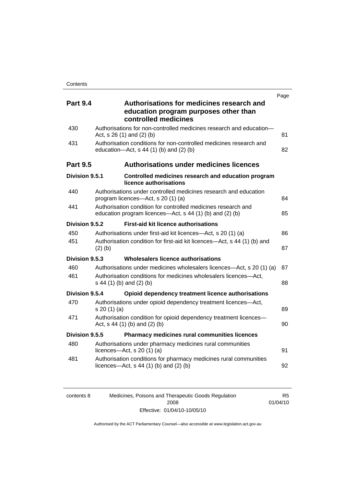|                 |                                                                                                                           | Page |
|-----------------|---------------------------------------------------------------------------------------------------------------------------|------|
| <b>Part 9.4</b> | Authorisations for medicines research and<br>education program purposes other than<br>controlled medicines                |      |
| 430             | Authorisations for non-controlled medicines research and education-<br>Act, s 26 (1) and (2) (b)                          | 81   |
| 431             | Authorisation conditions for non-controlled medicines research and<br>education- $Act$ , s 44 (1) (b) and (2) (b)         | 82   |
| <b>Part 9.5</b> | <b>Authorisations under medicines licences</b>                                                                            |      |
| Division 9.5.1  | Controlled medicines research and education program<br>licence authorisations                                             |      |
| 440             | Authorisations under controlled medicines research and education<br>program licences—Act, s 20 (1) (a)                    | 84   |
| 441             | Authorisation condition for controlled medicines research and<br>education program licences—Act, s 44 (1) (b) and (2) (b) | 85   |
| Division 9.5.2  | <b>First-aid kit licence authorisations</b>                                                                               |      |
| 450             | Authorisations under first-aid kit licences—Act, s 20 (1) (a)                                                             | 86   |
| 451             | Authorisation condition for first-aid kit licences—Act, s 44 (1) (b) and<br>$(2)$ $(b)$                                   | 87   |
| Division 9.5.3  | Wholesalers licence authorisations                                                                                        |      |
| 460             | Authorisations under medicines wholesalers licences—Act, s 20 (1) (a)                                                     | 87   |
| 461             | Authorisation conditions for medicines wholesalers licences-Act,<br>s 44 (1) (b) and (2) (b)                              | 88   |
| Division 9.5.4  | Opioid dependency treatment licence authorisations                                                                        |      |
| 470             | Authorisations under opioid dependency treatment licences-Act,<br>s 20(1)(a)                                              | 89   |
| 471             | Authorisation condition for opioid dependency treatment licences-<br>Act, $s$ 44 (1) (b) and (2) (b)                      | 90   |
| Division 9.5.5  | Pharmacy medicines rural communities licences                                                                             |      |
| 480             | Authorisations under pharmacy medicines rural communities<br>licences- $-\text{Act}$ , s 20 (1) (a)                       | 91   |
| 481             | Authorisation conditions for pharmacy medicines rural communities<br>licences—Act, $s$ 44 (1) (b) and (2) (b)             | 92   |

| contents 8 | Medicines, Poisons and Therapeutic Goods Regulation | R5       |
|------------|-----------------------------------------------------|----------|
|            | 2008                                                | 01/04/10 |
|            | Effective: 01/04/10-10/05/10                        |          |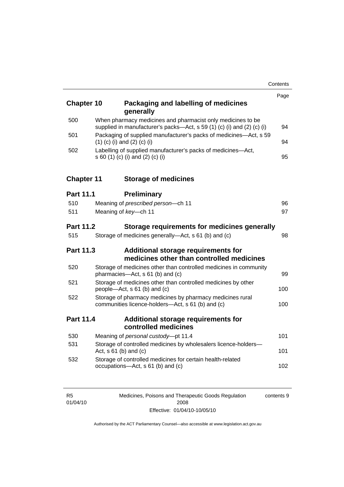| <b>Chapter 10</b> | Packaging and labelling of medicines<br>generally                                                                                     | Page |
|-------------------|---------------------------------------------------------------------------------------------------------------------------------------|------|
| 500               | When pharmacy medicines and pharmacist only medicines to be<br>supplied in manufacturer's packs-Act, s 59 (1) (c) (i) and (2) (c) (i) | 94   |
| 501               | Packaging of supplied manufacturer's packs of medicines-Act, s 59<br>$(1)$ (c) (i) and (2) (c) (i)                                    | 94   |
| 502               | Labelling of supplied manufacturer's packs of medicines-Act,<br>s 60 (1) (c) (i) and (2) (c) (i)                                      | 95   |
| <b>Chapter 11</b> | <b>Storage of medicines</b>                                                                                                           |      |
| <b>Part 11.1</b>  | <b>Preliminary</b>                                                                                                                    |      |
| 510               | Meaning of prescribed person-ch 11                                                                                                    | 96   |
| 511               | Meaning of key-ch 11                                                                                                                  | 97   |
| <b>Part 11.2</b>  | Storage requirements for medicines generally                                                                                          |      |
| 515               | Storage of medicines generally-Act, s 61 (b) and (c)                                                                                  | 98   |
| <b>Part 11.3</b>  | Additional storage requirements for<br>medicines other than controlled medicines                                                      |      |
| 520               | Storage of medicines other than controlled medicines in community<br>pharmacies-Act, s 61 (b) and (c)                                 | 99   |
| 521               | Storage of medicines other than controlled medicines by other<br>people-Act, s 61 (b) and (c)                                         | 100  |
| 522               | Storage of pharmacy medicines by pharmacy medicines rural<br>communities licence-holders-Act, s 61 (b) and (c)                        | 100  |
| Part 11.4         | Additional storage requirements for<br>controlled medicines                                                                           |      |
| 530               | Meaning of personal custody-pt 11.4                                                                                                   | 101  |
| 531               | Storage of controlled medicines by wholesalers licence-holders-<br>Act, $s \, 61$ (b) and (c)                                         | 101  |
| 532               | Storage of controlled medicines for certain health-related<br>occupations-Act, s 61 (b) and (c)                                       | 102  |

| R5       | Medicines, Poisons and Therapeutic Goods Regulation | contents 9 |
|----------|-----------------------------------------------------|------------|
| 01/04/10 | 2008                                                |            |
|          | Effective: 01/04/10-10/05/10                        |            |

R5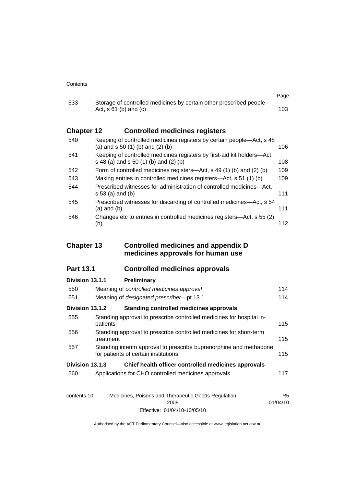|                   |                                                                                                                  | Page |
|-------------------|------------------------------------------------------------------------------------------------------------------|------|
| 533               | Storage of controlled medicines by certain other prescribed people-<br>Act, $s \, 61$ (b) and (c)                | 103. |
| <b>Chapter 12</b> | <b>Controlled medicines registers</b>                                                                            |      |
| 540               | Keeping of controlled medicines registers by certain people—Act, s 48<br>(a) and $s$ 50 (1) (b) and (2) (b)      | 106. |
| 541               | Keeping of controlled medicines registers by first-aid kit holders-Act,<br>s 48 (a) and s 50 (1) (b) and (2) (b) | 108  |
| 542               | Form of controlled medicines registers—Act, s 49 (1) (b) and (2) (b)                                             | 109  |
| 543               | Making entries in controlled medicines registers—Act, s 51 (1) (b)                                               | 109  |
| 544               | Prescribed witnesses for administration of controlled medicines—Act,<br>s 53 (a) and (b)                         | 111  |
| 545               | Prescribed witnesses for discarding of controlled medicines—Act, s 54<br>(a) and (b)                             | 111  |
| 546               | Changes etc to entries in controlled medicines registers—Act, s 55 (2)<br>(b)                                    | 112  |

### **Chapter 13 Controlled medicines and appendix D medicines approvals for human use**

### **Part 13.1 Controlled medicines approvals**

## contents 10 Medicines, Poisons and Therapeutic Goods Regulation R5 **Division 13.1.1 Preliminary** 550 Meaning of *controlled medicines approval* [114](#page-137-0) 551 Meaning of *designated prescriber*—pt 13.1 [114](#page-137-0) **Division 13.1.2 Standing controlled medicines approvals** 555 Standing approval to prescribe controlled medicines for hospital in-patients [115](#page-138-0) 556 Standing approval to prescribe controlled medicines for short-term treatment [115](#page-138-0) 557 Standing interim approval to prescribe buprenorphine and methadone for patients of certain institutions [115](#page-138-0) **Division 13.1.3 Chief health officer controlled medicines approvals** 560 Applications for CHO controlled medicines approvals [117](#page-140-0)

Authorised by the ACT Parliamentary Counsel—also accessible at www.legislation.act.gov.au

01/04/10

2008 Effective: 01/04/10-10/05/10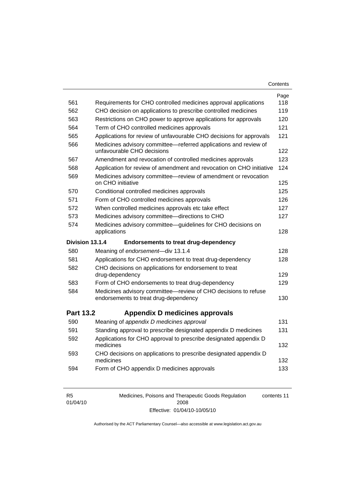| Contents |
|----------|
|----------|

|                  |                                                                                                         | Page |
|------------------|---------------------------------------------------------------------------------------------------------|------|
| 561              | Requirements for CHO controlled medicines approval applications                                         | 118  |
| 562              | CHO decision on applications to prescribe controlled medicines                                          | 119  |
| 563              | Restrictions on CHO power to approve applications for approvals                                         | 120  |
| 564              | Term of CHO controlled medicines approvals                                                              | 121  |
| 565              | Applications for review of unfavourable CHO decisions for approvals                                     | 121  |
| 566              | Medicines advisory committee-referred applications and review of<br>unfavourable CHO decisions          | 122  |
| 567              | Amendment and revocation of controlled medicines approvals                                              | 123  |
| 568              | Application for review of amendment and revocation on CHO initiative                                    | 124  |
| 569              | Medicines advisory committee-review of amendment or revocation<br>on CHO initiative                     | 125  |
| 570              | Conditional controlled medicines approvals                                                              | 125  |
| 571              | Form of CHO controlled medicines approvals                                                              | 126  |
| 572              | When controlled medicines approvals etc take effect                                                     | 127  |
| 573              | Medicines advisory committee-directions to CHO                                                          | 127  |
| 574              | Medicines advisory committee-guidelines for CHO decisions on<br>applications                            | 128  |
|                  |                                                                                                         |      |
| Division 13.1.4  | <b>Endorsements to treat drug-dependency</b>                                                            |      |
| 580              | Meaning of endorsement-div 13.1.4                                                                       | 128  |
| 581              | Applications for CHO endorsement to treat drug-dependency                                               | 128  |
| 582              | CHO decisions on applications for endorsement to treat<br>drug-dependency                               | 129  |
| 583              | Form of CHO endorsements to treat drug-dependency                                                       | 129  |
| 584              | Medicines advisory committee-review of CHO decisions to refuse<br>endorsements to treat drug-dependency | 130  |
| <b>Part 13.2</b> | <b>Appendix D medicines approvals</b>                                                                   |      |
| 590              | Meaning of appendix D medicines approval                                                                | 131  |
| 591              | Standing approval to prescribe designated appendix D medicines                                          | 131  |
| 592              | Applications for CHO approval to prescribe designated appendix D<br>medicines                           | 132  |
| 593              | CHO decisions on applications to prescribe designated appendix D<br>medicines                           | 132  |

| R5       | Medicines, Poisons and Therapeutic Goods Regulation | contents 11 |
|----------|-----------------------------------------------------|-------------|
| 01/04/10 | 2008                                                |             |
|          | Effective: 01/04/10-10/05/10                        |             |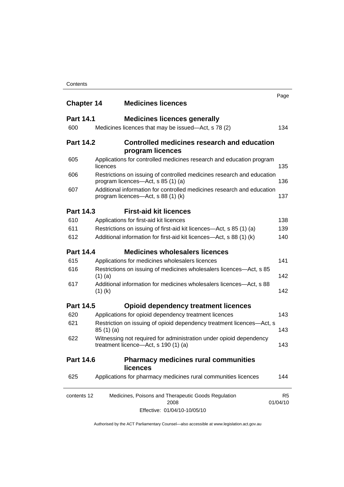| <b>Chapter 14</b> | <b>Medicines licences</b>                                                                                    | Page                       |
|-------------------|--------------------------------------------------------------------------------------------------------------|----------------------------|
| <b>Part 14.1</b>  | <b>Medicines licences generally</b>                                                                          |                            |
| 600               | Medicines licences that may be issued-Act, s 78 (2)                                                          | 134                        |
| <b>Part 14.2</b>  | Controlled medicines research and education<br>program licences                                              |                            |
| 605               | Applications for controlled medicines research and education program<br>licences                             | 135                        |
| 606               | Restrictions on issuing of controlled medicines research and education<br>program licences—Act, s 85 (1) (a) | 136                        |
| 607               | Additional information for controlled medicines research and education<br>program licences—Act, s 88 (1) (k) | 137                        |
| <b>Part 14.3</b>  | <b>First-aid kit licences</b>                                                                                |                            |
| 610               | Applications for first-aid kit licences                                                                      | 138                        |
| 611               | Restrictions on issuing of first-aid kit licences—Act, s 85 (1) (a)                                          | 139                        |
| 612               | Additional information for first-aid kit licences—Act, s 88 (1) (k)                                          | 140                        |
| <b>Part 14.4</b>  | <b>Medicines wholesalers licences</b>                                                                        |                            |
| 615               | Applications for medicines wholesalers licences                                                              | 141                        |
| 616               | Restrictions on issuing of medicines wholesalers licences—Act, s 85<br>$(1)$ (a)                             | 142                        |
| 617               | Additional information for medicines wholesalers licences—Act, s 88<br>$(1)$ (k)                             | 142                        |
| <b>Part 14.5</b>  | <b>Opioid dependency treatment licences</b>                                                                  |                            |
| 620               | Applications for opioid dependency treatment licences                                                        | 143                        |
| 621               | Restriction on issuing of opioid dependency treatment licences-Act, s<br>85(1)(a)                            | 143                        |
| 622               | Witnessing not required for administration under opioid dependency<br>treatment licence-Act, s 190 (1) (a)   | 143                        |
| <b>Part 14.6</b>  | <b>Pharmacy medicines rural communities</b><br><b>licences</b>                                               |                            |
| 625               | Applications for pharmacy medicines rural communities licences                                               | 144                        |
| contents 12       | Medicines, Poisons and Therapeutic Goods Regulation<br>2008                                                  | R <sub>5</sub><br>01/04/10 |
|                   | Effective: 01/04/10-10/05/10                                                                                 |                            |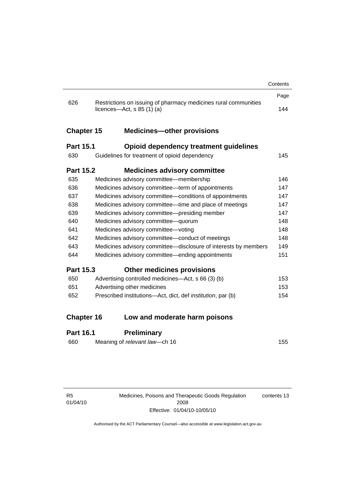|                   |                                                                                                 | Contents |
|-------------------|-------------------------------------------------------------------------------------------------|----------|
|                   |                                                                                                 | Page     |
| 626               | Restrictions on issuing of pharmacy medicines rural communities<br>licences—Act, $s$ 85 (1) (a) | 144      |
| <b>Chapter 15</b> | <b>Medicines-other provisions</b>                                                               |          |
| <b>Part 15.1</b>  | Opioid dependency treatment guidelines                                                          |          |
| 630               | Guidelines for treatment of opioid dependency                                                   | 145      |
| <b>Part 15.2</b>  | <b>Medicines advisory committee</b>                                                             |          |
| 635               | Medicines advisory committee-membership                                                         | 146      |
| 636               | Medicines advisory committee-term of appointments                                               | 147      |
| 637               | Medicines advisory committee-conditions of appointments                                         | 147      |
| 638               | Medicines advisory committee—time and place of meetings                                         | 147      |
| 639               | Medicines advisory committee-presiding member                                                   | 147      |
| 640               | Medicines advisory committee-quorum                                                             | 148      |
| 641               | Medicines advisory committee-voting                                                             | 148      |
| 642               | Medicines advisory committee-conduct of meetings                                                | 148      |
| 643               | Medicines advisory committee-disclosure of interests by members                                 | 149      |
| 644               | Medicines advisory committee—ending appointments                                                | 151      |
| <b>Part 15.3</b>  | <b>Other medicines provisions</b>                                                               |          |
| 650               | Advertising controlled medicines—Act, s 66 (3) (b)                                              | 153      |
| 651               | Advertising other medicines                                                                     | 153      |
| 652               | Prescribed institutions-Act, dict, def institution, par (b)                                     | 154      |
| <b>Chapter 16</b> | Low and moderate harm poisons                                                                   |          |
|                   |                                                                                                 |          |
| Part 16 1         | <b>Preliminary</b>                                                                              |          |

### **Part 16.1 Preliminary**

| 660 | Meaning of relevant law—ch 16 | 155 |
|-----|-------------------------------|-----|
|     |                               |     |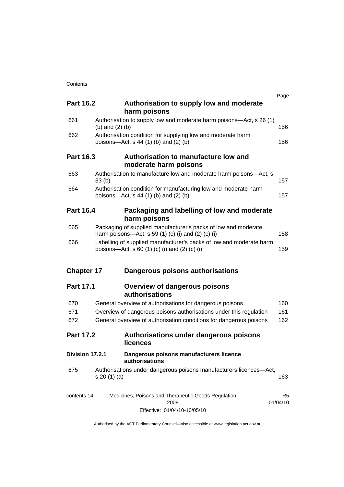|                   |                                                                                                                             | Page     |                |  |
|-------------------|-----------------------------------------------------------------------------------------------------------------------------|----------|----------------|--|
| <b>Part 16.2</b>  | Authorisation to supply low and moderate                                                                                    |          |                |  |
|                   | harm poisons                                                                                                                |          |                |  |
| 661               | Authorisation to supply low and moderate harm poisons—Act, s 26 (1)<br>(b) and $(2)$ (b)                                    |          |                |  |
| 662               | Authorisation condition for supplying low and moderate harm<br>poisons—Act, s 44 (1) (b) and (2) (b)                        | 156      |                |  |
| Part 16.3         | Authorisation to manufacture low and<br>moderate harm poisons                                                               |          |                |  |
| 663               | Authorisation to manufacture low and moderate harm poisons-Act, s<br>33(b)                                                  | 157      |                |  |
| 664               | Authorisation condition for manufacturing low and moderate harm<br>poisons—Act, s 44 (1) (b) and (2) (b)                    | 157      |                |  |
| <b>Part 16.4</b>  | Packaging and labelling of low and moderate<br>harm poisons                                                                 |          |                |  |
| 665               | Packaging of supplied manufacturer's packs of low and moderate<br>harm poisons—Act, s 59 (1) (c) (i) and (2) (c) (i)<br>158 |          |                |  |
| 666               | Labelling of supplied manufacturer's packs of low and moderate harm<br>poisons—Act, s 60 (1) (c) (i) and (2) (c) (i)        |          | 159            |  |
| <b>Chapter 17</b> | Dangerous poisons authorisations                                                                                            |          |                |  |
| <b>Part 17.1</b>  | <b>Overview of dangerous poisons</b><br>authorisations                                                                      |          |                |  |
| 670               | General overview of authorisations for dangerous poisons                                                                    | 160      |                |  |
| 671               | Overview of dangerous poisons authorisations under this regulation                                                          | 161      |                |  |
| 672               | General overview of authorisation conditions for dangerous poisons                                                          | 162      |                |  |
| <b>Part 17.2</b>  | Authorisations under dangerous poisons<br>licences                                                                          |          |                |  |
| Division 17.2.1   | Dangerous poisons manufacturers licence<br>authorisations                                                                   |          |                |  |
| 675               | Authorisations under dangerous poisons manufacturers licences-Act,<br>s 20(1)(a)                                            | 163      |                |  |
| contents 14       | Medicines, Poisons and Therapeutic Goods Regulation<br>2008                                                                 | 01/04/10 | R <sub>5</sub> |  |
|                   | Effective: 01/04/10-10/05/10                                                                                                |          |                |  |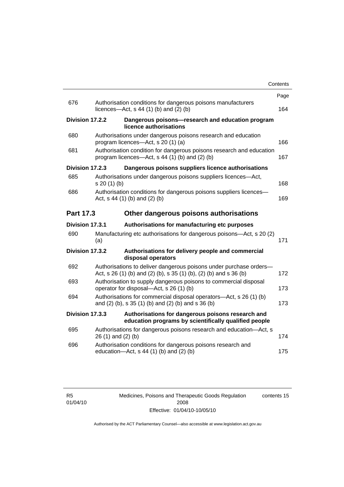|                  |                 |                                                                                                                                         | Contents |
|------------------|-----------------|-----------------------------------------------------------------------------------------------------------------------------------------|----------|
|                  |                 |                                                                                                                                         | Page     |
| 676              |                 | Authorisation conditions for dangerous poisons manufacturers<br>licences- $-\text{Act}$ , s 44 (1) (b) and (2) (b)                      | 164      |
|                  | Division 17.2.2 | Dangerous poisons-research and education program<br>licence authorisations                                                              |          |
| 680              |                 | Authorisations under dangerous poisons research and education<br>program licences—Act, s 20 (1) (a)                                     | 166      |
| 681              |                 | Authorisation condition for dangerous poisons research and education<br>program licences—Act, s 44 (1) (b) and (2) (b)                  | 167      |
|                  | Division 17.2.3 | Dangerous poisons suppliers licence authorisations                                                                                      |          |
| 685              | s 20 (1) (b)    | Authorisations under dangerous poisons suppliers licences—Act,                                                                          | 168      |
| 686              |                 | Authorisation conditions for dangerous poisons suppliers licences-<br>Act, $s$ 44 (1) (b) and (2) (b)                                   | 169      |
| <b>Part 17.3</b> |                 | Other dangerous poisons authorisations                                                                                                  |          |
|                  | Division 17.3.1 | Authorisations for manufacturing etc purposes                                                                                           |          |
| 690              | (a)             | Manufacturing etc authorisations for dangerous poisons—Act, s 20 (2)                                                                    | 171      |
|                  | Division 17.3.2 | Authorisations for delivery people and commercial<br>disposal operators                                                                 |          |
| 692              |                 | Authorisations to deliver dangerous poisons under purchase orders-<br>Act, s 26 (1) (b) and (2) (b), s 35 (1) (b), (2) (b) and s 36 (b) | 172      |
| 693              |                 | Authorisation to supply dangerous poisons to commercial disposal<br>operator for disposal-Act, s 26 (1) (b)                             | 173      |
| 694              |                 | Authorisations for commercial disposal operators-Act, s 26 (1) (b)<br>and $(2)$ (b), s 35 $(1)$ (b) and $(2)$ (b) and s 36 (b)          | 173      |
|                  | Division 17.3.3 | Authorisations for dangerous poisons research and<br>education programs by scientifically qualified people                              |          |
| 695              |                 | Authorisations for dangerous poisons research and education-Act, s<br>26 (1) and (2) (b)                                                | 174      |
| 696              |                 | Authorisation conditions for dangerous poisons research and<br>education-Act, s 44 (1) (b) and (2) (b)                                  | 175      |
|                  |                 |                                                                                                                                         |          |

Medicines, Poisons and Therapeutic Goods Regulation 2008 Effective: 01/04/10-10/05/10 contents 15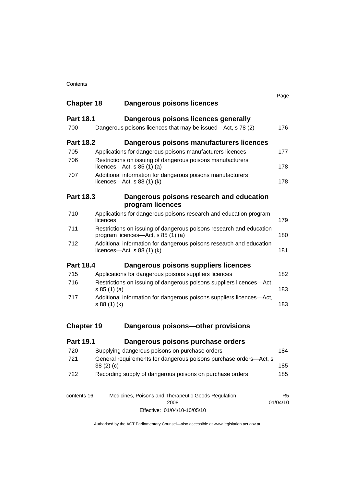| <b>Chapter 18</b> | Dangerous poisons licences                                                                                       | Page                       |  |
|-------------------|------------------------------------------------------------------------------------------------------------------|----------------------------|--|
| <b>Part 18.1</b>  | Dangerous poisons licences generally                                                                             |                            |  |
| 700               | Dangerous poisons licences that may be issued—Act, s 78 (2)                                                      | 176                        |  |
| <b>Part 18.2</b>  | Dangerous poisons manufacturers licences                                                                         |                            |  |
| 705               | Applications for dangerous poisons manufacturers licences                                                        | 177                        |  |
| 706               | Restrictions on issuing of dangerous poisons manufacturers<br>licences—Act, $s$ 85 (1) (a)                       | 178                        |  |
| 707               | Additional information for dangerous poisons manufacturers<br>licences—Act, $s$ 88 (1) (k)                       | 178                        |  |
| <b>Part 18.3</b>  | Dangerous poisons research and education<br>program licences                                                     |                            |  |
| 710               | Applications for dangerous poisons research and education program                                                |                            |  |
|                   | licences                                                                                                         | 179                        |  |
| 711               | Restrictions on issuing of dangerous poisons research and education<br>180<br>program licences—Act, s 85 (1) (a) |                            |  |
| 712               | Additional information for dangerous poisons research and education<br>licences—Act, $s$ 88 (1) (k)              | 181                        |  |
| <b>Part 18.4</b>  | Dangerous poisons suppliers licences                                                                             |                            |  |
| 715               | Applications for dangerous poisons suppliers licences                                                            | 182                        |  |
| 716               | Restrictions on issuing of dangerous poisons suppliers licences-Act,<br>s 85 (1) (a)                             |                            |  |
| 717               | Additional information for dangerous poisons suppliers licences-Act,<br>s 88 (1) (k)                             |                            |  |
| <b>Chapter 19</b> | Dangerous poisons-other provisions                                                                               |                            |  |
| <b>Part 19.1</b>  | Dangerous poisons purchase orders                                                                                |                            |  |
| 720               | Supplying dangerous poisons on purchase orders                                                                   | 184                        |  |
| 721               | General requirements for dangerous poisons purchase orders-Act, s<br>185<br>38(2)(c)                             |                            |  |
| 722               | Recording supply of dangerous poisons on purchase orders                                                         | 185                        |  |
| contents 16       | Medicines, Poisons and Therapeutic Goods Regulation<br>2008                                                      | R <sub>5</sub><br>01/04/10 |  |

Effective: 01/04/10-10/05/10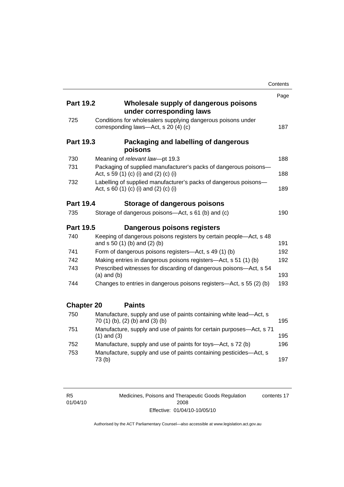|                   |                                                                                                           | Contents |
|-------------------|-----------------------------------------------------------------------------------------------------------|----------|
|                   |                                                                                                           | Page     |
| <b>Part 19.2</b>  | Wholesale supply of dangerous poisons<br>under corresponding laws                                         |          |
| 725               | Conditions for wholesalers supplying dangerous poisons under<br>corresponding laws-Act, s 20 (4) (c)      | 187      |
| <b>Part 19.3</b>  | Packaging and labelling of dangerous<br>poisons                                                           |          |
| 730               | Meaning of relevant law-pt 19.3                                                                           | 188      |
| 731               | Packaging of supplied manufacturer's packs of dangerous poisons-<br>Act, s 59 (1) (c) (i) and (2) (c) (i) | 188      |
| 732               | Labelling of supplied manufacturer's packs of dangerous poisons-<br>Act, s 60 (1) (c) (i) and (2) (c) (i) | 189      |
| <b>Part 19.4</b>  | Storage of dangerous poisons                                                                              |          |
| 735               | Storage of dangerous poisons-Act, s 61 (b) and (c)                                                        | 190      |
| <b>Part 19.5</b>  | Dangerous poisons registers                                                                               |          |
| 740               | Keeping of dangerous poisons registers by certain people-Act, s 48<br>and s 50 (1) (b) and (2) (b)        | 191      |
| 741               | Form of dangerous poisons registers-Act, s 49 (1) (b)                                                     | 192      |
| 742               | Making entries in dangerous poisons registers—Act, s 51 (1) (b)                                           | 192      |
| 743               | Prescribed witnesses for discarding of dangerous poisons-Act, s 54<br>$(a)$ and $(b)$                     | 193      |
| 744               | Changes to entries in dangerous poisons registers-Act, s 55 (2) (b)                                       | 193      |
| <b>Chapter 20</b> | <b>Paints</b>                                                                                             |          |
| 750               | Manufacture, supply and use of paints containing white lead-Act, s<br>70 (1) (b), (2) (b) and (3) (b)     | 195      |
| 751               | Manufacture, supply and use of paints for certain purposes-Act, s 71<br>$(1)$ and $(3)$                   | 195      |
| 752               | Manufacture, supply and use of paints for toys—Act, s 72 (b)                                              | 196      |
| 753               | Manufacture, supply and use of paints containing pesticides-Act, s<br>73(b)                               | 197      |

R5 01/04/10 Medicines, Poisons and Therapeutic Goods Regulation 2008 Effective: 01/04/10-10/05/10 contents 17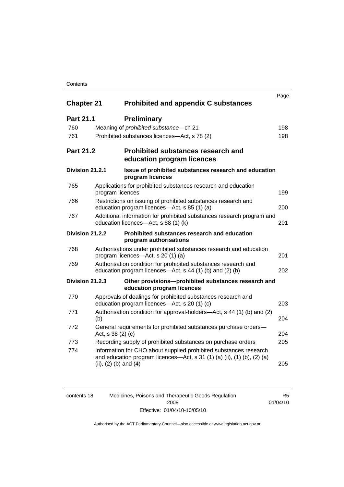### **Contents**

| <b>Chapter 21</b> |                                                | <b>Prohibited and appendix C substances</b>                                                                                                  | Page |
|-------------------|------------------------------------------------|----------------------------------------------------------------------------------------------------------------------------------------------|------|
| <b>Part 21.1</b>  | <b>Preliminary</b>                             |                                                                                                                                              |      |
| 760               | Meaning of <i>prohibited</i> substance - ch 21 |                                                                                                                                              | 198  |
| 761               | Prohibited substances licences—Act, s 78 (2)   |                                                                                                                                              | 198  |
| <b>Part 21.2</b>  |                                                | <b>Prohibited substances research and</b><br>education program licences                                                                      |      |
| Division 21.2.1   | program licences                               | Issue of prohibited substances research and education                                                                                        |      |
| 765               | program licences                               | Applications for prohibited substances research and education                                                                                | 199  |
| 766               | education program licences—Act, s 85 (1) (a)   | Restrictions on issuing of prohibited substances research and                                                                                | 200  |
| 767               | education licences-Act, s 88 (1) (k)           | Additional information for prohibited substances research program and                                                                        | 201  |
| Division 21.2.2   | program authorisations                         | Prohibited substances research and education                                                                                                 |      |
| 768               | program licences—Act, s 20 (1) (a)             | Authorisations under prohibited substances research and education                                                                            | 201  |
| 769               |                                                | Authorisation condition for prohibited substances research and<br>education program licences—Act, s 44 (1) (b) and (2) (b)                   | 202  |
| Division 21.2.3   | education program licences                     | Other provisions-prohibited substances research and                                                                                          |      |
| 770               | education program licences—Act, s 20 (1) (c)   | Approvals of dealings for prohibited substances research and                                                                                 | 203  |
| 771               | (b)                                            | Authorisation condition for approval-holders—Act, s 44 (1) (b) and (2)                                                                       | 204  |
| 772               | Act, s 38 (2) (c)                              | General requirements for prohibited substances purchase orders-                                                                              | 204  |
| 773               |                                                | Recording supply of prohibited substances on purchase orders                                                                                 | 205  |
| 774               | (ii), $(2)$ (b) and $(4)$                      | Information for CHO about supplied prohibited substances research<br>and education program licences—Act, s 31 (1) (a) (ii), (1) (b), (2) (a) | 205  |

| contents 18 | Medicines, Poisons and Therapeutic Goods Regulation | R5       |
|-------------|-----------------------------------------------------|----------|
|             | 2008                                                | 01/04/10 |
|             | Effective: 01/04/10-10/05/10                        |          |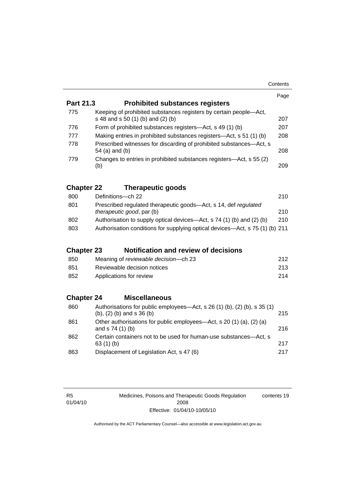|                   |                                                                                                                | Page |  |
|-------------------|----------------------------------------------------------------------------------------------------------------|------|--|
| Part 21.3         | <b>Prohibited substances registers</b>                                                                         |      |  |
| 775               | Keeping of prohibited substances registers by certain people-Act,<br>s 48 and s 50 (1) (b) and (2) (b)         | 207  |  |
| 776               | Form of prohibited substances registers—Act, s 49 (1) (b)                                                      | 207  |  |
| 777               | Making entries in prohibited substances registers—Act, s 51 (1) (b)                                            | 208  |  |
| 778               | Prescribed witnesses for discarding of prohibited substances-Act, s<br>54 (a) and (b)<br>208                   |      |  |
| 779               | Changes to entries in prohibited substances registers-Act, s 55 (2)<br>(b)                                     | 209  |  |
| <b>Chapter 22</b> | <b>Therapeutic goods</b>                                                                                       |      |  |
| 800               | Definitions-ch 22                                                                                              | 210  |  |
| 801               | Prescribed regulated therapeutic goods-Act, s 14, def regulated<br>therapeutic good, par (b)                   | 210  |  |
| 802               | Authorisation to supply optical devices—Act, s 74 (1) (b) and (2) (b)                                          | 210  |  |
| 803               | Authorisation conditions for supplying optical devices—Act, s 75 (1) (b) 211                                   |      |  |
| <b>Chapter 23</b> | <b>Notification and review of decisions</b>                                                                    |      |  |
| 850               | Meaning of reviewable decision-ch 23                                                                           | 212  |  |
| 851               | Reviewable decision notices                                                                                    | 213  |  |
| 852               | Applications for review                                                                                        | 214  |  |
| <b>Chapter 24</b> | <b>Miscellaneous</b>                                                                                           |      |  |
| 860               | Authorisations for public employees—Act, s 26 (1) (b), (2) (b), s 35 (1)<br>$(b)$ , $(2)$ $(b)$ and s 36 $(b)$ | 215  |  |
| 861               | Other authorisations for public employees—Act, s 20 (1) (a), (2) (a)<br>and s 74 (1) (b)                       | 216  |  |
| 862               | Certain containers not to be used for human-use substances—Act, s<br>63(1)(b)                                  | 217  |  |
| 863               | Displacement of Legislation Act, s 47 (6)                                                                      | 217  |  |

R5 01/04/10 Medicines, Poisons and Therapeutic Goods Regulation 2008 Effective: 01/04/10-10/05/10 contents 19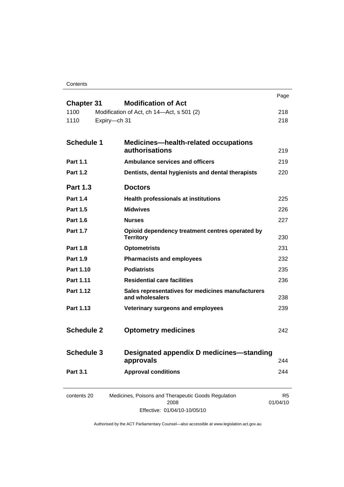**Contents** 

|                   |              |                                                                      | Page       |
|-------------------|--------------|----------------------------------------------------------------------|------------|
| <b>Chapter 31</b> |              | <b>Modification of Act</b>                                           |            |
| 1100<br>1110      | Expiry-ch 31 | Modification of Act, ch 14-Act, s 501 (2)                            | 218<br>218 |
|                   |              |                                                                      |            |
| <b>Schedule 1</b> |              | <b>Medicines—health-related occupations</b>                          |            |
|                   |              | authorisations                                                       | 219        |
| <b>Part 1.1</b>   |              | <b>Ambulance services and officers</b>                               | 219        |
| <b>Part 1.2</b>   |              | Dentists, dental hygienists and dental therapists                    | 220        |
| <b>Part 1.3</b>   |              | <b>Doctors</b>                                                       |            |
| <b>Part 1.4</b>   |              | <b>Health professionals at institutions</b>                          | 225        |
| <b>Part 1.5</b>   |              | <b>Midwives</b>                                                      | 226        |
| <b>Part 1.6</b>   |              | <b>Nurses</b>                                                        | 227        |
| <b>Part 1.7</b>   |              | Opioid dependency treatment centres operated by<br><b>Territory</b>  | 230        |
| <b>Part 1.8</b>   |              | <b>Optometrists</b>                                                  | 231        |
| <b>Part 1.9</b>   |              | <b>Pharmacists and employees</b>                                     | 232        |
| Part 1.10         |              | <b>Podiatrists</b>                                                   | 235        |
| Part 1.11         |              | <b>Residential care facilities</b>                                   | 236        |
| <b>Part 1.12</b>  |              | Sales representatives for medicines manufacturers<br>and wholesalers | 238        |
| Part 1.13         |              | Veterinary surgeons and employees                                    | 239        |
|                   |              |                                                                      |            |
| <b>Schedule 2</b> |              | <b>Optometry medicines</b>                                           | 242        |
|                   |              |                                                                      |            |
| <b>Schedule 3</b> |              | Designated appendix D medicines-standing<br>approvals                | 244        |
| <b>Part 3.1</b>   |              | <b>Approval conditions</b>                                           | 244        |
|                   |              |                                                                      |            |
| contents 20       |              | Medicines, Poisons and Therapeutic Goods Regulation                  | R5         |
|                   |              | 2008<br>$\frac{1}{2}$                                                | 01/04/10   |

Effective: 01/04/10-10/05/10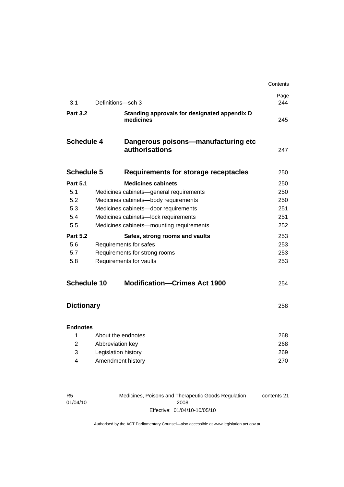|                    |                                      |                                                           | Contents    |
|--------------------|--------------------------------------|-----------------------------------------------------------|-------------|
| 3.1                | Definitions-sch 3                    |                                                           | Page<br>244 |
| <b>Part 3.2</b>    |                                      | Standing approvals for designated appendix D<br>medicines | 245         |
| <b>Schedule 4</b>  |                                      | Dangerous poisons-manufacturing etc<br>authorisations     | 247         |
| <b>Schedule 5</b>  |                                      | <b>Requirements for storage receptacles</b>               | 250         |
| <b>Part 5.1</b>    |                                      | <b>Medicines cabinets</b>                                 | 250         |
| 5.1                |                                      | Medicines cabinets-general requirements                   | 250         |
| 5.2                |                                      | Medicines cabinets-body requirements                      | 250         |
| 5.3                |                                      | Medicines cabinets-door requirements                      | 251         |
| 5.4                | Medicines cabinets-lock requirements |                                                           | 251         |
| 5.5                |                                      | Medicines cabinets-mounting requirements                  | 252         |
| <b>Part 5.2</b>    |                                      | Safes, strong rooms and vaults                            | 253         |
| 5.6                |                                      | Requirements for safes                                    | 253         |
| 5.7                | Requirements for strong rooms        |                                                           | 253         |
| 5.8                | Requirements for vaults              |                                                           | 253         |
| <b>Schedule 10</b> |                                      | <b>Modification-Crimes Act 1900</b>                       | 254         |
| <b>Dictionary</b>  |                                      |                                                           | 258         |
| <b>Endnotes</b>    |                                      |                                                           |             |
| 1                  |                                      | About the endnotes                                        | 268         |
| 2                  | Abbreviation key                     |                                                           | 268         |
| 3                  | Legislation history                  |                                                           | 269         |
| 4                  |                                      | Amendment history                                         | 270         |
|                    |                                      |                                                           |             |

| R5       |  |
|----------|--|
| 01/04/10 |  |

Medicines, Poisons and Therapeutic Goods Regulation 2008 Effective: 01/04/10-10/05/10 contents 21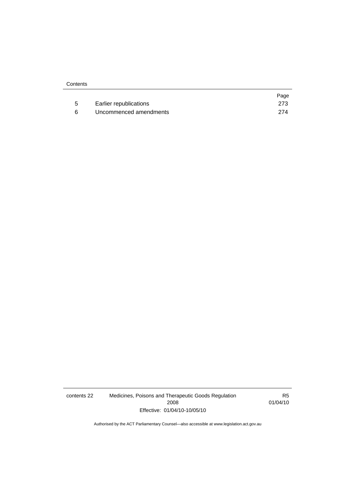|                        | Page |
|------------------------|------|
| Earlier republications | 273  |
| Uncommenced amendments | 274  |

contents 22 Medicines, Poisons and Therapeutic Goods Regulation 2008 Effective: 01/04/10-10/05/10

R5 01/04/10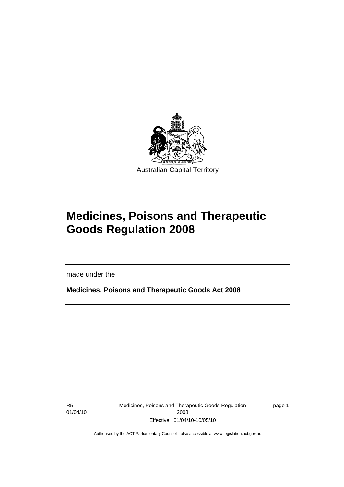<span id="page-24-0"></span>

# **Medicines, Poisons and Therapeutic Goods Regulation 2008**

made under the

**Medicines, Poisons and Therapeutic Goods Act 2008** 

R5 01/04/10

Ī

Medicines, Poisons and Therapeutic Goods Regulation 2008 Effective: 01/04/10-10/05/10

page 1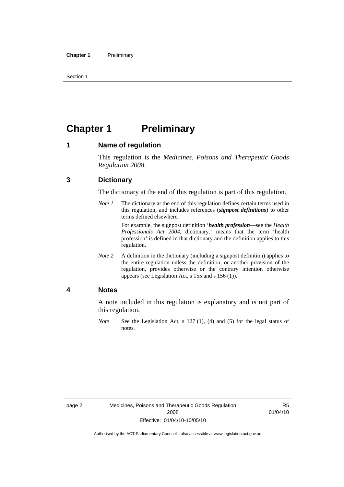<span id="page-25-0"></span>Section 1

## **Chapter 1 Preliminary**

#### **1 Name of regulation**

This regulation is the *Medicines, Poisons and Therapeutic Goods Regulation 2008*.

### **3 Dictionary**

The dictionary at the end of this regulation is part of this regulation.

*Note 1* The dictionary at the end of this regulation defines certain terms used in this regulation, and includes references (*signpost definitions*) to other terms defined elsewhere.

> For example, the signpost definition '*health profession*—see the *Health Professionals Act 2004*, dictionary.' means that the term 'health profession' is defined in that dictionary and the definition applies to this regulation.

*Note 2* A definition in the dictionary (including a signpost definition) applies to the entire regulation unless the definition, or another provision of the regulation, provides otherwise or the contrary intention otherwise appears (see Legislation Act, s 155 and s 156 (1)).

#### **4 Notes**

A note included in this regulation is explanatory and is not part of this regulation.

*Note* See the Legislation Act, s 127 (1), (4) and (5) for the legal status of notes.

R5 01/04/10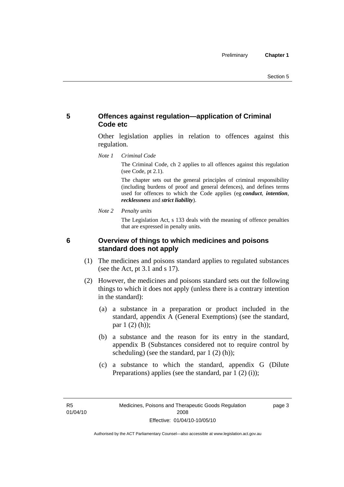### <span id="page-26-0"></span>**5 Offences against regulation—application of Criminal Code etc**

Other legislation applies in relation to offences against this regulation.

*Note 1 Criminal Code*

The Criminal Code, ch 2 applies to all offences against this regulation (see Code, pt 2.1).

The chapter sets out the general principles of criminal responsibility (including burdens of proof and general defences), and defines terms used for offences to which the Code applies (eg *conduct*, *intention*, *recklessness* and *strict liability*).

*Note 2 Penalty units* 

The Legislation Act, s 133 deals with the meaning of offence penalties that are expressed in penalty units.

### **6 Overview of things to which medicines and poisons standard does not apply**

- (1) The medicines and poisons standard applies to regulated substances (see the Act, pt 3.1 and s 17).
- (2) However, the medicines and poisons standard sets out the following things to which it does not apply (unless there is a contrary intention in the standard):
	- (a) a substance in a preparation or product included in the standard, appendix A (General Exemptions) (see the standard, par 1 (2) (h));
	- (b) a substance and the reason for its entry in the standard, appendix B (Substances considered not to require control by scheduling) (see the standard, par 1 (2) (h));
	- (c) a substance to which the standard, appendix G (Dilute Preparations) applies (see the standard, par  $1(2)(i)$ );

R5 01/04/10 page 3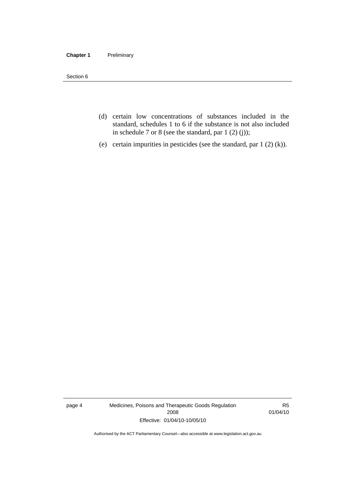#### **Chapter 1** Preliminary

Section 6

- (d) certain low concentrations of substances included in the standard, schedules 1 to 6 if the substance is not also included in schedule 7 or 8 (see the standard, par 1 (2) (j));
- (e) certain impurities in pesticides (see the standard, par 1 (2) (k)).

page 4 Medicines, Poisons and Therapeutic Goods Regulation 2008 Effective: 01/04/10-10/05/10

R5 01/04/10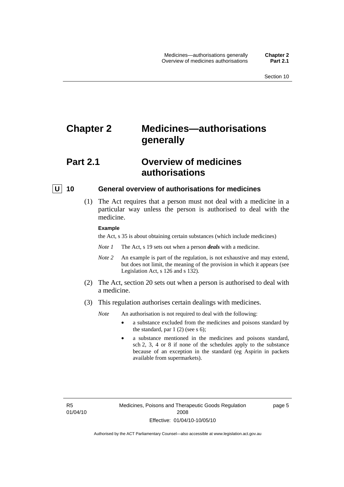## <span id="page-28-0"></span>**Chapter 2 Medicines—authorisations generally**

## **Part 2.1 Overview of medicines authorisations**

#### **U** 10 General overview of authorisations for medicines

 (1) The Act requires that a person must not deal with a medicine in a particular way unless the person is authorised to deal with the medicine.

#### **Example**

the Act, s 35 is about obtaining certain substances (which include medicines)

- *Note 1* The Act, s 19 sets out when a person *deals* with a medicine.
- *Note 2* An example is part of the regulation, is not exhaustive and may extend, but does not limit, the meaning of the provision in which it appears (see Legislation Act, s 126 and s 132).
- (2) The Act, section 20 sets out when a person is authorised to deal with a medicine.
- (3) This regulation authorises certain dealings with medicines.

*Note* An authorisation is not required to deal with the following:

- a substance excluded from the medicines and poisons standard by the standard, par  $1(2)$  (see s 6);
- a substance mentioned in the medicines and poisons standard, sch 2, 3, 4 or 8 if none of the schedules apply to the substance because of an exception in the standard (eg Aspirin in packets available from supermarkets).

R5 01/04/10 page 5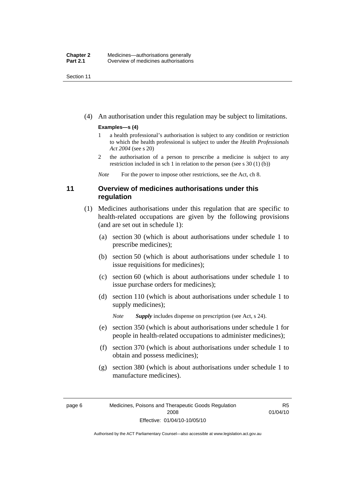<span id="page-29-0"></span>Section 11

(4) An authorisation under this regulation may be subject to limitations.

#### **Examples—s (4)**

- 1 a health professional's authorisation is subject to any condition or restriction to which the health professional is subject to under the *Health Professionals Act 2004* (see s 20)
- 2 the authorisation of a person to prescribe a medicine is subject to any restriction included in sch 1 in relation to the person (see s 30 (1) (b))

*Note* For the power to impose other restrictions, see the Act, ch 8.

### **11 Overview of medicines authorisations under this regulation**

- (1) Medicines authorisations under this regulation that are specific to health-related occupations are given by the following provisions (and are set out in schedule 1):
	- (a) section 30 (which is about authorisations under schedule 1 to prescribe medicines);
	- (b) section 50 (which is about authorisations under schedule 1 to issue requisitions for medicines);
	- (c) section 60 (which is about authorisations under schedule 1 to issue purchase orders for medicines);
	- (d) section 110 (which is about authorisations under schedule 1 to supply medicines);

*Note Supply* includes dispense on prescription (see Act, s 24).

- (e) section 350 (which is about authorisations under schedule 1 for people in health-related occupations to administer medicines);
- (f) section 370 (which is about authorisations under schedule 1 to obtain and possess medicines);
- (g) section 380 (which is about authorisations under schedule 1 to manufacture medicines).

R5 01/04/10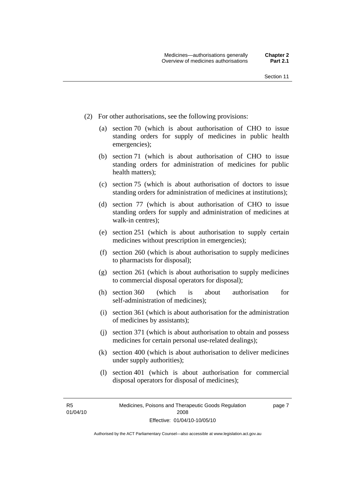- (2) For other authorisations, see the following provisions:
	- (a) section 70 (which is about authorisation of CHO to issue standing orders for supply of medicines in public health emergencies);
	- (b) section 71 (which is about authorisation of CHO to issue standing orders for administration of medicines for public health matters);
	- (c) section 75 (which is about authorisation of doctors to issue standing orders for administration of medicines at institutions);
	- (d) section 77 (which is about authorisation of CHO to issue standing orders for supply and administration of medicines at walk-in centres);
	- (e) section 251 (which is about authorisation to supply certain medicines without prescription in emergencies);
	- (f) section 260 (which is about authorisation to supply medicines to pharmacists for disposal);
	- (g) section 261 (which is about authorisation to supply medicines to commercial disposal operators for disposal);
	- (h) section 360 (which is about authorisation for self-administration of medicines);
	- (i) section 361 (which is about authorisation for the administration of medicines by assistants);
	- (j) section 371 (which is about authorisation to obtain and possess medicines for certain personal use-related dealings);
	- (k) section 400 (which is about authorisation to deliver medicines under supply authorities);
	- (l) section 401 (which is about authorisation for commercial disposal operators for disposal of medicines);

R5 01/04/10 page 7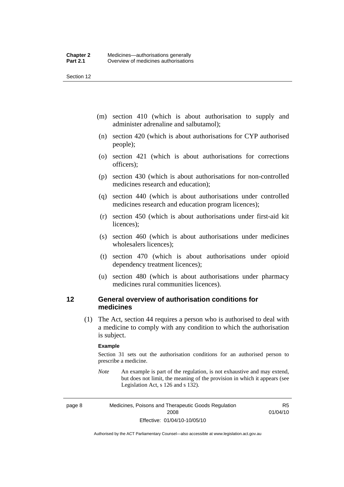<span id="page-31-0"></span>Section 12

- (m) section 410 (which is about authorisation to supply and administer adrenaline and salbutamol);
- (n) section 420 (which is about authorisations for CYP authorised people);
- (o) section 421 (which is about authorisations for corrections officers);
- (p) section 430 (which is about authorisations for non-controlled medicines research and education);
- (q) section 440 (which is about authorisations under controlled medicines research and education program licences);
- (r) section 450 (which is about authorisations under first-aid kit licences);
- (s) section 460 (which is about authorisations under medicines wholesalers licences);
- (t) section 470 (which is about authorisations under opioid dependency treatment licences);
- (u) section 480 (which is about authorisations under pharmacy medicines rural communities licences).

### **12 General overview of authorisation conditions for medicines**

 (1) The Act, section 44 requires a person who is authorised to deal with a medicine to comply with any condition to which the authorisation is subject.

#### **Example**

Section 31 sets out the authorisation conditions for an authorised person to prescribe a medicine.

*Note* An example is part of the regulation, is not exhaustive and may extend, but does not limit, the meaning of the provision in which it appears (see Legislation Act, s 126 and s 132).

page 8 Medicines, Poisons and Therapeutic Goods Regulation 2008 Effective: 01/04/10-10/05/10

R5 01/04/10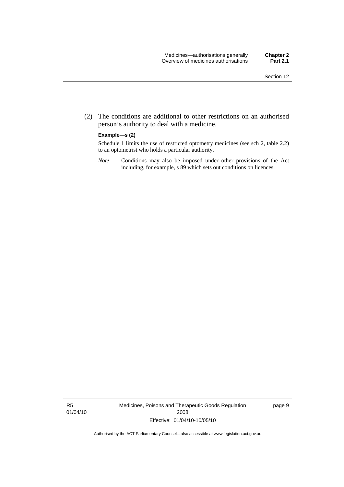(2) The conditions are additional to other restrictions on an authorised person's authority to deal with a medicine.

#### **Example—s (2)**

Schedule 1 limits the use of restricted optometry medicines (see sch 2, table 2.2) to an optometrist who holds a particular authority.

*Note* Conditions may also be imposed under other provisions of the Act including, for example, s 89 which sets out conditions on licences.

R5 01/04/10 Medicines, Poisons and Therapeutic Goods Regulation 2008 Effective: 01/04/10-10/05/10

page 9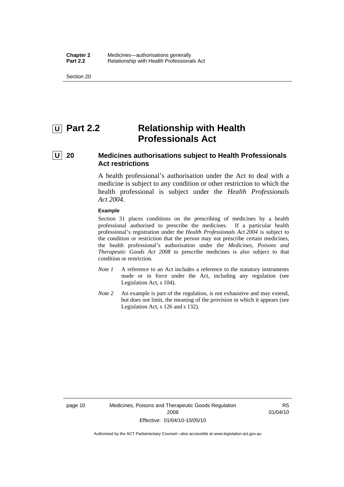<span id="page-33-0"></span>Section 20

## *<u>U</u>* Part 2.2 **Relationship with Health Professionals Act**

## **U 20 Medicines authorisations subject to Health Professionals Act restrictions**

A health professional's authorisation under the Act to deal with a medicine is subject to any condition or other restriction to which the health professional is subject under the *Health Professionals Act 2004*.

#### **Example**

Section 31 places conditions on the prescribing of medicines by a health professional authorised to prescribe the medicines. If a particular health professional's registration under the *Health Professionals Act 2004* is subject to the condition or restriction that the person may not prescribe certain medicines, the health professional's authorisation under the *Medicines, Poisons and Therapeutic Goods Act 2008* to prescribe medicines is also subject to that condition or restriction.

- *Note 1* A reference to an Act includes a reference to the statutory instruments made or in force under the Act, including any regulation (see Legislation Act, s 104).
- *Note 2* An example is part of the regulation, is not exhaustive and may extend, but does not limit, the meaning of the provision in which it appears (see Legislation Act, s 126 and s 132).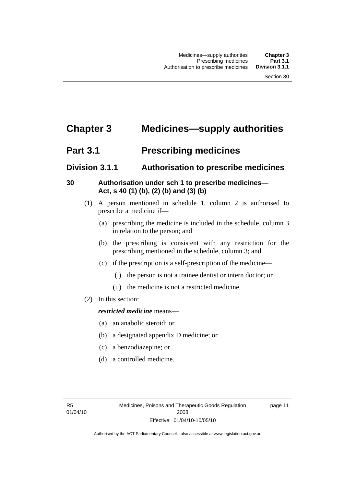## <span id="page-34-0"></span>**Chapter 3 Medicines—supply authorities**

## **Part 3.1** Prescribing medicines

## **Division 3.1.1 Authorisation to prescribe medicines**

## **30 Authorisation under sch 1 to prescribe medicines— Act, s 40 (1) (b), (2) (b) and (3) (b)**

- (1) A person mentioned in schedule 1, column 2 is authorised to prescribe a medicine if—
	- (a) prescribing the medicine is included in the schedule, column 3 in relation to the person; and
	- (b) the prescribing is consistent with any restriction for the prescribing mentioned in the schedule, column 3; and
	- (c) if the prescription is a self-prescription of the medicine—
		- (i) the person is not a trainee dentist or intern doctor; or
		- (ii) the medicine is not a restricted medicine.
- (2) In this section:

### *restricted medicine* means—

- (a) an anabolic steroid; or
- (b) a designated appendix D medicine; or
- (c) a benzodiazepine; or
- (d) a controlled medicine.

page 11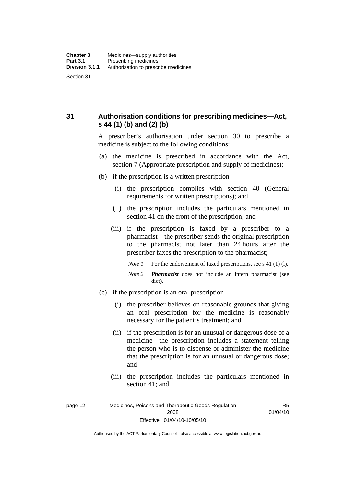<span id="page-35-0"></span>**31 Authorisation conditions for prescribing medicines—Act, s 44 (1) (b) and (2) (b)** 

> A prescriber's authorisation under section 30 to prescribe a medicine is subject to the following conditions:

- (a) the medicine is prescribed in accordance with the Act, section 7 (Appropriate prescription and supply of medicines);
- (b) if the prescription is a written prescription—
	- (i) the prescription complies with section 40 (General requirements for written prescriptions); and
	- (ii) the prescription includes the particulars mentioned in section 41 on the front of the prescription; and
	- (iii) if the prescription is faxed by a prescriber to a pharmacist—the prescriber sends the original prescription to the pharmacist not later than 24 hours after the prescriber faxes the prescription to the pharmacist;
		- *Note 1* For the endorsement of faxed prescriptions, see s 41 (1) (1).
		- *Note 2 Pharmacist* does not include an intern pharmacist (see dict).
- (c) if the prescription is an oral prescription—
	- (i) the prescriber believes on reasonable grounds that giving an oral prescription for the medicine is reasonably necessary for the patient's treatment; and
	- (ii) if the prescription is for an unusual or dangerous dose of a medicine—the prescription includes a statement telling the person who is to dispense or administer the medicine that the prescription is for an unusual or dangerous dose; and
	- (iii) the prescription includes the particulars mentioned in section 41; and

R5 01/04/10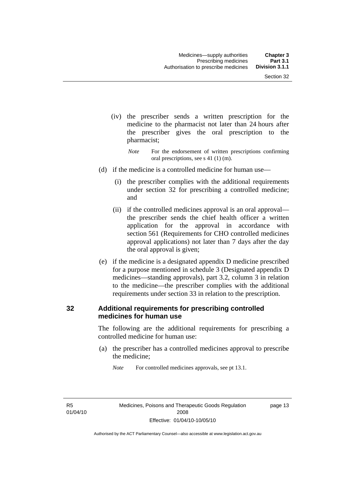- (iv) the prescriber sends a written prescription for the medicine to the pharmacist not later than 24 hours after the prescriber gives the oral prescription to the pharmacist;
	- *Note* For the endorsement of written prescriptions confirming oral prescriptions, see s 41 (1) (m).
- (d) if the medicine is a controlled medicine for human use—
	- (i) the prescriber complies with the additional requirements under section 32 for prescribing a controlled medicine; and
	- (ii) if the controlled medicines approval is an oral approval the prescriber sends the chief health officer a written application for the approval in accordance with section 561 (Requirements for CHO controlled medicines approval applications) not later than 7 days after the day the oral approval is given;
- (e) if the medicine is a designated appendix D medicine prescribed for a purpose mentioned in schedule 3 (Designated appendix D medicines—standing approvals), part 3.2, column 3 in relation to the medicine—the prescriber complies with the additional requirements under section 33 in relation to the prescription.

#### **32 Additional requirements for prescribing controlled medicines for human use**

The following are the additional requirements for prescribing a controlled medicine for human use:

 (a) the prescriber has a controlled medicines approval to prescribe the medicine;

*Note* For controlled medicines approvals, see pt 13.1.

R5 01/04/10 page 13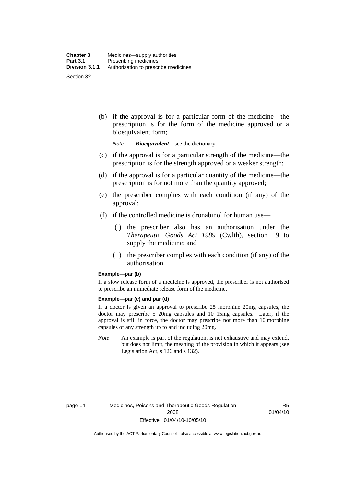(b) if the approval is for a particular form of the medicine—the prescription is for the form of the medicine approved or a bioequivalent form;

*Note Bioequivalent*—see the dictionary.

- (c) if the approval is for a particular strength of the medicine—the prescription is for the strength approved or a weaker strength;
- (d) if the approval is for a particular quantity of the medicine—the prescription is for not more than the quantity approved;
- (e) the prescriber complies with each condition (if any) of the approval;
- (f) if the controlled medicine is dronabinol for human use—
	- (i) the prescriber also has an authorisation under the *Therapeutic Goods Act 1989* (Cwlth), section 19 to supply the medicine; and
	- (ii) the prescriber complies with each condition (if any) of the authorisation.

#### **Example—par (b)**

If a slow release form of a medicine is approved, the prescriber is not authorised to prescribe an immediate release form of the medicine.

#### **Example—par (c) and par (d)**

If a doctor is given an approval to prescribe 25 morphine 20mg capsules, the doctor may prescribe 5 20mg capsules and 10 15mg capsules. Later, if the approval is still in force, the doctor may prescribe not more than 10 morphine capsules of any strength up to and including 20mg.

*Note* An example is part of the regulation, is not exhaustive and may extend, but does not limit, the meaning of the provision in which it appears (see Legislation Act, s 126 and s 132).

R5 01/04/10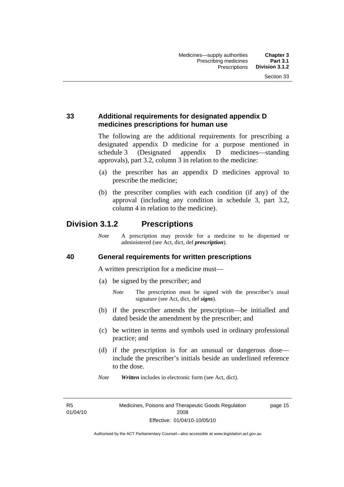### **33 Additional requirements for designated appendix D medicines prescriptions for human use**

The following are the additional requirements for prescribing a designated appendix D medicine for a purpose mentioned in schedule 3 (Designated appendix D medicines—standing approvals), part 3.2, column 3 in relation to the medicine:

- (a) the prescriber has an appendix D medicines approval to prescribe the medicine;
- (b) the prescriber complies with each condition (if any) of the approval (including any condition in schedule 3, part 3.2, column 4 in relation to the medicine).

# **Division 3.1.2 Prescriptions**

*Note* A prescription may provide for a medicine to be dispensed or administered (see Act, dict, def *prescription*).

#### **40 General requirements for written prescriptions**

A written prescription for a medicine must—

- (a) be signed by the prescriber; and
	- *Note* The prescription must be signed with the prescriber's usual signature (see Act, dict, def *signs*).
- (b) if the prescriber amends the prescription—be initialled and dated beside the amendment by the prescriber; and
- (c) be written in terms and symbols used in ordinary professional practice; and
- (d) if the prescription is for an unusual or dangerous dose include the prescriber's initials beside an underlined reference to the dose.
- *Note Written* includes in electronic form (see Act, dict).

R5 01/04/10 page 15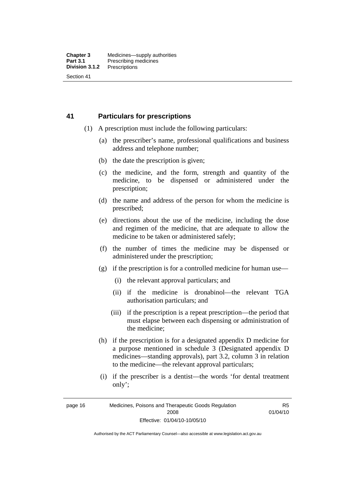#### **41 Particulars for prescriptions**

- (1) A prescription must include the following particulars:
	- (a) the prescriber's name, professional qualifications and business address and telephone number;
	- (b) the date the prescription is given;
	- (c) the medicine, and the form, strength and quantity of the medicine, to be dispensed or administered under the prescription;
	- (d) the name and address of the person for whom the medicine is prescribed;
	- (e) directions about the use of the medicine, including the dose and regimen of the medicine, that are adequate to allow the medicine to be taken or administered safely;
	- (f) the number of times the medicine may be dispensed or administered under the prescription;
	- (g) if the prescription is for a controlled medicine for human use—
		- (i) the relevant approval particulars; and
		- (ii) if the medicine is dronabinol—the relevant TGA authorisation particulars; and
		- (iii) if the prescription is a repeat prescription—the period that must elapse between each dispensing or administration of the medicine;
	- (h) if the prescription is for a designated appendix D medicine for a purpose mentioned in schedule 3 (Designated appendix D medicines—standing approvals), part 3.2, column 3 in relation to the medicine—the relevant approval particulars;
	- (i) if the prescriber is a dentist—the words 'for dental treatment only';

R5 01/04/10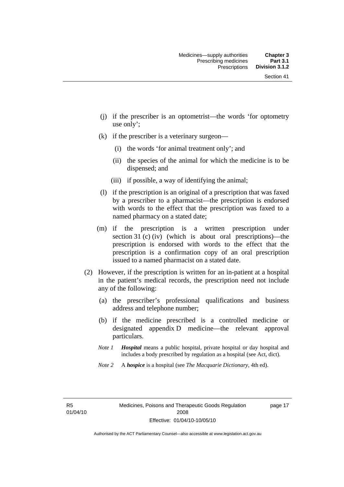- (j) if the prescriber is an optometrist—the words 'for optometry use only';
- (k) if the prescriber is a veterinary surgeon—
	- (i) the words 'for animal treatment only'; and
	- (ii) the species of the animal for which the medicine is to be dispensed; and
	- (iii) if possible, a way of identifying the animal;
- (l) if the prescription is an original of a prescription that was faxed by a prescriber to a pharmacist—the prescription is endorsed with words to the effect that the prescription was faxed to a named pharmacy on a stated date;
- (m) if the prescription is a written prescription under section 31 (c) (iv) (which is about oral prescriptions)—the prescription is endorsed with words to the effect that the prescription is a confirmation copy of an oral prescription issued to a named pharmacist on a stated date.
- (2) However, if the prescription is written for an in-patient at a hospital in the patient's medical records, the prescription need not include any of the following:
	- (a) the prescriber's professional qualifications and business address and telephone number;
	- (b) if the medicine prescribed is a controlled medicine or designated appendix D medicine—the relevant approval particulars.
	- *Note 1 Hospital* means a public hospital, private hospital or day hospital and includes a body prescribed by regulation as a hospital (see Act, dict).
	- *Note 2* A *hospice* is a hospital (see *The Macquarie Dictionary*, 4th ed).

R5 01/04/10 page 17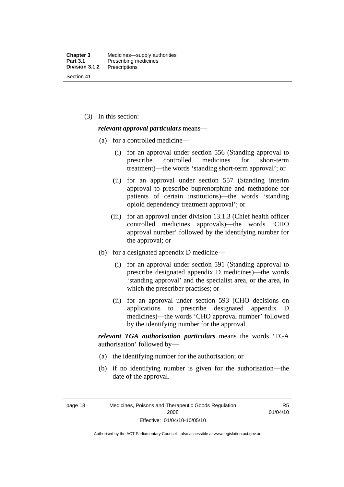(3) In this section:

#### *relevant approval particulars* means—

- (a) for a controlled medicine—
	- (i) for an approval under section 556 (Standing approval to prescribe controlled medicines for short-term treatment)—the words 'standing short-term approval'; or
	- (ii) for an approval under section 557 (Standing interim approval to prescribe buprenorphine and methadone for patients of certain institutions)—the words 'standing opioid dependency treatment approval'; or
	- (iii) for an approval under division 13.1.3 (Chief health officer controlled medicines approvals)—the words 'CHO approval number' followed by the identifying number for the approval; or
- (b) for a designated appendix D medicine—
	- (i) for an approval under section 591 (Standing approval to prescribe designated appendix D medicines)—the words 'standing approval' and the specialist area, or the area, in which the prescriber practises; or
	- (ii) for an approval under section 593 (CHO decisions on applications to prescribe designated appendix D medicines)—the words 'CHO approval number' followed by the identifying number for the approval.

*relevant TGA authorisation particulars* means the words 'TGA authorisation' followed by—

- (a) the identifying number for the authorisation; or
- (b) if no identifying number is given for the authorisation—the date of the approval.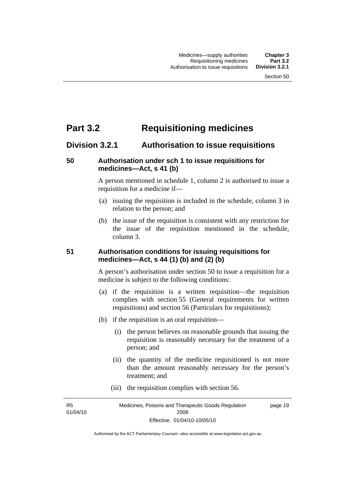# **Part 3.2 Requisitioning medicines**

## **Division 3.2.1 Authorisation to issue requisitions**

#### **50 Authorisation under sch 1 to issue requisitions for medicines—Act, s 41 (b)**

A person mentioned in schedule 1, column 2 is authorised to issue a requisition for a medicine if—

- (a) issuing the requisition is included in the schedule, column 3 in relation to the person; and
- (b) the issue of the requisition is consistent with any restriction for the issue of the requisition mentioned in the schedule, column 3.

#### **51 Authorisation conditions for issuing requisitions for medicines—Act, s 44 (1) (b) and (2) (b)**

A person's authorisation under section 50 to issue a requisition for a medicine is subject to the following conditions:

- (a) if the requisition is a written requisition—the requisition complies with section 55 (General requirements for written requisitions) and section 56 (Particulars for requisitions);
- (b) if the requisition is an oral requisition—
	- (i) the person believes on reasonable grounds that issuing the requisition is reasonably necessary for the treatment of a person; and
	- (ii) the quantity of the medicine requisitioned is not more than the amount reasonably necessary for the person's treatment; and
	- (iii) the requisition complies with section 56.

R5 01/04/10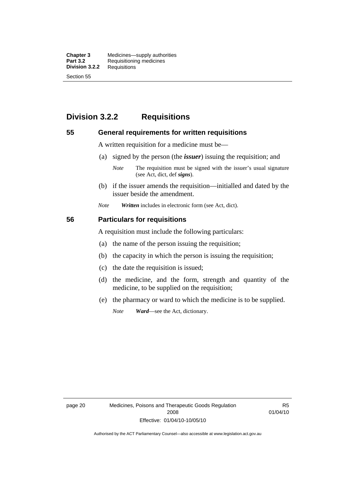**Chapter 3** Medicines—supply authorities<br>**Part 3.2** Requisitioning medicines **Requisitioning medicines**<br>Requisitions **Division 3.2.2** Section 55

# **Division 3.2.2 Requisitions**

#### **55 General requirements for written requisitions**

A written requisition for a medicine must be—

(a) signed by the person (the *issuer*) issuing the requisition; and

 (b) if the issuer amends the requisition—initialled and dated by the issuer beside the amendment.

*Note Written* includes in electronic form (see Act, dict).

#### **56 Particulars for requisitions**

A requisition must include the following particulars:

- (a) the name of the person issuing the requisition;
- (b) the capacity in which the person is issuing the requisition;
- (c) the date the requisition is issued;
- (d) the medicine, and the form, strength and quantity of the medicine, to be supplied on the requisition;
- (e) the pharmacy or ward to which the medicine is to be supplied.

*Note Ward*—see the Act, dictionary.

page 20 Medicines, Poisons and Therapeutic Goods Regulation 2008 Effective: 01/04/10-10/05/10

R5 01/04/10

*Note* The requisition must be signed with the issuer's usual signature (see Act, dict, def *signs*).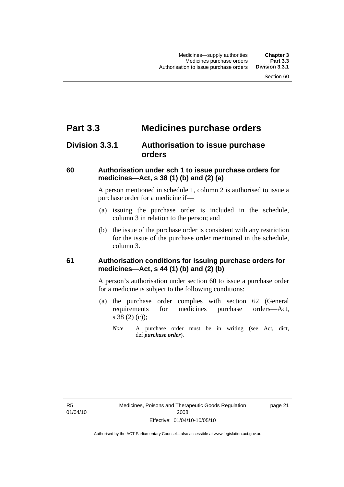# **Part 3.3 Medicines purchase orders**

# **Division 3.3.1 Authorisation to issue purchase orders**

### **60 Authorisation under sch 1 to issue purchase orders for medicines—Act, s 38 (1) (b) and (2) (a)**

A person mentioned in schedule 1, column 2 is authorised to issue a purchase order for a medicine if—

- (a) issuing the purchase order is included in the schedule, column 3 in relation to the person; and
- (b) the issue of the purchase order is consistent with any restriction for the issue of the purchase order mentioned in the schedule, column 3.

## **61 Authorisation conditions for issuing purchase orders for medicines—Act, s 44 (1) (b) and (2) (b)**

A person's authorisation under section 60 to issue a purchase order for a medicine is subject to the following conditions:

- (a) the purchase order complies with section 62 (General requirements for medicines purchase orders—Act, s 38 (2) (c));
	- *Note* A purchase order must be in writing (see Act, dict, def *purchase order*).

R5 01/04/10 page 21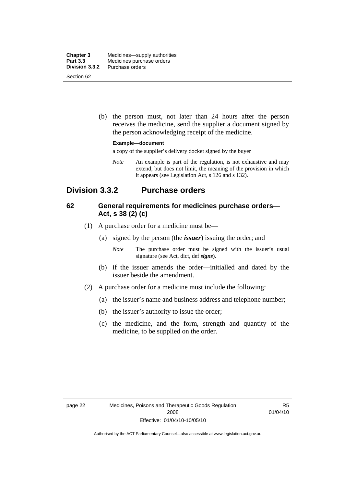| <b>Chapter 3</b> | Medicines—supply authorities |
|------------------|------------------------------|
| <b>Part 3.3</b>  | Medicines purchase orders    |
| Division 3.3.2   | Purchase orders              |
| Section 62       |                              |

 (b) the person must, not later than 24 hours after the person receives the medicine, send the supplier a document signed by the person acknowledging receipt of the medicine.

#### **Example—document**

a copy of the supplier's delivery docket signed by the buyer

*Note* An example is part of the regulation, is not exhaustive and may extend, but does not limit, the meaning of the provision in which it appears (see Legislation Act, s 126 and s 132).

## **Division 3.3.2 Purchase orders**

#### **62 General requirements for medicines purchase orders— Act, s 38 (2) (c)**

- (1) A purchase order for a medicine must be—
	- (a) signed by the person (the *issuer*) issuing the order; and
		- *Note* The purchase order must be signed with the issuer's usual signature (see Act, dict, def *signs*).
	- (b) if the issuer amends the order—initialled and dated by the issuer beside the amendment.
- (2) A purchase order for a medicine must include the following:
	- (a) the issuer's name and business address and telephone number;
	- (b) the issuer's authority to issue the order;
	- (c) the medicine, and the form, strength and quantity of the medicine, to be supplied on the order.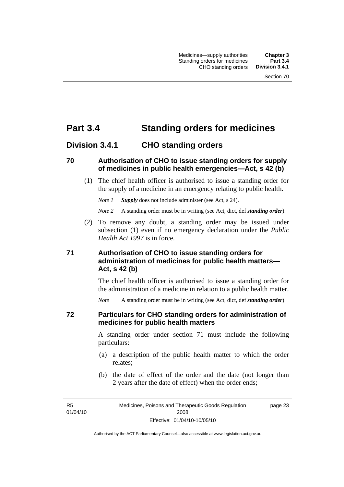# **Part 3.4 Standing orders for medicines**

## **Division 3.4.1 CHO standing orders**

#### **70 Authorisation of CHO to issue standing orders for supply of medicines in public health emergencies—Act, s 42 (b)**

 (1) The chief health officer is authorised to issue a standing order for the supply of a medicine in an emergency relating to public health.

*Note 1 Supply* does not include administer (see Act, s 24).

*Note 2* A standing order must be in writing (see Act, dict, def *standing order*).

 (2) To remove any doubt, a standing order may be issued under subsection (1) even if no emergency declaration under the *Public Health Act 1997* is in force.

### **71 Authorisation of CHO to issue standing orders for administration of medicines for public health matters— Act, s 42 (b)**

The chief health officer is authorised to issue a standing order for the administration of a medicine in relation to a public health matter.

*Note* A standing order must be in writing (see Act, dict, def *standing order*).

#### **72 Particulars for CHO standing orders for administration of medicines for public health matters**

A standing order under section 71 must include the following particulars:

- (a) a description of the public health matter to which the order relates;
- (b) the date of effect of the order and the date (not longer than 2 years after the date of effect) when the order ends;

R5 01/04/10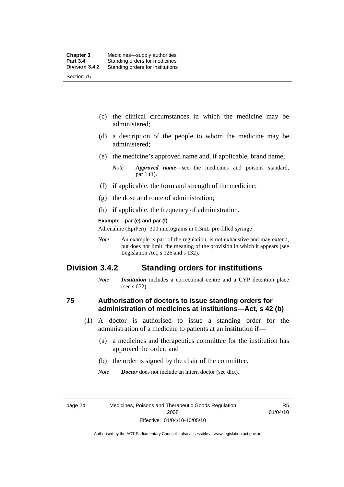- (c) the clinical circumstances in which the medicine may be administered;
- (d) a description of the people to whom the medicine may be administered;
- (e) the medicine's approved name and, if applicable, brand name;

- (f) if applicable, the form and strength of the medicine;
- (g) the dose and route of administration;
- (h) if applicable, the frequency of administration.

#### **Example—par (e) and par (f)**

Adrenaline (EpiPen) 300 micrograms in 0.3mL pre-filled syringe

*Note* An example is part of the regulation, is not exhaustive and may extend, but does not limit, the meaning of the provision in which it appears (see Legislation Act, s 126 and s 132).

## **Division 3.4.2 Standing orders for institutions**

*Note Institution* includes a correctional centre and a CYP detention place (see s 652).

#### **75 Authorisation of doctors to issue standing orders for administration of medicines at institutions—Act, s 42 (b)**

- (1) A doctor is authorised to issue a standing order for the administration of a medicine to patients at an institution if—
	- (a) a medicines and therapeutics committee for the institution has approved the order; and
	- (b) the order is signed by the chair of the committee.
	- *Note Doctor* does not include an intern doctor (see dict).

R5 01/04/10

*Note Approved name*—see the medicines and poisons standard, par 1 (1).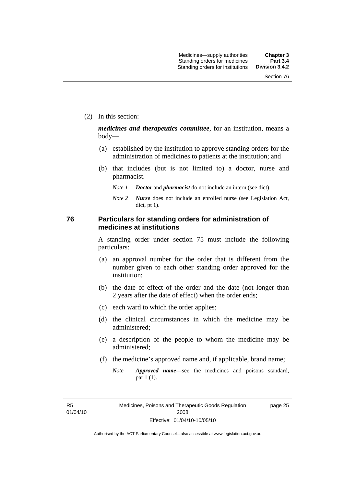(2) In this section:

*medicines and therapeutics committee*, for an institution, means a body—

- (a) established by the institution to approve standing orders for the administration of medicines to patients at the institution; and
- (b) that includes (but is not limited to) a doctor, nurse and pharmacist.
	- *Note 1 Doctor* and *pharmacist* do not include an intern (see dict).
	- *Note 2 Nurse* does not include an enrolled nurse (see Legislation Act, dict, pt 1).

#### **76 Particulars for standing orders for administration of medicines at institutions**

A standing order under section 75 must include the following particulars:

- (a) an approval number for the order that is different from the number given to each other standing order approved for the institution;
- (b) the date of effect of the order and the date (not longer than 2 years after the date of effect) when the order ends;
- (c) each ward to which the order applies;
- (d) the clinical circumstances in which the medicine may be administered;
- (e) a description of the people to whom the medicine may be administered;
- (f) the medicine's approved name and, if applicable, brand name;
	- *Note Approved name*—see the medicines and poisons standard, par 1 (1).

R5 01/04/10 page 25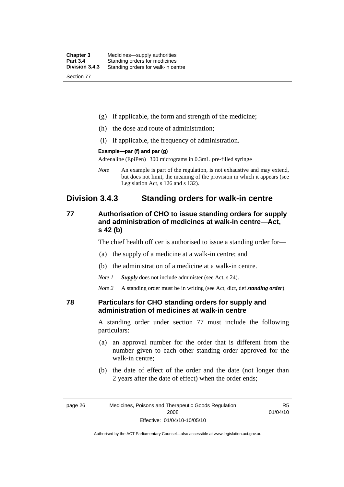| <b>Chapter 3</b> | Medicines—supply authorities       |
|------------------|------------------------------------|
| <b>Part 3.4</b>  | Standing orders for medicines      |
| Division 3.4.3   | Standing orders for walk-in centre |
| Section 77       |                                    |

- (g) if applicable, the form and strength of the medicine;
- (h) the dose and route of administration;
- (i) if applicable, the frequency of administration.

#### **Example—par (f) and par (g)**

Adrenaline (EpiPen) 300 micrograms in 0.3mL pre-filled syringe

*Note* An example is part of the regulation, is not exhaustive and may extend, but does not limit, the meaning of the provision in which it appears (see Legislation Act, s 126 and s 132).

## **Division 3.4.3 Standing orders for walk-in centre**

### **77 Authorisation of CHO to issue standing orders for supply and administration of medicines at walk-in centre—Act, s 42 (b)**

The chief health officer is authorised to issue a standing order for—

- (a) the supply of a medicine at a walk-in centre; and
- (b) the administration of a medicine at a walk-in centre.

*Note 1 Supply* does not include administer (see Act, s 24).

*Note 2* A standing order must be in writing (see Act, dict, def *standing order*).

#### **78 Particulars for CHO standing orders for supply and administration of medicines at walk-in centre**

A standing order under section 77 must include the following particulars:

- (a) an approval number for the order that is different from the number given to each other standing order approved for the walk-in centre;
- (b) the date of effect of the order and the date (not longer than 2 years after the date of effect) when the order ends;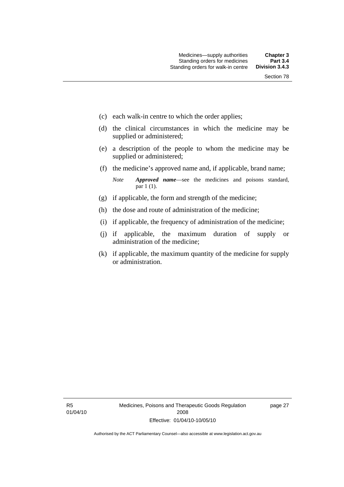- (c) each walk-in centre to which the order applies;
- (d) the clinical circumstances in which the medicine may be supplied or administered;
- (e) a description of the people to whom the medicine may be supplied or administered;
- (f) the medicine's approved name and, if applicable, brand name;

*Note Approved name*—see the medicines and poisons standard, par 1 (1).

- (g) if applicable, the form and strength of the medicine;
- (h) the dose and route of administration of the medicine;
- (i) if applicable, the frequency of administration of the medicine;
- (j) if applicable, the maximum duration of supply or administration of the medicine;
- (k) if applicable, the maximum quantity of the medicine for supply or administration.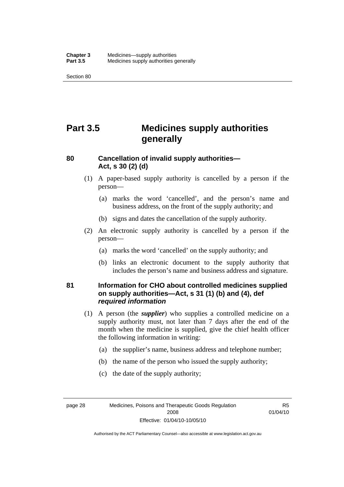Section 80

# **Part 3.5 Medicines supply authorities generally**

### **80 Cancellation of invalid supply authorities— Act, s 30 (2) (d)**

- (1) A paper-based supply authority is cancelled by a person if the person—
	- (a) marks the word 'cancelled', and the person's name and business address, on the front of the supply authority; and
	- (b) signs and dates the cancellation of the supply authority.
- (2) An electronic supply authority is cancelled by a person if the person—
	- (a) marks the word 'cancelled' on the supply authority; and
	- (b) links an electronic document to the supply authority that includes the person's name and business address and signature.

### **81 Information for CHO about controlled medicines supplied on supply authorities—Act, s 31 (1) (b) and (4), def**  *required information*

- (1) A person (the *supplier*) who supplies a controlled medicine on a supply authority must, not later than 7 days after the end of the month when the medicine is supplied, give the chief health officer the following information in writing:
	- (a) the supplier's name, business address and telephone number;
	- (b) the name of the person who issued the supply authority;
	- (c) the date of the supply authority;

page 28 Medicines, Poisons and Therapeutic Goods Regulation 2008 Effective: 01/04/10-10/05/10

R5 01/04/10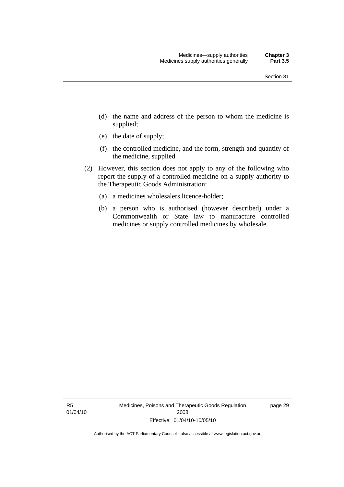- (d) the name and address of the person to whom the medicine is supplied;
- (e) the date of supply;
- (f) the controlled medicine, and the form, strength and quantity of the medicine, supplied.
- (2) However, this section does not apply to any of the following who report the supply of a controlled medicine on a supply authority to the Therapeutic Goods Administration:
	- (a) a medicines wholesalers licence-holder;
	- (b) a person who is authorised (however described) under a Commonwealth or State law to manufacture controlled medicines or supply controlled medicines by wholesale.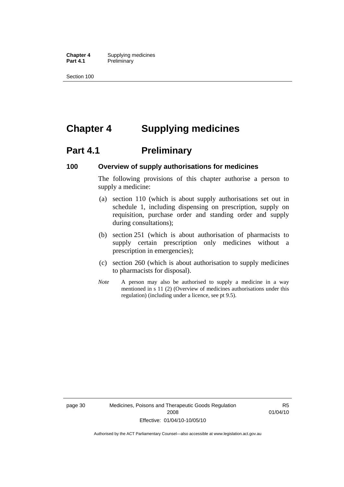**Chapter 4** Supplying medicines<br>**Part 4.1** Preliminary **Preliminary** 

Section 100

# **Chapter 4 Supplying medicines**

# **Part 4.1** Preliminary

#### **100 Overview of supply authorisations for medicines**

The following provisions of this chapter authorise a person to supply a medicine:

- (a) section 110 (which is about supply authorisations set out in schedule 1, including dispensing on prescription, supply on requisition, purchase order and standing order and supply during consultations);
- (b) section 251 (which is about authorisation of pharmacists to supply certain prescription only medicines without a prescription in emergencies);
- (c) section 260 (which is about authorisation to supply medicines to pharmacists for disposal).
- *Note* A person may also be authorised to supply a medicine in a way mentioned in s 11 (2) (Overview of medicines authorisations under this regulation) (including under a licence, see pt 9.5).

R5 01/04/10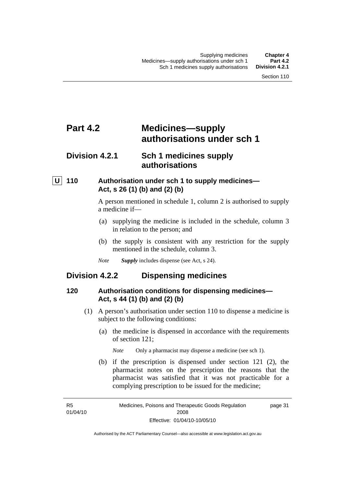# **Part 4.2 Medicines—supply authorisations under sch 1**

# **Division 4.2.1 Sch 1 medicines supply authorisations**

## **U 110 Authorisation under sch 1 to supply medicines— Act, s 26 (1) (b) and (2) (b)**

A person mentioned in schedule 1, column 2 is authorised to supply a medicine if—

- (a) supplying the medicine is included in the schedule, column 3 in relation to the person; and
- (b) the supply is consistent with any restriction for the supply mentioned in the schedule, column 3.
- *Note Supply* includes dispense (see Act, s 24).

## **Division 4.2.2 Dispensing medicines**

#### **120 Authorisation conditions for dispensing medicines— Act, s 44 (1) (b) and (2) (b)**

- (1) A person's authorisation under section 110 to dispense a medicine is subject to the following conditions:
	- (a) the medicine is dispensed in accordance with the requirements of section 121;
		- *Note* Only a pharmacist may dispense a medicine (see sch 1).
	- (b) if the prescription is dispensed under section 121 (2), the pharmacist notes on the prescription the reasons that the pharmacist was satisfied that it was not practicable for a complying prescription to be issued for the medicine;

R5 01/04/10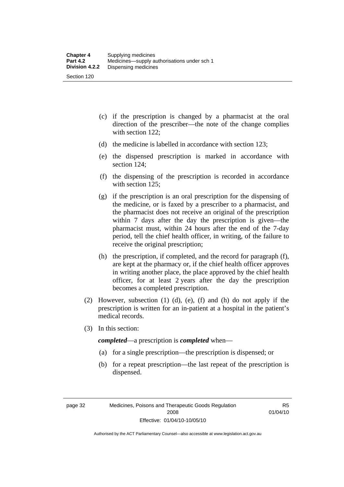- (c) if the prescription is changed by a pharmacist at the oral direction of the prescriber—the note of the change complies with section 122;
- (d) the medicine is labelled in accordance with section 123;
- (e) the dispensed prescription is marked in accordance with section 124;
- (f) the dispensing of the prescription is recorded in accordance with section 125:
- (g) if the prescription is an oral prescription for the dispensing of the medicine, or is faxed by a prescriber to a pharmacist, and the pharmacist does not receive an original of the prescription within 7 days after the day the prescription is given—the pharmacist must, within 24 hours after the end of the 7-day period, tell the chief health officer, in writing, of the failure to receive the original prescription;
- (h) the prescription, if completed, and the record for paragraph (f), are kept at the pharmacy or, if the chief health officer approves in writing another place, the place approved by the chief health officer, for at least 2 years after the day the prescription becomes a completed prescription.
- (2) However, subsection (1) (d), (e), (f) and (h) do not apply if the prescription is written for an in-patient at a hospital in the patient's medical records.
- (3) In this section:

*completed*—a prescription is *completed* when—

- (a) for a single prescription—the prescription is dispensed; or
- (b) for a repeat prescription—the last repeat of the prescription is dispensed.

R5 01/04/10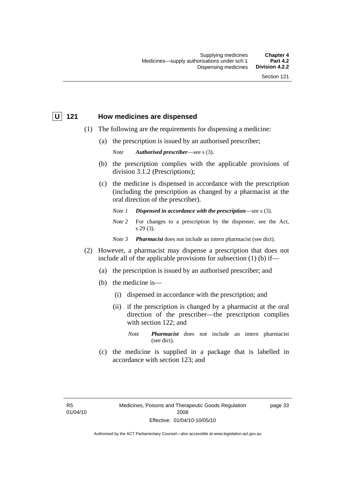#### **U 121 How medicines are dispensed**

- (1) The following are the requirements for dispensing a medicine:
	- (a) the prescription is issued by an authorised prescriber;

*Note Authorised prescriber*—see s (3).

- (b) the prescription complies with the applicable provisions of division 3.1.2 (Prescriptions);
- (c) the medicine is dispensed in accordance with the prescription (including the prescription as changed by a pharmacist at the oral direction of the prescriber).
	- *Note 1 Dispensed in accordance with the prescription*—see s (3).
	- *Note* 2 For changes to a prescription by the dispenser, see the Act, s 29 (3).
	- *Note 3 Pharmacist* does not include an intern pharmacist (see dict).
- (2) However, a pharmacist may dispense a prescription that does not include all of the applicable provisions for subsection  $(1)$  (b) if-
	- (a) the prescription is issued by an authorised prescriber; and
	- (b) the medicine is—
		- (i) dispensed in accordance with the prescription; and
		- (ii) if the prescription is changed by a pharmacist at the oral direction of the prescriber—the prescription complies with section 122; and
			- *Note Pharmacist* does not include an intern pharmacist (see dict).
	- (c) the medicine is supplied in a package that is labelled in accordance with section 123; and

page 33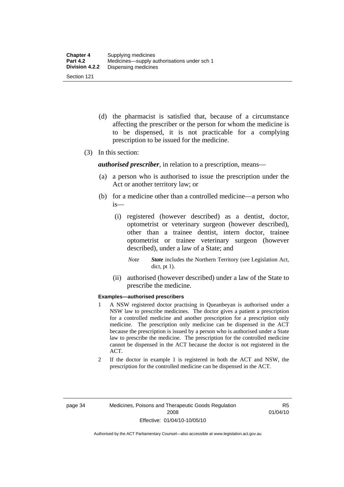- (d) the pharmacist is satisfied that, because of a circumstance affecting the prescriber or the person for whom the medicine is to be dispensed, it is not practicable for a complying prescription to be issued for the medicine.
- (3) In this section:

*authorised prescriber*, in relation to a prescription, means—

- (a) a person who is authorised to issue the prescription under the Act or another territory law; or
- (b) for a medicine other than a controlled medicine—a person who is—
	- (i) registered (however described) as a dentist, doctor, optometrist or veterinary surgeon (however described), other than a trainee dentist, intern doctor, trainee optometrist or trainee veterinary surgeon (however described), under a law of a State; and
		- *Note State* includes the Northern Territory (see Legislation Act, dict, pt 1).
	- (ii) authorised (however described) under a law of the State to prescribe the medicine.

#### **Examples—authorised prescribers**

- 1 A NSW registered doctor practising in Queanbeyan is authorised under a NSW law to prescribe medicines. The doctor gives a patient a prescription for a controlled medicine and another prescription for a prescription only medicine. The prescription only medicine can be dispensed in the ACT because the prescription is issued by a person who is authorised under a State law to prescribe the medicine. The prescription for the controlled medicine cannot be dispensed in the ACT because the doctor is not registered in the ACT.
- 2 If the doctor in example 1 is registered in both the ACT and NSW, the prescription for the controlled medicine can be dispensed in the ACT.

R5 01/04/10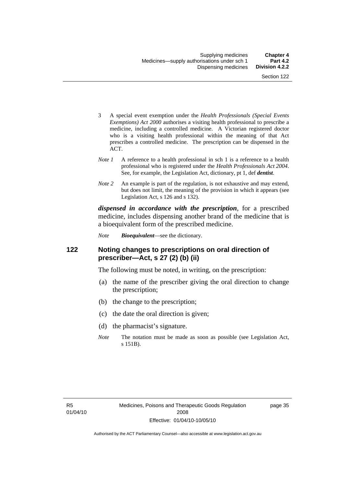- 3 A special event exemption under the *Health Professionals (Special Events Exemptions) Act 2000* authorises a visiting health professional to prescribe a medicine, including a controlled medicine. A Victorian registered doctor who is a visiting health professional within the meaning of that Act prescribes a controlled medicine. The prescription can be dispensed in the ACT.
- *Note 1* A reference to a health professional in sch 1 is a reference to a health professional who is registered under the *Health Professionals Act 2004*. See, for example, the Legislation Act, dictionary, pt 1, def *dentist*.
- *Note 2* An example is part of the regulation, is not exhaustive and may extend, but does not limit, the meaning of the provision in which it appears (see Legislation Act, s 126 and s 132).

*dispensed in accordance with the prescription*, for a prescribed medicine, includes dispensing another brand of the medicine that is a bioequivalent form of the prescribed medicine.

*Note Bioequivalent*—see the dictionary.

#### **122 Noting changes to prescriptions on oral direction of prescriber—Act, s 27 (2) (b) (ii)**

The following must be noted, in writing, on the prescription:

- (a) the name of the prescriber giving the oral direction to change the prescription;
- (b) the change to the prescription;
- (c) the date the oral direction is given;
- (d) the pharmacist's signature.
- *Note* The notation must be made as soon as possible (see Legislation Act, s 151B).

page 35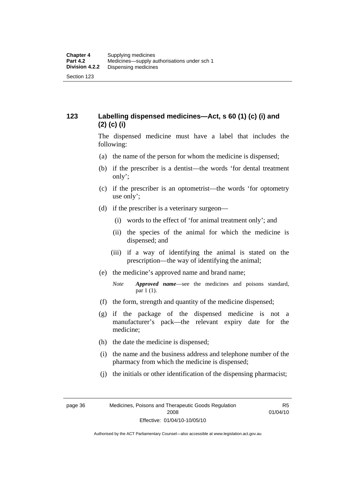## **123 Labelling dispensed medicines—Act, s 60 (1) (c) (i) and (2) (c) (i)**

The dispensed medicine must have a label that includes the following:

- (a) the name of the person for whom the medicine is dispensed;
- (b) if the prescriber is a dentist—the words 'for dental treatment only';
- (c) if the prescriber is an optometrist—the words 'for optometry use only';
- (d) if the prescriber is a veterinary surgeon—
	- (i) words to the effect of 'for animal treatment only'; and
	- (ii) the species of the animal for which the medicine is dispensed; and
	- (iii) if a way of identifying the animal is stated on the prescription—the way of identifying the animal;
- (e) the medicine's approved name and brand name;
	- *Note Approved name*—see the medicines and poisons standard, par 1 (1).
- (f) the form, strength and quantity of the medicine dispensed;
- (g) if the package of the dispensed medicine is not a manufacturer's pack—the relevant expiry date for the medicine;
- (h) the date the medicine is dispensed;
- (i) the name and the business address and telephone number of the pharmacy from which the medicine is dispensed;
- (j) the initials or other identification of the dispensing pharmacist;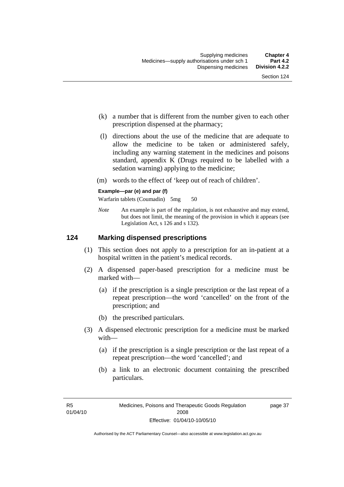- (k) a number that is different from the number given to each other prescription dispensed at the pharmacy;
- (l) directions about the use of the medicine that are adequate to allow the medicine to be taken or administered safely, including any warning statement in the medicines and poisons standard, appendix K (Drugs required to be labelled with a sedation warning) applying to the medicine;
- (m) words to the effect of 'keep out of reach of children'.

#### **Example—par (e) and par (f)**

Warfarin tablets (Coumadin) 5mg 50

*Note* An example is part of the regulation, is not exhaustive and may extend, but does not limit, the meaning of the provision in which it appears (see Legislation Act, s 126 and s 132).

#### **124 Marking dispensed prescriptions**

- (1) This section does not apply to a prescription for an in-patient at a hospital written in the patient's medical records.
- (2) A dispensed paper-based prescription for a medicine must be marked with—
	- (a) if the prescription is a single prescription or the last repeat of a repeat prescription—the word 'cancelled' on the front of the prescription; and
	- (b) the prescribed particulars.
- (3) A dispensed electronic prescription for a medicine must be marked with—
	- (a) if the prescription is a single prescription or the last repeat of a repeat prescription—the word 'cancelled'; and
	- (b) a link to an electronic document containing the prescribed particulars.

page 37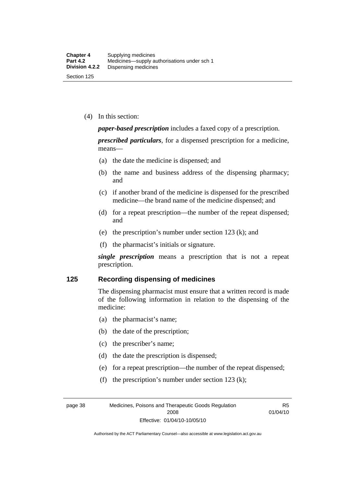(4) In this section:

*paper-based prescription* includes a faxed copy of a prescription.

*prescribed particulars*, for a dispensed prescription for a medicine, means—

- (a) the date the medicine is dispensed; and
- (b) the name and business address of the dispensing pharmacy; and
- (c) if another brand of the medicine is dispensed for the prescribed medicine—the brand name of the medicine dispensed; and
- (d) for a repeat prescription—the number of the repeat dispensed; and
- (e) the prescription's number under section 123 (k); and
- (f) the pharmacist's initials or signature.

*single prescription* means a prescription that is not a repeat prescription.

#### **125 Recording dispensing of medicines**

The dispensing pharmacist must ensure that a written record is made of the following information in relation to the dispensing of the medicine:

- (a) the pharmacist's name;
- (b) the date of the prescription;
- (c) the prescriber's name;
- (d) the date the prescription is dispensed;
- (e) for a repeat prescription—the number of the repeat dispensed;
- (f) the prescription's number under section 123 (k);

page 38 Medicines, Poisons and Therapeutic Goods Regulation 2008 Effective: 01/04/10-10/05/10

R5 01/04/10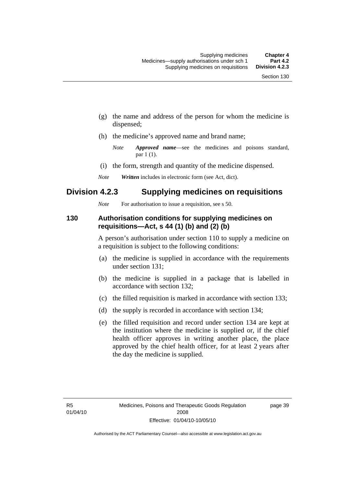- (g) the name and address of the person for whom the medicine is dispensed;
- (h) the medicine's approved name and brand name;

- (i) the form, strength and quantity of the medicine dispensed.
- *Note Written* includes in electronic form (see Act, dict).

## **Division 4.2.3 Supplying medicines on requisitions**

*Note* For authorisation to issue a requisition, see s 50.

#### **130 Authorisation conditions for supplying medicines on requisitions—Act, s 44 (1) (b) and (2) (b)**

A person's authorisation under section 110 to supply a medicine on a requisition is subject to the following conditions:

- (a) the medicine is supplied in accordance with the requirements under section 131;
- (b) the medicine is supplied in a package that is labelled in accordance with section 132;
- (c) the filled requisition is marked in accordance with section 133;
- (d) the supply is recorded in accordance with section 134;
- (e) the filled requisition and record under section 134 are kept at the institution where the medicine is supplied or, if the chief health officer approves in writing another place, the place approved by the chief health officer, for at least 2 years after the day the medicine is supplied.

page 39

*Note Approved name*—see the medicines and poisons standard, par 1 (1).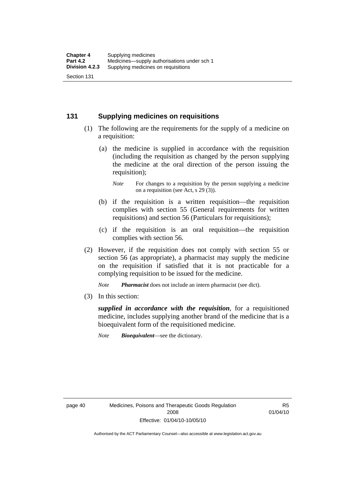#### **131 Supplying medicines on requisitions**

- (1) The following are the requirements for the supply of a medicine on a requisition:
	- (a) the medicine is supplied in accordance with the requisition (including the requisition as changed by the person supplying the medicine at the oral direction of the person issuing the requisition);

- (b) if the requisition is a written requisition—the requisition complies with section 55 (General requirements for written requisitions) and section 56 (Particulars for requisitions);
- (c) if the requisition is an oral requisition—the requisition complies with section 56.
- (2) However, if the requisition does not comply with section 55 or section 56 (as appropriate), a pharmacist may supply the medicine on the requisition if satisfied that it is not practicable for a complying requisition to be issued for the medicine.

*Note Pharmacist* does not include an intern pharmacist (see dict).

(3) In this section:

*supplied in accordance with the requisition*, for a requisitioned medicine, includes supplying another brand of the medicine that is a bioequivalent form of the requisitioned medicine.

*Note Bioequivalent*—see the dictionary.

R5 01/04/10

*Note* For changes to a requisition by the person supplying a medicine on a requisition (see Act, s 29 (3)).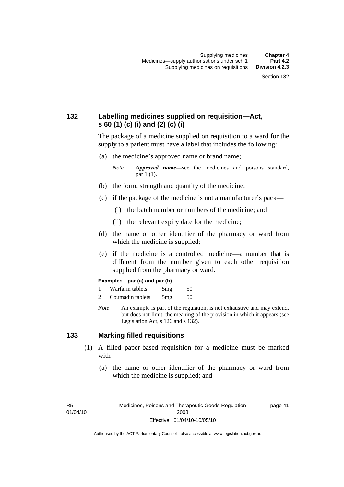## **132 Labelling medicines supplied on requisition—Act, s 60 (1) (c) (i) and (2) (c) (i)**

The package of a medicine supplied on requisition to a ward for the supply to a patient must have a label that includes the following:

(a) the medicine's approved name or brand name;

*Note Approved name*—see the medicines and poisons standard, par 1 (1).

- (b) the form, strength and quantity of the medicine;
- (c) if the package of the medicine is not a manufacturer's pack—
	- (i) the batch number or numbers of the medicine; and
	- (ii) the relevant expiry date for the medicine;
- (d) the name or other identifier of the pharmacy or ward from which the medicine is supplied;
- (e) if the medicine is a controlled medicine—a number that is different from the number given to each other requisition supplied from the pharmacy or ward.

#### **Examples—par (a) and par (b)**

- 1 Warfarin tablets 5mg 50
- 2 Coumadin tablets 5mg 50
- *Note* An example is part of the regulation, is not exhaustive and may extend, but does not limit, the meaning of the provision in which it appears (see Legislation Act, s 126 and s 132).

#### **133 Marking filled requisitions**

- (1) A filled paper-based requisition for a medicine must be marked with—
	- (a) the name or other identifier of the pharmacy or ward from which the medicine is supplied; and

R5 01/04/10 page 41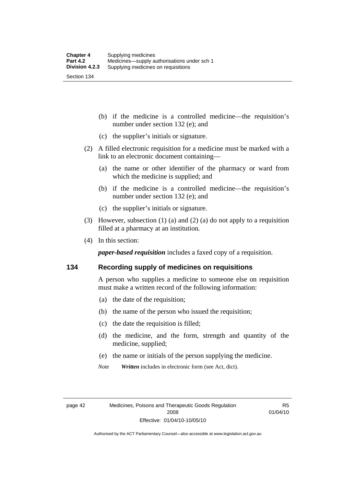(b) if the medicine is a controlled medicine—the requisition's number under section 132 (e); and

- (c) the supplier's initials or signature.
- (2) A filled electronic requisition for a medicine must be marked with a link to an electronic document containing—
	- (a) the name or other identifier of the pharmacy or ward from which the medicine is supplied; and
	- (b) if the medicine is a controlled medicine—the requisition's number under section 132 (e); and
	- (c) the supplier's initials or signature.
- (3) However, subsection (1) (a) and (2) (a) do not apply to a requisition filled at a pharmacy at an institution.
- (4) In this section:

*paper-based requisition* includes a faxed copy of a requisition.

#### **134 Recording supply of medicines on requisitions**

A person who supplies a medicine to someone else on requisition must make a written record of the following information:

- (a) the date of the requisition;
- (b) the name of the person who issued the requisition;
- (c) the date the requisition is filled;
- (d) the medicine, and the form, strength and quantity of the medicine, supplied;
- (e) the name or initials of the person supplying the medicine.
- *Note Written* includes in electronic form (see Act, dict).

R5 01/04/10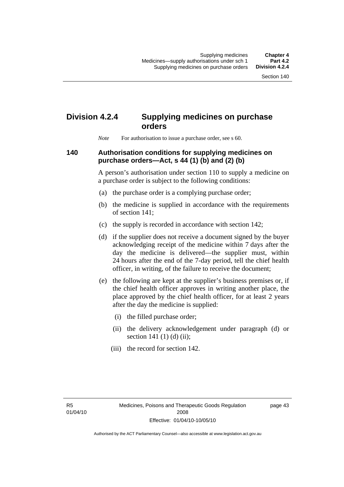# **Division 4.2.4 Supplying medicines on purchase orders**

*Note* For authorisation to issue a purchase order, see s 60.

#### **140 Authorisation conditions for supplying medicines on purchase orders—Act, s 44 (1) (b) and (2) (b)**

A person's authorisation under section 110 to supply a medicine on a purchase order is subject to the following conditions:

- (a) the purchase order is a complying purchase order;
- (b) the medicine is supplied in accordance with the requirements of section 141;
- (c) the supply is recorded in accordance with section 142;
- (d) if the supplier does not receive a document signed by the buyer acknowledging receipt of the medicine within 7 days after the day the medicine is delivered—the supplier must, within 24 hours after the end of the 7-day period, tell the chief health officer, in writing, of the failure to receive the document;
- (e) the following are kept at the supplier's business premises or, if the chief health officer approves in writing another place, the place approved by the chief health officer, for at least 2 years after the day the medicine is supplied:
	- (i) the filled purchase order;
	- (ii) the delivery acknowledgement under paragraph (d) or section 141 $(1)$  $(d)$  $(ii)$ ;
	- (iii) the record for section 142.

R5 01/04/10 page 43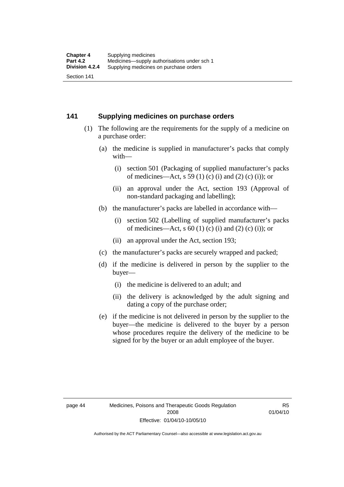#### **141 Supplying medicines on purchase orders**

- (1) The following are the requirements for the supply of a medicine on a purchase order:
	- (a) the medicine is supplied in manufacturer's packs that comply with—
		- (i) section 501 (Packaging of supplied manufacturer's packs of medicines—Act, s 59 (1) (c) (i) and (2) (c) (i)); or
		- (ii) an approval under the Act, section 193 (Approval of non-standard packaging and labelling);
	- (b) the manufacturer's packs are labelled in accordance with—
		- (i) section 502 (Labelling of supplied manufacturer's packs of medicines—Act, s  $60$  (1) (c) (i) and (2) (c) (i)); or
		- (ii) an approval under the Act, section 193;
	- (c) the manufacturer's packs are securely wrapped and packed;
	- (d) if the medicine is delivered in person by the supplier to the buyer—
		- (i) the medicine is delivered to an adult; and
		- (ii) the delivery is acknowledged by the adult signing and dating a copy of the purchase order;
	- (e) if the medicine is not delivered in person by the supplier to the buyer—the medicine is delivered to the buyer by a person whose procedures require the delivery of the medicine to be signed for by the buyer or an adult employee of the buyer.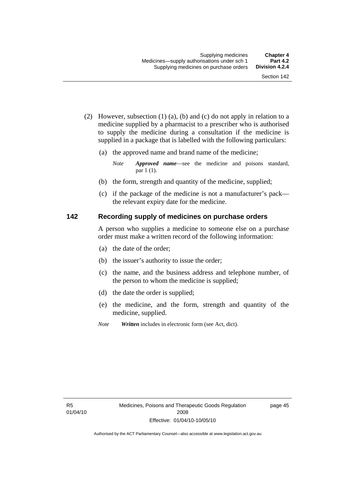- (2) However, subsection (1) (a), (b) and (c) do not apply in relation to a medicine supplied by a pharmacist to a prescriber who is authorised to supply the medicine during a consultation if the medicine is supplied in a package that is labelled with the following particulars:
	- (a) the approved name and brand name of the medicine;

*Note Approved name*—see the medicine and poisons standard, par 1 (1).

- (b) the form, strength and quantity of the medicine, supplied;
- (c) if the package of the medicine is not a manufacturer's pack the relevant expiry date for the medicine.

#### **142 Recording supply of medicines on purchase orders**

A person who supplies a medicine to someone else on a purchase order must make a written record of the following information:

- (a) the date of the order;
- (b) the issuer's authority to issue the order;
- (c) the name, and the business address and telephone number, of the person to whom the medicine is supplied;
- (d) the date the order is supplied;
- (e) the medicine, and the form, strength and quantity of the medicine, supplied.
- *Note Written* includes in electronic form (see Act, dict).

page 45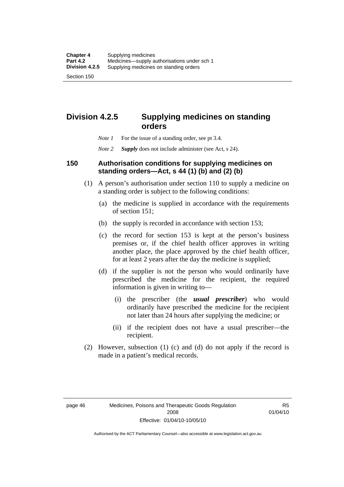# **Division 4.2.5 Supplying medicines on standing orders**

- *Note 1* For the issue of a standing order, see pt 3.4.
- *Note 2 Supply* does not include administer (see Act, s 24).

#### **150 Authorisation conditions for supplying medicines on standing orders—Act, s 44 (1) (b) and (2) (b)**

- (1) A person's authorisation under section 110 to supply a medicine on a standing order is subject to the following conditions:
	- (a) the medicine is supplied in accordance with the requirements of section 151;
	- (b) the supply is recorded in accordance with section 153;
	- (c) the record for section 153 is kept at the person's business premises or, if the chief health officer approves in writing another place, the place approved by the chief health officer, for at least 2 years after the day the medicine is supplied;
	- (d) if the supplier is not the person who would ordinarily have prescribed the medicine for the recipient, the required information is given in writing to—
		- (i) the prescriber (the *usual prescriber*) who would ordinarily have prescribed the medicine for the recipient not later than 24 hours after supplying the medicine; or
		- (ii) if the recipient does not have a usual prescriber—the recipient.
- (2) However, subsection (1) (c) and (d) do not apply if the record is made in a patient's medical records.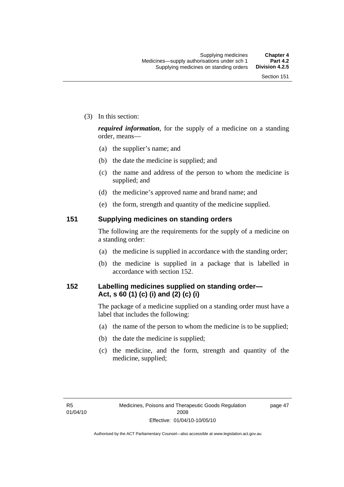(3) In this section:

*required information*, for the supply of a medicine on a standing order, means—

- (a) the supplier's name; and
- (b) the date the medicine is supplied; and
- (c) the name and address of the person to whom the medicine is supplied; and
- (d) the medicine's approved name and brand name; and
- (e) the form, strength and quantity of the medicine supplied.

#### **151 Supplying medicines on standing orders**

The following are the requirements for the supply of a medicine on a standing order:

- (a) the medicine is supplied in accordance with the standing order;
- (b) the medicine is supplied in a package that is labelled in accordance with section 152.

## **152 Labelling medicines supplied on standing order— Act, s 60 (1) (c) (i) and (2) (c) (i)**

The package of a medicine supplied on a standing order must have a label that includes the following:

- (a) the name of the person to whom the medicine is to be supplied;
- (b) the date the medicine is supplied;
- (c) the medicine, and the form, strength and quantity of the medicine, supplied;

page 47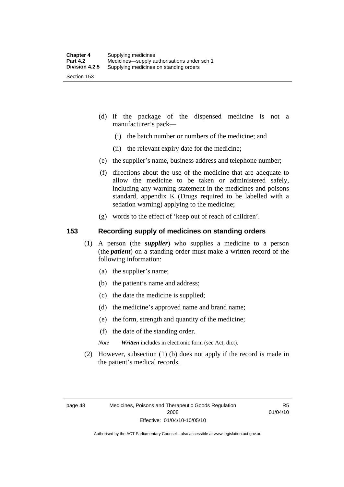- (d) if the package of the dispensed medicine is not a manufacturer's pack—
	- (i) the batch number or numbers of the medicine; and
	- (ii) the relevant expiry date for the medicine;
- (e) the supplier's name, business address and telephone number;
- (f) directions about the use of the medicine that are adequate to allow the medicine to be taken or administered safely, including any warning statement in the medicines and poisons standard, appendix K (Drugs required to be labelled with a sedation warning) applying to the medicine;
- (g) words to the effect of 'keep out of reach of children'.

#### **153 Recording supply of medicines on standing orders**

- (1) A person (the *supplier*) who supplies a medicine to a person (the *patient*) on a standing order must make a written record of the following information:
	- (a) the supplier's name;
	- (b) the patient's name and address;
	- (c) the date the medicine is supplied;
	- (d) the medicine's approved name and brand name;
	- (e) the form, strength and quantity of the medicine;
	- (f) the date of the standing order.
	- *Note Written* includes in electronic form (see Act, dict).
- (2) However, subsection (1) (b) does not apply if the record is made in the patient's medical records.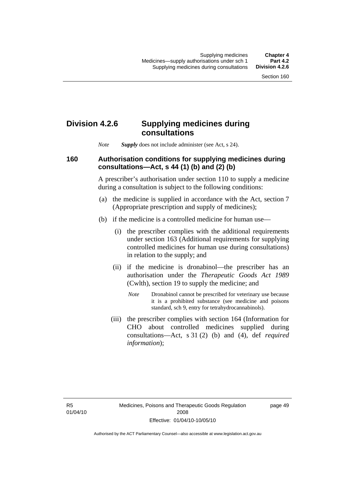### **Division 4.2.6 Supplying medicines during consultations**

*Note Supply* does not include administer (see Act, s 24).

### **160 Authorisation conditions for supplying medicines during consultations—Act, s 44 (1) (b) and (2) (b)**

A prescriber's authorisation under section 110 to supply a medicine during a consultation is subject to the following conditions:

- (a) the medicine is supplied in accordance with the Act, section 7 (Appropriate prescription and supply of medicines);
- (b) if the medicine is a controlled medicine for human use—
	- (i) the prescriber complies with the additional requirements under section 163 (Additional requirements for supplying controlled medicines for human use during consultations) in relation to the supply; and
	- (ii) if the medicine is dronabinol—the prescriber has an authorisation under the *Therapeutic Goods Act 1989* (Cwlth), section 19 to supply the medicine; and
		- *Note* Dronabinol cannot be prescribed for veterinary use because it is a prohibited substance (see medicine and poisons standard, sch 9, entry for tetrahydrocannabinols).
	- (iii) the prescriber complies with section 164 (Information for CHO about controlled medicines supplied during consultations—Act, s 31 (2) (b) and (4), def *required information*);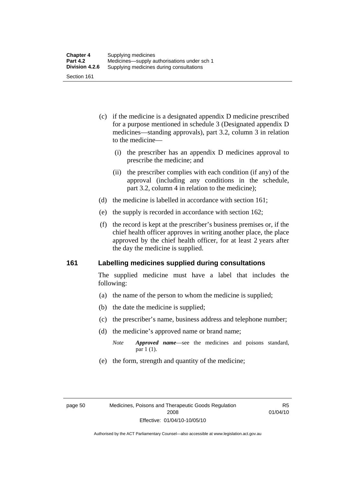- (c) if the medicine is a designated appendix D medicine prescribed for a purpose mentioned in schedule 3 (Designated appendix D medicines—standing approvals), part 3.2, column 3 in relation to the medicine—
	- (i) the prescriber has an appendix D medicines approval to prescribe the medicine; and
	- (ii) the prescriber complies with each condition (if any) of the approval (including any conditions in the schedule, part 3.2, column 4 in relation to the medicine);
- (d) the medicine is labelled in accordance with section 161;
- (e) the supply is recorded in accordance with section 162;
- (f) the record is kept at the prescriber's business premises or, if the chief health officer approves in writing another place, the place approved by the chief health officer, for at least 2 years after the day the medicine is supplied.

### **161 Labelling medicines supplied during consultations**

The supplied medicine must have a label that includes the following:

- (a) the name of the person to whom the medicine is supplied;
- (b) the date the medicine is supplied;
- (c) the prescriber's name, business address and telephone number;
- (d) the medicine's approved name or brand name;
	- *Note Approved name*—see the medicines and poisons standard, par 1 (1).
- (e) the form, strength and quantity of the medicine;

R5 01/04/10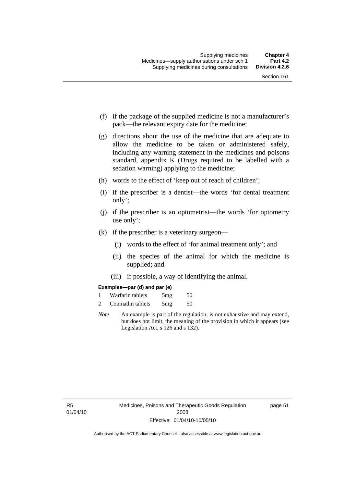- (f) if the package of the supplied medicine is not a manufacturer's pack—the relevant expiry date for the medicine;
- (g) directions about the use of the medicine that are adequate to allow the medicine to be taken or administered safely, including any warning statement in the medicines and poisons standard, appendix K (Drugs required to be labelled with a sedation warning) applying to the medicine;
- (h) words to the effect of 'keep out of reach of children';
- (i) if the prescriber is a dentist—the words 'for dental treatment only';
- (j) if the prescriber is an optometrist—the words 'for optometry use only';
- (k) if the prescriber is a veterinary surgeon—
	- (i) words to the effect of 'for animal treatment only'; and
	- (ii) the species of the animal for which the medicine is supplied; and
	- (iii) if possible, a way of identifying the animal.

#### **Examples—par (d) and par (e)**

| Warfarin tablets | 5mg | 50 |
|------------------|-----|----|
| Coumadin tablets | 5mg | 50 |

*Note* An example is part of the regulation, is not exhaustive and may extend, but does not limit, the meaning of the provision in which it appears (see Legislation Act, s 126 and s 132).

page 51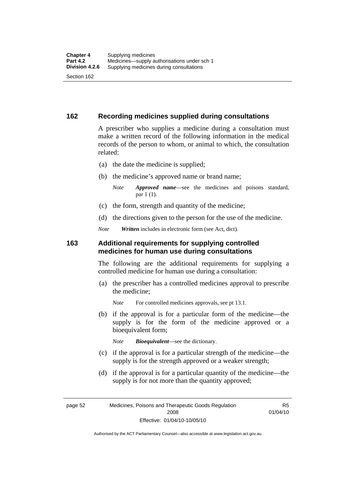### **162 Recording medicines supplied during consultations**

A prescriber who supplies a medicine during a consultation must make a written record of the following information in the medical records of the person to whom, or animal to which, the consultation related:

- (a) the date the medicine is supplied;
- (b) the medicine's approved name or brand name;

*Note Approved name*—see the medicines and poisons standard, par 1 (1).

- (c) the form, strength and quantity of the medicine;
- (d) the directions given to the person for the use of the medicine.

*Note Written* includes in electronic form (see Act, dict).

#### **163 Additional requirements for supplying controlled medicines for human use during consultations**

The following are the additional requirements for supplying a controlled medicine for human use during a consultation:

- (a) the prescriber has a controlled medicines approval to prescribe the medicine;
	- *Note* For controlled medicines approvals, see pt 13.1.
- (b) if the approval is for a particular form of the medicine—the supply is for the form of the medicine approved or a bioequivalent form;

*Note Bioequivalent*—see the dictionary.

- (c) if the approval is for a particular strength of the medicine—the supply is for the strength approved or a weaker strength;
- (d) if the approval is for a particular quantity of the medicine—the supply is for not more than the quantity approved;

page 52 Medicines, Poisons and Therapeutic Goods Regulation 2008 Effective: 01/04/10-10/05/10

R5 01/04/10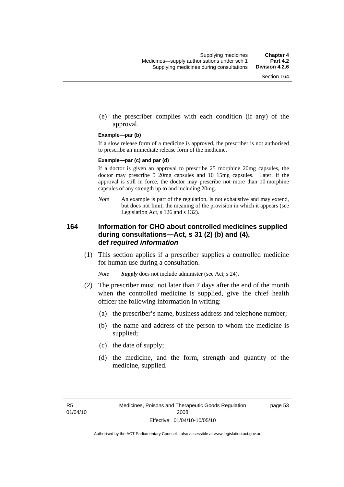(e) the prescriber complies with each condition (if any) of the approval.

#### **Example—par (b)**

If a slow release form of a medicine is approved, the prescriber is not authorised to prescribe an immediate release form of the medicine.

#### **Example—par (c) and par (d)**

If a doctor is given an approval to prescribe 25 morphine 20mg capsules, the doctor may prescribe 5 20mg capsules and 10 15mg capsules. Later, if the approval is still in force, the doctor may prescribe not more than 10 morphine capsules of any strength up to and including 20mg.

*Note* An example is part of the regulation, is not exhaustive and may extend, but does not limit, the meaning of the provision in which it appears (see Legislation Act, s 126 and s 132).

### **164 Information for CHO about controlled medicines supplied during consultations—Act, s 31 (2) (b) and (4), def** *required information*

 (1) This section applies if a prescriber supplies a controlled medicine for human use during a consultation.

*Note Supply* does not include administer (see Act, s 24).

- (2) The prescriber must, not later than 7 days after the end of the month when the controlled medicine is supplied, give the chief health officer the following information in writing:
	- (a) the prescriber's name, business address and telephone number;
	- (b) the name and address of the person to whom the medicine is supplied;
	- (c) the date of supply;
	- (d) the medicine, and the form, strength and quantity of the medicine, supplied.

page 53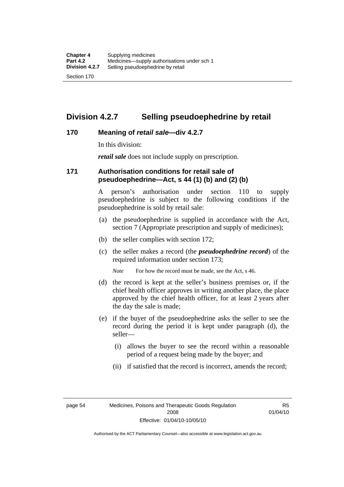### **Division 4.2.7 Selling pseudoephedrine by retail**

### **170 Meaning of** *retail sale***—div 4.2.7**

In this division:

*retail sale* does not include supply on prescription.

### **171 Authorisation conditions for retail sale of pseudoephedrine—Act, s 44 (1) (b) and (2) (b)**

A person's authorisation under section 110 to supply pseudoephedrine is subject to the following conditions if the pseudoephedrine is sold by retail sale:

- (a) the pseudoephedrine is supplied in accordance with the Act, section 7 (Appropriate prescription and supply of medicines);
- (b) the seller complies with section 172;
- (c) the seller makes a record (the *pseudoephedrine record*) of the required information under section 173;

*Note* For how the record must be made, see the Act, s 46.

- (d) the record is kept at the seller's business premises or, if the chief health officer approves in writing another place, the place approved by the chief health officer, for at least 2 years after the day the sale is made;
- (e) if the buyer of the pseudoephedrine asks the seller to see the record during the period it is kept under paragraph (d), the seller—
	- (i) allows the buyer to see the record within a reasonable period of a request being made by the buyer; and
	- (ii) if satisfied that the record is incorrect, amends the record;

page 54 Medicines, Poisons and Therapeutic Goods Regulation 2008 Effective: 01/04/10-10/05/10

R5 01/04/10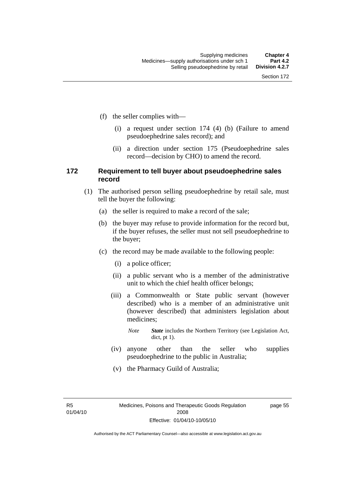- (f) the seller complies with—
	- (i) a request under section 174 (4) (b) (Failure to amend pseudoephedrine sales record); and
	- (ii) a direction under section 175 (Pseudoephedrine sales record—decision by CHO) to amend the record.

### **172 Requirement to tell buyer about pseudoephedrine sales record**

- (1) The authorised person selling pseudoephedrine by retail sale, must tell the buyer the following:
	- (a) the seller is required to make a record of the sale;
	- (b) the buyer may refuse to provide information for the record but, if the buyer refuses, the seller must not sell pseudoephedrine to the buyer;
	- (c) the record may be made available to the following people:
		- (i) a police officer;
		- (ii) a public servant who is a member of the administrative unit to which the chief health officer belongs;
		- (iii) a Commonwealth or State public servant (however described) who is a member of an administrative unit (however described) that administers legislation about medicines;
			- *Note State* includes the Northern Territory (see Legislation Act, dict, pt 1).
		- (iv) anyone other than the seller who supplies pseudoephedrine to the public in Australia;
		- (v) the Pharmacy Guild of Australia;

R5 01/04/10 page 55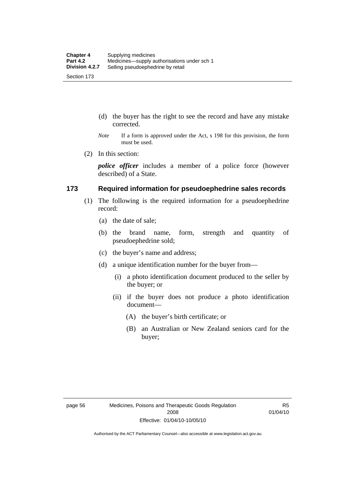- (d) the buyer has the right to see the record and have any mistake corrected.
- *Note* If a form is approved under the Act, s 198 for this provision, the form must be used.
- (2) In this section:

*police officer* includes a member of a police force (however described) of a State.

#### **173 Required information for pseudoephedrine sales records**

- (1) The following is the required information for a pseudoephedrine record:
	- (a) the date of sale;
	- (b) the brand name, form, strength and quantity of pseudoephedrine sold;
	- (c) the buyer's name and address;
	- (d) a unique identification number for the buyer from—
		- (i) a photo identification document produced to the seller by the buyer; or
		- (ii) if the buyer does not produce a photo identification document—
			- (A) the buyer's birth certificate; or
			- (B) an Australian or New Zealand seniors card for the buyer;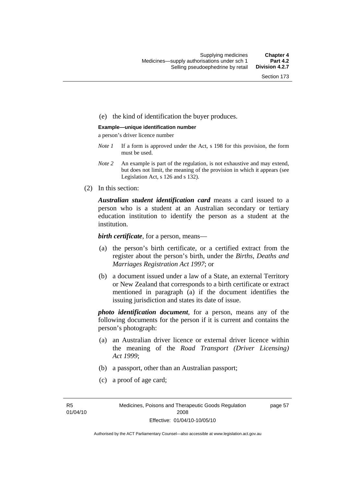#### (e) the kind of identification the buyer produces.

#### **Example—unique identification number**

a person's driver licence number

- *Note 1* If a form is approved under the Act, s 198 for this provision, the form must be used.
- *Note 2* An example is part of the regulation, is not exhaustive and may extend, but does not limit, the meaning of the provision in which it appears (see Legislation Act, s 126 and s 132).
- (2) In this section:

*Australian student identification card* means a card issued to a person who is a student at an Australian secondary or tertiary education institution to identify the person as a student at the institution.

*birth certificate*, for a person, means—

- (a) the person's birth certificate, or a certified extract from the register about the person's birth, under the *Births, Deaths and Marriages Registration Act 1997*; or
- (b) a document issued under a law of a State, an external Territory or New Zealand that corresponds to a birth certificate or extract mentioned in paragraph (a) if the document identifies the issuing jurisdiction and states its date of issue.

*photo identification document*, for a person, means any of the following documents for the person if it is current and contains the person's photograph:

- (a) an Australian driver licence or external driver licence within the meaning of the *Road Transport (Driver Licensing) Act 1999*;
- (b) a passport, other than an Australian passport;
- (c) a proof of age card;

R5 01/04/10 page 57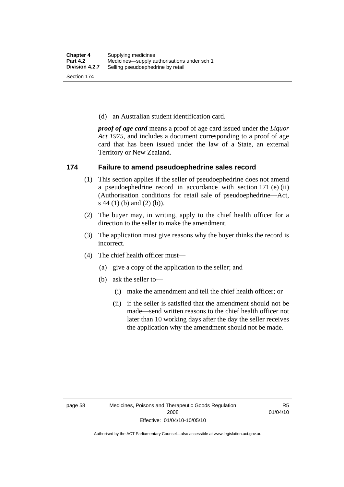(d) an Australian student identification card.

*proof of age card* means a proof of age card issued under the *Liquor Act 1975*, and includes a document corresponding to a proof of age card that has been issued under the law of a State, an external Territory or New Zealand.

### **174 Failure to amend pseudoephedrine sales record**

- (1) This section applies if the seller of pseudoephedrine does not amend a pseudoephedrine record in accordance with section 171 (e) (ii) (Authorisation conditions for retail sale of pseudoephedrine—Act, s 44 (1) (b) and (2) (b)).
- (2) The buyer may, in writing, apply to the chief health officer for a direction to the seller to make the amendment.
- (3) The application must give reasons why the buyer thinks the record is incorrect.
- (4) The chief health officer must—
	- (a) give a copy of the application to the seller; and
	- (b) ask the seller to—
		- (i) make the amendment and tell the chief health officer; or
		- (ii) if the seller is satisfied that the amendment should not be made—send written reasons to the chief health officer not later than 10 working days after the day the seller receives the application why the amendment should not be made.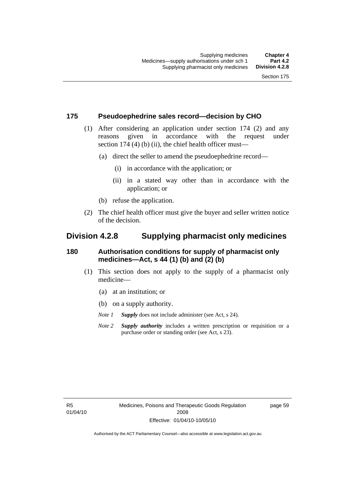### **175 Pseudoephedrine sales record—decision by CHO**

- (1) After considering an application under section 174 (2) and any reasons given in accordance with the request under section 174  $(4)$  (b)  $(ii)$ , the chief health officer must—
	- (a) direct the seller to amend the pseudoephedrine record—
		- (i) in accordance with the application; or
		- (ii) in a stated way other than in accordance with the application; or
	- (b) refuse the application.
- (2) The chief health officer must give the buyer and seller written notice of the decision.

### **Division 4.2.8 Supplying pharmacist only medicines**

### **180 Authorisation conditions for supply of pharmacist only medicines—Act, s 44 (1) (b) and (2) (b)**

- (1) This section does not apply to the supply of a pharmacist only medicine—
	- (a) at an institution; or
	- (b) on a supply authority.
	- *Note 1 Supply* does not include administer (see Act, s 24).
	- *Note 2 Supply authority* includes a written prescription or requisition or a purchase order or standing order (see Act, s 23).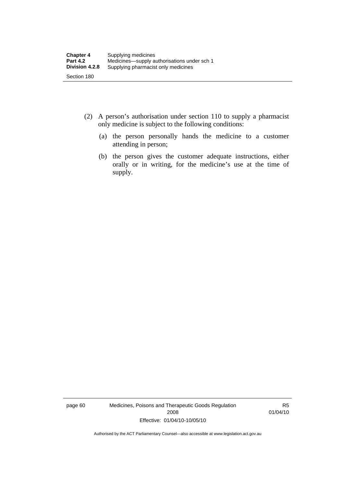- (2) A person's authorisation under section 110 to supply a pharmacist only medicine is subject to the following conditions:
	- (a) the person personally hands the medicine to a customer attending in person;
	- (b) the person gives the customer adequate instructions, either orally or in writing, for the medicine's use at the time of supply.

page 60 Medicines, Poisons and Therapeutic Goods Regulation 2008 Effective: 01/04/10-10/05/10

R5 01/04/10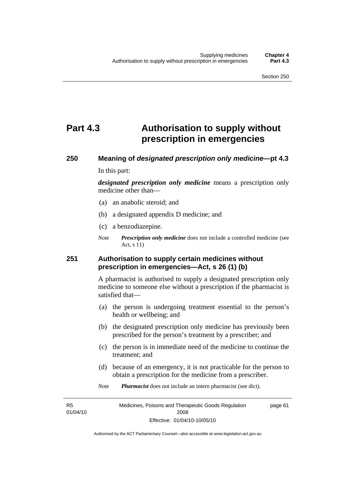## **Part 4.3 Authorisation to supply without prescription in emergencies**

# **250 Meaning of** *designated prescription only medicine***—pt 4.3**

In this part:

*designated prescription only medicine* means a prescription only medicine other than—

- (a) an anabolic steroid; and
- (b) a designated appendix D medicine; and
- (c) a benzodiazepine.
- *Note Prescription only medicine* does not include a controlled medicine (see Act, s 11)

### **251 Authorisation to supply certain medicines without prescription in emergencies—Act, s 26 (1) (b)**

A pharmacist is authorised to supply a designated prescription only medicine to someone else without a prescription if the pharmacist is satisfied that—

- (a) the person is undergoing treatment essential to the person's health or wellbeing; and
- (b) the designated prescription only medicine has previously been prescribed for the person's treatment by a prescriber; and
- (c) the person is in immediate need of the medicine to continue the treatment; and
- (d) because of an emergency, it is not practicable for the person to obtain a prescription for the medicine from a prescriber.
- *Note Pharmacist* does not include an intern pharmacist (see dict).

R5 01/04/10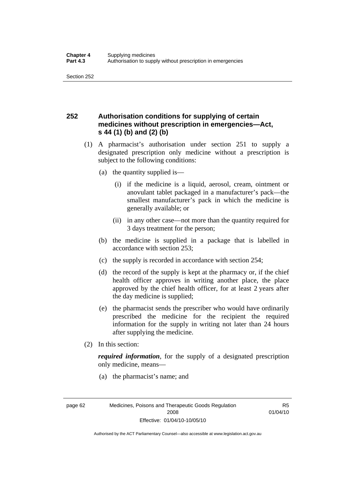### **252 Authorisation conditions for supplying of certain medicines without prescription in emergencies—Act, s 44 (1) (b) and (2) (b)**

- (1) A pharmacist's authorisation under section 251 to supply a designated prescription only medicine without a prescription is subject to the following conditions:
	- (a) the quantity supplied is—
		- (i) if the medicine is a liquid, aerosol, cream, ointment or anovulant tablet packaged in a manufacturer's pack—the smallest manufacturer's pack in which the medicine is generally available; or
		- (ii) in any other case—not more than the quantity required for 3 days treatment for the person;
	- (b) the medicine is supplied in a package that is labelled in accordance with section 253;
	- (c) the supply is recorded in accordance with section 254;
	- (d) the record of the supply is kept at the pharmacy or, if the chief health officer approves in writing another place, the place approved by the chief health officer, for at least 2 years after the day medicine is supplied;
	- (e) the pharmacist sends the prescriber who would have ordinarily prescribed the medicine for the recipient the required information for the supply in writing not later than 24 hours after supplying the medicine.
- (2) In this section:

*required information*, for the supply of a designated prescription only medicine, means—

(a) the pharmacist's name; and

page 62 Medicines, Poisons and Therapeutic Goods Regulation 2008 Effective: 01/04/10-10/05/10

R5 01/04/10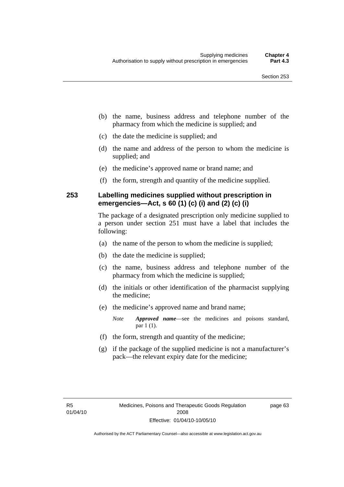- (b) the name, business address and telephone number of the pharmacy from which the medicine is supplied; and
- (c) the date the medicine is supplied; and
- (d) the name and address of the person to whom the medicine is supplied; and
- (e) the medicine's approved name or brand name; and
- (f) the form, strength and quantity of the medicine supplied.

### **253 Labelling medicines supplied without prescription in emergencies—Act, s 60 (1) (c) (i) and (2) (c) (i)**

The package of a designated prescription only medicine supplied to a person under section 251 must have a label that includes the following:

- (a) the name of the person to whom the medicine is supplied;
- (b) the date the medicine is supplied;
- (c) the name, business address and telephone number of the pharmacy from which the medicine is supplied;
- (d) the initials or other identification of the pharmacist supplying the medicine;
- (e) the medicine's approved name and brand name;

*Note Approved name*—see the medicines and poisons standard, par 1 (1).

- (f) the form, strength and quantity of the medicine;
- (g) if the package of the supplied medicine is not a manufacturer's pack—the relevant expiry date for the medicine;

page 63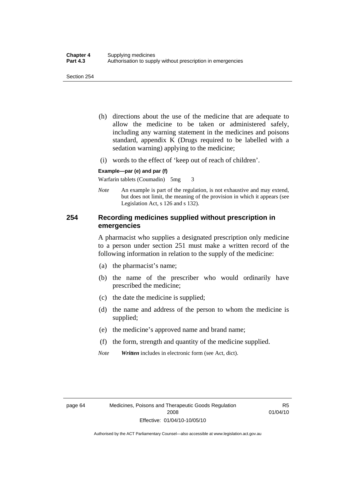- (h) directions about the use of the medicine that are adequate to allow the medicine to be taken or administered safely, including any warning statement in the medicines and poisons standard, appendix K (Drugs required to be labelled with a sedation warning) applying to the medicine;
- (i) words to the effect of 'keep out of reach of children'.

#### **Example—par (e) and par (f)**

Warfarin tablets (Coumadin) 5mg 3

*Note* An example is part of the regulation, is not exhaustive and may extend, but does not limit, the meaning of the provision in which it appears (see Legislation Act, s 126 and s 132).

### **254 Recording medicines supplied without prescription in emergencies**

A pharmacist who supplies a designated prescription only medicine to a person under section 251 must make a written record of the following information in relation to the supply of the medicine:

- (a) the pharmacist's name;
- (b) the name of the prescriber who would ordinarily have prescribed the medicine;
- (c) the date the medicine is supplied;
- (d) the name and address of the person to whom the medicine is supplied;
- (e) the medicine's approved name and brand name;
- (f) the form, strength and quantity of the medicine supplied.
- *Note Written* includes in electronic form (see Act, dict).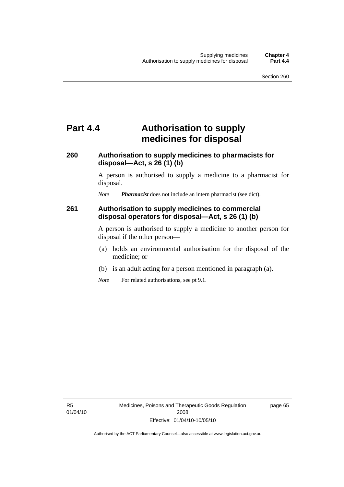## **Part 4.4 Authorisation to supply medicines for disposal**

### **260 Authorisation to supply medicines to pharmacists for disposal—Act, s 26 (1) (b)**

A person is authorised to supply a medicine to a pharmacist for disposal.

*Note Pharmacist* does not include an intern pharmacist (see dict).

### **261 Authorisation to supply medicines to commercial disposal operators for disposal—Act, s 26 (1) (b)**

A person is authorised to supply a medicine to another person for disposal if the other person—

- (a) holds an environmental authorisation for the disposal of the medicine; or
- (b) is an adult acting for a person mentioned in paragraph (a).
- *Note* For related authorisations, see pt 9.1.

page 65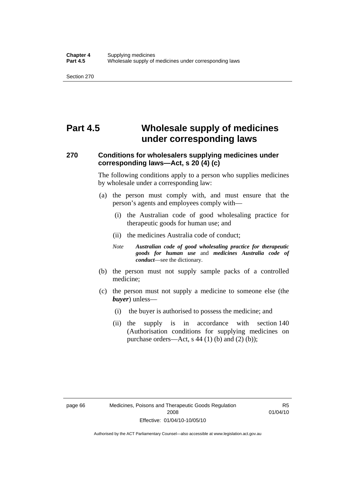## **Part 4.5 Wholesale supply of medicines under corresponding laws**

### **270 Conditions for wholesalers supplying medicines under corresponding laws—Act, s 20 (4) (c)**

The following conditions apply to a person who supplies medicines by wholesale under a corresponding law:

- (a) the person must comply with, and must ensure that the person's agents and employees comply with—
	- (i) the Australian code of good wholesaling practice for therapeutic goods for human use; and
	- (ii) the medicines Australia code of conduct;
	- *Note Australian code of good wholesaling practice for therapeutic goods for human use* and *medicines Australia code of conduct*—see the dictionary.
- (b) the person must not supply sample packs of a controlled medicine;
- (c) the person must not supply a medicine to someone else (the *buyer*) unless—
	- (i) the buyer is authorised to possess the medicine; and
	- (ii) the supply is in accordance with section 140 (Authorisation conditions for supplying medicines on purchase orders—Act, s 44 (1) (b) and (2) (b));

R5 01/04/10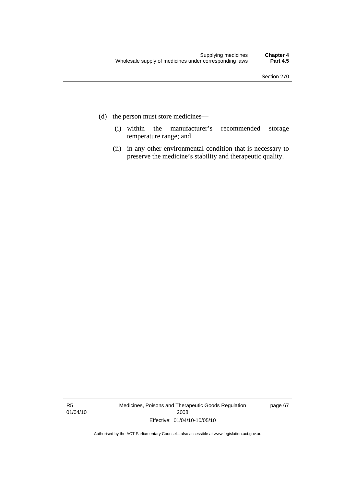- (d) the person must store medicines—
	- (i) within the manufacturer's recommended storage temperature range; and
	- (ii) in any other environmental condition that is necessary to preserve the medicine's stability and therapeutic quality.

R5 01/04/10 Medicines, Poisons and Therapeutic Goods Regulation 2008 Effective: 01/04/10-10/05/10

page 67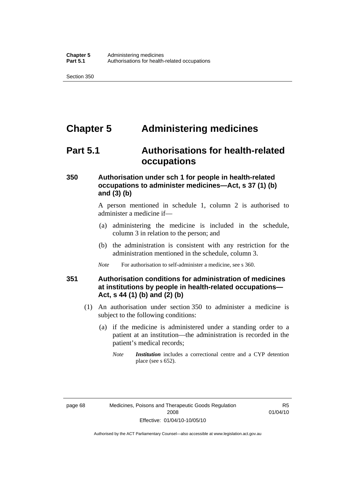## **Chapter 5 Administering medicines**

### **Part 5.1 Authorisations for health-related occupations**

### **350 Authorisation under sch 1 for people in health-related occupations to administer medicines—Act, s 37 (1) (b) and (3) (b)**

A person mentioned in schedule 1, column 2 is authorised to administer a medicine if—

- (a) administering the medicine is included in the schedule, column 3 in relation to the person; and
- (b) the administration is consistent with any restriction for the administration mentioned in the schedule, column 3.
- *Note* For authorisation to self-administer a medicine, see s 360.

### **351 Authorisation conditions for administration of medicines at institutions by people in health-related occupations— Act, s 44 (1) (b) and (2) (b)**

- (1) An authorisation under section 350 to administer a medicine is subject to the following conditions:
	- (a) if the medicine is administered under a standing order to a patient at an institution—the administration is recorded in the patient's medical records;
		- *Note Institution* includes a correctional centre and a CYP detention place (see s 652).

R5 01/04/10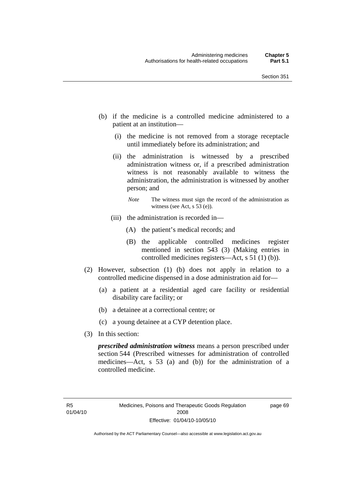- (b) if the medicine is a controlled medicine administered to a patient at an institution—
	- (i) the medicine is not removed from a storage receptacle until immediately before its administration; and
	- (ii) the administration is witnessed by a prescribed administration witness or, if a prescribed administration witness is not reasonably available to witness the administration, the administration is witnessed by another person; and
		- *Note* The witness must sign the record of the administration as witness (see Act, s 53 (e)).
	- (iii) the administration is recorded in—
		- (A) the patient's medical records; and
		- (B) the applicable controlled medicines register mentioned in section 543 (3) (Making entries in controlled medicines registers—Act, s 51 (1) (b)).
- (2) However, subsection (1) (b) does not apply in relation to a controlled medicine dispensed in a dose administration aid for—
	- (a) a patient at a residential aged care facility or residential disability care facility; or
	- (b) a detainee at a correctional centre; or
	- (c) a young detainee at a CYP detention place.
- (3) In this section:

*prescribed administration witness* means a person prescribed under section 544 (Prescribed witnesses for administration of controlled medicines—Act, s 53 (a) and (b)) for the administration of a controlled medicine.

page 69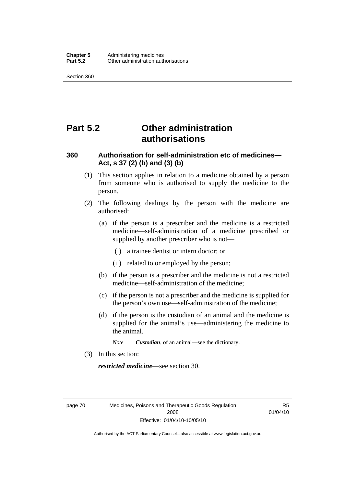## **Part 5.2 Other administration authorisations**

### **360 Authorisation for self-administration etc of medicines— Act, s 37 (2) (b) and (3) (b)**

- (1) This section applies in relation to a medicine obtained by a person from someone who is authorised to supply the medicine to the person.
- (2) The following dealings by the person with the medicine are authorised:
	- (a) if the person is a prescriber and the medicine is a restricted medicine—self-administration of a medicine prescribed or supplied by another prescriber who is not—
		- (i) a trainee dentist or intern doctor; or
		- (ii) related to or employed by the person;
	- (b) if the person is a prescriber and the medicine is not a restricted medicine—self-administration of the medicine;
	- (c) if the person is not a prescriber and the medicine is supplied for the person's own use—self-administration of the medicine;
	- (d) if the person is the custodian of an animal and the medicine is supplied for the animal's use—administering the medicine to the animal.
		- *Note Custodian*, of an animal—see the dictionary.
- (3) In this section:

*restricted medicine*—see section 30.

page 70 Medicines, Poisons and Therapeutic Goods Regulation 2008 Effective: 01/04/10-10/05/10

R5 01/04/10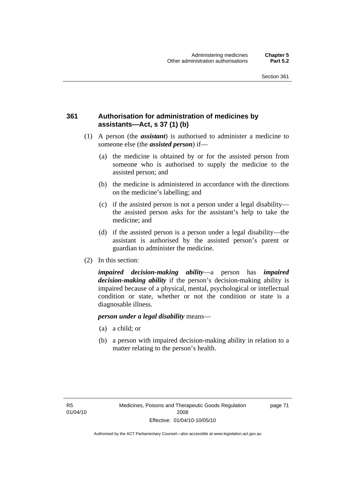### **361 Authorisation for administration of medicines by assistants—Act, s 37 (1) (b)**

- (1) A person (the *assistant*) is authorised to administer a medicine to someone else (the *assisted person*) if—
	- (a) the medicine is obtained by or for the assisted person from someone who is authorised to supply the medicine to the assisted person; and
	- (b) the medicine is administered in accordance with the directions on the medicine's labelling; and
	- (c) if the assisted person is not a person under a legal disability the assisted person asks for the assistant's help to take the medicine; and
	- (d) if the assisted person is a person under a legal disability—the assistant is authorised by the assisted person's parent or guardian to administer the medicine.
- (2) In this section:

*impaired decision-making ability*—a person has *impaired decision-making ability* if the person's decision-making ability is impaired because of a physical, mental, psychological or intellectual condition or state, whether or not the condition or state is a diagnosable illness.

#### *person under a legal disability* means—

- (a) a child; or
- (b) a person with impaired decision-making ability in relation to a matter relating to the person's health.

page 71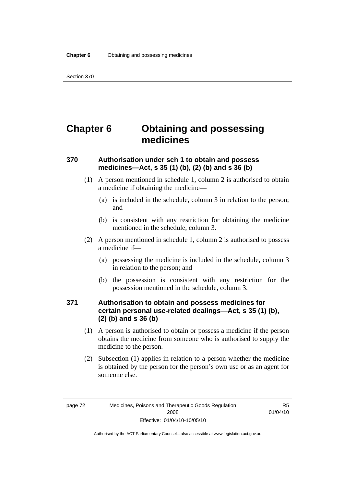## **Chapter 6 Obtaining and possessing medicines**

### **370 Authorisation under sch 1 to obtain and possess medicines—Act, s 35 (1) (b), (2) (b) and s 36 (b)**

- (1) A person mentioned in schedule 1, column 2 is authorised to obtain a medicine if obtaining the medicine—
	- (a) is included in the schedule, column 3 in relation to the person; and
	- (b) is consistent with any restriction for obtaining the medicine mentioned in the schedule, column 3.
- (2) A person mentioned in schedule 1, column 2 is authorised to possess a medicine if—
	- (a) possessing the medicine is included in the schedule, column 3 in relation to the person; and
	- (b) the possession is consistent with any restriction for the possession mentioned in the schedule, column 3.

### **371 Authorisation to obtain and possess medicines for certain personal use-related dealings—Act, s 35 (1) (b), (2) (b) and s 36 (b)**

- (1) A person is authorised to obtain or possess a medicine if the person obtains the medicine from someone who is authorised to supply the medicine to the person.
- (2) Subsection (1) applies in relation to a person whether the medicine is obtained by the person for the person's own use or as an agent for someone else.

R5 01/04/10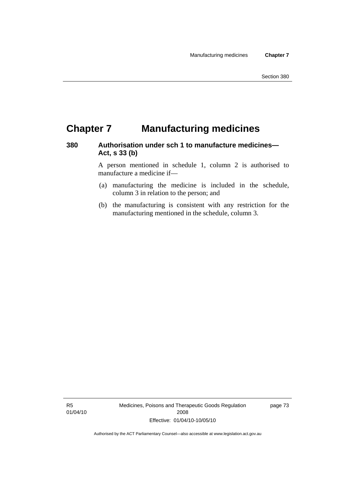## **Chapter 7 Manufacturing medicines**

### **380 Authorisation under sch 1 to manufacture medicines— Act, s 33 (b)**

A person mentioned in schedule 1, column 2 is authorised to manufacture a medicine if—

- (a) manufacturing the medicine is included in the schedule, column 3 in relation to the person; and
- (b) the manufacturing is consistent with any restriction for the manufacturing mentioned in the schedule, column 3.

R5 01/04/10 Medicines, Poisons and Therapeutic Goods Regulation 2008 Effective: 01/04/10-10/05/10

page 73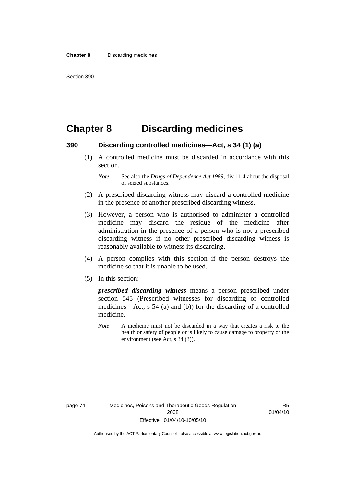### **Chapter 8 Discarding medicines**

#### **390 Discarding controlled medicines—Act, s 34 (1) (a)**

 (1) A controlled medicine must be discarded in accordance with this section.

- (2) A prescribed discarding witness may discard a controlled medicine in the presence of another prescribed discarding witness.
- (3) However, a person who is authorised to administer a controlled medicine may discard the residue of the medicine after administration in the presence of a person who is not a prescribed discarding witness if no other prescribed discarding witness is reasonably available to witness its discarding.
- (4) A person complies with this section if the person destroys the medicine so that it is unable to be used.
- (5) In this section:

*prescribed discarding witness* means a person prescribed under section 545 (Prescribed witnesses for discarding of controlled medicines—Act, s 54 (a) and (b)) for the discarding of a controlled medicine.

*Note* A medicine must not be discarded in a way that creates a risk to the health or safety of people or is likely to cause damage to property or the environment (see Act, s 34 (3)).

*Note* See also the *Drugs of Dependence Act 1989*, div 11.4 about the disposal of seized substances.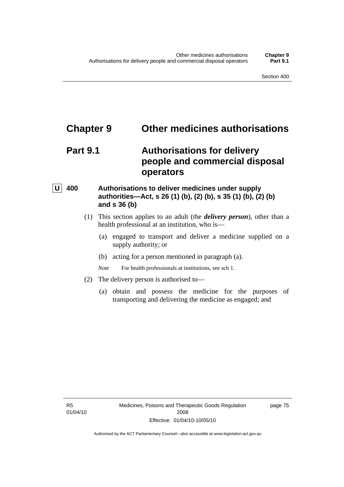### **Chapter 9 Other medicines authorisations**

### **Part 9.1 Authorisations for delivery people and commercial disposal operators**

### **U** 400 Authorisations to deliver medicines under supply **authorities—Act, s 26 (1) (b), (2) (b), s 35 (1) (b), (2) (b) and s 36 (b)**

- (1) This section applies to an adult (the *delivery person*), other than a health professional at an institution, who is—
	- (a) engaged to transport and deliver a medicine supplied on a supply authority; or
	- (b) acting for a person mentioned in paragraph (a).

*Note* For health professionals at institutions, see sch 1.

- (2) The delivery person is authorised to—
	- (a) obtain and possess the medicine for the purposes of transporting and delivering the medicine as engaged; and

R5 01/04/10 page 75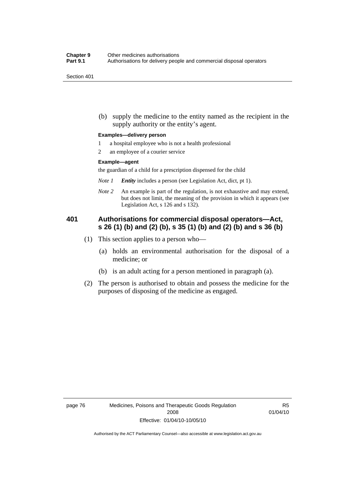(b) supply the medicine to the entity named as the recipient in the supply authority or the entity's agent.

#### **Examples—delivery person**

- 1 a hospital employee who is not a health professional
- 2 an employee of a courier service

#### **Example—agent**

the guardian of a child for a prescription dispensed for the child

- *Note 1 Entity* includes a person (see Legislation Act, dict, pt 1).
- *Note 2* An example is part of the regulation, is not exhaustive and may extend, but does not limit, the meaning of the provision in which it appears (see Legislation Act, s 126 and s 132).

### **401 Authorisations for commercial disposal operators—Act, s 26 (1) (b) and (2) (b), s 35 (1) (b) and (2) (b) and s 36 (b)**

- (1) This section applies to a person who—
	- (a) holds an environmental authorisation for the disposal of a medicine; or
	- (b) is an adult acting for a person mentioned in paragraph (a).
- (2) The person is authorised to obtain and possess the medicine for the purposes of disposing of the medicine as engaged.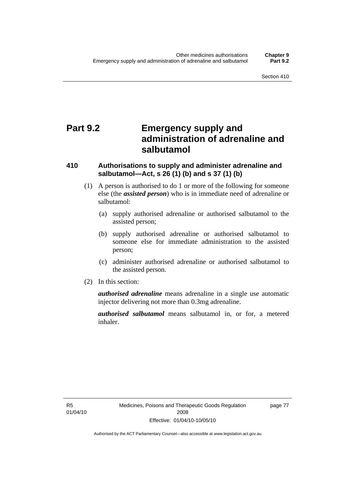## **Part 9.2 Emergency supply and administration of adrenaline and salbutamol**

### **410 Authorisations to supply and administer adrenaline and salbutamol—Act, s 26 (1) (b) and s 37 (1) (b)**

- (1) A person is authorised to do 1 or more of the following for someone else (the *assisted person*) who is in immediate need of adrenaline or salbutamol:
	- (a) supply authorised adrenaline or authorised salbutamol to the assisted person;
	- (b) supply authorised adrenaline or authorised salbutamol to someone else for immediate administration to the assisted person;
	- (c) administer authorised adrenaline or authorised salbutamol to the assisted person.
- (2) In this section:

*authorised adrenaline* means adrenaline in a single use automatic injector delivering not more than 0.3mg adrenaline.

*authorised salbutamol* means salbutamol in, or for, a metered inhaler.

R5 01/04/10 page 77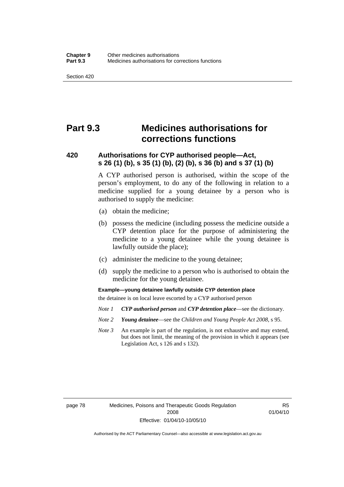### **Part 9.3 Medicines authorisations for corrections functions**

### **420 Authorisations for CYP authorised people—Act, s 26 (1) (b), s 35 (1) (b), (2) (b), s 36 (b) and s 37 (1) (b)**

A CYP authorised person is authorised, within the scope of the person's employment, to do any of the following in relation to a medicine supplied for a young detainee by a person who is authorised to supply the medicine:

- (a) obtain the medicine;
- (b) possess the medicine (including possess the medicine outside a CYP detention place for the purpose of administering the medicine to a young detainee while the young detainee is lawfully outside the place);
- (c) administer the medicine to the young detainee;
- (d) supply the medicine to a person who is authorised to obtain the medicine for the young detainee.

**Example—young detainee lawfully outside CYP detention place** 

the detainee is on local leave escorted by a CYP authorised person

- *Note 1 CYP authorised person* and *CYP detention place*—see the dictionary.
- *Note 2 Young detainee*—see the *Children and Young People Act 2008*, s 95.
- *Note 3* An example is part of the regulation, is not exhaustive and may extend, but does not limit, the meaning of the provision in which it appears (see Legislation Act, s 126 and s 132).

page 78 Medicines, Poisons and Therapeutic Goods Regulation 2008 Effective: 01/04/10-10/05/10

R5 01/04/10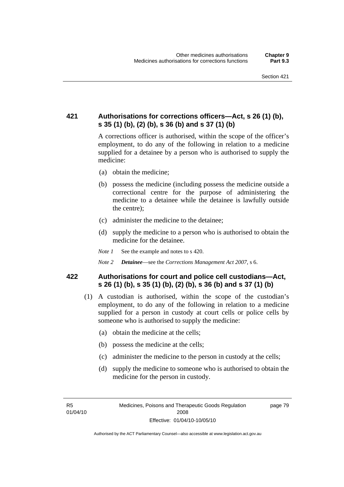### **421 Authorisations for corrections officers—Act, s 26 (1) (b), s 35 (1) (b), (2) (b), s 36 (b) and s 37 (1) (b)**

A corrections officer is authorised, within the scope of the officer's employment, to do any of the following in relation to a medicine supplied for a detainee by a person who is authorised to supply the medicine:

- (a) obtain the medicine;
- (b) possess the medicine (including possess the medicine outside a correctional centre for the purpose of administering the medicine to a detainee while the detainee is lawfully outside the centre);
- (c) administer the medicine to the detainee;
- (d) supply the medicine to a person who is authorised to obtain the medicine for the detainee.
- *Note 1* See the example and notes to s 420.
- *Note 2 Detainee*—see the *Corrections Management Act 2007*, s 6.

### **422 Authorisations for court and police cell custodians—Act, s 26 (1) (b), s 35 (1) (b), (2) (b), s 36 (b) and s 37 (1) (b)**

- (1) A custodian is authorised, within the scope of the custodian's employment, to do any of the following in relation to a medicine supplied for a person in custody at court cells or police cells by someone who is authorised to supply the medicine:
	- (a) obtain the medicine at the cells;
	- (b) possess the medicine at the cells;
	- (c) administer the medicine to the person in custody at the cells;
	- (d) supply the medicine to someone who is authorised to obtain the medicine for the person in custody.

R5 01/04/10 page 79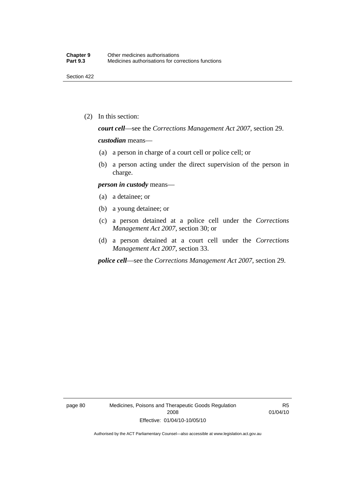(2) In this section:

*court cell*—see the *Corrections Management Act 2007*, section 29.

#### *custodian* means—

- (a) a person in charge of a court cell or police cell; or
- (b) a person acting under the direct supervision of the person in charge.

#### *person in custody* means—

- (a) a detainee; or
- (b) a young detainee; or
- (c) a person detained at a police cell under the *Corrections Management Act 2007*, section 30; or
- (d) a person detained at a court cell under the *Corrections Management Act 2007*, section 33.

*police cell*—see the *Corrections Management Act 2007*, section 29.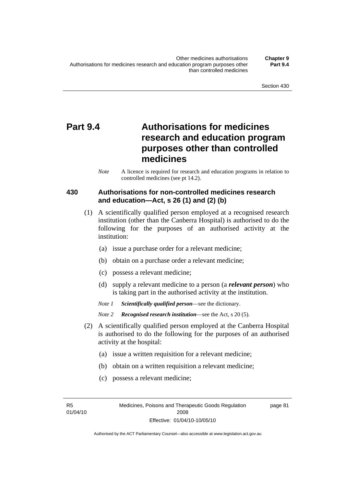## **Part 9.4 Authorisations for medicines research and education program purposes other than controlled medicines**

*Note* A licence is required for research and education programs in relation to controlled medicines (see pt 14.2).

### **430 Authorisations for non-controlled medicines research and education—Act, s 26 (1) and (2) (b)**

- (1) A scientifically qualified person employed at a recognised research institution (other than the Canberra Hospital) is authorised to do the following for the purposes of an authorised activity at the institution:
	- (a) issue a purchase order for a relevant medicine;
	- (b) obtain on a purchase order a relevant medicine;
	- (c) possess a relevant medicine;
	- (d) supply a relevant medicine to a person (a *relevant person*) who is taking part in the authorised activity at the institution.
	- *Note 1 Scientifically qualified person*—see the dictionary.

- (2) A scientifically qualified person employed at the Canberra Hospital is authorised to do the following for the purposes of an authorised activity at the hospital:
	- (a) issue a written requisition for a relevant medicine;
	- (b) obtain on a written requisition a relevant medicine;
	- (c) possess a relevant medicine;

R5 01/04/10

*Note 2 Recognised research institution*—see the Act, s 20 (5).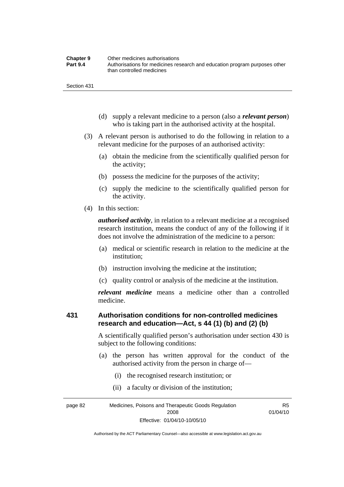| <b>Chapter 9</b> | Other medicines authorisations                                             |
|------------------|----------------------------------------------------------------------------|
| <b>Part 9.4</b>  | Authorisations for medicines research and education program purposes other |
|                  | than controlled medicines                                                  |

- (d) supply a relevant medicine to a person (also a *relevant person*) who is taking part in the authorised activity at the hospital.
- (3) A relevant person is authorised to do the following in relation to a relevant medicine for the purposes of an authorised activity:
	- (a) obtain the medicine from the scientifically qualified person for the activity;
	- (b) possess the medicine for the purposes of the activity;
	- (c) supply the medicine to the scientifically qualified person for the activity.
- (4) In this section:

*authorised activity*, in relation to a relevant medicine at a recognised research institution, means the conduct of any of the following if it does not involve the administration of the medicine to a person:

- (a) medical or scientific research in relation to the medicine at the institution;
- (b) instruction involving the medicine at the institution;
- (c) quality control or analysis of the medicine at the institution.

*relevant medicine* means a medicine other than a controlled medicine.

### **431 Authorisation conditions for non-controlled medicines research and education—Act, s 44 (1) (b) and (2) (b)**

A scientifically qualified person's authorisation under section 430 is subject to the following conditions:

 (a) the person has written approval for the conduct of the authorised activity from the person in charge of—

R5

- (i) the recognised research institution; or
- (ii) a faculty or division of the institution;

page 82 Medicines, Poisons and Therapeutic Goods Regulation 2008 Effective: 01/04/10-10/05/10 01/04/10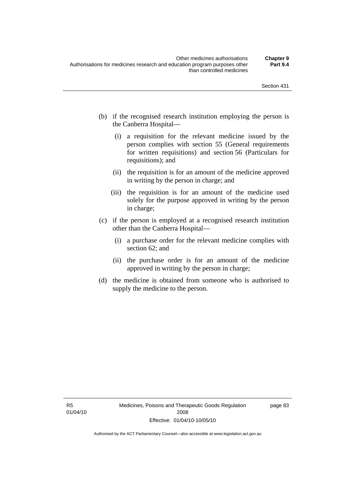- (b) if the recognised research institution employing the person is the Canberra Hospital—
	- (i) a requisition for the relevant medicine issued by the person complies with section 55 (General requirements for written requisitions) and section 56 (Particulars for requisitions); and
	- (ii) the requisition is for an amount of the medicine approved in writing by the person in charge; and
	- (iii) the requisition is for an amount of the medicine used solely for the purpose approved in writing by the person in charge;
- (c) if the person is employed at a recognised research institution other than the Canberra Hospital—
	- (i) a purchase order for the relevant medicine complies with section 62; and
	- (ii) the purchase order is for an amount of the medicine approved in writing by the person in charge;
- (d) the medicine is obtained from someone who is authorised to supply the medicine to the person.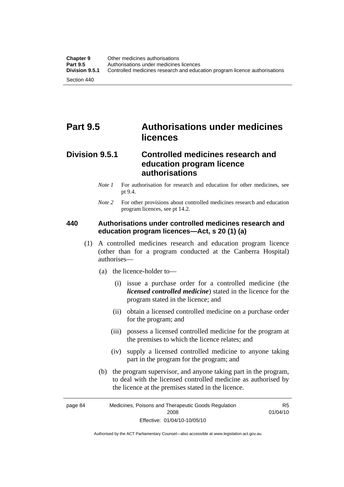## **Part 9.5 Authorisations under medicines licences**

### **Division 9.5.1 Controlled medicines research and education program licence authorisations**

- *Note 1* For authorisation for research and education for other medicines, see pt 9.4.
- *Note* 2 For other provisions about controlled medicines research and education program licences, see pt 14.2.

### **440 Authorisations under controlled medicines research and education program licences—Act, s 20 (1) (a)**

- (1) A controlled medicines research and education program licence (other than for a program conducted at the Canberra Hospital) authorises—
	- (a) the licence-holder to—
		- (i) issue a purchase order for a controlled medicine (the *licensed controlled medicine*) stated in the licence for the program stated in the licence; and
		- (ii) obtain a licensed controlled medicine on a purchase order for the program; and
		- (iii) possess a licensed controlled medicine for the program at the premises to which the licence relates; and
		- (iv) supply a licensed controlled medicine to anyone taking part in the program for the program; and
	- (b) the program supervisor, and anyone taking part in the program, to deal with the licensed controlled medicine as authorised by the licence at the premises stated in the licence.

page 84 Medicines, Poisons and Therapeutic Goods Regulation 2008 Effective: 01/04/10-10/05/10 R5 01/04/10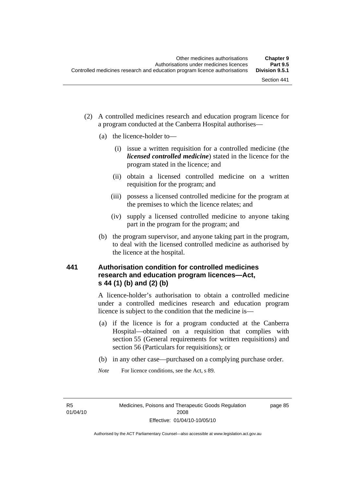- (2) A controlled medicines research and education program licence for a program conducted at the Canberra Hospital authorises—
	- (a) the licence-holder to—
		- (i) issue a written requisition for a controlled medicine (the *licensed controlled medicine*) stated in the licence for the program stated in the licence; and
		- (ii) obtain a licensed controlled medicine on a written requisition for the program; and
		- (iii) possess a licensed controlled medicine for the program at the premises to which the licence relates; and
		- (iv) supply a licensed controlled medicine to anyone taking part in the program for the program; and
	- (b) the program supervisor, and anyone taking part in the program, to deal with the licensed controlled medicine as authorised by the licence at the hospital.

## **441 Authorisation condition for controlled medicines research and education program licences—Act, s 44 (1) (b) and (2) (b)**

A licence-holder's authorisation to obtain a controlled medicine under a controlled medicines research and education program licence is subject to the condition that the medicine is—

- (a) if the licence is for a program conducted at the Canberra Hospital—obtained on a requisition that complies with section 55 (General requirements for written requisitions) and section 56 (Particulars for requisitions); or
- (b) in any other case—purchased on a complying purchase order.
- *Note* For licence conditions, see the Act, s 89.

R5 01/04/10 page 85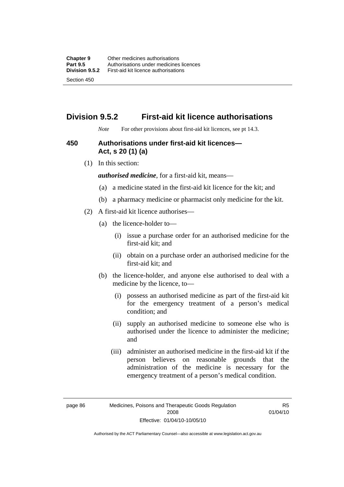## **Division 9.5.2 First-aid kit licence authorisations**

*Note* For other provisions about first-aid kit licences, see pt 14.3.

#### **450 Authorisations under first-aid kit licences— Act, s 20 (1) (a)**

(1) In this section:

*authorised medicine*, for a first-aid kit, means—

- (a) a medicine stated in the first-aid kit licence for the kit; and
- (b) a pharmacy medicine or pharmacist only medicine for the kit.
- (2) A first-aid kit licence authorises—
	- (a) the licence-holder to—
		- (i) issue a purchase order for an authorised medicine for the first-aid kit; and
		- (ii) obtain on a purchase order an authorised medicine for the first-aid kit; and
	- (b) the licence-holder, and anyone else authorised to deal with a medicine by the licence, to—
		- (i) possess an authorised medicine as part of the first-aid kit for the emergency treatment of a person's medical condition; and
		- (ii) supply an authorised medicine to someone else who is authorised under the licence to administer the medicine; and
		- (iii) administer an authorised medicine in the first-aid kit if the person believes on reasonable grounds that the administration of the medicine is necessary for the emergency treatment of a person's medical condition.

page 86 Medicines, Poisons and Therapeutic Goods Regulation 2008 Effective: 01/04/10-10/05/10

R5 01/04/10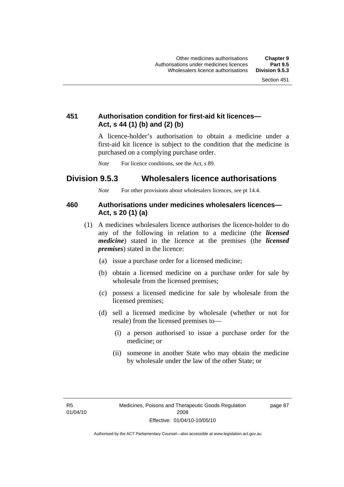## **451 Authorisation condition for first-aid kit licences— Act, s 44 (1) (b) and (2) (b)**

A licence-holder's authorisation to obtain a medicine under a first-aid kit licence is subject to the condition that the medicine is purchased on a complying purchase order.

*Note* For licence conditions, see the Act, s 89.

## **Division 9.5.3 Wholesalers licence authorisations**

*Note* For other provisions about wholesalers licences, see pt 14.4.

#### **460 Authorisations under medicines wholesalers licences— Act, s 20 (1) (a)**

- (1) A medicines wholesalers licence authorises the licence-holder to do any of the following in relation to a medicine (the *licensed medicine*) stated in the licence at the premises (the *licensed premises*) stated in the licence:
	- (a) issue a purchase order for a licensed medicine;
	- (b) obtain a licensed medicine on a purchase order for sale by wholesale from the licensed premises;
	- (c) possess a licensed medicine for sale by wholesale from the licensed premises;
	- (d) sell a licensed medicine by wholesale (whether or not for resale) from the licensed premises to—
		- (i) a person authorised to issue a purchase order for the medicine; or
		- (ii) someone in another State who may obtain the medicine by wholesale under the law of the other State; or

R5 01/04/10 page 87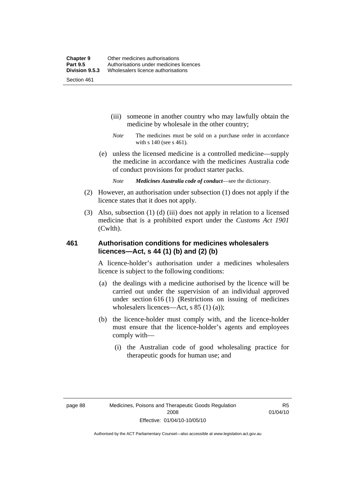- (iii) someone in another country who may lawfully obtain the medicine by wholesale in the other country;
- *Note* The medicines must be sold on a purchase order in accordance with s 140 (see s 461).
- (e) unless the licensed medicine is a controlled medicine—supply the medicine in accordance with the medicines Australia code of conduct provisions for product starter packs.
	- *Note Medicines Australia code of conduct*—see the dictionary.
- (2) However, an authorisation under subsection (1) does not apply if the licence states that it does not apply.
- (3) Also, subsection (1) (d) (iii) does not apply in relation to a licensed medicine that is a prohibited export under the *Customs Act 1901* (Cwlth).

#### **461 Authorisation conditions for medicines wholesalers licences—Act, s 44 (1) (b) and (2) (b)**

A licence-holder's authorisation under a medicines wholesalers licence is subject to the following conditions:

- (a) the dealings with a medicine authorised by the licence will be carried out under the supervision of an individual approved under section 616 (1) (Restrictions on issuing of medicines wholesalers licences—Act, s 85 (1) (a));
- (b) the licence-holder must comply with, and the licence-holder must ensure that the licence-holder's agents and employees comply with—
	- (i) the Australian code of good wholesaling practice for therapeutic goods for human use; and

R5 01/04/10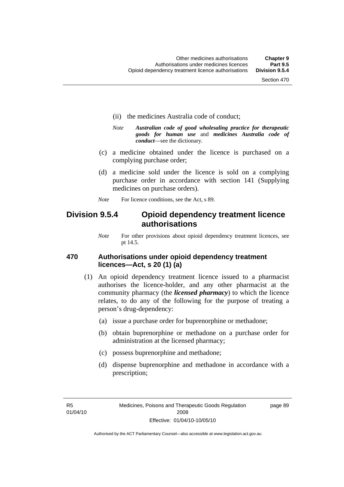- (ii) the medicines Australia code of conduct;
- *Note Australian code of good wholesaling practice for therapeutic goods for human use* and *medicines Australia code of conduct*—see the dictionary.
- (c) a medicine obtained under the licence is purchased on a complying purchase order;
- (d) a medicine sold under the licence is sold on a complying purchase order in accordance with section 141 (Supplying medicines on purchase orders).
- *Note* For licence conditions, see the Act, s 89.

## **Division 9.5.4 Opioid dependency treatment licence authorisations**

*Note* For other provisions about opioid dependency treatment licences, see pt 14.5.

#### **470 Authorisations under opioid dependency treatment licences—Act, s 20 (1) (a)**

- (1) An opioid dependency treatment licence issued to a pharmacist authorises the licence-holder, and any other pharmacist at the community pharmacy (the *licensed pharmacy*) to which the licence relates, to do any of the following for the purpose of treating a person's drug-dependency:
	- (a) issue a purchase order for buprenorphine or methadone;
	- (b) obtain buprenorphine or methadone on a purchase order for administration at the licensed pharmacy;
	- (c) possess buprenorphine and methadone;
	- (d) dispense buprenorphine and methadone in accordance with a prescription;

R5 01/04/10 page 89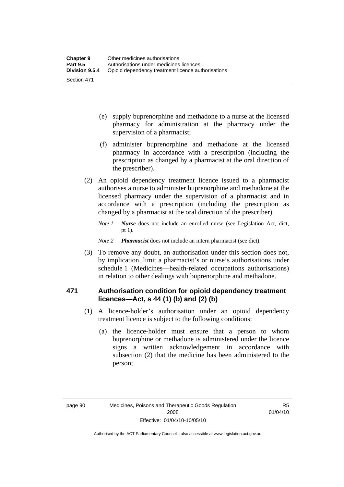- (e) supply buprenorphine and methadone to a nurse at the licensed pharmacy for administration at the pharmacy under the supervision of a pharmacist;
- (f) administer buprenorphine and methadone at the licensed pharmacy in accordance with a prescription (including the prescription as changed by a pharmacist at the oral direction of the prescriber).
- (2) An opioid dependency treatment licence issued to a pharmacist authorises a nurse to administer buprenorphine and methadone at the licensed pharmacy under the supervision of a pharmacist and in accordance with a prescription (including the prescription as changed by a pharmacist at the oral direction of the prescriber).
	- *Note 1 Nurse* does not include an enrolled nurse (see Legislation Act, dict, pt 1).

#### *Note 2 Pharmacist* does not include an intern pharmacist (see dict).

 (3) To remove any doubt, an authorisation under this section does not, by implication, limit a pharmacist's or nurse's authorisations under schedule 1 (Medicines—health-related occupations authorisations) in relation to other dealings with buprenorphine and methadone.

#### **471 Authorisation condition for opioid dependency treatment licences—Act, s 44 (1) (b) and (2) (b)**

- (1) A licence-holder's authorisation under an opioid dependency treatment licence is subject to the following conditions:
	- (a) the licence-holder must ensure that a person to whom buprenorphine or methadone is administered under the licence signs a written acknowledgement in accordance with subsection (2) that the medicine has been administered to the person;

R5 01/04/10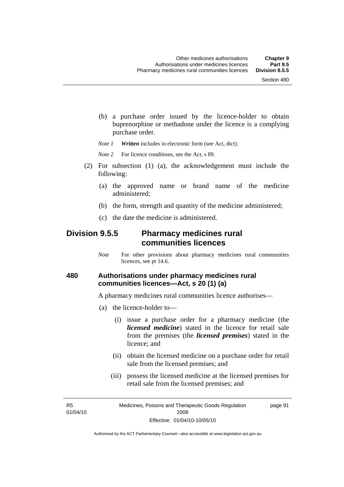(b) a purchase order issued by the licence-holder to obtain buprenorphine or methadone under the licence is a complying purchase order.

*Note 1 Written* includes in electronic form (see Act, dict).

*Note* 2 For licence conditions, see the Act, s 89.

- (2) For subsection (1) (a), the acknowledgement must include the following:
	- (a) the approved name or brand name of the medicine administered;
	- (b) the form, strength and quantity of the medicine administered;
	- (c) the date the medicine is administered.

## **Division 9.5.5 Pharmacy medicines rural communities licences**

*Note* For other provisions about pharmacy medicines rural communities licences, see pt 14.6.

#### **480 Authorisations under pharmacy medicines rural communities licences—Act, s 20 (1) (a)**

A pharmacy medicines rural communities licence authorises—

- (a) the licence-holder to—
	- (i) issue a purchase order for a pharmacy medicine (the *licensed medicine*) stated in the licence for retail sale from the premises (the *licensed premises*) stated in the licence; and
	- (ii) obtain the licensed medicine on a purchase order for retail sale from the licensed premises; and
	- (iii) possess the licensed medicine at the licensed premises for retail sale from the licensed premises; and

R5 01/04/10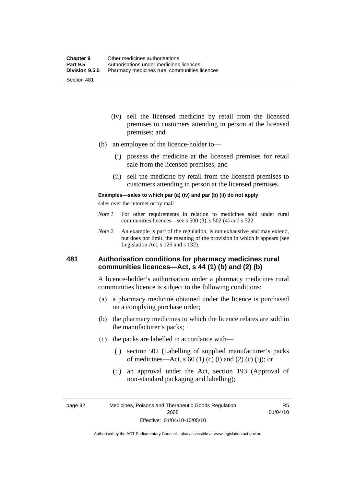- (iv) sell the licensed medicine by retail from the licensed premises to customers attending in person at the licensed premises; and
- (b) an employee of the licence-holder to—
	- (i) possess the medicine at the licensed premises for retail sale from the licensed premises; and
	- (ii) sell the medicine by retail from the licensed premises to customers attending in person at the licensed premises.

#### **Examples—sales to which par (a) (iv) and par (b) (ii) do not apply**

sales over the internet or by mail

- *Note 1* For other requirements in relation to medicines sold under rural communities licences—see s 500 (3), s 502 (4) and s 522.
- *Note 2* An example is part of the regulation, is not exhaustive and may extend, but does not limit, the meaning of the provision in which it appears (see Legislation Act, s 126 and s 132).

#### **481 Authorisation conditions for pharmacy medicines rural communities licences—Act, s 44 (1) (b) and (2) (b)**

A licence-holder's authorisation under a pharmacy medicines rural communities licence is subject to the following conditions:

- (a) a pharmacy medicine obtained under the licence is purchased on a complying purchase order;
- (b) the pharmacy medicines to which the licence relates are sold in the manufacturer's packs;
- (c) the packs are labelled in accordance with—
	- (i) section 502 (Labelling of supplied manufacturer's packs of medicines—Act, s  $60(1)$  (c) (i) and (2) (c) (i)); or
	- (ii) an approval under the Act, section 193 (Approval of non-standard packaging and labelling);

page 92 Medicines, Poisons and Therapeutic Goods Regulation 2008 Effective: 01/04/10-10/05/10

R5 01/04/10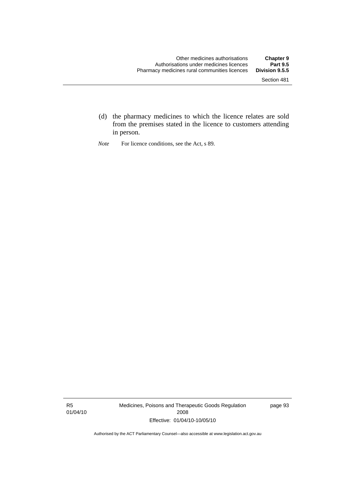- (d) the pharmacy medicines to which the licence relates are sold from the premises stated in the licence to customers attending in person.
- *Note* For licence conditions, see the Act, s 89.

R5 01/04/10 Medicines, Poisons and Therapeutic Goods Regulation 2008 Effective: 01/04/10-10/05/10

page 93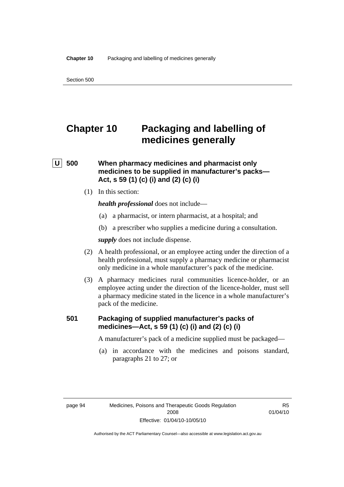# **Chapter 10 Packaging and labelling of medicines generally**

## **U** 500 When pharmacy medicines and pharmacist only **medicines to be supplied in manufacturer's packs— Act, s 59 (1) (c) (i) and (2) (c) (i)**

(1) In this section:

*health professional* does not include—

- (a) a pharmacist, or intern pharmacist, at a hospital; and
- (b) a prescriber who supplies a medicine during a consultation.

*supply* does not include dispense.

- (2) A health professional, or an employee acting under the direction of a health professional, must supply a pharmacy medicine or pharmacist only medicine in a whole manufacturer's pack of the medicine.
- (3) A pharmacy medicines rural communities licence-holder, or an employee acting under the direction of the licence-holder, must sell a pharmacy medicine stated in the licence in a whole manufacturer's pack of the medicine.

#### **501 Packaging of supplied manufacturer's packs of medicines—Act, s 59 (1) (c) (i) and (2) (c) (i)**

A manufacturer's pack of a medicine supplied must be packaged—

 (a) in accordance with the medicines and poisons standard, paragraphs 21 to 27; or

page 94 Medicines, Poisons and Therapeutic Goods Regulation 2008 Effective: 01/04/10-10/05/10

R5 01/04/10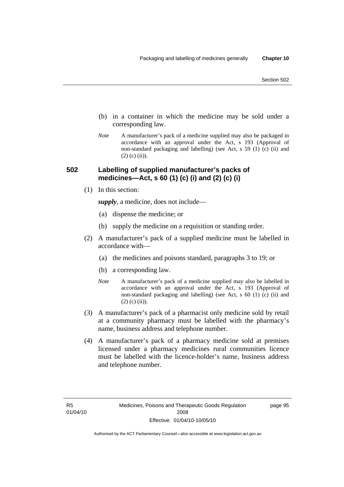- (b) in a container in which the medicine may be sold under a corresponding law.
- *Note* A manufacturer's pack of a medicine supplied may also be packaged in accordance with an approval under the Act, s 193 (Approval of non-standard packaging and labelling) (see Act, s 59 (1) (c) (ii) and  $(2)$  (c) (ii)).

#### **502 Labelling of supplied manufacturer's packs of medicines—Act, s 60 (1) (c) (i) and (2) (c) (i)**

(1) In this section:

*supply*, a medicine, does not include—

- (a) dispense the medicine; or
- (b) supply the medicine on a requisition or standing order.
- (2) A manufacturer's pack of a supplied medicine must be labelled in accordance with—
	- (a) the medicines and poisons standard, paragraphs 3 to 19; or
	- (b) a corresponding law.
	- *Note* A manufacturer's pack of a medicine supplied may also be labelled in accordance with an approval under the Act, s 193 (Approval of non-standard packaging and labelling) (see Act, s 60 (1) (c) (ii) and  $(2)$  (c) (ii)).
- (3) A manufacturer's pack of a pharmacist only medicine sold by retail at a community pharmacy must be labelled with the pharmacy's name, business address and telephone number.
- (4) A manufacturer's pack of a pharmacy medicine sold at premises licensed under a pharmacy medicines rural communities licence must be labelled with the licence-holder's name, business address and telephone number.

page 95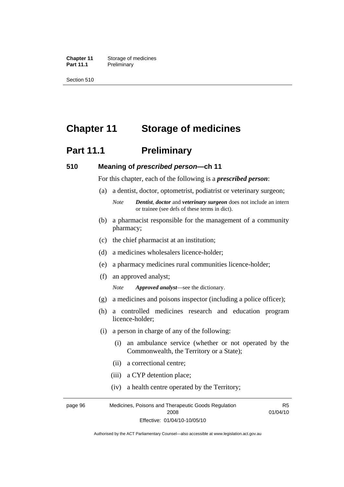**Chapter 11** Storage of medicines Part 11.1 Preliminary

Section 510

# **Chapter 11 Storage of medicines**

# **Part 11.1** Preliminary

#### **510 Meaning of** *prescribed person***—ch 11**

For this chapter, each of the following is a *prescribed person*:

- (a) a dentist, doctor, optometrist, podiatrist or veterinary surgeon;
	- *Note Dentist*, *doctor* and *veterinary surgeon* does not include an intern or trainee (see defs of these terms in dict).
- (b) a pharmacist responsible for the management of a community pharmacy;
- (c) the chief pharmacist at an institution;
- (d) a medicines wholesalers licence-holder;
- (e) a pharmacy medicines rural communities licence-holder;
- (f) an approved analyst;

*Note Approved analyst*—see the dictionary.

- (g) a medicines and poisons inspector (including a police officer);
- (h) a controlled medicines research and education program licence-holder;
- (i) a person in charge of any of the following:
	- (i) an ambulance service (whether or not operated by the Commonwealth, the Territory or a State);
	- (ii) a correctional centre;
	- (iii) a CYP detention place;
	- (iv) a health centre operated by the Territory;

page 96 Medicines, Poisons and Therapeutic Goods Regulation 2008 Effective: 01/04/10-10/05/10 R5 01/04/10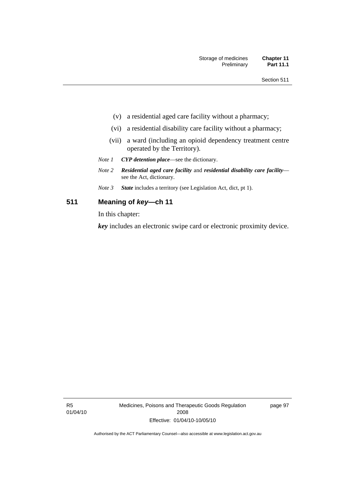- (v) a residential aged care facility without a pharmacy;
- (vi) a residential disability care facility without a pharmacy;
- (vii) a ward (including an opioid dependency treatment centre operated by the Territory).
- *Note 1 CYP detention place*—see the dictionary.
- *Note 2 Residential aged care facility* and *residential disability care facility* see the Act, dictionary.
- *Note 3 State* includes a territory (see Legislation Act, dict, pt 1).

#### **511 Meaning of** *key***—ch 11**

In this chapter:

*key* includes an electronic swipe card or electronic proximity device.

R5 01/04/10 Medicines, Poisons and Therapeutic Goods Regulation 2008 Effective: 01/04/10-10/05/10

page 97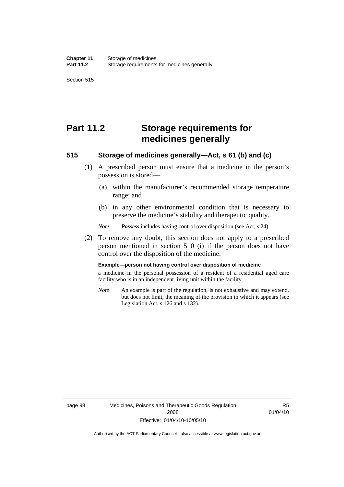Section 515

# **Part 11.2 Storage requirements for medicines generally**

#### **515 Storage of medicines generally—Act, s 61 (b) and (c)**

- (1) A prescribed person must ensure that a medicine in the person's possession is stored—
	- (a) within the manufacturer's recommended storage temperature range; and
	- (b) in any other environmental condition that is necessary to preserve the medicine's stability and therapeutic quality.

*Note Possess* includes having control over disposition (see Act, s 24).

 (2) To remove any doubt, this section does not apply to a prescribed person mentioned in section 510 (i) if the person does not have control over the disposition of the medicine.

#### **Example—person not having control over disposition of medicine**

a medicine in the personal possession of a resident of a residential aged care facility who is in an independent living unit within the facility

*Note* An example is part of the regulation, is not exhaustive and may extend, but does not limit, the meaning of the provision in which it appears (see Legislation Act, s 126 and s 132).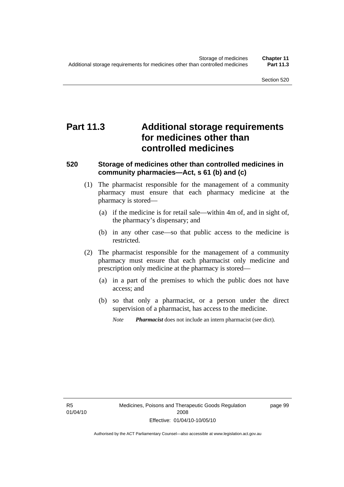# **Part 11.3 Additional storage requirements for medicines other than controlled medicines**

#### **520 Storage of medicines other than controlled medicines in community pharmacies—Act, s 61 (b) and (c)**

- (1) The pharmacist responsible for the management of a community pharmacy must ensure that each pharmacy medicine at the pharmacy is stored—
	- (a) if the medicine is for retail sale—within 4m of, and in sight of, the pharmacy's dispensary; and
	- (b) in any other case—so that public access to the medicine is restricted.
- (2) The pharmacist responsible for the management of a community pharmacy must ensure that each pharmacist only medicine and prescription only medicine at the pharmacy is stored—
	- (a) in a part of the premises to which the public does not have access; and
	- (b) so that only a pharmacist, or a person under the direct supervision of a pharmacist, has access to the medicine.
		- *Note Pharmacist* does not include an intern pharmacist (see dict).

R5 01/04/10 page 99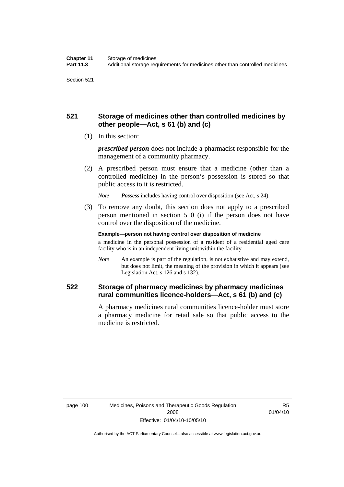## **521 Storage of medicines other than controlled medicines by other people—Act, s 61 (b) and (c)**

(1) In this section:

*prescribed person* does not include a pharmacist responsible for the management of a community pharmacy.

 (2) A prescribed person must ensure that a medicine (other than a controlled medicine) in the person's possession is stored so that public access to it is restricted.

*Note Possess* includes having control over disposition (see Act, s 24).

 (3) To remove any doubt, this section does not apply to a prescribed person mentioned in section 510 (i) if the person does not have control over the disposition of the medicine.

**Example—person not having control over disposition of medicine** 

a medicine in the personal possession of a resident of a residential aged care facility who is in an independent living unit within the facility

*Note* An example is part of the regulation, is not exhaustive and may extend, but does not limit, the meaning of the provision in which it appears (see Legislation Act, s 126 and s 132).

## **522 Storage of pharmacy medicines by pharmacy medicines rural communities licence-holders—Act, s 61 (b) and (c)**

A pharmacy medicines rural communities licence-holder must store a pharmacy medicine for retail sale so that public access to the medicine is restricted.

R5 01/04/10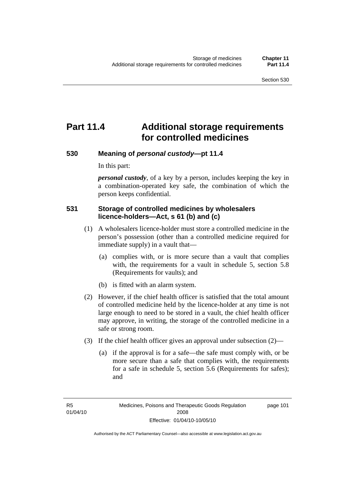page 101

# **Part 11.4 Additional storage requirements for controlled medicines**

#### **530 Meaning of** *personal custody***—pt 11.4**

In this part:

*personal custody*, of a key by a person, includes keeping the key in a combination-operated key safe, the combination of which the person keeps confidential.

#### **531 Storage of controlled medicines by wholesalers licence-holders—Act, s 61 (b) and (c)**

- (1) A wholesalers licence-holder must store a controlled medicine in the person's possession (other than a controlled medicine required for immediate supply) in a vault that—
	- (a) complies with, or is more secure than a vault that complies with, the requirements for a vault in schedule 5, section 5.8 (Requirements for vaults); and
	- (b) is fitted with an alarm system.
- (2) However, if the chief health officer is satisfied that the total amount of controlled medicine held by the licence-holder at any time is not large enough to need to be stored in a vault, the chief health officer may approve, in writing, the storage of the controlled medicine in a safe or strong room.
- (3) If the chief health officer gives an approval under subsection (2)—
	- (a) if the approval is for a safe—the safe must comply with, or be more secure than a safe that complies with, the requirements for a safe in schedule 5, section 5.6 (Requirements for safes); and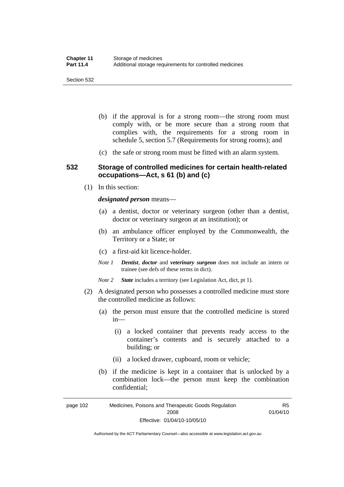- (b) if the approval is for a strong room—the strong room must comply with, or be more secure than a strong room that complies with, the requirements for a strong room in schedule 5, section 5.7 (Requirements for strong rooms); and
- (c) the safe or strong room must be fitted with an alarm system.

#### **532 Storage of controlled medicines for certain health-related occupations—Act, s 61 (b) and (c)**

(1) In this section:

*designated person* means—

- (a) a dentist, doctor or veterinary surgeon (other than a dentist, doctor or veterinary surgeon at an institution); or
- (b) an ambulance officer employed by the Commonwealth, the Territory or a State; or
- (c) a first-aid kit licence-holder.
- *Note 1 Dentist*, *doctor* and *veterinary surgeon* does not include an intern or trainee (see defs of these terms in dict).
- *Note 2 State* includes a territory (see Legislation Act, dict, pt 1).
- (2) A designated person who possesses a controlled medicine must store the controlled medicine as follows:
	- (a) the person must ensure that the controlled medicine is stored in—
		- (i) a locked container that prevents ready access to the container's contents and is securely attached to a building; or
		- (ii) a locked drawer, cupboard, room or vehicle;
	- (b) if the medicine is kept in a container that is unlocked by a combination lock—the person must keep the combination confidential;

page 102 Medicines, Poisons and Therapeutic Goods Regulation 2008 Effective: 01/04/10-10/05/10 R5 01/04/10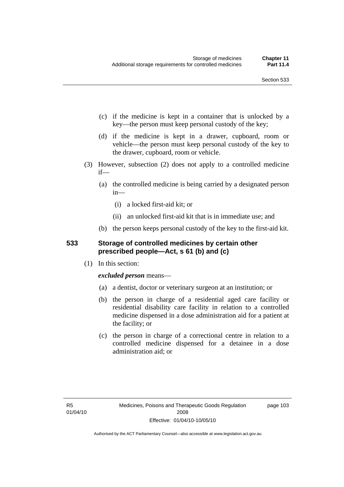- (c) if the medicine is kept in a container that is unlocked by a key—the person must keep personal custody of the key;
- (d) if the medicine is kept in a drawer, cupboard, room or vehicle—the person must keep personal custody of the key to the drawer, cupboard, room or vehicle.
- (3) However, subsection (2) does not apply to a controlled medicine if—
	- (a) the controlled medicine is being carried by a designated person in—
		- (i) a locked first-aid kit; or
		- (ii) an unlocked first-aid kit that is in immediate use; and
	- (b) the person keeps personal custody of the key to the first-aid kit.

#### **533 Storage of controlled medicines by certain other prescribed people—Act, s 61 (b) and (c)**

(1) In this section:

#### *excluded person* means—

- (a) a dentist, doctor or veterinary surgeon at an institution; or
- (b) the person in charge of a residential aged care facility or residential disability care facility in relation to a controlled medicine dispensed in a dose administration aid for a patient at the facility; or
- (c) the person in charge of a correctional centre in relation to a controlled medicine dispensed for a detainee in a dose administration aid; or

page 103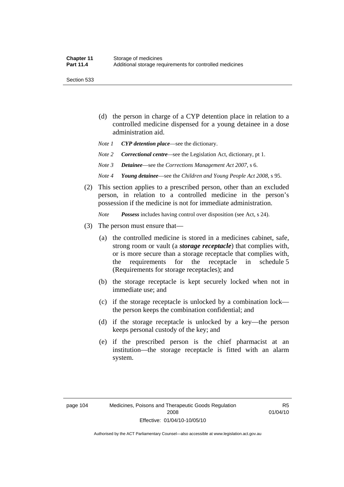Section 533

- (d) the person in charge of a CYP detention place in relation to a controlled medicine dispensed for a young detainee in a dose administration aid.
- *Note 1 CYP detention place*—see the dictionary.
- *Note 2 Correctional centre—see the Legislation Act, dictionary, pt 1.*
- *Note 3 Detainee*—see the *Corrections Management Act 2007*, s 6.
- *Note 4 Young detainee*—see the *Children and Young People Act 2008*, s 95.
- (2) This section applies to a prescribed person, other than an excluded person, in relation to a controlled medicine in the person's possession if the medicine is not for immediate administration.

*Note Possess* includes having control over disposition (see Act, s 24).

- (3) The person must ensure that—
	- (a) the controlled medicine is stored in a medicines cabinet, safe, strong room or vault (a *storage receptacle*) that complies with, or is more secure than a storage receptacle that complies with, the requirements for the receptacle in schedule 5 (Requirements for storage receptacles); and
	- (b) the storage receptacle is kept securely locked when not in immediate use; and
	- (c) if the storage receptacle is unlocked by a combination lock the person keeps the combination confidential; and
	- (d) if the storage receptacle is unlocked by a key—the person keeps personal custody of the key; and
	- (e) if the prescribed person is the chief pharmacist at an institution—the storage receptacle is fitted with an alarm system.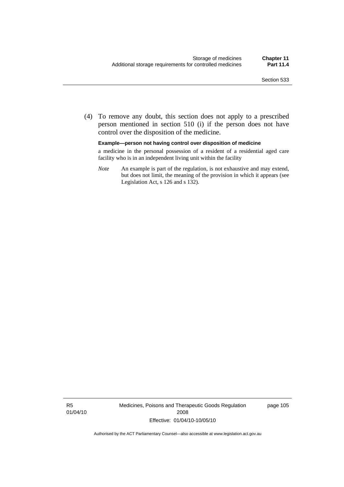(4) To remove any doubt, this section does not apply to a prescribed person mentioned in section 510 (i) if the person does not have control over the disposition of the medicine.

**Example—person not having control over disposition of medicine** 

a medicine in the personal possession of a resident of a residential aged care facility who is in an independent living unit within the facility

*Note* An example is part of the regulation, is not exhaustive and may extend, but does not limit, the meaning of the provision in which it appears (see Legislation Act, s 126 and s 132).

R5 01/04/10 Medicines, Poisons and Therapeutic Goods Regulation 2008 Effective: 01/04/10-10/05/10

page 105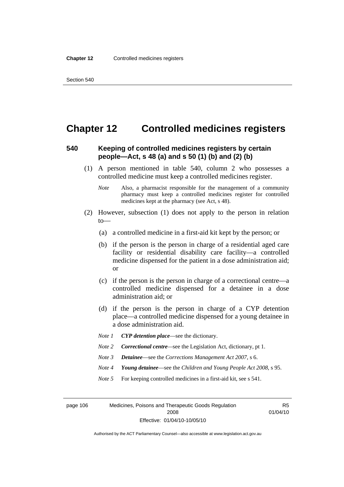## **Chapter 12 Controlled medicines registers**

#### **540 Keeping of controlled medicines registers by certain people—Act, s 48 (a) and s 50 (1) (b) and (2) (b)**

- (1) A person mentioned in table 540, column 2 who possesses a controlled medicine must keep a controlled medicines register.
	- *Note* Also, a pharmacist responsible for the management of a community pharmacy must keep a controlled medicines register for controlled medicines kept at the pharmacy (see Act, s 48).
- (2) However, subsection (1) does not apply to the person in relation to—
	- (a) a controlled medicine in a first-aid kit kept by the person; or
	- (b) if the person is the person in charge of a residential aged care facility or residential disability care facility—a controlled medicine dispensed for the patient in a dose administration aid; or
	- (c) if the person is the person in charge of a correctional centre—a controlled medicine dispensed for a detainee in a dose administration aid; or
	- (d) if the person is the person in charge of a CYP detention place—a controlled medicine dispensed for a young detainee in a dose administration aid.
	- *Note 1 CYP detention place*—see the dictionary.
	- *Note 2 Correctional centre*—see the Legislation Act, dictionary, pt 1.
	- *Note 3 Detainee*—see the *Corrections Management Act 2007*, s 6.
	- *Note 4 Young detainee*—see the *Children and Young People Act 2008*, s 95.
	- *Note* 5 For keeping controlled medicines in a first-aid kit, see s 541.

page 106 Medicines, Poisons and Therapeutic Goods Regulation 2008 Effective: 01/04/10-10/05/10

R5 01/04/10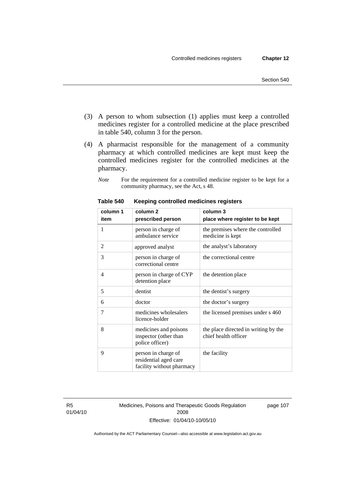- (3) A person to whom subsection (1) applies must keep a controlled medicines register for a controlled medicine at the place prescribed in table 540, column 3 for the person.
- (4) A pharmacist responsible for the management of a community pharmacy at which controlled medicines are kept must keep the controlled medicines register for the controlled medicines at the pharmacy.
	- *Note* For the requirement for a controlled medicine register to be kept for a community pharmacy, see the Act, s 48.

| column 1 | column <sub>2</sub>                                                       | column 3                                                     |
|----------|---------------------------------------------------------------------------|--------------------------------------------------------------|
| item     | prescribed person                                                         | place where register to be kept                              |
| 1        | person in charge of<br>ambulance service                                  | the premises where the controlled<br>medicine is kept        |
| 2        | approved analyst                                                          | the analyst's laboratory                                     |
| 3        | person in charge of<br>correctional centre                                | the correctional centre                                      |
| 4        | person in charge of CYP<br>detention place                                | the detention place                                          |
| 5        | dentist                                                                   | the dentist's surgery                                        |
| 6        | doctor                                                                    | the doctor's surgery                                         |
| 7        | medicines wholesalers<br>licence-holder                                   | the licensed premises under s 460                            |
| 8        | medicines and poisons<br>inspector (other than<br>police officer)         | the place directed in writing by the<br>chief health officer |
| 9        | person in charge of<br>residential aged care<br>facility without pharmacy | the facility                                                 |

**Table 540 Keeping controlled medicines registers** 

R5 01/04/10 Medicines, Poisons and Therapeutic Goods Regulation 2008 Effective: 01/04/10-10/05/10

page 107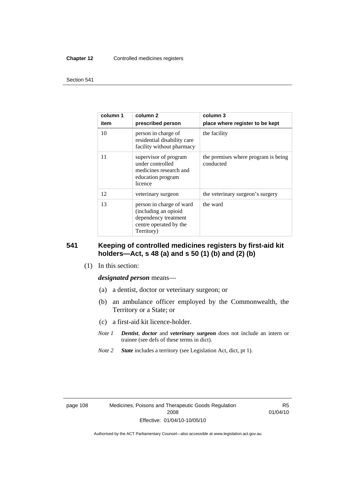#### **Chapter 12** Controlled medicines registers

#### Section 541

| column 1<br>item | column 2<br>prescribed person                                                                                    | column 3<br>place where register to be kept      |
|------------------|------------------------------------------------------------------------------------------------------------------|--------------------------------------------------|
| 10               | person in charge of<br>residential disability care<br>facility without pharmacy                                  | the facility                                     |
| 11               | supervisor of program<br>under controlled<br>medicines research and<br>education program<br>licence              | the premises where program is being<br>conducted |
| 12               | veterinary surgeon                                                                                               | the veterinary surgeon's surgery                 |
| 13               | person in charge of ward<br>(including an opioid<br>dependency treatment<br>centre operated by the<br>Territory) | the ward                                         |

#### **541 Keeping of controlled medicines registers by first-aid kit holders—Act, s 48 (a) and s 50 (1) (b) and (2) (b)**

(1) In this section:

#### *designated person* means—

- (a) a dentist, doctor or veterinary surgeon; or
- (b) an ambulance officer employed by the Commonwealth, the Territory or a State; or
- (c) a first-aid kit licence-holder.
- *Note 1 Dentist*, *doctor* and *veterinary surgeon* does not include an intern or trainee (see defs of these terms in dict).
- *Note 2 State* includes a territory (see Legislation Act, dict, pt 1).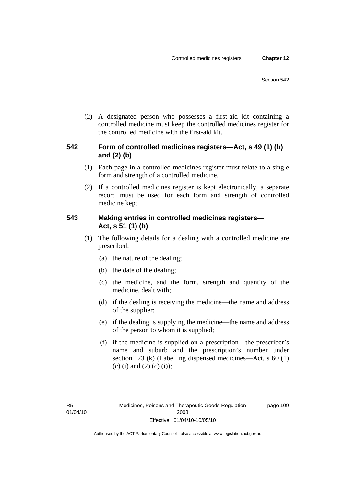(2) A designated person who possesses a first-aid kit containing a controlled medicine must keep the controlled medicines register for the controlled medicine with the first-aid kit.

## **542 Form of controlled medicines registers—Act, s 49 (1) (b) and (2) (b)**

- (1) Each page in a controlled medicines register must relate to a single form and strength of a controlled medicine.
- (2) If a controlled medicines register is kept electronically, a separate record must be used for each form and strength of controlled medicine kept.

## **543 Making entries in controlled medicines registers— Act, s 51 (1) (b)**

- (1) The following details for a dealing with a controlled medicine are prescribed:
	- (a) the nature of the dealing;
	- (b) the date of the dealing;
	- (c) the medicine, and the form, strength and quantity of the medicine, dealt with;
	- (d) if the dealing is receiving the medicine—the name and address of the supplier;
	- (e) if the dealing is supplying the medicine—the name and address of the person to whom it is supplied;
	- (f) if the medicine is supplied on a prescription—the prescriber's name and suburb and the prescription's number under section 123 (k) (Labelling dispensed medicines—Act, s 60 (1) (c) (i) and (2) (c) (i));

page 109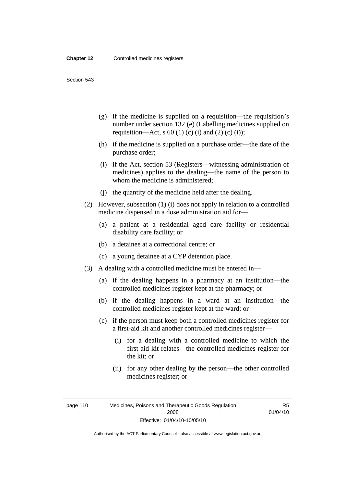Section 543

- (g) if the medicine is supplied on a requisition—the requisition's number under section 132 (e) (Labelling medicines supplied on requisition—Act, s 60 (1) (c) (i) and (2) (c) (i));
- (h) if the medicine is supplied on a purchase order—the date of the purchase order;
- (i) if the Act, section 53 (Registers—witnessing administration of medicines) applies to the dealing—the name of the person to whom the medicine is administered;
- (j) the quantity of the medicine held after the dealing.
- (2) However, subsection (1) (i) does not apply in relation to a controlled medicine dispensed in a dose administration aid for—
	- (a) a patient at a residential aged care facility or residential disability care facility; or
	- (b) a detainee at a correctional centre; or
	- (c) a young detainee at a CYP detention place.
- (3) A dealing with a controlled medicine must be entered in—
	- (a) if the dealing happens in a pharmacy at an institution—the controlled medicines register kept at the pharmacy; or
	- (b) if the dealing happens in a ward at an institution—the controlled medicines register kept at the ward; or
	- (c) if the person must keep both a controlled medicines register for a first-aid kit and another controlled medicines register—
		- (i) for a dealing with a controlled medicine to which the first-aid kit relates—the controlled medicines register for the kit; or
		- (ii) for any other dealing by the person—the other controlled medicines register; or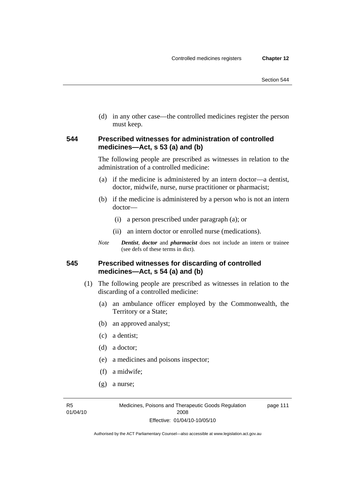(d) in any other case—the controlled medicines register the person must keep.

#### **544 Prescribed witnesses for administration of controlled medicines—Act, s 53 (a) and (b)**

The following people are prescribed as witnesses in relation to the administration of a controlled medicine:

- (a) if the medicine is administered by an intern doctor—a dentist, doctor, midwife, nurse, nurse practitioner or pharmacist;
- (b) if the medicine is administered by a person who is not an intern doctor—
	- (i) a person prescribed under paragraph (a); or
	- (ii) an intern doctor or enrolled nurse (medications).
- *Note Dentist*, *doctor* and *pharmacist* does not include an intern or trainee (see defs of these terms in dict).

#### **545 Prescribed witnesses for discarding of controlled medicines—Act, s 54 (a) and (b)**

- (1) The following people are prescribed as witnesses in relation to the discarding of a controlled medicine:
	- (a) an ambulance officer employed by the Commonwealth, the Territory or a State;
	- (b) an approved analyst;
	- (c) a dentist;
	- (d) a doctor;
	- (e) a medicines and poisons inspector;
	- (f) a midwife;
	- (g) a nurse;

R5 01/04/10 page 111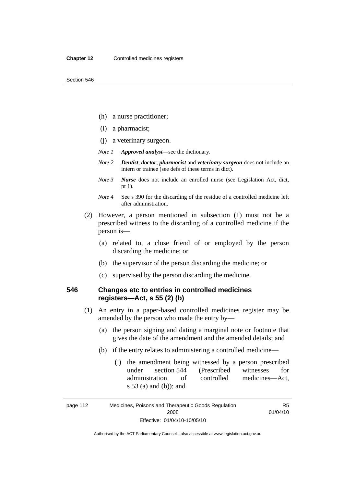- (h) a nurse practitioner;
- (i) a pharmacist;
- (j) a veterinary surgeon.
- *Note 1 Approved analyst*—see the dictionary.
- *Note 2 Dentist*, *doctor*, *pharmacist* and *veterinary surgeon* does not include an intern or trainee (see defs of these terms in dict).
- *Note 3 Nurse* does not include an enrolled nurse (see Legislation Act, dict, pt 1).
- *Note 4* See s 390 for the discarding of the residue of a controlled medicine left after administration.
- (2) However, a person mentioned in subsection (1) must not be a prescribed witness to the discarding of a controlled medicine if the person is—
	- (a) related to, a close friend of or employed by the person discarding the medicine; or
	- (b) the supervisor of the person discarding the medicine; or
	- (c) supervised by the person discarding the medicine.

## **546 Changes etc to entries in controlled medicines registers—Act, s 55 (2) (b)**

- (1) An entry in a paper-based controlled medicines register may be amended by the person who made the entry by—
	- (a) the person signing and dating a marginal note or footnote that gives the date of the amendment and the amended details; and
	- (b) if the entry relates to administering a controlled medicine—
		- (i) the amendment being witnessed by a person prescribed under section 544 (Prescribed witnesses for administration of controlled medicines—Act, s 53 (a) and (b)); and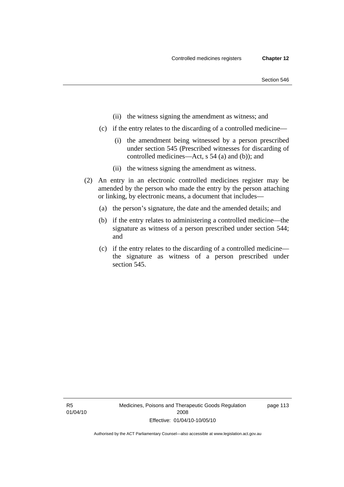- (ii) the witness signing the amendment as witness; and
- (c) if the entry relates to the discarding of a controlled medicine—
	- (i) the amendment being witnessed by a person prescribed under section 545 (Prescribed witnesses for discarding of controlled medicines—Act, s 54 (a) and (b)); and
	- (ii) the witness signing the amendment as witness.
- (2) An entry in an electronic controlled medicines register may be amended by the person who made the entry by the person attaching or linking, by electronic means, a document that includes—
	- (a) the person's signature, the date and the amended details; and
	- (b) if the entry relates to administering a controlled medicine—the signature as witness of a person prescribed under section 544; and
	- (c) if the entry relates to the discarding of a controlled medicine the signature as witness of a person prescribed under section 545.

page 113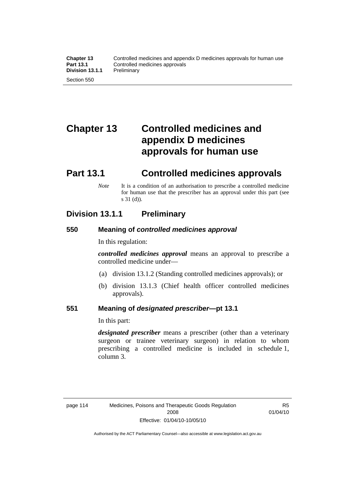# **Chapter 13 Controlled medicines and appendix D medicines approvals for human use**

# **Part 13.1 Controlled medicines approvals**

*Note* It is a condition of an authorisation to prescribe a controlled medicine for human use that the prescriber has an approval under this part (see s 31 (d)).

## **Division 13.1.1 Preliminary**

#### **550 Meaning of** *controlled medicines approval*

In this regulation:

*controlled medicines approval* means an approval to prescribe a controlled medicine under—

- (a) division 13.1.2 (Standing controlled medicines approvals); or
- (b) division 13.1.3 (Chief health officer controlled medicines approvals).

#### **551 Meaning of** *designated prescriber***—pt 13.1**

In this part:

*designated prescriber* means a prescriber (other than a veterinary surgeon or trainee veterinary surgeon) in relation to whom prescribing a controlled medicine is included in schedule 1, column 3.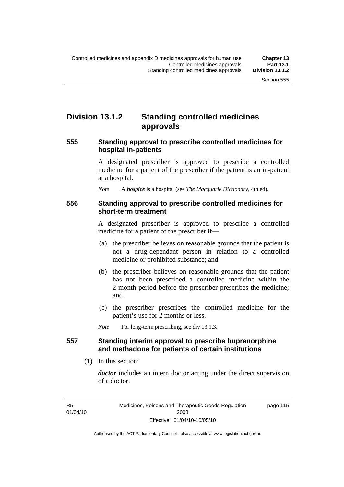## **Division 13.1.2 Standing controlled medicines approvals**

#### **555 Standing approval to prescribe controlled medicines for hospital in-patients**

A designated prescriber is approved to prescribe a controlled medicine for a patient of the prescriber if the patient is an in-patient at a hospital.

*Note* A *hospice* is a hospital (see *The Macquarie Dictionary*, 4th ed).

#### **556 Standing approval to prescribe controlled medicines for short-term treatment**

A designated prescriber is approved to prescribe a controlled medicine for a patient of the prescriber if—

- (a) the prescriber believes on reasonable grounds that the patient is not a drug-dependant person in relation to a controlled medicine or prohibited substance; and
- (b) the prescriber believes on reasonable grounds that the patient has not been prescribed a controlled medicine within the 2-month period before the prescriber prescribes the medicine; and
- (c) the prescriber prescribes the controlled medicine for the patient's use for 2 months or less.

*Note* For long-term prescribing, see div 13.1.3.

#### **557 Standing interim approval to prescribe buprenorphine and methadone for patients of certain institutions**

(1) In this section:

*doctor* includes an intern doctor acting under the direct supervision of a doctor.

page 115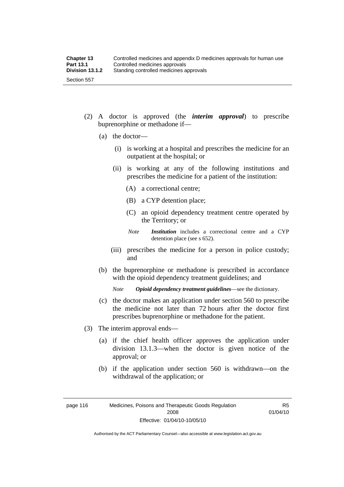- (2) A doctor is approved (the *interim approval*) to prescribe buprenorphine or methadone if—
	- (a) the doctor—
		- (i) is working at a hospital and prescribes the medicine for an outpatient at the hospital; or
		- (ii) is working at any of the following institutions and prescribes the medicine for a patient of the institution:
			- (A) a correctional centre;
			- (B) a CYP detention place;
			- (C) an opioid dependency treatment centre operated by the Territory; or
			- *Note Institution* includes a correctional centre and a CYP detention place (see s 652).
		- (iii) prescribes the medicine for a person in police custody; and
	- (b) the buprenorphine or methadone is prescribed in accordance with the opioid dependency treatment guidelines; and

*Note Opioid dependency treatment guidelines*—see the dictionary.

- (c) the doctor makes an application under section 560 to prescribe the medicine not later than 72 hours after the doctor first prescribes buprenorphine or methadone for the patient.
- (3) The interim approval ends—
	- (a) if the chief health officer approves the application under division 13.1.3—when the doctor is given notice of the approval; or
	- (b) if the application under section 560 is withdrawn—on the withdrawal of the application; or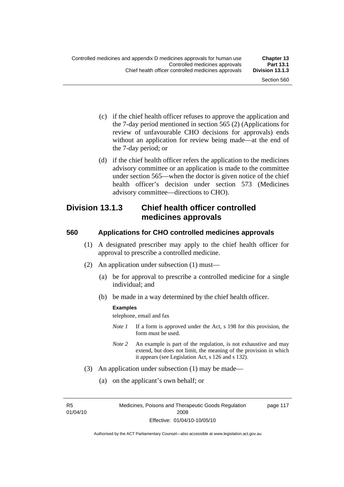- (c) if the chief health officer refuses to approve the application and the 7-day period mentioned in section 565 (2) (Applications for review of unfavourable CHO decisions for approvals) ends without an application for review being made—at the end of the 7-day period; or
- (d) if the chief health officer refers the application to the medicines advisory committee or an application is made to the committee under section 565—when the doctor is given notice of the chief health officer's decision under section 573 (Medicines advisory committee—directions to CHO).

## **Division 13.1.3 Chief health officer controlled medicines approvals**

#### **560 Applications for CHO controlled medicines approvals**

- (1) A designated prescriber may apply to the chief health officer for approval to prescribe a controlled medicine.
- (2) An application under subsection (1) must—
	- (a) be for approval to prescribe a controlled medicine for a single individual; and
	- (b) be made in a way determined by the chief health officer.

#### **Examples**

telephone, email and fax

- *Note 1* If a form is approved under the Act, s 198 for this provision, the form must be used.
- *Note 2* An example is part of the regulation, is not exhaustive and may extend, but does not limit, the meaning of the provision in which it appears (see Legislation Act, s 126 and s 132).
- (3) An application under subsection (1) may be made—
	- (a) on the applicant's own behalf; or

R5 01/04/10 page 117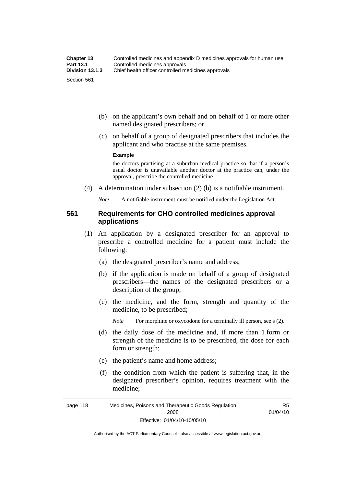- (b) on the applicant's own behalf and on behalf of 1 or more other named designated prescribers; or
- (c) on behalf of a group of designated prescribers that includes the applicant and who practise at the same premises.

#### **Example**

the doctors practising at a suburban medical practice so that if a person's usual doctor is unavailable another doctor at the practice can, under the approval, prescribe the controlled medicine

(4) A determination under subsection (2) (b) is a notifiable instrument.

*Note* A notifiable instrument must be notified under the Legislation Act.

#### **561 Requirements for CHO controlled medicines approval applications**

- (1) An application by a designated prescriber for an approval to prescribe a controlled medicine for a patient must include the following:
	- (a) the designated prescriber's name and address;
	- (b) if the application is made on behalf of a group of designated prescribers—the names of the designated prescribers or a description of the group;
	- (c) the medicine, and the form, strength and quantity of the medicine, to be prescribed;

*Note* For morphine or oxycodone for a terminally ill person, see s (2).

- (d) the daily dose of the medicine and, if more than 1 form or strength of the medicine is to be prescribed, the dose for each form or strength;
- (e) the patient's name and home address;
- (f) the condition from which the patient is suffering that, in the designated prescriber's opinion, requires treatment with the medicine;

R5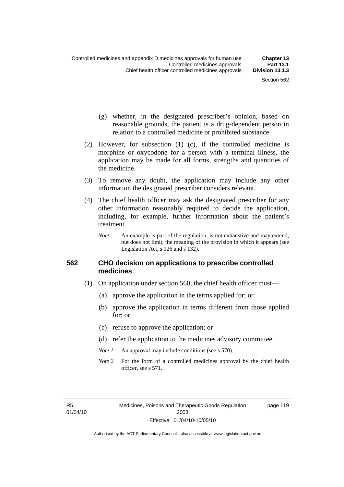page 119

- (g) whether, in the designated prescriber's opinion, based on reasonable grounds, the patient is a drug-dependent person in relation to a controlled medicine or prohibited substance.
- (2) However, for subsection (1) (c), if the controlled medicine is morphine or oxycodone for a person with a terminal illness, the application may be made for all forms, strengths and quantities of the medicine.
- (3) To remove any doubt, the application may include any other information the designated prescriber considers relevant.
- (4) The chief health officer may ask the designated prescriber for any other information reasonably required to decide the application, including, for example, further information about the patient's treatment.
	- *Note* An example is part of the regulation, is not exhaustive and may extend, but does not limit, the meaning of the provision in which it appears (see Legislation Act, s 126 and s 132).

#### **562 CHO decision on applications to prescribe controlled medicines**

- (1) On application under section 560, the chief health officer must—
	- (a) approve the application in the terms applied for; or
	- (b) approve the application in terms different from those applied for; or
	- (c) refuse to approve the application; or
	- (d) refer the application to the medicines advisory committee.
	- *Note 1* An approval may include conditions (see s 570).
	- *Note* 2 For the form of a controlled medicines approval by the chief health officer, see s 571.

R5 01/04/10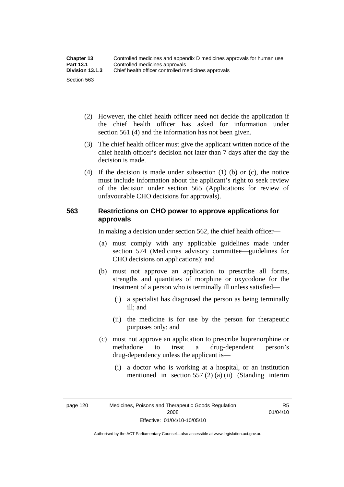| <b>Chapter 13</b> | Controlled medicines and appendix D medicines approvals for human use |  |
|-------------------|-----------------------------------------------------------------------|--|
| <b>Part 13.1</b>  | Controlled medicines approvals                                        |  |
| Division 13.1.3   | Chief health officer controlled medicines approvals                   |  |
| Section 563       |                                                                       |  |

- (2) However, the chief health officer need not decide the application if the chief health officer has asked for information under section 561 (4) and the information has not been given.
- (3) The chief health officer must give the applicant written notice of the chief health officer's decision not later than 7 days after the day the decision is made.
- (4) If the decision is made under subsection (1) (b) or (c), the notice must include information about the applicant's right to seek review of the decision under section 565 (Applications for review of unfavourable CHO decisions for approvals).

#### **563 Restrictions on CHO power to approve applications for approvals**

In making a decision under section 562, the chief health officer—

- (a) must comply with any applicable guidelines made under section 574 (Medicines advisory committee—guidelines for CHO decisions on applications); and
- (b) must not approve an application to prescribe all forms, strengths and quantities of morphine or oxycodone for the treatment of a person who is terminally ill unless satisfied—
	- (i) a specialist has diagnosed the person as being terminally ill; and
	- (ii) the medicine is for use by the person for therapeutic purposes only; and
- (c) must not approve an application to prescribe buprenorphine or methadone to treat a drug-dependent person's drug-dependency unless the applicant is—
	- (i) a doctor who is working at a hospital, or an institution mentioned in section 557 (2) (a) (ii) (Standing interim

R5 01/04/10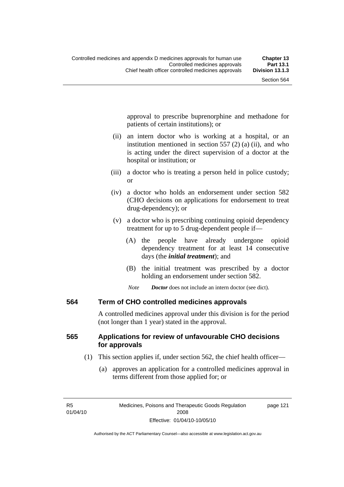approval to prescribe buprenorphine and methadone for patients of certain institutions); or

- (ii) an intern doctor who is working at a hospital, or an institution mentioned in section 557 (2) (a) (ii), and who is acting under the direct supervision of a doctor at the hospital or institution; or
- (iii) a doctor who is treating a person held in police custody; or
- (iv) a doctor who holds an endorsement under section 582 (CHO decisions on applications for endorsement to treat drug-dependency); or
- (v) a doctor who is prescribing continuing opioid dependency treatment for up to 5 drug-dependent people if—
	- (A) the people have already undergone opioid dependency treatment for at least 14 consecutive days (the *initial treatment*); and
	- (B) the initial treatment was prescribed by a doctor holding an endorsement under section 582.
	- *Note Doctor* does not include an intern doctor (see dict).

#### **564 Term of CHO controlled medicines approvals**

A controlled medicines approval under this division is for the period (not longer than 1 year) stated in the approval.

### **565 Applications for review of unfavourable CHO decisions for approvals**

- (1) This section applies if, under section 562, the chief health officer—
	- (a) approves an application for a controlled medicines approval in terms different from those applied for; or

page 121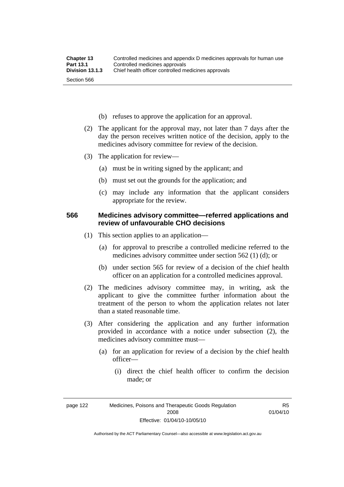- (b) refuses to approve the application for an approval.
- (2) The applicant for the approval may, not later than 7 days after the day the person receives written notice of the decision, apply to the medicines advisory committee for review of the decision.
- (3) The application for review—
	- (a) must be in writing signed by the applicant; and
	- (b) must set out the grounds for the application; and
	- (c) may include any information that the applicant considers appropriate for the review.

#### **566 Medicines advisory committee—referred applications and review of unfavourable CHO decisions**

- (1) This section applies to an application—
	- (a) for approval to prescribe a controlled medicine referred to the medicines advisory committee under section 562 (1) (d); or
	- (b) under section 565 for review of a decision of the chief health officer on an application for a controlled medicines approval.
- (2) The medicines advisory committee may, in writing, ask the applicant to give the committee further information about the treatment of the person to whom the application relates not later than a stated reasonable time.
- (3) After considering the application and any further information provided in accordance with a notice under subsection (2), the medicines advisory committee must—
	- (a) for an application for review of a decision by the chief health officer—
		- (i) direct the chief health officer to confirm the decision made; or

Authorised by the ACT Parliamentary Counsel—also accessible at www.legislation.act.gov.au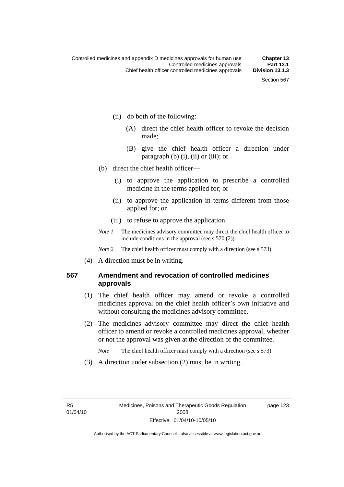- (ii) do both of the following:
	- (A) direct the chief health officer to revoke the decision made;
	- (B) give the chief health officer a direction under paragraph  $(b)$   $(i)$ ,  $(ii)$  or  $(iii)$ ; or
- (b) direct the chief health officer—
	- (i) to approve the application to prescribe a controlled medicine in the terms applied for; or
	- (ii) to approve the application in terms different from those applied for; or
	- (iii) to refuse to approve the application.
- *Note 1* The medicines advisory committee may direct the chief health officer to include conditions in the approval (see s 570 (2)).

*Note* 2 The chief health officer must comply with a direction (see s 573).

(4) A direction must be in writing.

### **567 Amendment and revocation of controlled medicines approvals**

- (1) The chief health officer may amend or revoke a controlled medicines approval on the chief health officer's own initiative and without consulting the medicines advisory committee.
- (2) The medicines advisory committee may direct the chief health officer to amend or revoke a controlled medicines approval, whether or not the approval was given at the direction of the committee.

*Note* The chief health officer must comply with a direction (see s 573).

(3) A direction under subsection (2) must be in writing.

page 123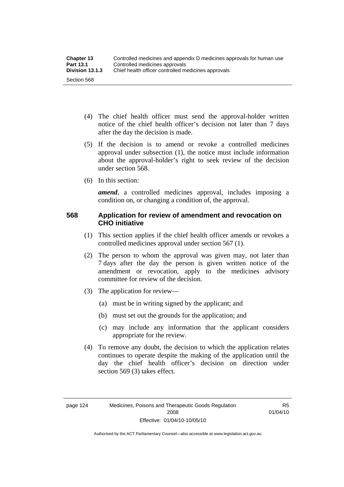- (4) The chief health officer must send the approval-holder written notice of the chief health officer's decision not later than 7 days after the day the decision is made.
- (5) If the decision is to amend or revoke a controlled medicines approval under subsection (1), the notice must include information about the approval-holder's right to seek review of the decision under section 568.
- (6) In this section:

*amend*, a controlled medicines approval, includes imposing a condition on, or changing a condition of, the approval.

### **568 Application for review of amendment and revocation on CHO initiative**

- (1) This section applies if the chief health officer amends or revokes a controlled medicines approval under section 567 (1).
- (2) The person to whom the approval was given may, not later than 7 days after the day the person is given written notice of the amendment or revocation, apply to the medicines advisory committee for review of the decision.
- (3) The application for review—
	- (a) must be in writing signed by the applicant; and
	- (b) must set out the grounds for the application; and
	- (c) may include any information that the applicant considers appropriate for the review.
- (4) To remove any doubt, the decision to which the application relates continues to operate despite the making of the application until the day the chief health officer's decision on direction under section 569 (3) takes effect.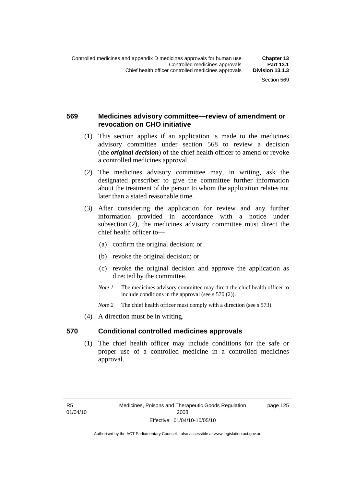page 125

### **569 Medicines advisory committee—review of amendment or revocation on CHO initiative**

- (1) This section applies if an application is made to the medicines advisory committee under section 568 to review a decision (the *original decision*) of the chief health officer to amend or revoke a controlled medicines approval.
- (2) The medicines advisory committee may, in writing, ask the designated prescriber to give the committee further information about the treatment of the person to whom the application relates not later than a stated reasonable time.
- (3) After considering the application for review and any further information provided in accordance with a notice under subsection (2), the medicines advisory committee must direct the chief health officer to—
	- (a) confirm the original decision; or
	- (b) revoke the original decision; or
	- (c) revoke the original decision and approve the application as directed by the committee.
	- *Note 1* The medicines advisory committee may direct the chief health officer to include conditions in the approval (see s 570 (2)).
	- *Note* 2 The chief health officer must comply with a direction (see s 573).
- (4) A direction must be in writing.

#### **570 Conditional controlled medicines approvals**

 (1) The chief health officer may include conditions for the safe or proper use of a controlled medicine in a controlled medicines approval.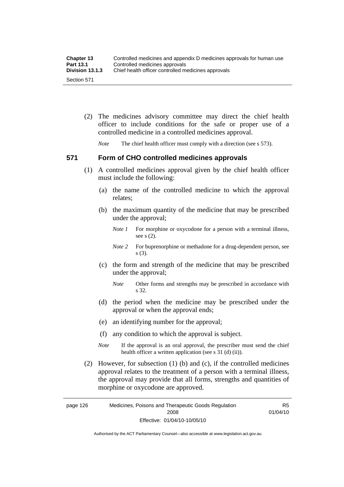| <b>Chapter 13</b> | Controlled medicines and appendix D medicines approvals for human use |
|-------------------|-----------------------------------------------------------------------|
| <b>Part 13.1</b>  | Controlled medicines approvals                                        |
| Division 13.1.3   | Chief health officer controlled medicines approvals                   |
| Section 571       |                                                                       |

 (2) The medicines advisory committee may direct the chief health officer to include conditions for the safe or proper use of a controlled medicine in a controlled medicines approval.

*Note* The chief health officer must comply with a direction (see s 573).

### **571 Form of CHO controlled medicines approvals**

- (1) A controlled medicines approval given by the chief health officer must include the following:
	- (a) the name of the controlled medicine to which the approval relates;
	- (b) the maximum quantity of the medicine that may be prescribed under the approval;
		- *Note 1* For morphine or oxycodone for a person with a terminal illness, see s (2).
		- *Note* 2 For buprenorphine or methadone for a drug-dependent person, see s (3).
	- (c) the form and strength of the medicine that may be prescribed under the approval;
		- *Note* Other forms and strengths may be prescribed in accordance with s 32.
	- (d) the period when the medicine may be prescribed under the approval or when the approval ends;
	- (e) an identifying number for the approval;
	- (f) any condition to which the approval is subject.
	- *Note* If the approval is an oral approval, the prescriber must send the chief health officer a written application (see s  $31$  (d) (ii)).
- (2) However, for subsection (1) (b) and (c), if the controlled medicines approval relates to the treatment of a person with a terminal illness, the approval may provide that all forms, strengths and quantities of morphine or oxycodone are approved.

page 126 Medicines, Poisons and Therapeutic Goods Regulation 2008 Effective: 01/04/10-10/05/10 R5 01/04/10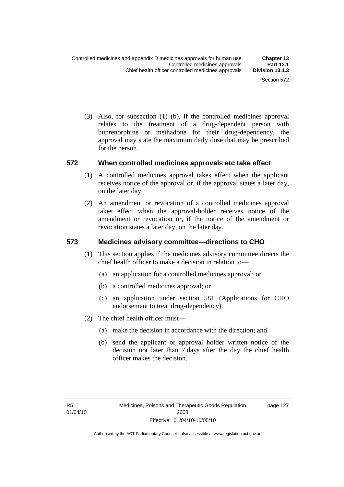(3) Also, for subsection (1) (b), if the controlled medicines approval relates to the treatment of a drug-dependent person with buprenorphine or methadone for their drug-dependency, the approval may state the maximum daily dose that may be prescribed for the person.

#### **572 When controlled medicines approvals etc take effect**

- (1) A controlled medicines approval takes effect when the applicant receives notice of the approval or, if the approval states a later day, on the later day.
- (2) An amendment or revocation of a controlled medicines approval takes effect when the approval-holder receives notice of the amendment or revocation or, if the notice of the amendment or revocation states a later day, on the later day.

#### **573 Medicines advisory committee—directions to CHO**

- (1) This section applies if the medicines advisory committee directs the chief health officer to make a decision in relation to—
	- (a) an application for a controlled medicines approval; or
	- (b) a controlled medicines approval; or
	- (c) an application under section 581 (Applications for CHO endorsement to treat drug-dependency).
- (2) The chief health officer must—
	- (a) make the decision in accordance with the direction; and
	- (b) send the applicant or approval holder written notice of the decision not later than 7 days after the day the chief health officer makes the decision.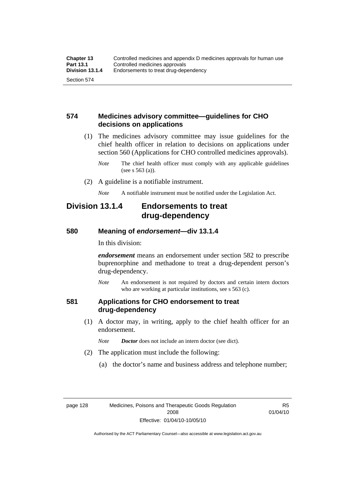### **574 Medicines advisory committee—guidelines for CHO decisions on applications**

 (1) The medicines advisory committee may issue guidelines for the chief health officer in relation to decisions on applications under section 560 (Applications for CHO controlled medicines approvals).

- (2) A guideline is a notifiable instrument.
	- *Note* A notifiable instrument must be notified under the Legislation Act.

## **Division 13.1.4 Endorsements to treat drug-dependency**

#### **580 Meaning of** *endorsement***—div 13.1.4**

In this division:

*endorsement* means an endorsement under section 582 to prescribe buprenorphine and methadone to treat a drug-dependent person's drug-dependency.

*Note* An endorsement is not required by doctors and certain intern doctors who are working at particular institutions, see s 563 (c).

#### **581 Applications for CHO endorsement to treat drug-dependency**

 (1) A doctor may, in writing, apply to the chief health officer for an endorsement.

*Note Doctor* does not include an intern doctor (see dict).

- (2) The application must include the following:
	- (a) the doctor's name and business address and telephone number;

R5 01/04/10

*Note* The chief health officer must comply with any applicable guidelines (see s 563 (a)).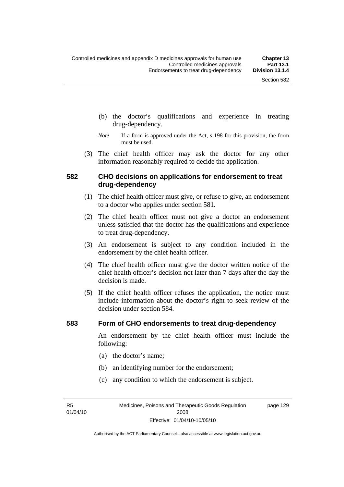- (b) the doctor's qualifications and experience in treating drug-dependency.
- *Note* If a form is approved under the Act, s 198 for this provision, the form must be used.
- (3) The chief health officer may ask the doctor for any other information reasonably required to decide the application.

#### **582 CHO decisions on applications for endorsement to treat drug-dependency**

- (1) The chief health officer must give, or refuse to give, an endorsement to a doctor who applies under section 581.
- (2) The chief health officer must not give a doctor an endorsement unless satisfied that the doctor has the qualifications and experience to treat drug-dependency.
- (3) An endorsement is subject to any condition included in the endorsement by the chief health officer.
- (4) The chief health officer must give the doctor written notice of the chief health officer's decision not later than 7 days after the day the decision is made.
- (5) If the chief health officer refuses the application, the notice must include information about the doctor's right to seek review of the decision under section 584.

#### **583 Form of CHO endorsements to treat drug-dependency**

An endorsement by the chief health officer must include the following:

- (a) the doctor's name;
- (b) an identifying number for the endorsement;
- (c) any condition to which the endorsement is subject.

R5 01/04/10 page 129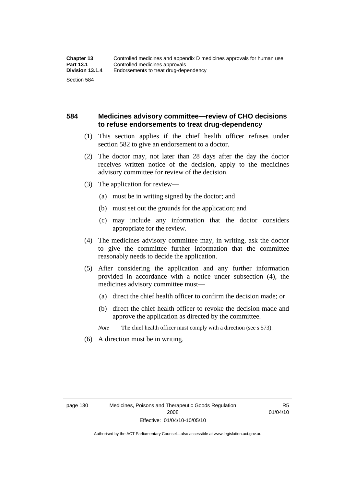### **584 Medicines advisory committee—review of CHO decisions to refuse endorsements to treat drug-dependency**

- (1) This section applies if the chief health officer refuses under section 582 to give an endorsement to a doctor.
- (2) The doctor may, not later than 28 days after the day the doctor receives written notice of the decision, apply to the medicines advisory committee for review of the decision.
- (3) The application for review—
	- (a) must be in writing signed by the doctor; and
	- (b) must set out the grounds for the application; and
	- (c) may include any information that the doctor considers appropriate for the review.
- (4) The medicines advisory committee may, in writing, ask the doctor to give the committee further information that the committee reasonably needs to decide the application.
- (5) After considering the application and any further information provided in accordance with a notice under subsection (4), the medicines advisory committee must—
	- (a) direct the chief health officer to confirm the decision made; or
	- (b) direct the chief health officer to revoke the decision made and approve the application as directed by the committee.

*Note* The chief health officer must comply with a direction (see s 573).

(6) A direction must be in writing.

R5 01/04/10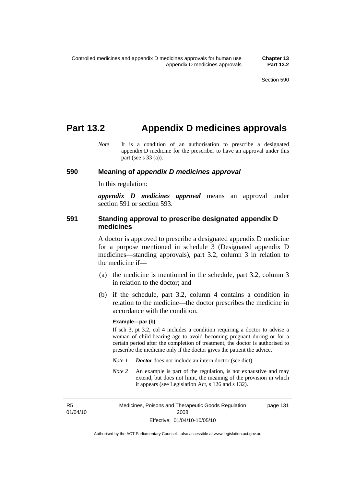## **Part 13.2 Appendix D medicines approvals**

*Note* It is a condition of an authorisation to prescribe a designated appendix D medicine for the prescriber to have an approval under this part (see s 33 (a)).

#### **590 Meaning of** *appendix D medicines approval*

In this regulation:

*appendix D medicines approval* means an approval under section 591 or section 593.

#### **591 Standing approval to prescribe designated appendix D medicines**

A doctor is approved to prescribe a designated appendix D medicine for a purpose mentioned in schedule 3 (Designated appendix D medicines—standing approvals), part 3.2, column 3 in relation to the medicine if—

- (a) the medicine is mentioned in the schedule, part 3.2, column 3 in relation to the doctor; and
- (b) if the schedule, part 3.2, column 4 contains a condition in relation to the medicine—the doctor prescribes the medicine in accordance with the condition.

#### **Example—par (b)**

If sch 3, pt 3.2, col 4 includes a condition requiring a doctor to advise a woman of child-bearing age to avoid becoming pregnant during or for a certain period after the completion of treatment, the doctor is authorised to prescribe the medicine only if the doctor gives the patient the advice.

- *Note 1 Doctor* does not include an intern doctor (see dict).
- *Note 2* An example is part of the regulation, is not exhaustive and may extend, but does not limit, the meaning of the provision in which it appears (see Legislation Act, s 126 and s 132).

R5 01/04/10 Medicines, Poisons and Therapeutic Goods Regulation 2008 Effective: 01/04/10-10/05/10 page 131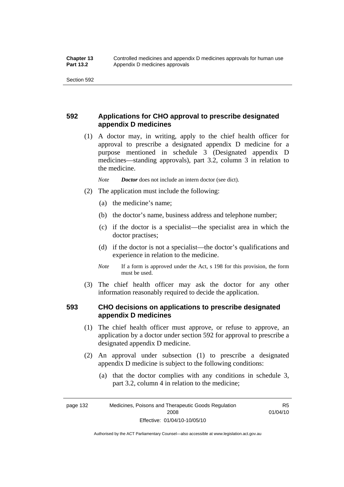### **592 Applications for CHO approval to prescribe designated appendix D medicines**

 (1) A doctor may, in writing, apply to the chief health officer for approval to prescribe a designated appendix D medicine for a purpose mentioned in schedule 3 (Designated appendix D medicines—standing approvals), part 3.2, column 3 in relation to the medicine.

*Note Doctor* does not include an intern doctor (see dict).

- (2) The application must include the following:
	- (a) the medicine's name;
	- (b) the doctor's name, business address and telephone number;
	- (c) if the doctor is a specialist—the specialist area in which the doctor practises;
	- (d) if the doctor is not a specialist—the doctor's qualifications and experience in relation to the medicine.
	- *Note* If a form is approved under the Act, s 198 for this provision, the form must be used.
- (3) The chief health officer may ask the doctor for any other information reasonably required to decide the application.

### **593 CHO decisions on applications to prescribe designated appendix D medicines**

- (1) The chief health officer must approve, or refuse to approve, an application by a doctor under section 592 for approval to prescribe a designated appendix D medicine.
- (2) An approval under subsection (1) to prescribe a designated appendix D medicine is subject to the following conditions:
	- (a) that the doctor complies with any conditions in schedule 3, part 3.2, column 4 in relation to the medicine;

Authorised by the ACT Parliamentary Counsel—also accessible at www.legislation.act.gov.au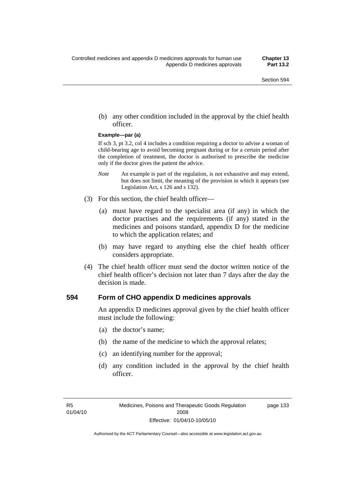(b) any other condition included in the approval by the chief health officer.

#### **Example—par (a)**

If sch 3, pt 3.2, col 4 includes a condition requiring a doctor to advise a woman of child-bearing age to avoid becoming pregnant during or for a certain period after the completion of treatment, the doctor is authorised to prescribe the medicine only if the doctor gives the patient the advice.

- *Note* An example is part of the regulation, is not exhaustive and may extend, but does not limit, the meaning of the provision in which it appears (see Legislation Act, s 126 and s 132).
- (3) For this section, the chief health officer—
	- (a) must have regard to the specialist area (if any) in which the doctor practises and the requirements (if any) stated in the medicines and poisons standard, appendix D for the medicine to which the application relates; and
	- (b) may have regard to anything else the chief health officer considers appropriate.
- (4) The chief health officer must send the doctor written notice of the chief health officer's decision not later than 7 days after the day the decision is made.

#### **594 Form of CHO appendix D medicines approvals**

An appendix D medicines approval given by the chief health officer must include the following:

- (a) the doctor's name;
- (b) the name of the medicine to which the approval relates;
- (c) an identifying number for the approval;
- (d) any condition included in the approval by the chief health officer.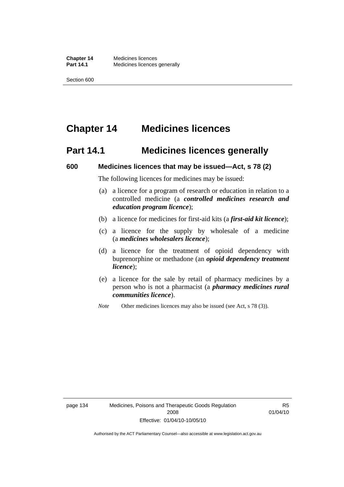# **Chapter 14 Medicines licences**

## **Part 14.1 Medicines licences generally**

#### **600 Medicines licences that may be issued—Act, s 78 (2)**

The following licences for medicines may be issued:

- (a) a licence for a program of research or education in relation to a controlled medicine (a *controlled medicines research and education program licence*);
- (b) a licence for medicines for first-aid kits (a *first-aid kit licence*);
- (c) a licence for the supply by wholesale of a medicine (a *medicines wholesalers licence*);
- (d) a licence for the treatment of opioid dependency with buprenorphine or methadone (an *opioid dependency treatment licence*);
- (e) a licence for the sale by retail of pharmacy medicines by a person who is not a pharmacist (a *pharmacy medicines rural communities licence*).
- *Note* Other medicines licences may also be issued (see Act, s 78 (3)).

R5 01/04/10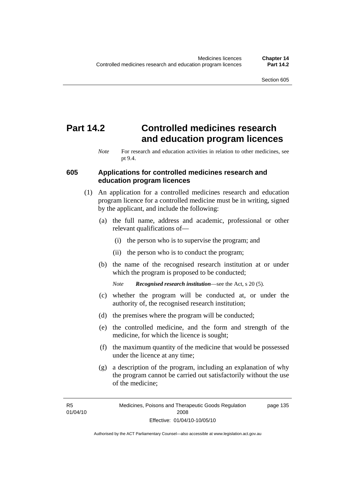# **Part 14.2 Controlled medicines research and education program licences**

#### **605 Applications for controlled medicines research and education program licences**

- (1) An application for a controlled medicines research and education program licence for a controlled medicine must be in writing, signed by the applicant, and include the following:
	- (a) the full name, address and academic, professional or other relevant qualifications of—
		- (i) the person who is to supervise the program; and
		- (ii) the person who is to conduct the program;
	- (b) the name of the recognised research institution at or under which the program is proposed to be conducted;

*Note Recognised research institution*—see the Act, s 20 (5).

- (c) whether the program will be conducted at, or under the authority of, the recognised research institution;
- (d) the premises where the program will be conducted;
- (e) the controlled medicine, and the form and strength of the medicine, for which the licence is sought;
- (f) the maximum quantity of the medicine that would be possessed under the licence at any time;
- (g) a description of the program, including an explanation of why the program cannot be carried out satisfactorily without the use of the medicine;

*Note* For research and education activities in relation to other medicines, see pt 9.4.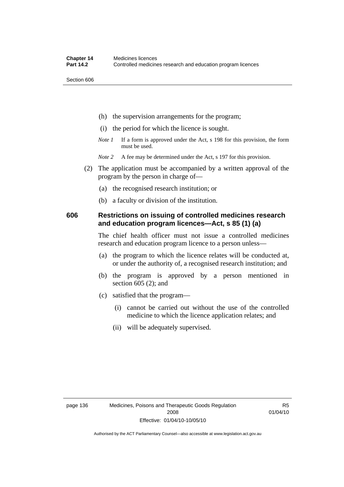Section 606

- (h) the supervision arrangements for the program;
- (i) the period for which the licence is sought.
- *Note 1* If a form is approved under the Act, s 198 for this provision, the form must be used.
- *Note* 2 A fee may be determined under the Act, s 197 for this provision.
- (2) The application must be accompanied by a written approval of the program by the person in charge of—
	- (a) the recognised research institution; or
	- (b) a faculty or division of the institution.

#### **606 Restrictions on issuing of controlled medicines research and education program licences—Act, s 85 (1) (a)**

The chief health officer must not issue a controlled medicines research and education program licence to a person unless—

- (a) the program to which the licence relates will be conducted at, or under the authority of, a recognised research institution; and
- (b) the program is approved by a person mentioned in section 605 (2); and
- (c) satisfied that the program—
	- (i) cannot be carried out without the use of the controlled medicine to which the licence application relates; and
	- (ii) will be adequately supervised.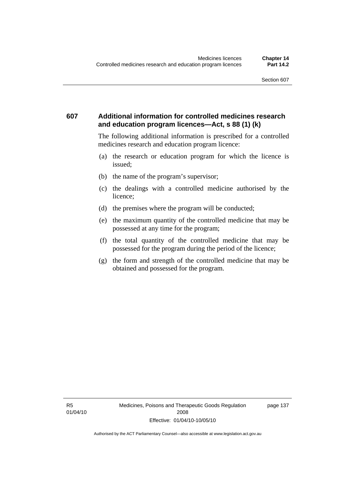### **607 Additional information for controlled medicines research and education program licences—Act, s 88 (1) (k)**

The following additional information is prescribed for a controlled medicines research and education program licence:

- (a) the research or education program for which the licence is issued;
- (b) the name of the program's supervisor;
- (c) the dealings with a controlled medicine authorised by the licence;
- (d) the premises where the program will be conducted;
- (e) the maximum quantity of the controlled medicine that may be possessed at any time for the program;
- (f) the total quantity of the controlled medicine that may be possessed for the program during the period of the licence;
- (g) the form and strength of the controlled medicine that may be obtained and possessed for the program.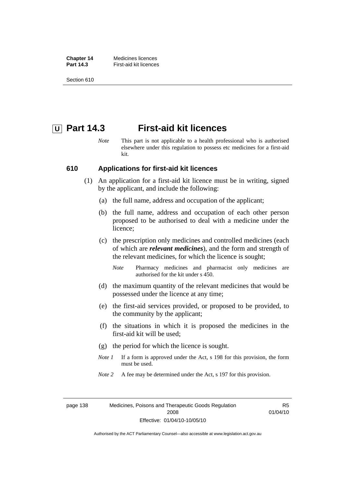**Chapter 14** Medicines licences **Part 14.3 First-aid kit licences** 

Section 610

## **U** Part 14.3 First-aid kit licences

*Note* This part is not applicable to a health professional who is authorised elsewhere under this regulation to possess etc medicines for a first-aid kit.

#### **610 Applications for first-aid kit licences**

- (1) An application for a first-aid kit licence must be in writing, signed by the applicant, and include the following:
	- (a) the full name, address and occupation of the applicant;
	- (b) the full name, address and occupation of each other person proposed to be authorised to deal with a medicine under the licence;
	- (c) the prescription only medicines and controlled medicines (each of which are *relevant medicines*), and the form and strength of the relevant medicines, for which the licence is sought;
		- *Note* Pharmacy medicines and pharmacist only medicines are authorised for the kit under s 450.
	- (d) the maximum quantity of the relevant medicines that would be possessed under the licence at any time;
	- (e) the first-aid services provided, or proposed to be provided, to the community by the applicant;
	- (f) the situations in which it is proposed the medicines in the first-aid kit will be used;
	- (g) the period for which the licence is sought.
	- *Note 1* If a form is approved under the Act, s 198 for this provision, the form must be used.
	- *Note* 2 A fee may be determined under the Act, s 197 for this provision.

page 138 Medicines, Poisons and Therapeutic Goods Regulation 2008 Effective: 01/04/10-10/05/10

R5 01/04/10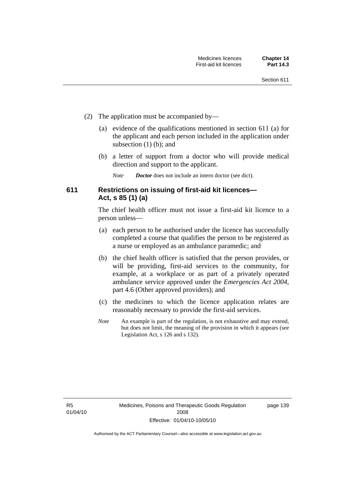- (2) The application must be accompanied by—
	- (a) evidence of the qualifications mentioned in section 611 (a) for the applicant and each person included in the application under subsection (1) (b); and
	- (b) a letter of support from a doctor who will provide medical direction and support to the applicant.
		- *Note Doctor* does not include an intern doctor (see dict).

### **611 Restrictions on issuing of first-aid kit licences— Act, s 85 (1) (a)**

The chief health officer must not issue a first-aid kit licence to a person unless—

- (a) each person to be authorised under the licence has successfully completed a course that qualifies the person to be registered as a nurse or employed as an ambulance paramedic; and
- (b) the chief health officer is satisfied that the person provides, or will be providing, first-aid services to the community, for example, at a workplace or as part of a privately operated ambulance service approved under the *Emergencies Act 2004*, part 4.6 (Other approved providers); and
- (c) the medicines to which the licence application relates are reasonably necessary to provide the first-aid services.
- *Note* An example is part of the regulation, is not exhaustive and may extend, but does not limit, the meaning of the provision in which it appears (see Legislation Act, s 126 and s 132).

page 139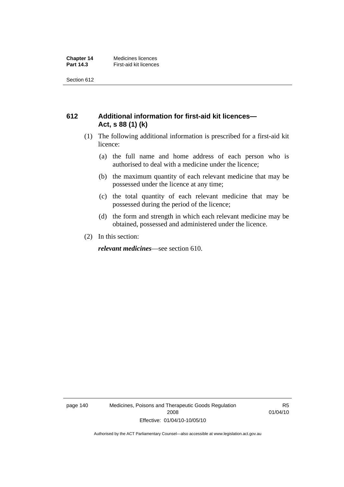Section 612

### **612 Additional information for first-aid kit licences— Act, s 88 (1) (k)**

- (1) The following additional information is prescribed for a first-aid kit licence:
	- (a) the full name and home address of each person who is authorised to deal with a medicine under the licence;
	- (b) the maximum quantity of each relevant medicine that may be possessed under the licence at any time;
	- (c) the total quantity of each relevant medicine that may be possessed during the period of the licence;
	- (d) the form and strength in which each relevant medicine may be obtained, possessed and administered under the licence.
- (2) In this section:

*relevant medicines*—see section 610.

page 140 Medicines, Poisons and Therapeutic Goods Regulation 2008 Effective: 01/04/10-10/05/10

R5 01/04/10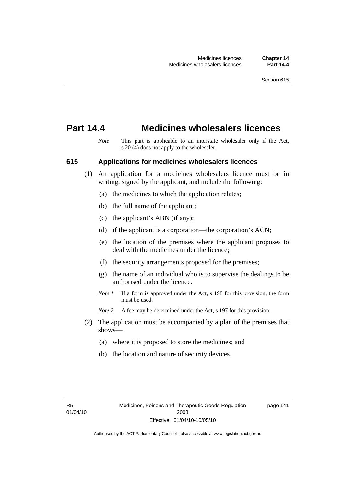## **Part 14.4 Medicines wholesalers licences**

*Note* This part is applicable to an interstate wholesaler only if the Act, s 20 (4) does not apply to the wholesaler.

#### **615 Applications for medicines wholesalers licences**

- (1) An application for a medicines wholesalers licence must be in writing, signed by the applicant, and include the following:
	- (a) the medicines to which the application relates;
	- (b) the full name of the applicant;
	- (c) the applicant's ABN (if any);
	- (d) if the applicant is a corporation—the corporation's ACN;
	- (e) the location of the premises where the applicant proposes to deal with the medicines under the licence;
	- (f) the security arrangements proposed for the premises;
	- (g) the name of an individual who is to supervise the dealings to be authorised under the licence.
	- *Note 1* If a form is approved under the Act, s 198 for this provision, the form must be used.
	- *Note* 2 A fee may be determined under the Act, s 197 for this provision.
- (2) The application must be accompanied by a plan of the premises that shows—
	- (a) where it is proposed to store the medicines; and
	- (b) the location and nature of security devices.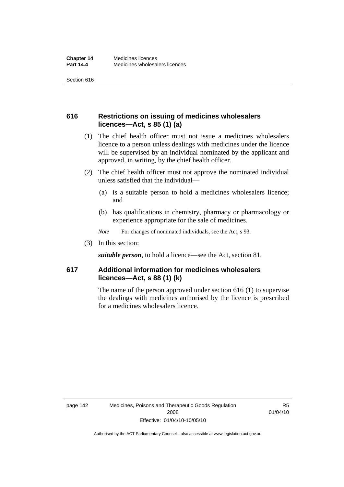Section 616

### **616 Restrictions on issuing of medicines wholesalers licences—Act, s 85 (1) (a)**

- (1) The chief health officer must not issue a medicines wholesalers licence to a person unless dealings with medicines under the licence will be supervised by an individual nominated by the applicant and approved, in writing, by the chief health officer.
- (2) The chief health officer must not approve the nominated individual unless satisfied that the individual—
	- (a) is a suitable person to hold a medicines wholesalers licence; and
	- (b) has qualifications in chemistry, pharmacy or pharmacology or experience appropriate for the sale of medicines.
	- *Note* For changes of nominated individuals, see the Act, s 93.
- (3) In this section:

*suitable person*, to hold a licence—see the Act, section 81.

### **617 Additional information for medicines wholesalers licences—Act, s 88 (1) (k)**

The name of the person approved under section 616 (1) to supervise the dealings with medicines authorised by the licence is prescribed for a medicines wholesalers licence.

R5 01/04/10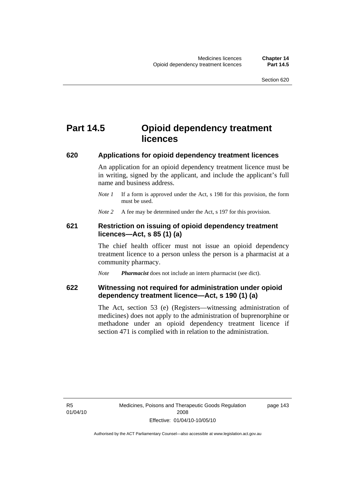# **Part 14.5 Opioid dependency treatment licences**

#### **620 Applications for opioid dependency treatment licences**

An application for an opioid dependency treatment licence must be in writing, signed by the applicant, and include the applicant's full name and business address.

*Note 1* If a form is approved under the Act, s 198 for this provision, the form must be used.

*Note* 2 A fee may be determined under the Act, s 197 for this provision.

#### **621 Restriction on issuing of opioid dependency treatment licences—Act, s 85 (1) (a)**

The chief health officer must not issue an opioid dependency treatment licence to a person unless the person is a pharmacist at a community pharmacy.

*Note Pharmacist* does not include an intern pharmacist (see dict).

### **622 Witnessing not required for administration under opioid dependency treatment licence—Act, s 190 (1) (a)**

The Act, section 53 (e) (Registers—witnessing administration of medicines) does not apply to the administration of buprenorphine or methadone under an opioid dependency treatment licence if section 471 is complied with in relation to the administration.

R5 01/04/10 page 143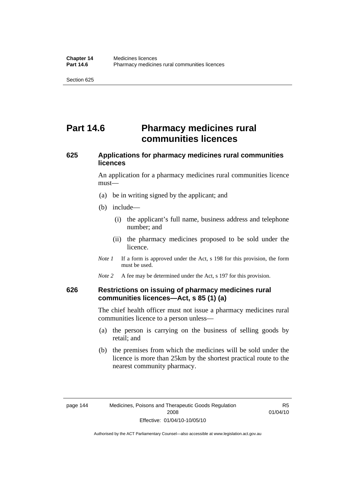# **Part 14.6** Pharmacy medicines rural **communities licences**

## **625 Applications for pharmacy medicines rural communities licences**

An application for a pharmacy medicines rural communities licence must—

- (a) be in writing signed by the applicant; and
- (b) include—
	- (i) the applicant's full name, business address and telephone number; and
	- (ii) the pharmacy medicines proposed to be sold under the licence.
- *Note 1* If a form is approved under the Act, s 198 for this provision, the form must be used.
- *Note* 2 A fee may be determined under the Act, s 197 for this provision.

#### **626 Restrictions on issuing of pharmacy medicines rural communities licences—Act, s 85 (1) (a)**

The chief health officer must not issue a pharmacy medicines rural communities licence to a person unless—

- (a) the person is carrying on the business of selling goods by retail; and
- (b) the premises from which the medicines will be sold under the licence is more than 25km by the shortest practical route to the nearest community pharmacy.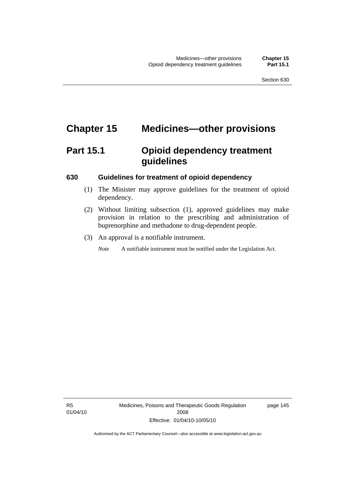# **Chapter 15 Medicines—other provisions**

# **Part 15.1 Opioid dependency treatment guidelines**

#### **630 Guidelines for treatment of opioid dependency**

- (1) The Minister may approve guidelines for the treatment of opioid dependency.
- (2) Without limiting subsection (1), approved guidelines may make provision in relation to the prescribing and administration of buprenorphine and methadone to drug-dependent people.
- (3) An approval is a notifiable instrument.

*Note* A notifiable instrument must be notified under the Legislation Act.

page 145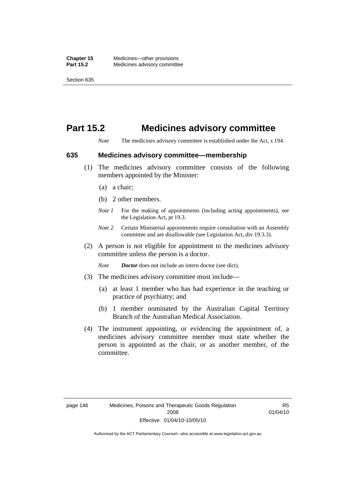## **Part 15.2 Medicines advisory committee**

*Note* The medicines advisory committee is established under the Act, s 194.

#### **635 Medicines advisory committee—membership**

- (1) The medicines advisory committee consists of the following members appointed by the Minister:
	- (a) a chair;
	- (b) 2 other members.
	- *Note 1* For the making of appointments (including acting appointments), see the Legislation Act, pt 19.3.
	- *Note 2* Certain Ministerial appointments require consultation with an Assembly committee and are disallowable (see Legislation Act, div 19.3.3).
- (2) A person is not eligible for appointment to the medicines advisory committee unless the person is a doctor.

*Note Doctor* does not include an intern doctor (see dict).

- (3) The medicines advisory committee must include—
	- (a) at least 1 member who has had experience in the teaching or practice of psychiatry; and
	- (b) 1 member nominated by the Australian Capital Territory Branch of the Australian Medical Association.
- (4) The instrument appointing, or evidencing the appointment of, a medicines advisory committee member must state whether the person is appointed as the chair, or as another member, of the committee.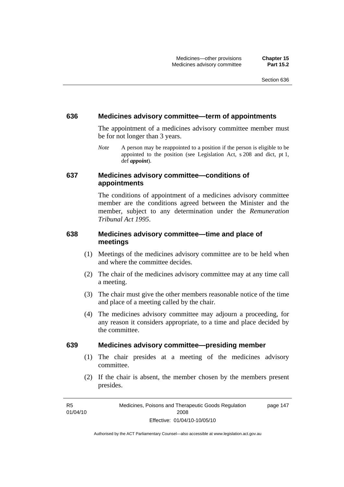#### **636 Medicines advisory committee—term of appointments**

The appointment of a medicines advisory committee member must be for not longer than 3 years.

*Note* A person may be reappointed to a position if the person is eligible to be appointed to the position (see Legislation Act, s 208 and dict, pt 1, def *appoint*).

#### **637 Medicines advisory committee—conditions of appointments**

The conditions of appointment of a medicines advisory committee member are the conditions agreed between the Minister and the member, subject to any determination under the *Remuneration Tribunal Act 1995*.

### **638 Medicines advisory committee—time and place of meetings**

- (1) Meetings of the medicines advisory committee are to be held when and where the committee decides.
- (2) The chair of the medicines advisory committee may at any time call a meeting.
- (3) The chair must give the other members reasonable notice of the time and place of a meeting called by the chair.
- (4) The medicines advisory committee may adjourn a proceeding, for any reason it considers appropriate, to a time and place decided by the committee.

#### **639 Medicines advisory committee—presiding member**

- (1) The chair presides at a meeting of the medicines advisory committee.
- (2) If the chair is absent, the member chosen by the members present presides.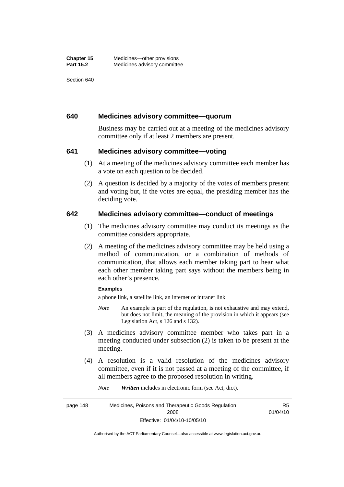Section 640

#### **640 Medicines advisory committee—quorum**

Business may be carried out at a meeting of the medicines advisory committee only if at least 2 members are present.

#### **641 Medicines advisory committee—voting**

- (1) At a meeting of the medicines advisory committee each member has a vote on each question to be decided.
- (2) A question is decided by a majority of the votes of members present and voting but, if the votes are equal, the presiding member has the deciding vote.

#### **642 Medicines advisory committee—conduct of meetings**

- (1) The medicines advisory committee may conduct its meetings as the committee considers appropriate.
- (2) A meeting of the medicines advisory committee may be held using a method of communication, or a combination of methods of communication, that allows each member taking part to hear what each other member taking part says without the members being in each other's presence.

#### **Examples**

a phone link, a satellite link, an internet or intranet link

- *Note* An example is part of the regulation, is not exhaustive and may extend, but does not limit, the meaning of the provision in which it appears (see Legislation Act, s 126 and s 132).
- (3) A medicines advisory committee member who takes part in a meeting conducted under subsection (2) is taken to be present at the meeting.
- (4) A resolution is a valid resolution of the medicines advisory committee, even if it is not passed at a meeting of the committee, if all members agree to the proposed resolution in writing.

*Note Written* includes in electronic form (see Act, dict).

page 148 Medicines, Poisons and Therapeutic Goods Regulation 2008 Effective: 01/04/10-10/05/10 R5 01/04/10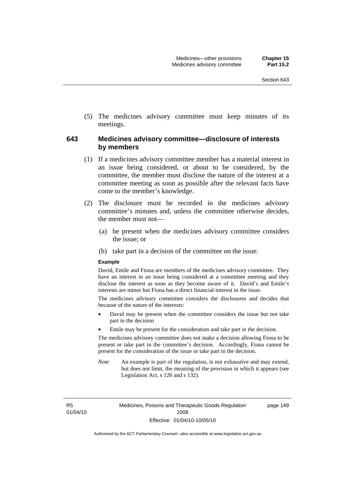(5) The medicines advisory committee must keep minutes of its meetings.

#### **643 Medicines advisory committee—disclosure of interests by members**

- (1) If a medicines advisory committee member has a material interest in an issue being considered, or about to be considered, by the committee, the member must disclose the nature of the interest at a committee meeting as soon as possible after the relevant facts have come to the member's knowledge.
- (2) The disclosure must be recorded in the medicines advisory committee's minutes and, unless the committee otherwise decides, the member must not—
	- (a) be present when the medicines advisory committee considers the issue; or
	- (b) take part in a decision of the committee on the issue.

#### **Example**

David, Emile and Fiona are members of the medicines advisory committee. They have an interest in an issue being considered at a committee meeting and they disclose the interest as soon as they become aware of it. David's and Emile's interests are minor but Fiona has a direct financial interest in the issue.

The medicines advisory committee considers the disclosures and decides that because of the nature of the interests:

- David may be present when the committee considers the issue but not take part in the decision
- Emile may be present for the consideration and take part in the decision.

The medicines advisory committee does not make a decision allowing Fiona to be present or take part in the committee's decision. Accordingly, Fiona cannot be present for the consideration of the issue or take part in the decision.

*Note* An example is part of the regulation, is not exhaustive and may extend, but does not limit, the meaning of the provision in which it appears (see Legislation Act, s 126 and s 132).

R5 01/04/10 page 149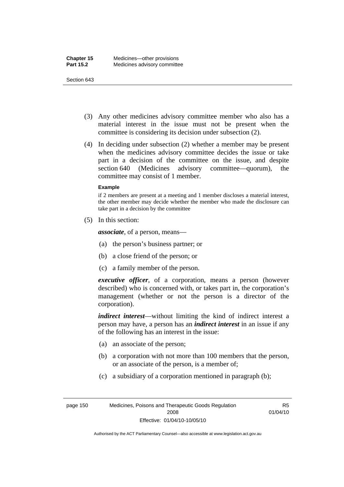#### Section 643

- (3) Any other medicines advisory committee member who also has a material interest in the issue must not be present when the committee is considering its decision under subsection (2).
- (4) In deciding under subsection (2) whether a member may be present when the medicines advisory committee decides the issue or take part in a decision of the committee on the issue, and despite section 640 (Medicines advisory committee—quorum), the committee may consist of 1 member.

#### **Example**

if 2 members are present at a meeting and 1 member discloses a material interest, the other member may decide whether the member who made the disclosure can take part in a decision by the committee

(5) In this section:

*associate*, of a person, means—

- (a) the person's business partner; or
- (b) a close friend of the person; or
- (c) a family member of the person.

*executive officer*, of a corporation, means a person (however described) who is concerned with, or takes part in, the corporation's management (whether or not the person is a director of the corporation).

*indirect interest*—without limiting the kind of indirect interest a person may have, a person has an *indirect interest* in an issue if any of the following has an interest in the issue:

- (a) an associate of the person;
- (b) a corporation with not more than 100 members that the person, or an associate of the person, is a member of;
- (c) a subsidiary of a corporation mentioned in paragraph (b);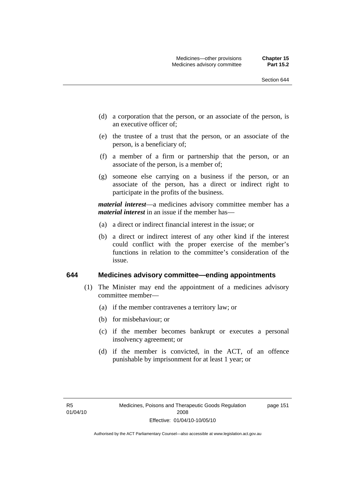page 151

- (d) a corporation that the person, or an associate of the person, is an executive officer of;
- (e) the trustee of a trust that the person, or an associate of the person, is a beneficiary of;
- (f) a member of a firm or partnership that the person, or an associate of the person, is a member of;
- (g) someone else carrying on a business if the person, or an associate of the person, has a direct or indirect right to participate in the profits of the business.

*material interest*—a medicines advisory committee member has a *material interest* in an issue if the member has—

- (a) a direct or indirect financial interest in the issue; or
- (b) a direct or indirect interest of any other kind if the interest could conflict with the proper exercise of the member's functions in relation to the committee's consideration of the issue.

#### **644 Medicines advisory committee—ending appointments**

- (1) The Minister may end the appointment of a medicines advisory committee member—
	- (a) if the member contravenes a territory law; or
	- (b) for misbehaviour; or
	- (c) if the member becomes bankrupt or executes a personal insolvency agreement; or
	- (d) if the member is convicted, in the ACT, of an offence punishable by imprisonment for at least 1 year; or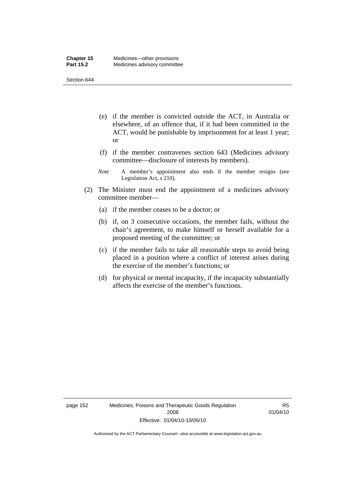Section 644

- (e) if the member is convicted outside the ACT, in Australia or elsewhere, of an offence that, if it had been committed in the ACT, would be punishable by imprisonment for at least 1 year; or
- (f) if the member contravenes section 643 (Medicines advisory committee—disclosure of interests by members).
- *Note* A member's appointment also ends if the member resigns (see Legislation Act, s 210).
- (2) The Minister must end the appointment of a medicines advisory committee member—
	- (a) if the member ceases to be a doctor; or
	- (b) if, on 3 consecutive occasions, the member fails, without the chair's agreement, to make himself or herself available for a proposed meeting of the committee; or
	- (c) if the member fails to take all reasonable steps to avoid being placed in a position where a conflict of interest arises during the exercise of the member's functions; or
	- (d) for physical or mental incapacity, if the incapacity substantially affects the exercise of the member's functions.

R5 01/04/10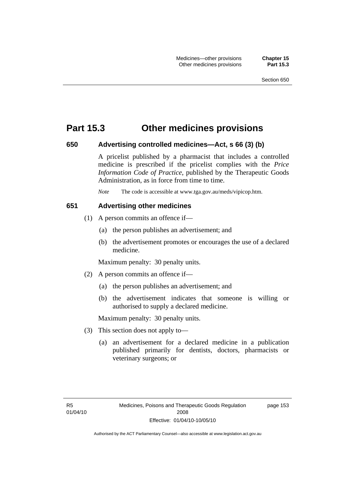## **Part 15.3 Other medicines provisions**

#### **650 Advertising controlled medicines—Act, s 66 (3) (b)**

A pricelist published by a pharmacist that includes a controlled medicine is prescribed if the pricelist complies with the *Price Information Code of Practice*, published by the Therapeutic Goods Administration, as in force from time to time.

*Note* The code is accessible at www.tga.gov.au/meds/vipicop.htm.

#### **651 Advertising other medicines**

- (1) A person commits an offence if—
	- (a) the person publishes an advertisement; and
	- (b) the advertisement promotes or encourages the use of a declared medicine.

Maximum penalty: 30 penalty units.

- (2) A person commits an offence if—
	- (a) the person publishes an advertisement; and
	- (b) the advertisement indicates that someone is willing or authorised to supply a declared medicine.

Maximum penalty: 30 penalty units.

- (3) This section does not apply to—
	- (a) an advertisement for a declared medicine in a publication published primarily for dentists, doctors, pharmacists or veterinary surgeons; or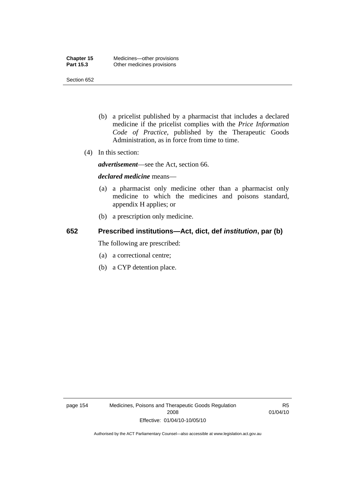Section 652

- (b) a pricelist published by a pharmacist that includes a declared medicine if the pricelist complies with the *Price Information Code of Practice*, published by the Therapeutic Goods Administration, as in force from time to time.
- (4) In this section:

*advertisement*—see the Act, section 66.

#### *declared medicine* means—

- (a) a pharmacist only medicine other than a pharmacist only medicine to which the medicines and poisons standard, appendix H applies; or
- (b) a prescription only medicine.

## **652 Prescribed institutions—Act, dict, def** *institution***, par (b)**

The following are prescribed:

- (a) a correctional centre;
- (b) a CYP detention place.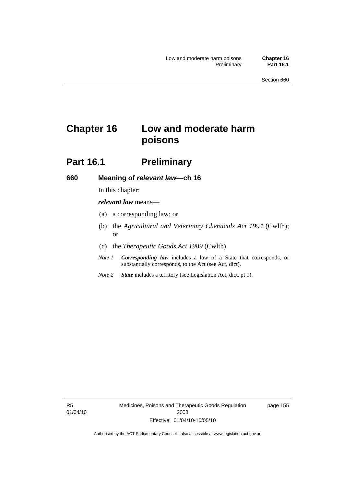# **Chapter 16 Low and moderate harm poisons**

## **Part 16.1** Preliminary

#### **660 Meaning of** *relevant law***—ch 16**

In this chapter:

*relevant law* means—

- (a) a corresponding law; or
- (b) the *Agricultural and Veterinary Chemicals Act 1994* (Cwlth); or
- (c) the *Therapeutic Goods Act 1989* (Cwlth).
- *Note 1 Corresponding law* includes a law of a State that corresponds, or substantially corresponds, to the Act (see Act, dict).
- *Note 2 State* includes a territory (see Legislation Act, dict, pt 1).

R5 01/04/10 page 155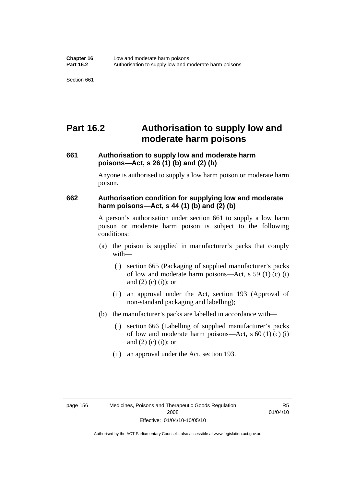# **Part 16.2 Authorisation to supply low and moderate harm poisons**

## **661 Authorisation to supply low and moderate harm poisons—Act, s 26 (1) (b) and (2) (b)**

Anyone is authorised to supply a low harm poison or moderate harm poison.

#### **662 Authorisation condition for supplying low and moderate harm poisons—Act, s 44 (1) (b) and (2) (b)**

A person's authorisation under section 661 to supply a low harm poison or moderate harm poison is subject to the following conditions:

- (a) the poison is supplied in manufacturer's packs that comply with—
	- (i) section 665 (Packaging of supplied manufacturer's packs of low and moderate harm poisons—Act, s 59 (1) (c) (i) and  $(2)$  (c) (i)); or
	- (ii) an approval under the Act, section 193 (Approval of non-standard packaging and labelling);
- (b) the manufacturer's packs are labelled in accordance with—
	- (i) section 666 (Labelling of supplied manufacturer's packs of low and moderate harm poisons—Act, s  $60(1)(c)(i)$ and  $(2)$  (c)  $(i)$ ; or
	- (ii) an approval under the Act, section 193.

R5 01/04/10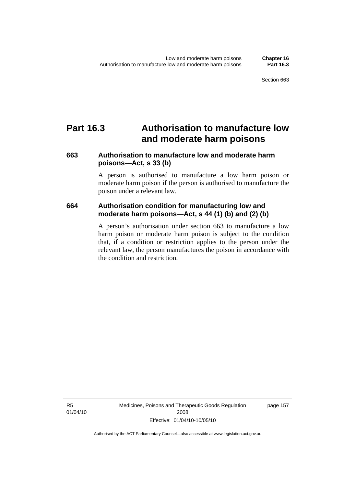# **Part 16.3 Authorisation to manufacture low and moderate harm poisons**

# **663 Authorisation to manufacture low and moderate harm poisons—Act, s 33 (b)**

A person is authorised to manufacture a low harm poison or moderate harm poison if the person is authorised to manufacture the poison under a relevant law.

# **664 Authorisation condition for manufacturing low and moderate harm poisons—Act, s 44 (1) (b) and (2) (b)**

A person's authorisation under section 663 to manufacture a low harm poison or moderate harm poison is subject to the condition that, if a condition or restriction applies to the person under the relevant law, the person manufactures the poison in accordance with the condition and restriction.

R5 01/04/10 Medicines, Poisons and Therapeutic Goods Regulation 2008 Effective: 01/04/10-10/05/10

page 157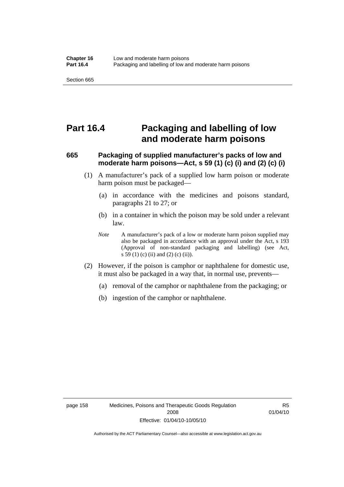# **Part 16.4 Packaging and labelling of low and moderate harm poisons**

# **665 Packaging of supplied manufacturer's packs of low and moderate harm poisons—Act, s 59 (1) (c) (i) and (2) (c) (i)**

- (1) A manufacturer's pack of a supplied low harm poison or moderate harm poison must be packaged—
	- (a) in accordance with the medicines and poisons standard, paragraphs 21 to 27; or
	- (b) in a container in which the poison may be sold under a relevant law.
	- *Note* A manufacturer's pack of a low or moderate harm poison supplied may also be packaged in accordance with an approval under the Act, s 193 (Approval of non-standard packaging and labelling) (see Act, s 59 (1) (c) (ii) and (2) (c) (ii)).
- (2) However, if the poison is camphor or naphthalene for domestic use, it must also be packaged in a way that, in normal use, prevents—
	- (a) removal of the camphor or naphthalene from the packaging; or
	- (b) ingestion of the camphor or naphthalene.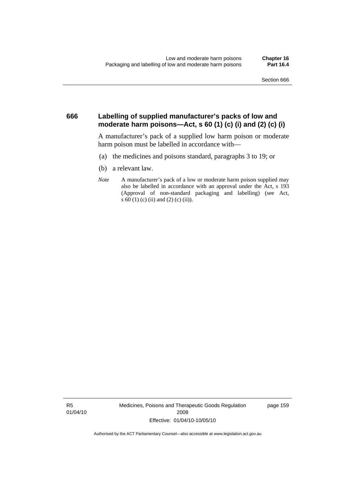### **666 Labelling of supplied manufacturer's packs of low and moderate harm poisons—Act, s 60 (1) (c) (i) and (2) (c) (i)**

A manufacturer's pack of a supplied low harm poison or moderate harm poison must be labelled in accordance with—

- (a) the medicines and poisons standard, paragraphs 3 to 19; or
- (b) a relevant law.
- *Note* A manufacturer's pack of a low or moderate harm poison supplied may also be labelled in accordance with an approval under the Act, s 193 (Approval of non-standard packaging and labelling) (see Act, s 60 (1) (c) (ii) and (2) (c) (ii)).

R5 01/04/10 Medicines, Poisons and Therapeutic Goods Regulation 2008 Effective: 01/04/10-10/05/10

page 159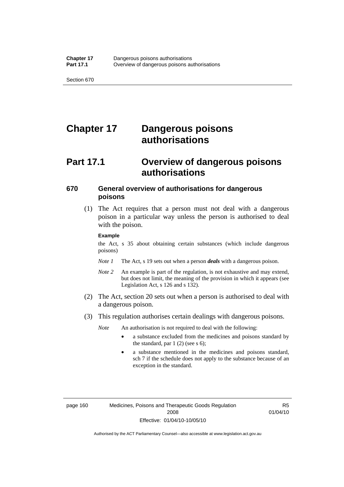# **Chapter 17 Dangerous poisons authorisations**

# **Part 17.1 Overview of dangerous poisons authorisations**

### **670 General overview of authorisations for dangerous poisons**

 (1) The Act requires that a person must not deal with a dangerous poison in a particular way unless the person is authorised to deal with the poison.

#### **Example**

the Act, s 35 about obtaining certain substances (which include dangerous poisons)

- *Note 1* The Act, s 19 sets out when a person *deals* with a dangerous poison.
- *Note 2* An example is part of the regulation, is not exhaustive and may extend, but does not limit, the meaning of the provision in which it appears (see Legislation Act, s 126 and s 132).
- (2) The Act, section 20 sets out when a person is authorised to deal with a dangerous poison.
- (3) This regulation authorises certain dealings with dangerous poisons.

*Note* An authorisation is not required to deal with the following:

- a substance excluded from the medicines and poisons standard by the standard, par  $1(2)$  (see s 6);
- a substance mentioned in the medicines and poisons standard, sch 7 if the schedule does not apply to the substance because of an exception in the standard.

R5 01/04/10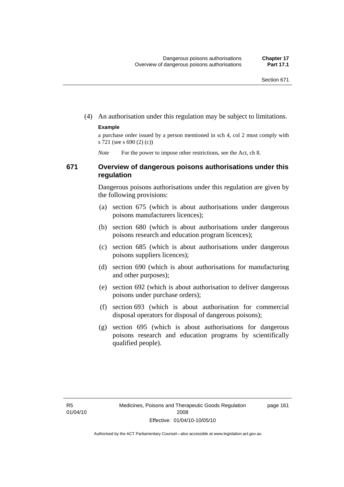(4) An authorisation under this regulation may be subject to limitations.

#### **Example**

a purchase order issued by a person mentioned in sch 4, col 2 must comply with s 721 (see s 690 (2) (c))

*Note* For the power to impose other restrictions, see the Act, ch 8.

### **671 Overview of dangerous poisons authorisations under this regulation**

Dangerous poisons authorisations under this regulation are given by the following provisions:

- (a) section 675 (which is about authorisations under dangerous poisons manufacturers licences);
- (b) section 680 (which is about authorisations under dangerous poisons research and education program licences);
- (c) section 685 (which is about authorisations under dangerous poisons suppliers licences);
- (d) section 690 (which is about authorisations for manufacturing and other purposes);
- (e) section 692 (which is about authorisation to deliver dangerous poisons under purchase orders);
- (f) section 693 (which is about authorisation for commercial disposal operators for disposal of dangerous poisons);
- (g) section 695 (which is about authorisations for dangerous poisons research and education programs by scientifically qualified people).

page 161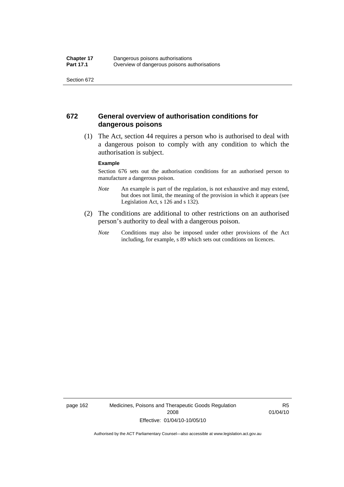# **672 General overview of authorisation conditions for dangerous poisons**

 (1) The Act, section 44 requires a person who is authorised to deal with a dangerous poison to comply with any condition to which the authorisation is subject.

#### **Example**

Section 676 sets out the authorisation conditions for an authorised person to manufacture a dangerous poison.

- *Note* An example is part of the regulation, is not exhaustive and may extend, but does not limit, the meaning of the provision in which it appears (see Legislation Act, s 126 and s 132).
- (2) The conditions are additional to other restrictions on an authorised person's authority to deal with a dangerous poison.
	- *Note* Conditions may also be imposed under other provisions of the Act including, for example, s 89 which sets out conditions on licences.

page 162 Medicines, Poisons and Therapeutic Goods Regulation 2008 Effective: 01/04/10-10/05/10

R5 01/04/10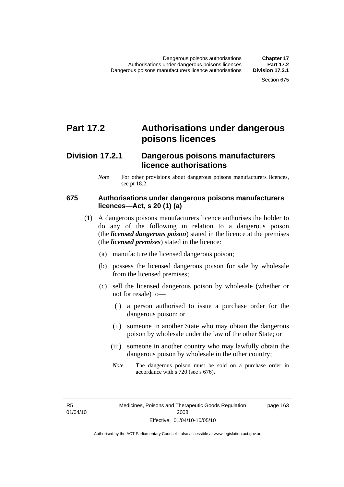# **Part 17.2 Authorisations under dangerous poisons licences**

# **Division 17.2.1 Dangerous poisons manufacturers licence authorisations**

*Note* For other provisions about dangerous poisons manufacturers licences, see pt 18.2.

# **675 Authorisations under dangerous poisons manufacturers licences—Act, s 20 (1) (a)**

- (1) A dangerous poisons manufacturers licence authorises the holder to do any of the following in relation to a dangerous poison (the *licensed dangerous poison*) stated in the licence at the premises (the *licensed premises*) stated in the licence:
	- (a) manufacture the licensed dangerous poison;
	- (b) possess the licensed dangerous poison for sale by wholesale from the licensed premises;
	- (c) sell the licensed dangerous poison by wholesale (whether or not for resale) to—
		- (i) a person authorised to issue a purchase order for the dangerous poison; or
		- (ii) someone in another State who may obtain the dangerous poison by wholesale under the law of the other State; or
		- (iii) someone in another country who may lawfully obtain the dangerous poison by wholesale in the other country;
		- *Note* The dangerous poison must be sold on a purchase order in accordance with s 720 (see s 676).

R5 01/04/10 page 163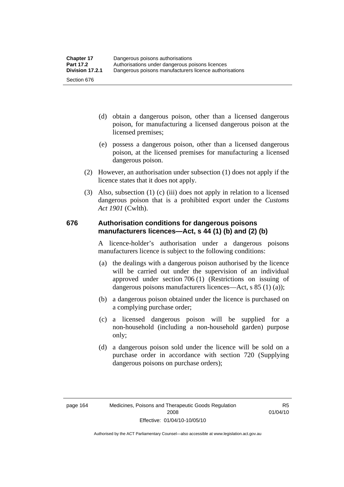- (d) obtain a dangerous poison, other than a licensed dangerous poison, for manufacturing a licensed dangerous poison at the licensed premises;
- (e) possess a dangerous poison, other than a licensed dangerous poison, at the licensed premises for manufacturing a licensed dangerous poison.
- (2) However, an authorisation under subsection (1) does not apply if the licence states that it does not apply.
- (3) Also, subsection (1) (c) (iii) does not apply in relation to a licensed dangerous poison that is a prohibited export under the *Customs Act 1901* (Cwlth).

### **676 Authorisation conditions for dangerous poisons manufacturers licences—Act, s 44 (1) (b) and (2) (b)**

A licence-holder's authorisation under a dangerous poisons manufacturers licence is subject to the following conditions:

- (a) the dealings with a dangerous poison authorised by the licence will be carried out under the supervision of an individual approved under section 706 (1) (Restrictions on issuing of dangerous poisons manufacturers licences—Act, s 85 (1) (a));
- (b) a dangerous poison obtained under the licence is purchased on a complying purchase order;
- (c) a licensed dangerous poison will be supplied for a non-household (including a non-household garden) purpose only;
- (d) a dangerous poison sold under the licence will be sold on a purchase order in accordance with section 720 (Supplying dangerous poisons on purchase orders);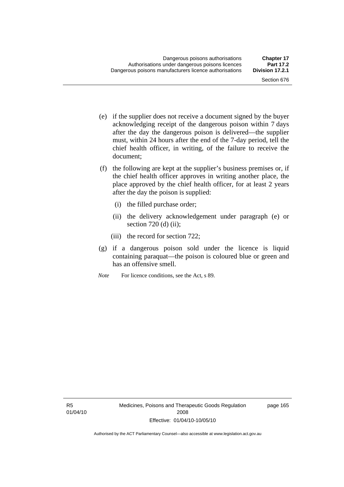- (e) if the supplier does not receive a document signed by the buyer acknowledging receipt of the dangerous poison within 7 days after the day the dangerous poison is delivered—the supplier must, within 24 hours after the end of the 7-day period, tell the chief health officer, in writing, of the failure to receive the document;
- (f) the following are kept at the supplier's business premises or, if the chief health officer approves in writing another place, the place approved by the chief health officer, for at least 2 years after the day the poison is supplied:
	- (i) the filled purchase order;
	- (ii) the delivery acknowledgement under paragraph (e) or section  $720$  (d) (ii);
	- (iii) the record for section 722;
- (g) if a dangerous poison sold under the licence is liquid containing paraquat—the poison is coloured blue or green and has an offensive smell.
- *Note* For licence conditions, see the Act, s 89.

page 165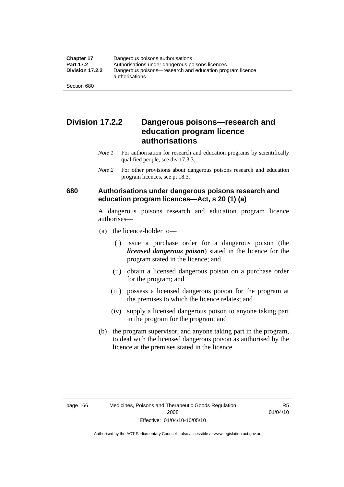# **Division 17.2.2 Dangerous poisons—research and education program licence authorisations**

- *Note 1* For authorisation for research and education programs by scientifically qualified people, see div 17.3.3.
- *Note 2* For other provisions about dangerous poisons research and education program licences, see pt 18.3.

# **680 Authorisations under dangerous poisons research and education program licences—Act, s 20 (1) (a)**

A dangerous poisons research and education program licence authorises—

- (a) the licence-holder to—
	- (i) issue a purchase order for a dangerous poison (the *licensed dangerous poison*) stated in the licence for the program stated in the licence; and
	- (ii) obtain a licensed dangerous poison on a purchase order for the program; and
	- (iii) possess a licensed dangerous poison for the program at the premises to which the licence relates; and
	- (iv) supply a licensed dangerous poison to anyone taking part in the program for the program; and
- (b) the program supervisor, and anyone taking part in the program, to deal with the licensed dangerous poison as authorised by the licence at the premises stated in the licence.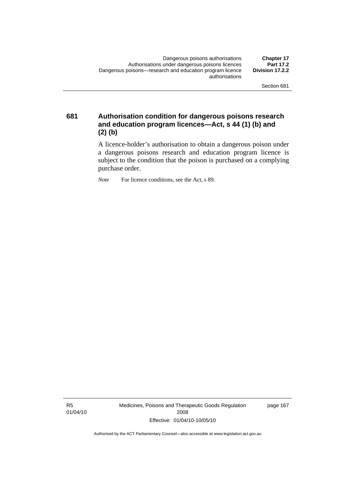**681 Authorisation condition for dangerous poisons research and education program licences—Act, s 44 (1) (b) and (2) (b)** 

> A licence-holder's authorisation to obtain a dangerous poison under a dangerous poisons research and education program licence is subject to the condition that the poison is purchased on a complying purchase order.

*Note* For licence conditions, see the Act, s 89.

R5 01/04/10 Medicines, Poisons and Therapeutic Goods Regulation 2008 Effective: 01/04/10-10/05/10

page 167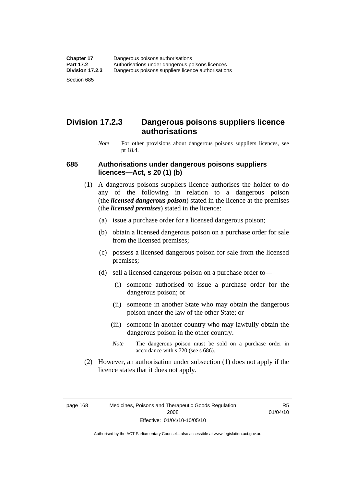# **Division 17.2.3 Dangerous poisons suppliers licence authorisations**

*Note* For other provisions about dangerous poisons suppliers licences, see pt 18.4.

### **685 Authorisations under dangerous poisons suppliers licences—Act, s 20 (1) (b)**

- (1) A dangerous poisons suppliers licence authorises the holder to do any of the following in relation to a dangerous poison (the *licensed dangerous poison*) stated in the licence at the premises (the *licensed premises*) stated in the licence:
	- (a) issue a purchase order for a licensed dangerous poison;
	- (b) obtain a licensed dangerous poison on a purchase order for sale from the licensed premises;
	- (c) possess a licensed dangerous poison for sale from the licensed premises;
	- (d) sell a licensed dangerous poison on a purchase order to—
		- (i) someone authorised to issue a purchase order for the dangerous poison; or
		- (ii) someone in another State who may obtain the dangerous poison under the law of the other State; or
		- (iii) someone in another country who may lawfully obtain the dangerous poison in the other country.
		- *Note* The dangerous poison must be sold on a purchase order in accordance with s 720 (see s 686).
- (2) However, an authorisation under subsection (1) does not apply if the licence states that it does not apply.

page 168 Medicines, Poisons and Therapeutic Goods Regulation 2008 Effective: 01/04/10-10/05/10

R5 01/04/10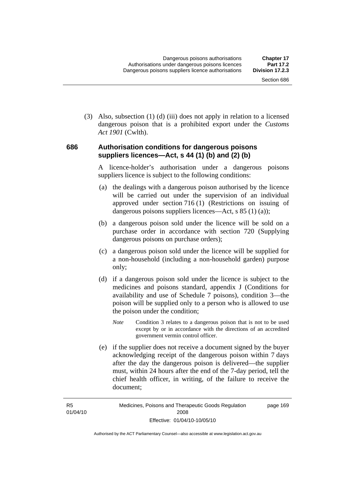(3) Also, subsection (1) (d) (iii) does not apply in relation to a licensed dangerous poison that is a prohibited export under the *Customs Act 1901* (Cwlth).

### **686 Authorisation conditions for dangerous poisons suppliers licences—Act, s 44 (1) (b) and (2) (b)**

A licence-holder's authorisation under a dangerous poisons suppliers licence is subject to the following conditions:

- (a) the dealings with a dangerous poison authorised by the licence will be carried out under the supervision of an individual approved under section 716 (1) (Restrictions on issuing of dangerous poisons suppliers licences—Act, s 85 (1) (a));
- (b) a dangerous poison sold under the licence will be sold on a purchase order in accordance with section 720 (Supplying dangerous poisons on purchase orders);
- (c) a dangerous poison sold under the licence will be supplied for a non-household (including a non-household garden) purpose only;
- (d) if a dangerous poison sold under the licence is subject to the medicines and poisons standard, appendix J (Conditions for availability and use of Schedule 7 poisons), condition 3—the poison will be supplied only to a person who is allowed to use the poison under the condition;
	- *Note* Condition 3 relates to a dangerous poison that is not to be used except by or in accordance with the directions of an accredited government vermin control officer.
- (e) if the supplier does not receive a document signed by the buyer acknowledging receipt of the dangerous poison within 7 days after the day the dangerous poison is delivered—the supplier must, within 24 hours after the end of the 7-day period, tell the chief health officer, in writing, of the failure to receive the document;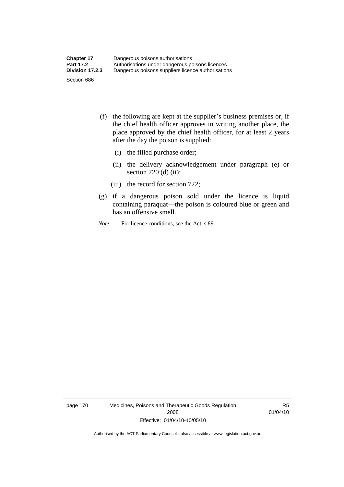- (f) the following are kept at the supplier's business premises or, if the chief health officer approves in writing another place, the place approved by the chief health officer, for at least 2 years after the day the poison is supplied:
	- (i) the filled purchase order;
	- (ii) the delivery acknowledgement under paragraph (e) or section 720 (d) (ii);
	- (iii) the record for section 722;
- (g) if a dangerous poison sold under the licence is liquid containing paraquat—the poison is coloured blue or green and has an offensive smell.
- *Note* For licence conditions, see the Act, s 89.

page 170 Medicines, Poisons and Therapeutic Goods Regulation 2008 Effective: 01/04/10-10/05/10

R5 01/04/10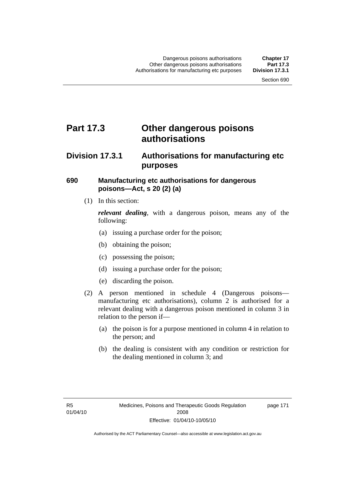# **Part 17.3 Other dangerous poisons authorisations**

# **Division 17.3.1 Authorisations for manufacturing etc purposes**

### **690 Manufacturing etc authorisations for dangerous poisons—Act, s 20 (2) (a)**

(1) In this section:

*relevant dealing*, with a dangerous poison, means any of the following:

- (a) issuing a purchase order for the poison;
- (b) obtaining the poison;
- (c) possessing the poison;
- (d) issuing a purchase order for the poison;
- (e) discarding the poison.
- (2) A person mentioned in schedule 4 (Dangerous poisons manufacturing etc authorisations), column 2 is authorised for a relevant dealing with a dangerous poison mentioned in column 3 in relation to the person if—
	- (a) the poison is for a purpose mentioned in column 4 in relation to the person; and
	- (b) the dealing is consistent with any condition or restriction for the dealing mentioned in column 3; and

page 171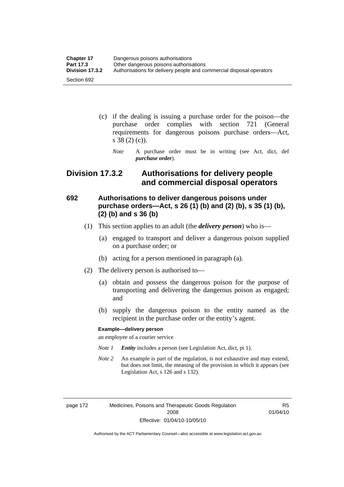| <b>Chapter 17</b> | Dangerous poisons authorisations                                     |  |
|-------------------|----------------------------------------------------------------------|--|
| <b>Part 17.3</b>  | Other dangerous poisons authorisations                               |  |
| Division 17.3.2   | Authorisations for delivery people and commercial disposal operators |  |
| Section 692       |                                                                      |  |

- (c) if the dealing is issuing a purchase order for the poison—the purchase order complies with section 721 (General requirements for dangerous poisons purchase orders—Act, s 38 (2) (c)).
	- *Note* A purchase order must be in writing (see Act, dict, def *purchase order*).

# **Division 17.3.2 Authorisations for delivery people and commercial disposal operators**

# **692 Authorisations to deliver dangerous poisons under purchase orders—Act, s 26 (1) (b) and (2) (b), s 35 (1) (b), (2) (b) and s 36 (b)**

- (1) This section applies to an adult (the *delivery person*) who is—
	- (a) engaged to transport and deliver a dangerous poison supplied on a purchase order; or
	- (b) acting for a person mentioned in paragraph (a).
- (2) The delivery person is authorised to—
	- (a) obtain and possess the dangerous poison for the purpose of transporting and delivering the dangerous poison as engaged; and
	- (b) supply the dangerous poison to the entity named as the recipient in the purchase order or the entity's agent.

#### **Example—delivery person**

an employee of a courier service

- *Note 1 Entity* includes a person (see Legislation Act, dict, pt 1).
- *Note 2* An example is part of the regulation, is not exhaustive and may extend, but does not limit, the meaning of the provision in which it appears (see Legislation Act, s 126 and s 132).

page 172 Medicines, Poisons and Therapeutic Goods Regulation 2008 Effective: 01/04/10-10/05/10

R5 01/04/10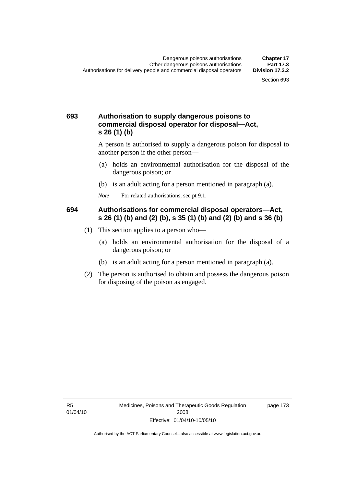### **693 Authorisation to supply dangerous poisons to commercial disposal operator for disposal—Act, s 26 (1) (b)**

A person is authorised to supply a dangerous poison for disposal to another person if the other person—

- (a) holds an environmental authorisation for the disposal of the dangerous poison; or
- (b) is an adult acting for a person mentioned in paragraph (a).
- *Note* For related authorisations, see pt 9.1.

### **694 Authorisations for commercial disposal operators—Act, s 26 (1) (b) and (2) (b), s 35 (1) (b) and (2) (b) and s 36 (b)**

- (1) This section applies to a person who—
	- (a) holds an environmental authorisation for the disposal of a dangerous poison; or
	- (b) is an adult acting for a person mentioned in paragraph (a).
- (2) The person is authorised to obtain and possess the dangerous poison for disposing of the poison as engaged.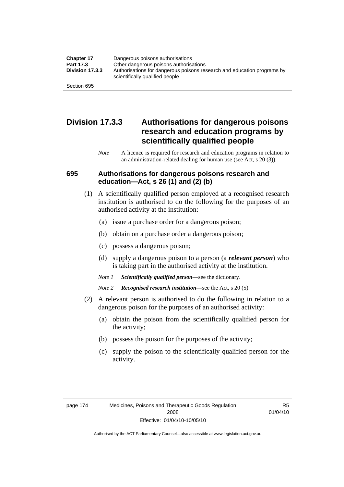| <b>Chapter 17</b> | Dangerous poisons authorisations                                                                           |  |
|-------------------|------------------------------------------------------------------------------------------------------------|--|
| Part 17.3         | Other dangerous poisons authorisations                                                                     |  |
| Division 17.3.3   | Authorisations for dangerous poisons research and education programs by<br>scientifically qualified people |  |
| Section 695       |                                                                                                            |  |

# **Division 17.3.3 Authorisations for dangerous poisons research and education programs by scientifically qualified people**

*Note* A licence is required for research and education programs in relation to an administration-related dealing for human use (see Act, s 20 (3)).

### **695 Authorisations for dangerous poisons research and education—Act, s 26 (1) and (2) (b)**

- (1) A scientifically qualified person employed at a recognised research institution is authorised to do the following for the purposes of an authorised activity at the institution:
	- (a) issue a purchase order for a dangerous poison;
	- (b) obtain on a purchase order a dangerous poison;
	- (c) possess a dangerous poison;
	- (d) supply a dangerous poison to a person (a *relevant person*) who is taking part in the authorised activity at the institution.
	- *Note 1 Scientifically qualified person*—see the dictionary.
	- *Note 2 Recognised research institution*—see the Act, s 20 (5).
- (2) A relevant person is authorised to do the following in relation to a dangerous poison for the purposes of an authorised activity:
	- (a) obtain the poison from the scientifically qualified person for the activity;
	- (b) possess the poison for the purposes of the activity;
	- (c) supply the poison to the scientifically qualified person for the activity.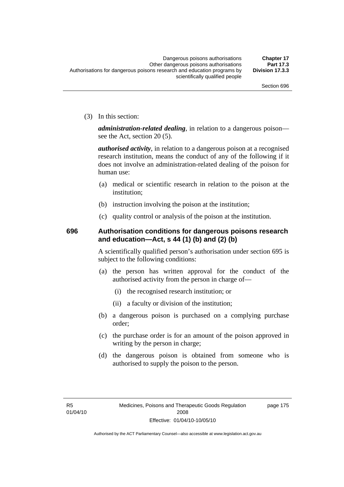(3) In this section:

*administration-related dealing*, in relation to a dangerous poison see the Act, section 20 (5).

*authorised activity*, in relation to a dangerous poison at a recognised research institution, means the conduct of any of the following if it does not involve an administration-related dealing of the poison for human use:

- (a) medical or scientific research in relation to the poison at the institution;
- (b) instruction involving the poison at the institution;
- (c) quality control or analysis of the poison at the institution.

# **696 Authorisation conditions for dangerous poisons research and education—Act, s 44 (1) (b) and (2) (b)**

A scientifically qualified person's authorisation under section 695 is subject to the following conditions:

- (a) the person has written approval for the conduct of the authorised activity from the person in charge of—
	- (i) the recognised research institution; or
	- (ii) a faculty or division of the institution;
- (b) a dangerous poison is purchased on a complying purchase order;
- (c) the purchase order is for an amount of the poison approved in writing by the person in charge;
- (d) the dangerous poison is obtained from someone who is authorised to supply the poison to the person.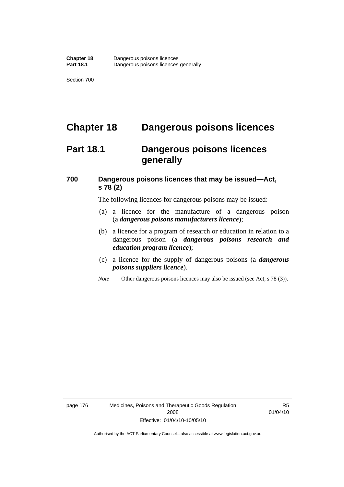# **Chapter 18 Dangerous poisons licences**

# **Part 18.1 Dangerous poisons licences generally**

# **700 Dangerous poisons licences that may be issued—Act, s 78 (2)**

The following licences for dangerous poisons may be issued:

- (a) a licence for the manufacture of a dangerous poison (a *dangerous poisons manufacturers licence*);
- (b) a licence for a program of research or education in relation to a dangerous poison (a *dangerous poisons research and education program licence*);
- (c) a licence for the supply of dangerous poisons (a *dangerous poisons suppliers licence*).
- *Note* Other dangerous poisons licences may also be issued (see Act, s 78 (3)).

page 176 Medicines, Poisons and Therapeutic Goods Regulation 2008 Effective: 01/04/10-10/05/10

R5 01/04/10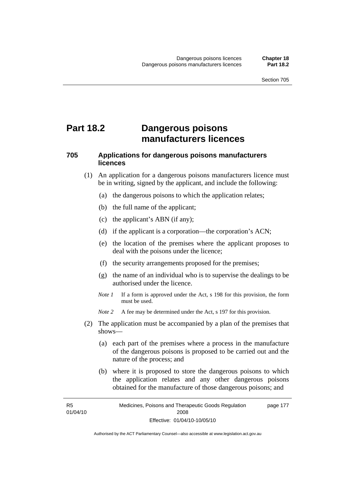# **Part 18.2 Dangerous poisons manufacturers licences**

# **705 Applications for dangerous poisons manufacturers licences**

- (1) An application for a dangerous poisons manufacturers licence must be in writing, signed by the applicant, and include the following:
	- (a) the dangerous poisons to which the application relates;
	- (b) the full name of the applicant;
	- (c) the applicant's ABN (if any);
	- (d) if the applicant is a corporation—the corporation's ACN;
	- (e) the location of the premises where the applicant proposes to deal with the poisons under the licence;
	- (f) the security arrangements proposed for the premises;
	- (g) the name of an individual who is to supervise the dealings to be authorised under the licence.
	- *Note 1* If a form is approved under the Act, s 198 for this provision, the form must be used.
	- *Note 2* A fee may be determined under the Act, s 197 for this provision.
- (2) The application must be accompanied by a plan of the premises that shows—
	- (a) each part of the premises where a process in the manufacture of the dangerous poisons is proposed to be carried out and the nature of the process; and
	- (b) where it is proposed to store the dangerous poisons to which the application relates and any other dangerous poisons obtained for the manufacture of those dangerous poisons; and

R5 01/04/10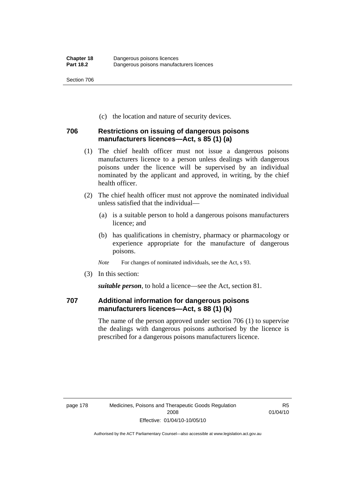(c) the location and nature of security devices.

# **706 Restrictions on issuing of dangerous poisons manufacturers licences—Act, s 85 (1) (a)**

- (1) The chief health officer must not issue a dangerous poisons manufacturers licence to a person unless dealings with dangerous poisons under the licence will be supervised by an individual nominated by the applicant and approved, in writing, by the chief health officer.
- (2) The chief health officer must not approve the nominated individual unless satisfied that the individual—
	- (a) is a suitable person to hold a dangerous poisons manufacturers licence; and
	- (b) has qualifications in chemistry, pharmacy or pharmacology or experience appropriate for the manufacture of dangerous poisons.
	- *Note* For changes of nominated individuals, see the Act, s 93.
- (3) In this section:

*suitable person*, to hold a licence—see the Act, section 81.

# **707 Additional information for dangerous poisons manufacturers licences—Act, s 88 (1) (k)**

The name of the person approved under section 706 (1) to supervise the dealings with dangerous poisons authorised by the licence is prescribed for a dangerous poisons manufacturers licence.

R5 01/04/10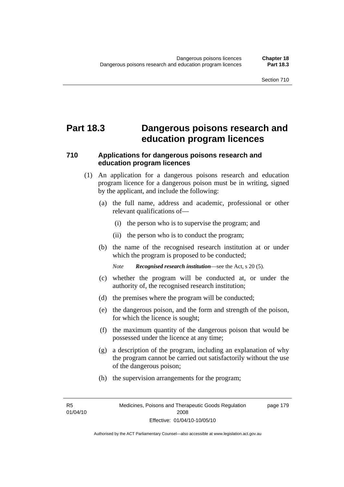# **Part 18.3 Dangerous poisons research and education program licences**

# **710 Applications for dangerous poisons research and education program licences**

- (1) An application for a dangerous poisons research and education program licence for a dangerous poison must be in writing, signed by the applicant, and include the following:
	- (a) the full name, address and academic, professional or other relevant qualifications of—
		- (i) the person who is to supervise the program; and
		- (ii) the person who is to conduct the program;
	- (b) the name of the recognised research institution at or under which the program is proposed to be conducted;

*Note Recognised research institution*—see the Act, s 20 (5).

- (c) whether the program will be conducted at, or under the authority of, the recognised research institution;
- (d) the premises where the program will be conducted;
- (e) the dangerous poison, and the form and strength of the poison, for which the licence is sought;
- (f) the maximum quantity of the dangerous poison that would be possessed under the licence at any time;
- (g) a description of the program, including an explanation of why the program cannot be carried out satisfactorily without the use of the dangerous poison;
- (h) the supervision arrangements for the program;

R5 01/04/10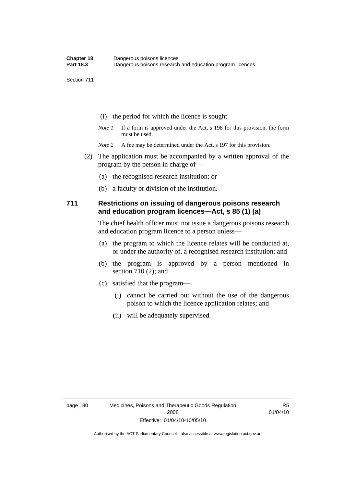- (i) the period for which the licence is sought.
- *Note 1* If a form is approved under the Act, s 198 for this provision, the form must be used.
- *Note* 2 A fee may be determined under the Act, s 197 for this provision.
- (2) The application must be accompanied by a written approval of the program by the person in charge of—
	- (a) the recognised research institution; or
	- (b) a faculty or division of the institution.

### **711 Restrictions on issuing of dangerous poisons research and education program licences—Act, s 85 (1) (a)**

The chief health officer must not issue a dangerous poisons research and education program licence to a person unless—

- (a) the program to which the licence relates will be conducted at, or under the authority of, a recognised research institution; and
- (b) the program is approved by a person mentioned in section 710 (2); and
- (c) satisfied that the program—
	- (i) cannot be carried out without the use of the dangerous poison to which the licence application relates; and
	- (ii) will be adequately supervised.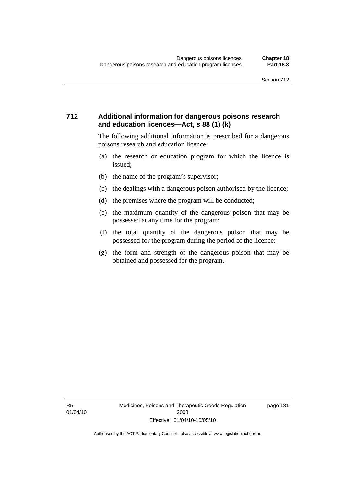# **712 Additional information for dangerous poisons research and education licences—Act, s 88 (1) (k)**

The following additional information is prescribed for a dangerous poisons research and education licence:

- (a) the research or education program for which the licence is issued;
- (b) the name of the program's supervisor;
- (c) the dealings with a dangerous poison authorised by the licence;
- (d) the premises where the program will be conducted;
- (e) the maximum quantity of the dangerous poison that may be possessed at any time for the program;
- (f) the total quantity of the dangerous poison that may be possessed for the program during the period of the licence;
- (g) the form and strength of the dangerous poison that may be obtained and possessed for the program.

R5 01/04/10 page 181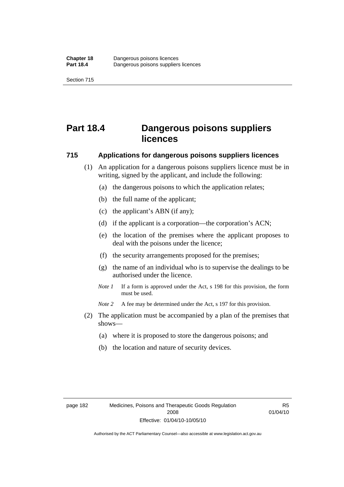# **Part 18.4 Dangerous poisons suppliers licences**

### **715 Applications for dangerous poisons suppliers licences**

- (1) An application for a dangerous poisons suppliers licence must be in writing, signed by the applicant, and include the following:
	- (a) the dangerous poisons to which the application relates;
	- (b) the full name of the applicant;
	- (c) the applicant's ABN (if any);
	- (d) if the applicant is a corporation—the corporation's ACN;
	- (e) the location of the premises where the applicant proposes to deal with the poisons under the licence;
	- (f) the security arrangements proposed for the premises;
	- (g) the name of an individual who is to supervise the dealings to be authorised under the licence.
	- *Note 1* If a form is approved under the Act, s 198 for this provision, the form must be used.
	- *Note 2* A fee may be determined under the Act, s 197 for this provision.
- (2) The application must be accompanied by a plan of the premises that shows—
	- (a) where it is proposed to store the dangerous poisons; and
	- (b) the location and nature of security devices.

R5 01/04/10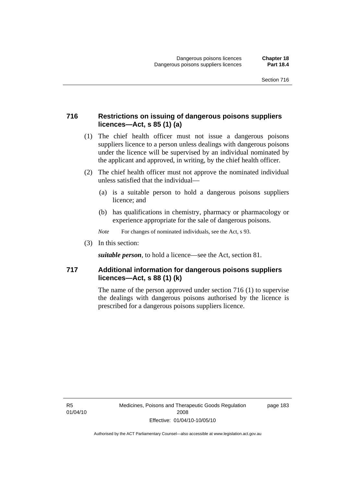# **716 Restrictions on issuing of dangerous poisons suppliers licences—Act, s 85 (1) (a)**

- (1) The chief health officer must not issue a dangerous poisons suppliers licence to a person unless dealings with dangerous poisons under the licence will be supervised by an individual nominated by the applicant and approved, in writing, by the chief health officer.
- (2) The chief health officer must not approve the nominated individual unless satisfied that the individual—
	- (a) is a suitable person to hold a dangerous poisons suppliers licence; and
	- (b) has qualifications in chemistry, pharmacy or pharmacology or experience appropriate for the sale of dangerous poisons.
	- *Note* For changes of nominated individuals, see the Act, s 93.
- (3) In this section:

*suitable person*, to hold a licence—see the Act, section 81.

# **717 Additional information for dangerous poisons suppliers licences—Act, s 88 (1) (k)**

The name of the person approved under section 716 (1) to supervise the dealings with dangerous poisons authorised by the licence is prescribed for a dangerous poisons suppliers licence.

R5 01/04/10 page 183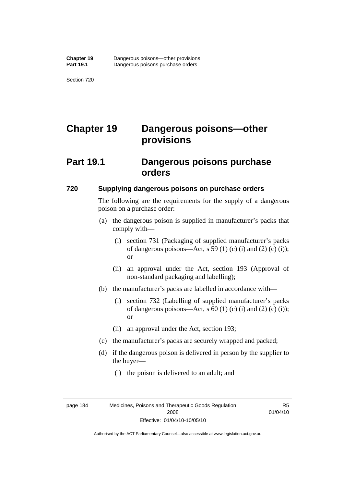# **Chapter 19 Dangerous poisons—other provisions**

# **Part 19.1 Dangerous poisons purchase orders**

#### **720 Supplying dangerous poisons on purchase orders**

The following are the requirements for the supply of a dangerous poison on a purchase order:

- (a) the dangerous poison is supplied in manufacturer's packs that comply with—
	- (i) section 731 (Packaging of supplied manufacturer's packs of dangerous poisons—Act, s 59 (1) (c) (i) and (2) (c) (i)); or
	- (ii) an approval under the Act, section 193 (Approval of non-standard packaging and labelling);
- (b) the manufacturer's packs are labelled in accordance with—
	- (i) section 732 (Labelling of supplied manufacturer's packs of dangerous poisons—Act, s  $60$  (1) (c) (i) and (2) (c) (i)); or
	- (ii) an approval under the Act, section 193;
- (c) the manufacturer's packs are securely wrapped and packed;
- (d) if the dangerous poison is delivered in person by the supplier to the buyer—
	- (i) the poison is delivered to an adult; and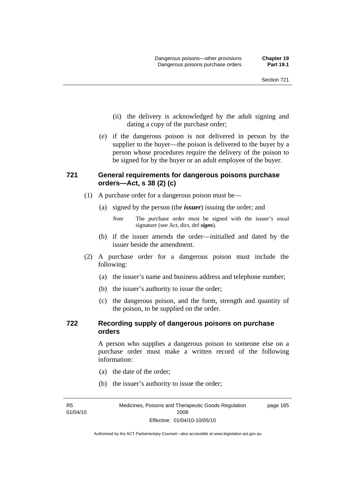- (ii) the delivery is acknowledged by the adult signing and dating a copy of the purchase order;
- (e) if the dangerous poison is not delivered in person by the supplier to the buyer—the poison is delivered to the buyer by a person whose procedures require the delivery of the poison to be signed for by the buyer or an adult employee of the buyer.

# **721 General requirements for dangerous poisons purchase orders—Act, s 38 (2) (c)**

- (1) A purchase order for a dangerous poison must be—
	- (a) signed by the person (the *issuer*) issuing the order; and

- (b) if the issuer amends the order—initialled and dated by the issuer beside the amendment.
- (2) A purchase order for a dangerous poison must include the following:
	- (a) the issuer's name and business address and telephone number;
	- (b) the issuer's authority to issue the order;
	- (c) the dangerous poison, and the form, strength and quantity of the poison, to be supplied on the order.

### **722 Recording supply of dangerous poisons on purchase orders**

A person who supplies a dangerous poison to someone else on a purchase order must make a written record of the following information:

- (a) the date of the order;
- (b) the issuer's authority to issue the order;

R5 01/04/10

*Note* The purchase order must be signed with the issuer's usual signature (see Act, dict, def *signs*).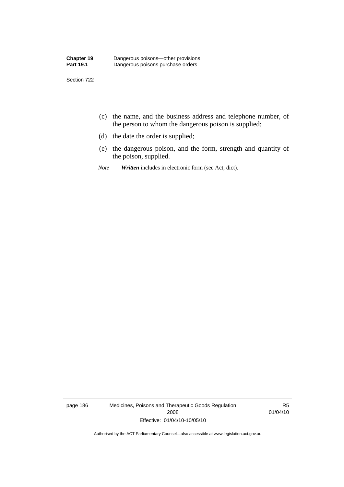- (c) the name, and the business address and telephone number, of the person to whom the dangerous poison is supplied;
- (d) the date the order is supplied;
- (e) the dangerous poison, and the form, strength and quantity of the poison, supplied.
- *Note Written* includes in electronic form (see Act, dict).

page 186 Medicines, Poisons and Therapeutic Goods Regulation 2008 Effective: 01/04/10-10/05/10

R5 01/04/10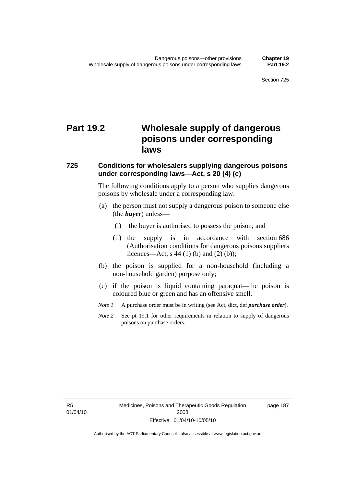# **Part 19.2 Wholesale supply of dangerous poisons under corresponding laws**

### **725 Conditions for wholesalers supplying dangerous poisons under corresponding laws—Act, s 20 (4) (c)**

The following conditions apply to a person who supplies dangerous poisons by wholesale under a corresponding law:

- (a) the person must not supply a dangerous poison to someone else (the *buyer*) unless—
	- (i) the buyer is authorised to possess the poison; and
	- (ii) the supply is in accordance with section 686 (Authorisation conditions for dangerous poisons suppliers licences—Act, s 44 (1) (b) and (2) (b));
- (b) the poison is supplied for a non-household (including a non-household garden) purpose only;
- (c) if the poison is liquid containing paraquat—the poison is coloured blue or green and has an offensive smell.
- *Note 1* A purchase order must be in writing (see Act, dict, def *purchase order*).
- *Note* 2 See pt 19.1 for other requirements in relation to supply of dangerous poisons on purchase orders.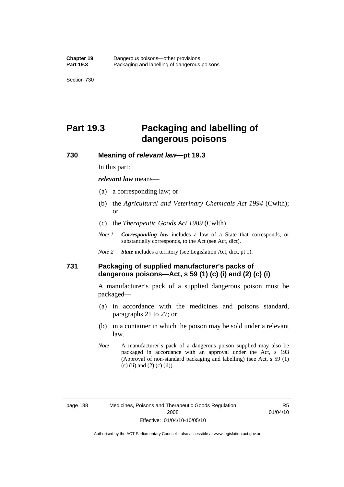# **Part 19.3 Packaging and labelling of dangerous poisons**

### **730 Meaning of** *relevant law***—pt 19.3**

In this part:

*relevant law* means—

- (a) a corresponding law; or
- (b) the *Agricultural and Veterinary Chemicals Act 1994* (Cwlth); or
- (c) the *Therapeutic Goods Act 1989* (Cwlth).
- *Note 1 Corresponding law* includes a law of a State that corresponds, or substantially corresponds, to the Act (see Act, dict).
- *Note 2 State* includes a territory (see Legislation Act, dict, pt 1).

# **731 Packaging of supplied manufacturer's packs of dangerous poisons—Act, s 59 (1) (c) (i) and (2) (c) (i)**

A manufacturer's pack of a supplied dangerous poison must be packaged—

- (a) in accordance with the medicines and poisons standard, paragraphs 21 to 27; or
- (b) in a container in which the poison may be sold under a relevant law.
- *Note* A manufacturer's pack of a dangerous poison supplied may also be packaged in accordance with an approval under the Act, s 193 (Approval of non-standard packaging and labelling) (see Act, s 59 (1)  $(c)$  (ii) and (2) (c) (ii)).

R5 01/04/10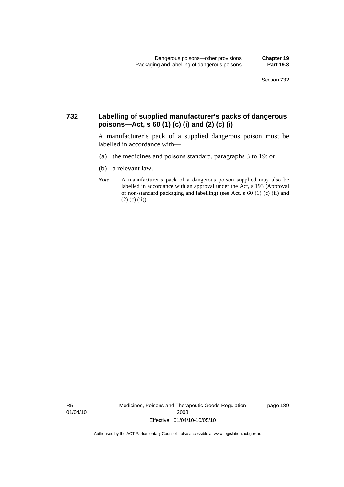### **732 Labelling of supplied manufacturer's packs of dangerous poisons—Act, s 60 (1) (c) (i) and (2) (c) (i)**

A manufacturer's pack of a supplied dangerous poison must be labelled in accordance with—

- (a) the medicines and poisons standard, paragraphs 3 to 19; or
- (b) a relevant law.
- *Note* A manufacturer's pack of a dangerous poison supplied may also be labelled in accordance with an approval under the Act, s 193 (Approval of non-standard packaging and labelling) (see Act, s 60 (1) (c) (ii) and  $(2)$  (c) (ii)).

R5 01/04/10 Medicines, Poisons and Therapeutic Goods Regulation 2008 Effective: 01/04/10-10/05/10

page 189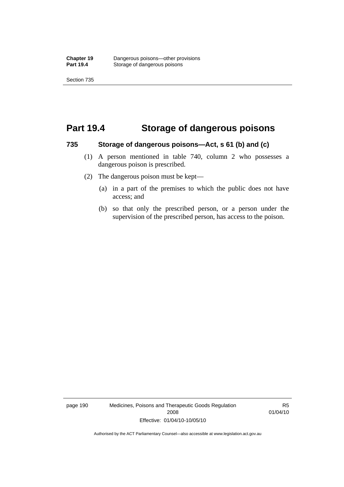# **Part 19.4 Storage of dangerous poisons**

#### **735 Storage of dangerous poisons—Act, s 61 (b) and (c)**

- (1) A person mentioned in table 740, column 2 who possesses a dangerous poison is prescribed.
- (2) The dangerous poison must be kept—
	- (a) in a part of the premises to which the public does not have access; and
	- (b) so that only the prescribed person, or a person under the supervision of the prescribed person, has access to the poison.

page 190 Medicines, Poisons and Therapeutic Goods Regulation 2008 Effective: 01/04/10-10/05/10

R5 01/04/10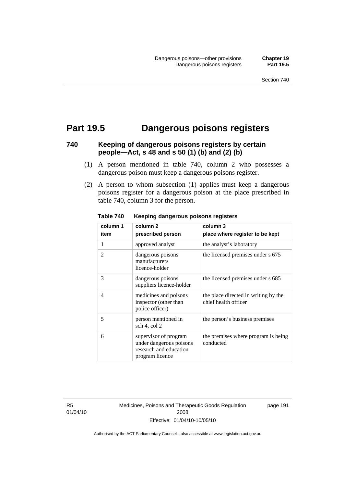# **Part 19.5 Dangerous poisons registers**

# **740 Keeping of dangerous poisons registers by certain people—Act, s 48 and s 50 (1) (b) and (2) (b)**

- (1) A person mentioned in table 740, column 2 who possesses a dangerous poison must keep a dangerous poisons register.
- (2) A person to whom subsection (1) applies must keep a dangerous poisons register for a dangerous poison at the place prescribed in table 740, column 3 for the person.

| column 1       | column 2                                                                                      | column 3                                                     |
|----------------|-----------------------------------------------------------------------------------------------|--------------------------------------------------------------|
| item           | prescribed person                                                                             | place where register to be kept                              |
| 1              | approved analyst                                                                              | the analyst's laboratory                                     |
| 2              | dangerous poisons<br>manufacturers<br>licence-holder                                          | the licensed premises under s 675                            |
| 3              | dangerous poisons<br>suppliers licence-holder                                                 | the licensed premises under s 685                            |
| $\overline{4}$ | medicines and poisons<br>inspector (other than<br>police officer)                             | the place directed in writing by the<br>chief health officer |
| 5              | person mentioned in<br>sch 4, col 2                                                           | the person's business premises                               |
| 6              | supervisor of program<br>under dangerous poisons<br>research and education<br>program licence | the premises where program is being<br>conducted             |

**Table 740 Keeping dangerous poisons registers** 

R5 01/04/10 Medicines, Poisons and Therapeutic Goods Regulation 2008 Effective: 01/04/10-10/05/10

page 191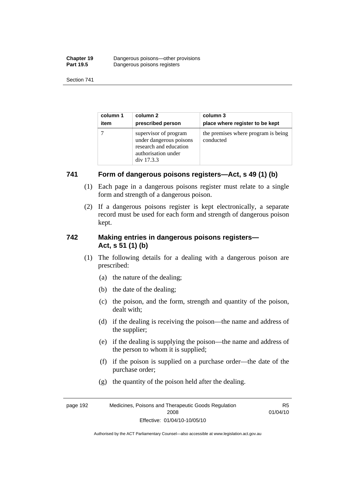| <b>Chapter 19</b> | Dangerous poisons—other provisions |
|-------------------|------------------------------------|
| <b>Part 19.5</b>  | Dangerous poisons registers        |

| column 1 | column 2                                                                                                        | column 3                                         |
|----------|-----------------------------------------------------------------------------------------------------------------|--------------------------------------------------|
| item     | prescribed person                                                                                               | place where register to be kept                  |
|          | supervisor of program<br>under dangerous poisons<br>research and education<br>authorisation under<br>div 17.3.3 | the premises where program is being<br>conducted |

# **741 Form of dangerous poisons registers—Act, s 49 (1) (b)**

- (1) Each page in a dangerous poisons register must relate to a single form and strength of a dangerous poison.
- (2) If a dangerous poisons register is kept electronically, a separate record must be used for each form and strength of dangerous poison kept.

# **742 Making entries in dangerous poisons registers— Act, s 51 (1) (b)**

- (1) The following details for a dealing with a dangerous poison are prescribed:
	- (a) the nature of the dealing;
	- (b) the date of the dealing;
	- (c) the poison, and the form, strength and quantity of the poison, dealt with;
	- (d) if the dealing is receiving the poison—the name and address of the supplier;
	- (e) if the dealing is supplying the poison—the name and address of the person to whom it is supplied;
	- (f) if the poison is supplied on a purchase order—the date of the purchase order;
	- (g) the quantity of the poison held after the dealing.

page 192 Medicines, Poisons and Therapeutic Goods Regulation 2008 Effective: 01/04/10-10/05/10 R5 01/04/10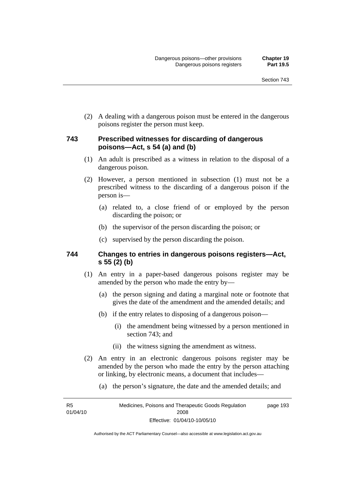(2) A dealing with a dangerous poison must be entered in the dangerous poisons register the person must keep.

#### **743 Prescribed witnesses for discarding of dangerous poisons—Act, s 54 (a) and (b)**

- (1) An adult is prescribed as a witness in relation to the disposal of a dangerous poison.
- (2) However, a person mentioned in subsection (1) must not be a prescribed witness to the discarding of a dangerous poison if the person is—
	- (a) related to, a close friend of or employed by the person discarding the poison; or
	- (b) the supervisor of the person discarding the poison; or
	- (c) supervised by the person discarding the poison.

#### **744 Changes to entries in dangerous poisons registers—Act, s 55 (2) (b)**

- (1) An entry in a paper-based dangerous poisons register may be amended by the person who made the entry by—
	- (a) the person signing and dating a marginal note or footnote that gives the date of the amendment and the amended details; and
	- (b) if the entry relates to disposing of a dangerous poison—
		- (i) the amendment being witnessed by a person mentioned in section 743; and
		- (ii) the witness signing the amendment as witness.
- (2) An entry in an electronic dangerous poisons register may be amended by the person who made the entry by the person attaching or linking, by electronic means, a document that includes—
	- (a) the person's signature, the date and the amended details; and

R5 01/04/10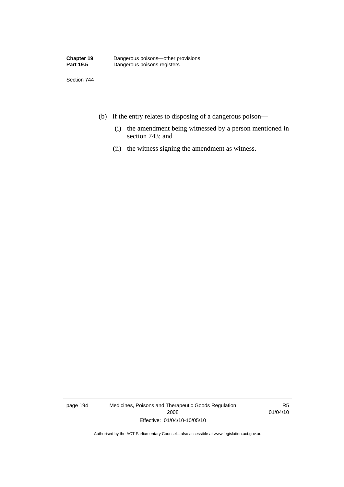Section 744

- (b) if the entry relates to disposing of a dangerous poison—
	- (i) the amendment being witnessed by a person mentioned in section 743; and
	- (ii) the witness signing the amendment as witness.

page 194 Medicines, Poisons and Therapeutic Goods Regulation 2008 Effective: 01/04/10-10/05/10

R5 01/04/10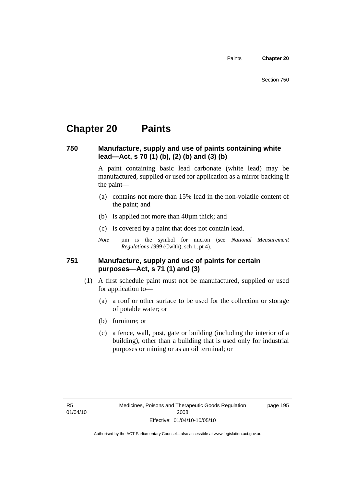Paints **Chapter 20** 

### **Chapter 20 Paints**

#### **750 Manufacture, supply and use of paints containing white lead—Act, s 70 (1) (b), (2) (b) and (3) (b)**

A paint containing basic lead carbonate (white lead) may be manufactured, supplied or used for application as a mirror backing if the paint—

- (a) contains not more than 15% lead in the non-volatile content of the paint; and
- (b) is applied not more than 40µm thick; and
- (c) is covered by a paint that does not contain lead.
- *Note* um is the symbol for micron (see *National Measurement Regulations 1999* (Cwlth), sch 1, pt 4).

#### **751 Manufacture, supply and use of paints for certain purposes—Act, s 71 (1) and (3)**

- (1) A first schedule paint must not be manufactured, supplied or used for application to—
	- (a) a roof or other surface to be used for the collection or storage of potable water; or
	- (b) furniture; or
	- (c) a fence, wall, post, gate or building (including the interior of a building), other than a building that is used only for industrial purposes or mining or as an oil terminal; or

page 195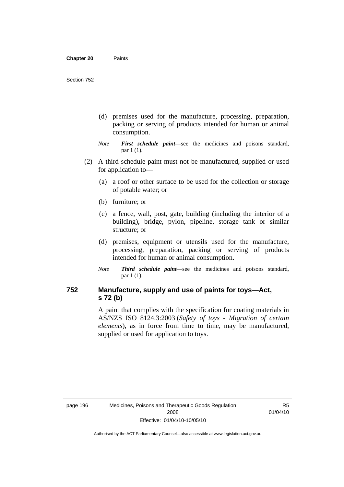- (d) premises used for the manufacture, processing, preparation, packing or serving of products intended for human or animal consumption.
- *Note First schedule paint*—see the medicines and poisons standard, par 1 (1).
- (2) A third schedule paint must not be manufactured, supplied or used for application to—
	- (a) a roof or other surface to be used for the collection or storage of potable water; or
	- (b) furniture; or
	- (c) a fence, wall, post, gate, building (including the interior of a building), bridge, pylon, pipeline, storage tank or similar structure; or
	- (d) premises, equipment or utensils used for the manufacture, processing, preparation, packing or serving of products intended for human or animal consumption.
	- *Note Third schedule paint*—see the medicines and poisons standard, par 1 (1).

#### **752 Manufacture, supply and use of paints for toys—Act, s 72 (b)**

A paint that complies with the specification for coating materials in AS/NZS ISO 8124.3:2003 (*Safety of toys - Migration of certain elements*), as in force from time to time, may be manufactured, supplied or used for application to toys.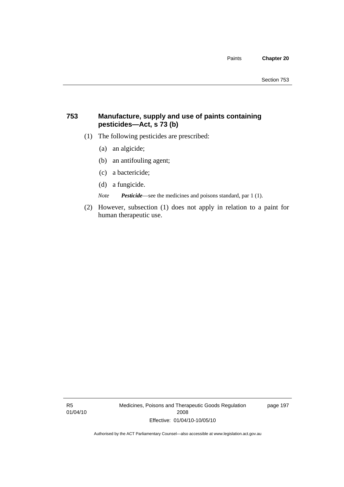#### **753 Manufacture, supply and use of paints containing pesticides—Act, s 73 (b)**

- (1) The following pesticides are prescribed:
	- (a) an algicide;
	- (b) an antifouling agent;
	- (c) a bactericide;
	- (d) a fungicide.

*Note Pesticide*—see the medicines and poisons standard, par 1 (1).

 (2) However, subsection (1) does not apply in relation to a paint for human therapeutic use.

R5 01/04/10 Medicines, Poisons and Therapeutic Goods Regulation 2008 Effective: 01/04/10-10/05/10

page 197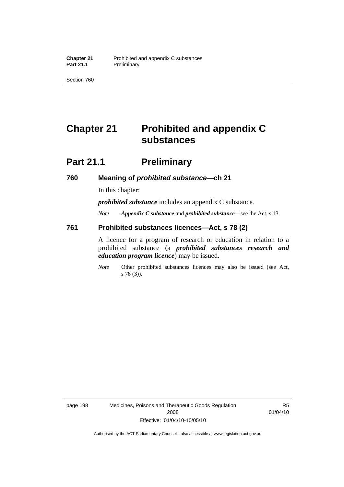Section 760

## **Chapter 21 Prohibited and appendix C substances**

### **Part 21.1** Preliminary

#### **760 Meaning of** *prohibited substance***—ch 21**

In this chapter:

*prohibited substance* includes an appendix C substance.

*Note Appendix C substance* and *prohibited substance*—see the Act, s 13.

#### **761 Prohibited substances licences—Act, s 78 (2)**

A licence for a program of research or education in relation to a prohibited substance (a *prohibited substances research and education program licence*) may be issued.

*Note* Other prohibited substances licences may also be issued (see Act, s 78 (3)).

page 198 Medicines, Poisons and Therapeutic Goods Regulation 2008 Effective: 01/04/10-10/05/10

R5 01/04/10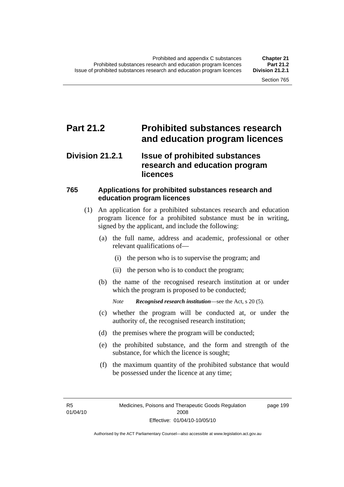### **Part 21.2 Prohibited substances research and education program licences**

### **Division 21.2.1 Issue of prohibited substances research and education program licences**

#### **765 Applications for prohibited substances research and education program licences**

- (1) An application for a prohibited substances research and education program licence for a prohibited substance must be in writing, signed by the applicant, and include the following:
	- (a) the full name, address and academic, professional or other relevant qualifications of—
		- (i) the person who is to supervise the program; and
		- (ii) the person who is to conduct the program;
	- (b) the name of the recognised research institution at or under which the program is proposed to be conducted;

*Note Recognised research institution*—see the Act, s 20 (5).

- (c) whether the program will be conducted at, or under the authority of, the recognised research institution;
- (d) the premises where the program will be conducted;
- (e) the prohibited substance, and the form and strength of the substance, for which the licence is sought;
- (f) the maximum quantity of the prohibited substance that would be possessed under the licence at any time;

R5 01/04/10 page 199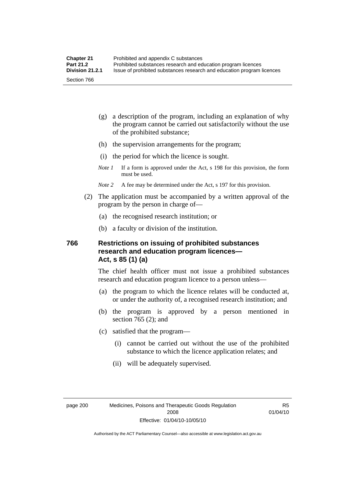- (g) a description of the program, including an explanation of why the program cannot be carried out satisfactorily without the use of the prohibited substance;
- (h) the supervision arrangements for the program;
- (i) the period for which the licence is sought.
- *Note 1* If a form is approved under the Act, s 198 for this provision, the form must be used.
- *Note 2* A fee may be determined under the Act, s 197 for this provision.
- (2) The application must be accompanied by a written approval of the program by the person in charge of—
	- (a) the recognised research institution; or
	- (b) a faculty or division of the institution.

#### **766 Restrictions on issuing of prohibited substances research and education program licences— Act, s 85 (1) (a)**

The chief health officer must not issue a prohibited substances research and education program licence to a person unless—

- (a) the program to which the licence relates will be conducted at, or under the authority of, a recognised research institution; and
- (b) the program is approved by a person mentioned in section 765 (2); and
- (c) satisfied that the program—
	- (i) cannot be carried out without the use of the prohibited substance to which the licence application relates; and
	- (ii) will be adequately supervised.

R5 01/04/10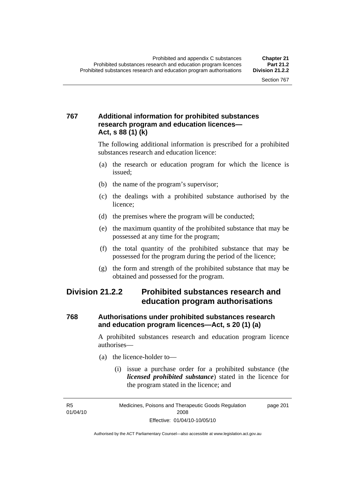#### **767 Additional information for prohibited substances research program and education licences— Act, s 88 (1) (k)**

The following additional information is prescribed for a prohibited substances research and education licence:

- (a) the research or education program for which the licence is issued;
- (b) the name of the program's supervisor;
- (c) the dealings with a prohibited substance authorised by the licence;
- (d) the premises where the program will be conducted;
- (e) the maximum quantity of the prohibited substance that may be possessed at any time for the program;
- (f) the total quantity of the prohibited substance that may be possessed for the program during the period of the licence;
- (g) the form and strength of the prohibited substance that may be obtained and possessed for the program.

### **Division 21.2.2 Prohibited substances research and education program authorisations**

#### **768 Authorisations under prohibited substances research and education program licences—Act, s 20 (1) (a)**

A prohibited substances research and education program licence authorises—

- (a) the licence-holder to—
	- (i) issue a purchase order for a prohibited substance (the *licensed prohibited substance*) stated in the licence for the program stated in the licence; and

R5 01/04/10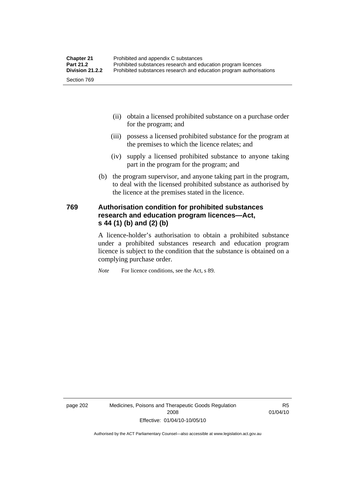| <b>Chapter 21</b> | Prohibited and appendix C substances                                |
|-------------------|---------------------------------------------------------------------|
| <b>Part 21.2</b>  | Prohibited substances research and education program licences       |
| Division 21.2.2   | Prohibited substances research and education program authorisations |
| Section 769       |                                                                     |

- (ii) obtain a licensed prohibited substance on a purchase order for the program; and
- (iii) possess a licensed prohibited substance for the program at the premises to which the licence relates; and
- (iv) supply a licensed prohibited substance to anyone taking part in the program for the program; and
- (b) the program supervisor, and anyone taking part in the program, to deal with the licensed prohibited substance as authorised by the licence at the premises stated in the licence.

#### **769 Authorisation condition for prohibited substances research and education program licences—Act, s 44 (1) (b) and (2) (b)**

A licence-holder's authorisation to obtain a prohibited substance under a prohibited substances research and education program licence is subject to the condition that the substance is obtained on a complying purchase order.

*Note* For licence conditions, see the Act, s 89.

page 202 Medicines, Poisons and Therapeutic Goods Regulation 2008 Effective: 01/04/10-10/05/10

R5 01/04/10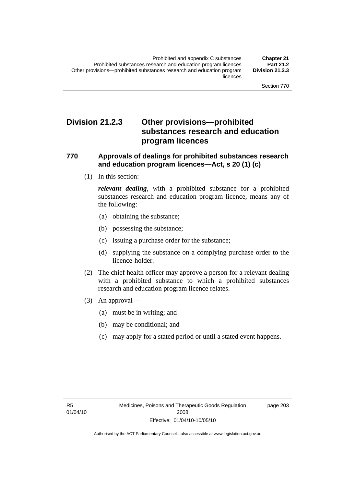### **Division 21.2.3 Other provisions—prohibited substances research and education program licences**

#### **770 Approvals of dealings for prohibited substances research and education program licences—Act, s 20 (1) (c)**

(1) In this section:

*relevant dealing*, with a prohibited substance for a prohibited substances research and education program licence, means any of the following:

- (a) obtaining the substance;
- (b) possessing the substance;
- (c) issuing a purchase order for the substance;
- (d) supplying the substance on a complying purchase order to the licence-holder.
- (2) The chief health officer may approve a person for a relevant dealing with a prohibited substance to which a prohibited substances research and education program licence relates.
- (3) An approval—
	- (a) must be in writing; and
	- (b) may be conditional; and
	- (c) may apply for a stated period or until a stated event happens.

page 203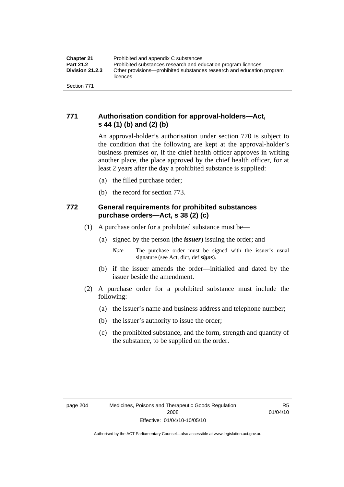### **771 Authorisation condition for approval-holders—Act, s 44 (1) (b) and (2) (b)**

An approval-holder's authorisation under section 770 is subject to the condition that the following are kept at the approval-holder's business premises or, if the chief health officer approves in writing another place, the place approved by the chief health officer, for at least 2 years after the day a prohibited substance is supplied:

- (a) the filled purchase order;
- (b) the record for section 773.

#### **772 General requirements for prohibited substances purchase orders—Act, s 38 (2) (c)**

- (1) A purchase order for a prohibited substance must be—
	- (a) signed by the person (the *issuer*) issuing the order; and
		- *Note* The purchase order must be signed with the issuer's usual signature (see Act, dict, def *signs*).
	- (b) if the issuer amends the order—initialled and dated by the issuer beside the amendment.
- (2) A purchase order for a prohibited substance must include the following:
	- (a) the issuer's name and business address and telephone number;
	- (b) the issuer's authority to issue the order;
	- (c) the prohibited substance, and the form, strength and quantity of the substance, to be supplied on the order.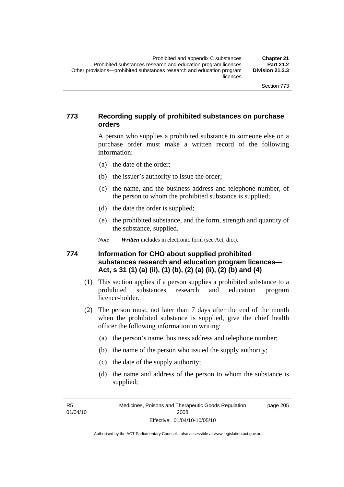#### **773 Recording supply of prohibited substances on purchase orders**

A person who supplies a prohibited substance to someone else on a purchase order must make a written record of the following information:

- (a) the date of the order;
- (b) the issuer's authority to issue the order;
- (c) the name, and the business address and telephone number, of the person to whom the prohibited substance is supplied;
- (d) the date the order is supplied;
- (e) the prohibited substance, and the form, strength and quantity of the substance, supplied.

*Note Written* includes in electronic form (see Act, dict).

#### **774 Information for CHO about supplied prohibited substances research and education program licences— Act, s 31 (1) (a) (ii), (1) (b), (2) (a) (ii), (2) (b) and (4)**

- (1) This section applies if a person supplies a prohibited substance to a prohibited substances research and education program licence-holder.
- (2) The person must, not later than 7 days after the end of the month when the prohibited substance is supplied, give the chief health officer the following information in writing:
	- (a) the person's name, business address and telephone number;
	- (b) the name of the person who issued the supply authority;
	- (c) the date of the supply authority;
	- (d) the name and address of the person to whom the substance is supplied;

R5 01/04/10 page 205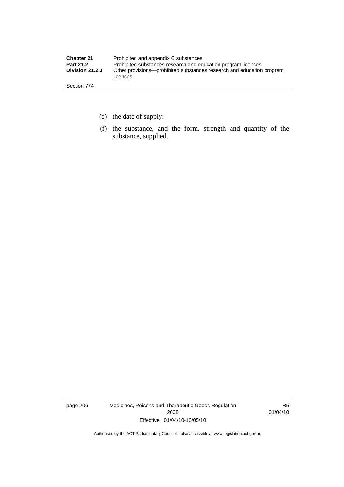| <b>Chapter 21</b>      | Prohibited and appendix C substances                                              |
|------------------------|-----------------------------------------------------------------------------------|
| <b>Part 21.2</b>       | Prohibited substances research and education program licences                     |
| <b>Division 21.2.3</b> | Other provisions—prohibited substances research and education program<br>licences |
| Section 774            |                                                                                   |

- (e) the date of supply;
- (f) the substance, and the form, strength and quantity of the substance, supplied.

page 206 Medicines, Poisons and Therapeutic Goods Regulation 2008 Effective: 01/04/10-10/05/10

R5 01/04/10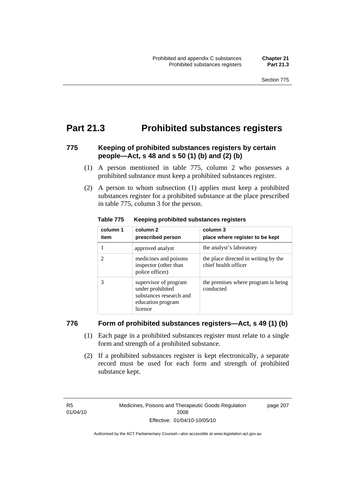### **Part 21.3 Prohibited substances registers**

#### **775 Keeping of prohibited substances registers by certain people—Act, s 48 and s 50 (1) (b) and (2) (b)**

- (1) A person mentioned in table 775, column 2 who possesses a prohibited substance must keep a prohibited substances register.
- (2) A person to whom subsection (1) applies must keep a prohibited substances register for a prohibited substance at the place prescribed in table 775, column 3 for the person.

| column 1<br>item | column <sub>2</sub><br>prescribed person                                                             | column 3<br>place where register to be kept                  |
|------------------|------------------------------------------------------------------------------------------------------|--------------------------------------------------------------|
|                  | approved analyst                                                                                     | the analyst's laboratory                                     |
| 2                | medicines and poisons<br>inspector (other than<br>police officer)                                    | the place directed in writing by the<br>chief health officer |
| 3                | supervisor of program<br>under prohibited<br>substances research and<br>education program<br>licence | the premises where program is being<br>conducted             |

**Table 775 Keeping prohibited substances registers** 

#### **776 Form of prohibited substances registers—Act, s 49 (1) (b)**

- (1) Each page in a prohibited substances register must relate to a single form and strength of a prohibited substance.
- (2) If a prohibited substances register is kept electronically, a separate record must be used for each form and strength of prohibited substance kept.

R5 01/04/10 page 207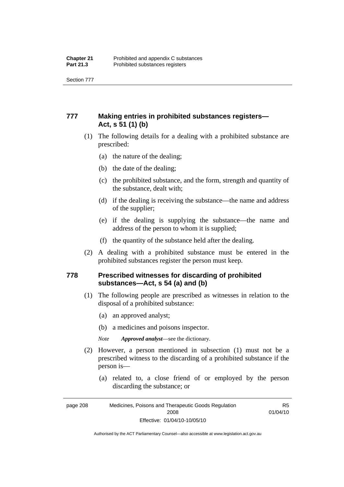Section 777

### **777 Making entries in prohibited substances registers— Act, s 51 (1) (b)**

- (1) The following details for a dealing with a prohibited substance are prescribed:
	- (a) the nature of the dealing;
	- (b) the date of the dealing;
	- (c) the prohibited substance, and the form, strength and quantity of the substance, dealt with;
	- (d) if the dealing is receiving the substance—the name and address of the supplier;
	- (e) if the dealing is supplying the substance—the name and address of the person to whom it is supplied;
	- (f) the quantity of the substance held after the dealing.
- (2) A dealing with a prohibited substance must be entered in the prohibited substances register the person must keep.

#### **778 Prescribed witnesses for discarding of prohibited substances—Act, s 54 (a) and (b)**

- (1) The following people are prescribed as witnesses in relation to the disposal of a prohibited substance:
	- (a) an approved analyst;
	- (b) a medicines and poisons inspector.

*Note Approved analyst*—see the dictionary.

- (2) However, a person mentioned in subsection (1) must not be a prescribed witness to the discarding of a prohibited substance if the person is—
	- (a) related to, a close friend of or employed by the person discarding the substance; or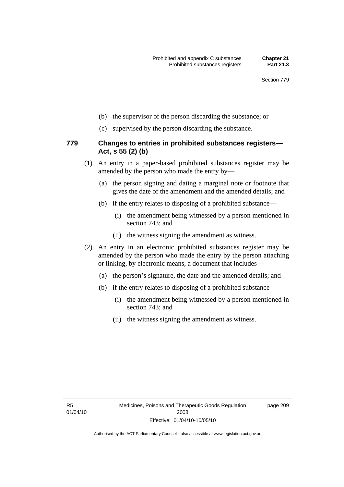- (b) the supervisor of the person discarding the substance; or
- (c) supervised by the person discarding the substance.

#### **779 Changes to entries in prohibited substances registers— Act, s 55 (2) (b)**

- (1) An entry in a paper-based prohibited substances register may be amended by the person who made the entry by—
	- (a) the person signing and dating a marginal note or footnote that gives the date of the amendment and the amended details; and
	- (b) if the entry relates to disposing of a prohibited substance—
		- (i) the amendment being witnessed by a person mentioned in section 743; and
		- (ii) the witness signing the amendment as witness.
- (2) An entry in an electronic prohibited substances register may be amended by the person who made the entry by the person attaching or linking, by electronic means, a document that includes—
	- (a) the person's signature, the date and the amended details; and
	- (b) if the entry relates to disposing of a prohibited substance—
		- (i) the amendment being witnessed by a person mentioned in section 743; and
		- (ii) the witness signing the amendment as witness.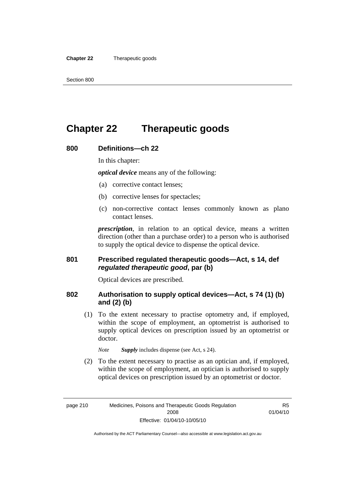#### **Chapter 22** Therapeutic goods

### **Chapter 22 Therapeutic goods**

#### **800 Definitions—ch 22**

In this chapter:

*optical device* means any of the following:

- (a) corrective contact lenses;
- (b) corrective lenses for spectacles;
- (c) non-corrective contact lenses commonly known as plano contact lenses.

*prescription*, in relation to an optical device, means a written direction (other than a purchase order) to a person who is authorised to supply the optical device to dispense the optical device.

#### **801 Prescribed regulated therapeutic goods—Act, s 14, def**  *regulated therapeutic good***, par (b)**

Optical devices are prescribed.

#### **802 Authorisation to supply optical devices—Act, s 74 (1) (b) and (2) (b)**

 (1) To the extent necessary to practise optometry and, if employed, within the scope of employment, an optometrist is authorised to supply optical devices on prescription issued by an optometrist or doctor.

*Note Supply* includes dispense (see Act, s 24).

 (2) To the extent necessary to practise as an optician and, if employed, within the scope of employment, an optician is authorised to supply optical devices on prescription issued by an optometrist or doctor.

R5 01/04/10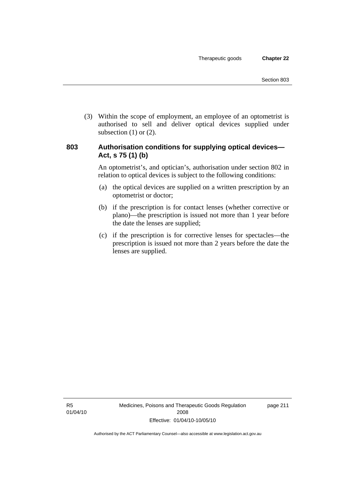(3) Within the scope of employment, an employee of an optometrist is authorised to sell and deliver optical devices supplied under subsection  $(1)$  or  $(2)$ .

#### **803 Authorisation conditions for supplying optical devices— Act, s 75 (1) (b)**

An optometrist's, and optician's, authorisation under section 802 in relation to optical devices is subject to the following conditions:

- (a) the optical devices are supplied on a written prescription by an optometrist or doctor;
- (b) if the prescription is for contact lenses (whether corrective or plano)—the prescription is issued not more than 1 year before the date the lenses are supplied;
- (c) if the prescription is for corrective lenses for spectacles—the prescription is issued not more than 2 years before the date the lenses are supplied.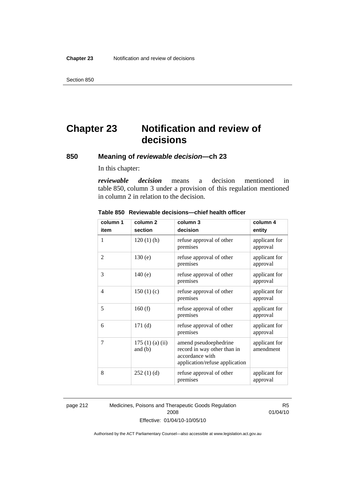## **Chapter 23 Notification and review of decisions**

#### **850 Meaning of** *reviewable decision—***ch 23**

In this chapter:

*reviewable decision* means a decision mentioned in table 850, column 3 under a provision of this regulation mentioned in column 2 in relation to the decision.

| column 1 | column <sub>2</sub>        | column 3                                                                                                  | column 4                   |
|----------|----------------------------|-----------------------------------------------------------------------------------------------------------|----------------------------|
| item     | section                    | decision                                                                                                  | entity                     |
| 1        | $120(1)$ (h)               | refuse approval of other<br>premises                                                                      | applicant for<br>approval  |
| 2        | 130(e)                     | refuse approval of other<br>premises                                                                      | applicant for<br>approval  |
| 3        | 140(e)                     | refuse approval of other<br>premises                                                                      | applicant for<br>approval  |
| 4        | 150(1)(c)                  | refuse approval of other<br>premises                                                                      | applicant for<br>approval  |
| 5        | 160(f)                     | refuse approval of other<br>premises                                                                      | applicant for<br>approval  |
| 6        | 171(d)                     | refuse approval of other<br>premises                                                                      | applicant for<br>approval  |
| 7        | 175(1)(a)(ii)<br>and $(b)$ | amend pseudoephedrine<br>record in way other than in<br>accordance with<br>application/refuse application | applicant for<br>amendment |
| 8        | 252(1)(d)                  | refuse approval of other<br>premises                                                                      | applicant for<br>approval  |

#### **Table 850 Reviewable decisions—chief health officer**

page 212 Medicines, Poisons and Therapeutic Goods Regulation 2008 Effective: 01/04/10-10/05/10

R5 01/04/10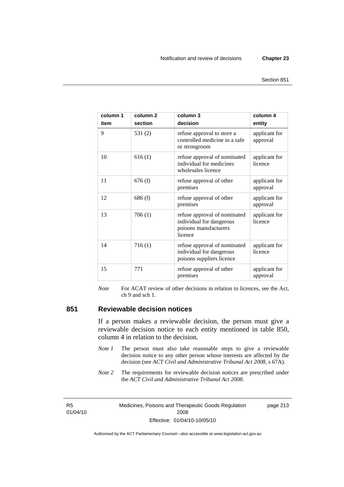page 213

| column 1<br>item | column <sub>2</sub><br>section | column <sub>3</sub><br>decision                                                              | column 4<br>entity        |
|------------------|--------------------------------|----------------------------------------------------------------------------------------------|---------------------------|
| 9                | 531(2)                         | refuse approval to store a<br>controlled medicine in a safe<br>or strongroom                 | applicant for<br>approval |
| 10               | 616(1)                         | refuse approval of nominated<br>individual for medicines<br>wholesales licence               | applicant for<br>licence  |
| 11               | 676(f)                         | refuse approval of other<br>premises                                                         | applicant for<br>approval |
| 12               | 686(f)                         | refuse approval of other<br>premises                                                         | applicant for<br>approval |
| 13               | 706 (1)                        | refuse approval of nominated<br>individual for dangerous<br>poisons manufacturers<br>licence | applicant for<br>licence  |
| 14               | 716(1)                         | refuse approval of nominated<br>individual for dangerous<br>poisons suppliers licence        | applicant for<br>licence  |
| 15               | 771                            | refuse approval of other<br>premises                                                         | applicant for<br>approval |

*Note* For ACAT review of other decisions in relation to licences, see the Act, ch 9 and sch 1.

#### **851 Reviewable decision notices**

If a person makes a reviewable decision, the person must give a reviewable decision notice to each entity mentioned in table 850, column 4 in relation to the decision.

- *Note 1* The person must also take reasonable steps to give a reviewable decision notice to any other person whose interests are affected by the decision (see *ACT Civil and Administrative Tribunal Act 2008*, s 67A).
- *Note* 2 The requirements for reviewable decision notices are prescribed under the *ACT Civil and Administrative Tribunal Act 2008*.

R5 01/04/10 Medicines, Poisons and Therapeutic Goods Regulation 2008 Effective: 01/04/10-10/05/10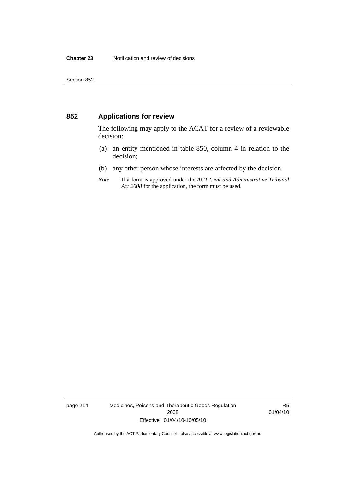#### **852 Applications for review**

The following may apply to the ACAT for a review of a reviewable decision:

- (a) an entity mentioned in table 850, column 4 in relation to the decision;
- (b) any other person whose interests are affected by the decision.
- *Note* If a form is approved under the *ACT Civil and Administrative Tribunal Act 2008* for the application, the form must be used.

page 214 Medicines, Poisons and Therapeutic Goods Regulation 2008 Effective: 01/04/10-10/05/10

R5 01/04/10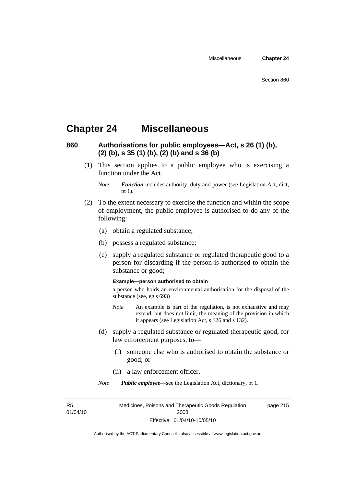### **Chapter 24 Miscellaneous**

#### **860 Authorisations for public employees—Act, s 26 (1) (b), (2) (b), s 35 (1) (b), (2) (b) and s 36 (b)**

 (1) This section applies to a public employee who is exercising a function under the Act.

- (2) To the extent necessary to exercise the function and within the scope of employment, the public employee is authorised to do any of the following:
	- (a) obtain a regulated substance;
	- (b) possess a regulated substance;
	- (c) supply a regulated substance or regulated therapeutic good to a person for discarding if the person is authorised to obtain the substance or good;

#### **Example—person authorised to obtain**

a person who holds an environmental authorisation for the disposal of the substance (see, eg s 693)

- *Note* An example is part of the regulation, is not exhaustive and may extend, but does not limit, the meaning of the provision in which it appears (see Legislation Act, s 126 and s 132).
- (d) supply a regulated substance or regulated therapeutic good, for law enforcement purposes, to—
	- (i) someone else who is authorised to obtain the substance or good; or
	- (ii) a law enforcement officer.

*Note Public employee*—see the Legislation Act, dictionary, pt 1.

R5 01/04/10 page 215

*Note Function* includes authority, duty and power (see Legislation Act, dict, pt 1).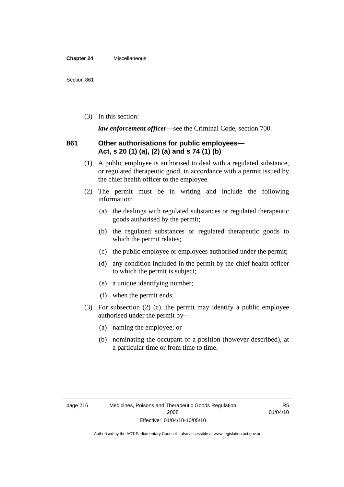#### **Chapter 24** Miscellaneous

(3) In this section:

*law enforcement officer*—see the Criminal Code, section 700.

#### **861 Other authorisations for public employees— Act, s 20 (1) (a), (2) (a) and s 74 (1) (b)**

- (1) A public employee is authorised to deal with a regulated substance, or regulated therapeutic good, in accordance with a permit issued by the chief health officer to the employee.
- (2) The permit must be in writing and include the following information:
	- (a) the dealings with regulated substances or regulated therapeutic goods authorised by the permit;
	- (b) the regulated substances or regulated therapeutic goods to which the permit relates;
	- (c) the public employee or employees authorised under the permit;
	- (d) any condition included in the permit by the chief health officer to which the permit is subject;
	- (e) a unique identifying number;
	- (f) when the permit ends.
- (3) For subsection (2) (c), the permit may identify a public employee authorised under the permit by—
	- (a) naming the employee; or
	- (b) nominating the occupant of a position (however described), at a particular time or from time to time.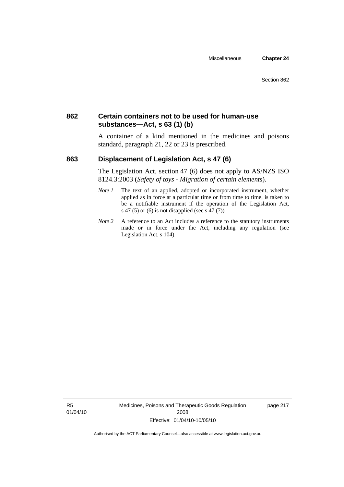#### **862 Certain containers not to be used for human-use substances—Act, s 63 (1) (b)**

A container of a kind mentioned in the medicines and poisons standard, paragraph 21, 22 or 23 is prescribed.

#### **863 Displacement of Legislation Act, s 47 (6)**

The Legislation Act, section 47 (6) does not apply to AS/NZS ISO 8124.3:2003 (*Safety of toys - Migration of certain elements*).

- *Note 1* The text of an applied, adopted or incorporated instrument, whether applied as in force at a particular time or from time to time, is taken to be a notifiable instrument if the operation of the Legislation Act, s 47 (5) or (6) is not disapplied (see s 47 (7)).
- *Note 2* A reference to an Act includes a reference to the statutory instruments made or in force under the Act, including any regulation (see Legislation Act, s 104).

R5 01/04/10 Medicines, Poisons and Therapeutic Goods Regulation 2008 Effective: 01/04/10-10/05/10

page 217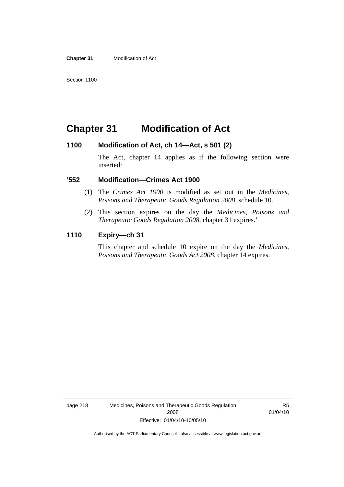**Chapter 31** Modification of Act

### **Chapter 31 Modification of Act**

#### **1100 Modification of Act, ch 14—Act, s 501 (2)**

The Act, chapter 14 applies as if the following section were inserted:

#### **'552 Modification—Crimes Act 1900**

- (1) The *Crimes Act 1900* is modified as set out in the *Medicines, Poisons and Therapeutic Goods Regulation 2008*, schedule 10.
- (2) This section expires on the day the *Medicines, Poisons and Therapeutic Goods Regulation 2008*, chapter 31 expires.'

#### **1110 Expiry—ch 31**

This chapter and schedule 10 expire on the day the *Medicines, Poisons and Therapeutic Goods Act 2008*, chapter 14 expires.

page 218 Medicines, Poisons and Therapeutic Goods Regulation 2008 Effective: 01/04/10-10/05/10

R5 01/04/10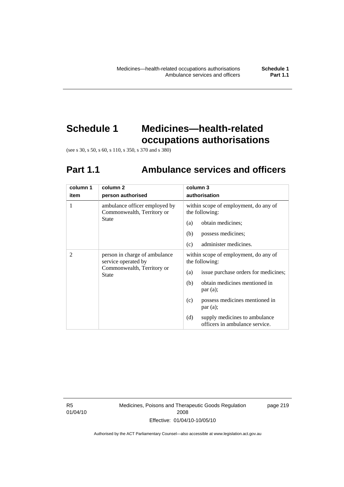## **Schedule 1 Medicines—health-related occupations authorisations**

(see s 30, s 50, s 60, s 110, s 350, s 370 and s 380)

## **Part 1.1 Ambulance services and officers**

| column 1       | column <sub>2</sub>                                                                                | column 3                                                               |
|----------------|----------------------------------------------------------------------------------------------------|------------------------------------------------------------------------|
| item           | person authorised                                                                                  | authorisation                                                          |
| 1              | ambulance officer employed by<br>Commonwealth, Territory or                                        | within scope of employment, do any of<br>the following:                |
|                | State                                                                                              | obtain medicines;<br>(a)                                               |
|                |                                                                                                    | possess medicines;<br>(b)                                              |
|                |                                                                                                    | (c)<br>administer medicines.                                           |
| $\overline{2}$ | person in charge of ambulance<br>service operated by<br>Commonwealth, Territory or<br><b>State</b> | within scope of employment, do any of<br>the following:                |
|                |                                                                                                    | issue purchase orders for medicines;<br>(a)                            |
|                |                                                                                                    | obtain medicines mentioned in<br>(b)<br>par(a);                        |
|                |                                                                                                    | possess medicines mentioned in<br>(c)<br>par(a);                       |
|                |                                                                                                    | supply medicines to ambulance<br>(d)<br>officers in ambulance service. |

R5 01/04/10 Medicines, Poisons and Therapeutic Goods Regulation 2008 Effective: 01/04/10-10/05/10

page 219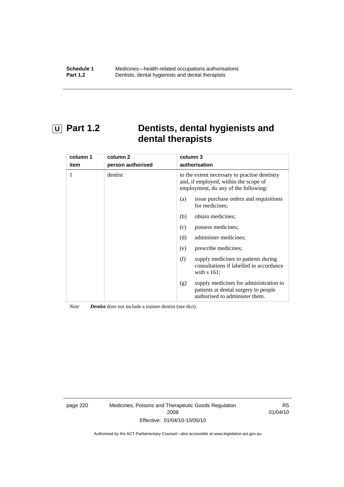### **U Part 1.2 Dentists, dental hygienists and dental therapists**

| column 1<br>item | column 2<br>person authorised | column 3<br>authorisation                                                                                                      |
|------------------|-------------------------------|--------------------------------------------------------------------------------------------------------------------------------|
| 1                | dentist                       | to the extent necessary to practise dentistry<br>and, if employed, within the scope of<br>employment, do any of the following: |
|                  |                               | issue purchase orders and requisitions<br>(a)<br>for medicines:                                                                |
|                  |                               | obtain medicines;<br>(b)                                                                                                       |
|                  |                               | possess medicines;<br>(c)                                                                                                      |
|                  |                               | (d)<br>administer medicines;                                                                                                   |
|                  |                               | prescribe medicines;<br>(e)                                                                                                    |
|                  |                               | (f)<br>supply medicines to patients during<br>consultations if labelled in accordance<br>with $s$ 161;                         |
|                  |                               | supply medicines for administration to<br>(g)<br>patients at dental surgery to people<br>authorised to administer them.        |

*Note Dentist* does not include a trainee dentist (see dict).

page 220 Medicines, Poisons and Therapeutic Goods Regulation 2008 Effective: 01/04/10-10/05/10

R5 01/04/10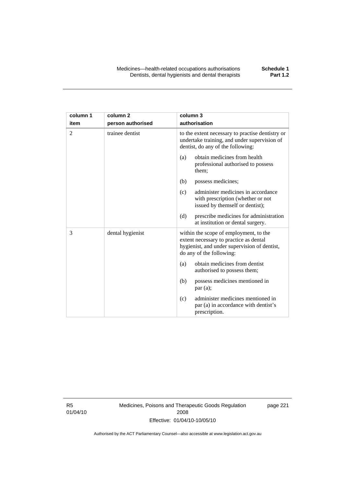| column 1 | column <sub>2</sub> | column 3                                                                                                                                                     |
|----------|---------------------|--------------------------------------------------------------------------------------------------------------------------------------------------------------|
| item     | person authorised   | authorisation                                                                                                                                                |
| 2        | trainee dentist     | to the extent necessary to practise dentistry or<br>undertake training, and under supervision of<br>dentist, do any of the following:                        |
|          |                     | obtain medicines from health<br>(a)<br>professional authorised to possess<br>them;                                                                           |
|          |                     | possess medicines;<br>(b)                                                                                                                                    |
|          |                     | administer medicines in accordance<br>(c)<br>with prescription (whether or not<br>issued by themself or dentist);                                            |
|          |                     | (d)<br>prescribe medicines for administration<br>at institution or dental surgery.                                                                           |
| 3        | dental hygienist    | within the scope of employment, to the<br>extent necessary to practice as dental<br>hygienist, and under supervision of dentist,<br>do any of the following: |
|          |                     | obtain medicines from dentist<br>(a)<br>authorised to possess them;                                                                                          |
|          |                     | possess medicines mentioned in<br>(b)<br>par(a);                                                                                                             |
|          |                     | administer medicines mentioned in<br>(c)<br>par (a) in accordance with dentist's<br>prescription.                                                            |

R5 01/04/10 Medicines, Poisons and Therapeutic Goods Regulation 2008 Effective: 01/04/10-10/05/10

page 221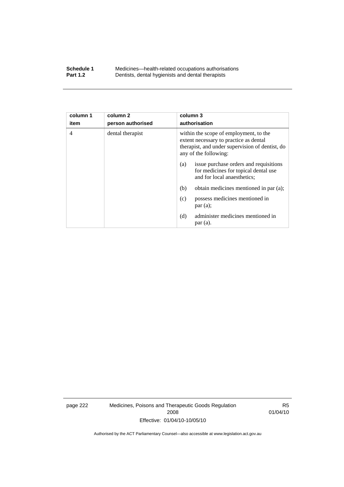#### **Schedule 1** Medicines—health-related occupations authorisations<br>**Part 1.2** Dentists, dental hygienists and dental therapists **Part 1.2** Dentists, dental hygienists and dental therapists

| column 1<br>item | column <sub>2</sub><br>person authorised | column 3<br>authorisation                                                                                                                                    |
|------------------|------------------------------------------|--------------------------------------------------------------------------------------------------------------------------------------------------------------|
|                  |                                          |                                                                                                                                                              |
| $\overline{4}$   | dental therapist                         | within the scope of employment, to the<br>extent necessary to practice as dental<br>therapist, and under supervision of dentist, do<br>any of the following: |
|                  |                                          | issue purchase orders and requisitions<br>(a)<br>for medicines for topical dental use<br>and for local anaesthetics;                                         |
|                  |                                          | (b)<br>obtain medicines mentioned in par (a);                                                                                                                |
|                  |                                          | possess medicines mentioned in<br>(c)<br>par(a);                                                                                                             |
|                  |                                          | administer medicines mentioned in<br>(d)<br>par(a).                                                                                                          |

page 222 Medicines, Poisons and Therapeutic Goods Regulation 2008 Effective: 01/04/10-10/05/10

R5 01/04/10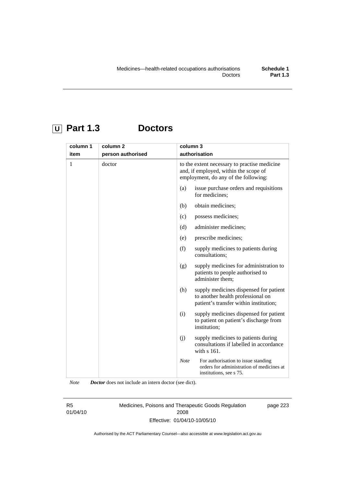### **U Part 1.3 Doctors**

| column 1 | column <sub>2</sub> | column 3                                                                                                                      |
|----------|---------------------|-------------------------------------------------------------------------------------------------------------------------------|
| item     | person authorised   | authorisation                                                                                                                 |
| 1        | doctor              | to the extent necessary to practise medicine<br>and, if employed, within the scope of<br>employment, do any of the following: |
|          |                     | (a)<br>issue purchase orders and requisitions<br>for medicines;                                                               |
|          |                     | obtain medicines;<br>(b)                                                                                                      |
|          |                     | possess medicines;<br>(c)                                                                                                     |
|          |                     | administer medicines;<br>(d)                                                                                                  |
|          |                     | prescribe medicines;<br>(e)                                                                                                   |
|          |                     | (f)<br>supply medicines to patients during<br>consultations;                                                                  |
|          |                     | supply medicines for administration to<br>(g)<br>patients to people authorised to<br>administer them:                         |
|          |                     | (h)<br>supply medicines dispensed for patient<br>to another health professional on<br>patient's transfer within institution;  |
|          |                     | supply medicines dispensed for patient<br>(i)<br>to patient on patient's discharge from<br>institution;                       |
|          |                     | (j)<br>supply medicines to patients during<br>consultations if labelled in accordance<br>with s 161.                          |
|          |                     | <b>Note</b><br>For authorisation to issue standing<br>orders for administration of medicines at<br>institutions, see s 75.    |

*Note Doctor* does not include an intern doctor (see dict).

R5 01/04/10 Medicines, Poisons and Therapeutic Goods Regulation 2008 Effective: 01/04/10-10/05/10

page 223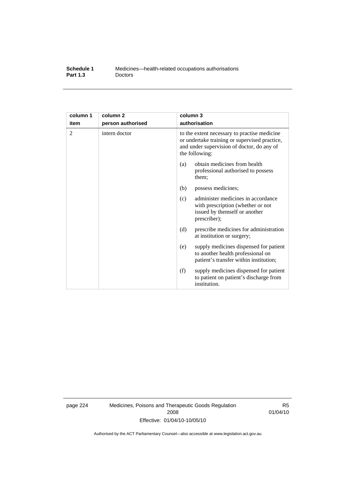| Schedule 1      | Medicines—health-related occupations authorisations |
|-----------------|-----------------------------------------------------|
| <b>Part 1.3</b> | <b>Doctors</b>                                      |

| column 1<br>item | column <sub>2</sub><br>person authorised | column 3<br>authorisation                                                                                                                                     |
|------------------|------------------------------------------|---------------------------------------------------------------------------------------------------------------------------------------------------------------|
| 2                | intern doctor                            | to the extent necessary to practise medicine<br>or undertake training or supervised practice,<br>and under supervision of doctor, do any of<br>the following: |
|                  |                                          | obtain medicines from health<br>(a)<br>professional authorised to possess<br>them;                                                                            |
|                  |                                          | (b)<br>possess medicines;                                                                                                                                     |
|                  |                                          | administer medicines in accordance<br>(c)<br>with prescription (whether or not<br>issued by themself or another<br>prescriber);                               |
|                  |                                          | (d)<br>prescribe medicines for administration<br>at institution or surgery;                                                                                   |
|                  |                                          | supply medicines dispensed for patient<br>(e)<br>to another health professional on<br>patient's transfer within institution;                                  |
|                  |                                          | (f)<br>supply medicines dispensed for patient<br>to patient on patient's discharge from<br>institution.                                                       |

page 224 Medicines, Poisons and Therapeutic Goods Regulation 2008 Effective: 01/04/10-10/05/10

R5 01/04/10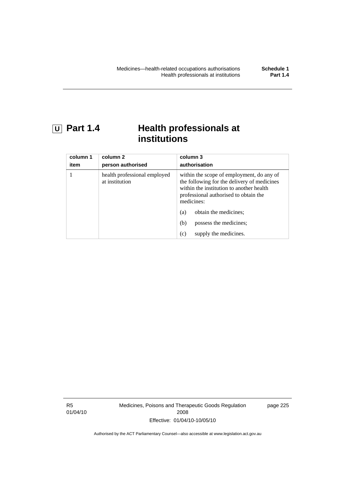### **U Part 1.4 Health professionals at institutions**

| column 1<br>item | column 2<br>person authorised                  | column 3<br>authorisation                                                                                                                                                                   |
|------------------|------------------------------------------------|---------------------------------------------------------------------------------------------------------------------------------------------------------------------------------------------|
|                  | health professional employed<br>at institution | within the scope of employment, do any of<br>the following for the delivery of medicines<br>within the institution to another health<br>professional authorised to obtain the<br>medicines: |
|                  |                                                | obtain the medicines;<br>(a)                                                                                                                                                                |
|                  |                                                | possess the medicines;<br>(b)                                                                                                                                                               |
|                  |                                                | supply the medicines.<br>(c)                                                                                                                                                                |

R5 01/04/10 Medicines, Poisons and Therapeutic Goods Regulation 2008 Effective: 01/04/10-10/05/10

page 225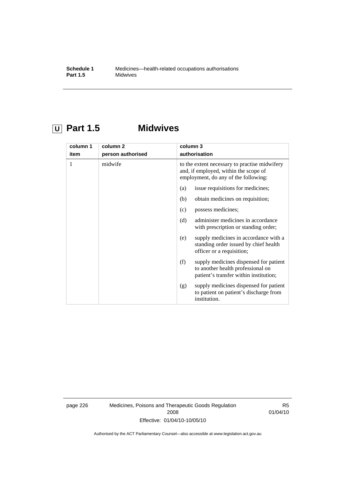### **U Part 1.5 Midwives**

| column 1 | column <sub>2</sub> | column 3                                                                                                                       |  |
|----------|---------------------|--------------------------------------------------------------------------------------------------------------------------------|--|
| item     | person authorised   | authorisation                                                                                                                  |  |
| 1        | midwife             | to the extent necessary to practise midwifery<br>and, if employed, within the scope of<br>employment, do any of the following: |  |
|          |                     | issue requisitions for medicines;<br>(a)                                                                                       |  |
|          |                     | (b)<br>obtain medicines on requisition;                                                                                        |  |
|          |                     | possess medicines;<br>(c)                                                                                                      |  |
|          |                     | (d)<br>administer medicines in accordance<br>with prescription or standing order;                                              |  |
|          |                     | supply medicines in accordance with a<br>(e)<br>standing order issued by chief health<br>officer or a requisition;             |  |
|          |                     | supply medicines dispensed for patient<br>(f)<br>to another health professional on<br>patient's transfer within institution;   |  |
|          |                     | supply medicines dispensed for patient<br>(g)<br>to patient on patient's discharge from<br>institution.                        |  |

page 226 Medicines, Poisons and Therapeutic Goods Regulation 2008 Effective: 01/04/10-10/05/10

R5 01/04/10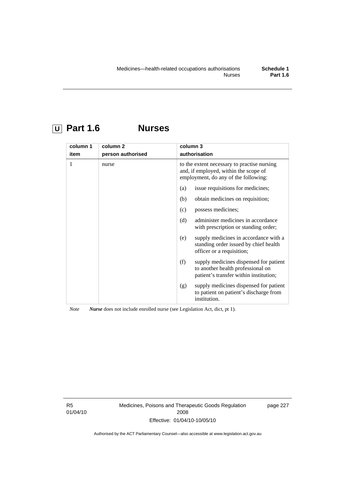# **U Part 1.6 Nurses**

| column 1<br>item | column <sub>2</sub><br>person authorised | column 3                                                                                                                     | authorisation                                                                                                         |
|------------------|------------------------------------------|------------------------------------------------------------------------------------------------------------------------------|-----------------------------------------------------------------------------------------------------------------------|
| 1                | nurse                                    | to the extent necessary to practise nursing<br>and, if employed, within the scope of<br>employment, do any of the following: |                                                                                                                       |
|                  |                                          | (a)                                                                                                                          | issue requisitions for medicines;                                                                                     |
|                  |                                          | (b)                                                                                                                          | obtain medicines on requisition;                                                                                      |
|                  |                                          | (c)                                                                                                                          | possess medicines;                                                                                                    |
|                  |                                          | (d)                                                                                                                          | administer medicines in accordance<br>with prescription or standing order;                                            |
|                  |                                          | (e)                                                                                                                          | supply medicines in accordance with a<br>standing order issued by chief health<br>officer or a requisition;           |
|                  |                                          | (f)                                                                                                                          | supply medicines dispensed for patient<br>to another health professional on<br>patient's transfer within institution; |
|                  |                                          | (g)                                                                                                                          | supply medicines dispensed for patient<br>to patient on patient's discharge from<br>institution.                      |

*Note Nurse* does not include enrolled nurse (see Legislation Act, dict, pt 1).

R5 01/04/10 Medicines, Poisons and Therapeutic Goods Regulation 2008 Effective: 01/04/10-10/05/10

page 227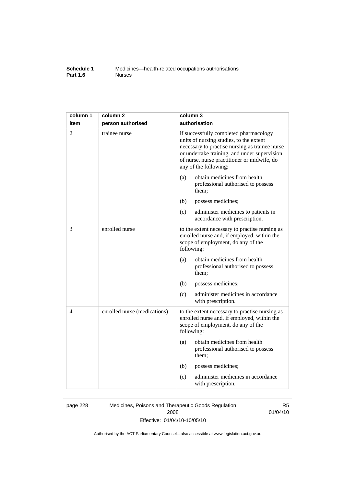#### **Schedule 1** Medicines—health-related occupations authorisations<br>**Part 1.6** Murses **Part 1.6**

| column 1 | column <sub>2</sub>          | column 3                                                                                                                                                                                                                                                    |  |
|----------|------------------------------|-------------------------------------------------------------------------------------------------------------------------------------------------------------------------------------------------------------------------------------------------------------|--|
| item     | person authorised            | authorisation                                                                                                                                                                                                                                               |  |
| 2        | trainee nurse                | if successfully completed pharmacology<br>units of nursing studies, to the extent<br>necessary to practise nursing as trainee nurse<br>or undertake training, and under supervision<br>of nurse, nurse practitioner or midwife, do<br>any of the following: |  |
|          |                              | obtain medicines from health<br>(a)<br>professional authorised to possess<br>them;                                                                                                                                                                          |  |
|          |                              | (b)<br>possess medicines;                                                                                                                                                                                                                                   |  |
|          |                              | (c)<br>administer medicines to patients in<br>accordance with prescription.                                                                                                                                                                                 |  |
| 3        | enrolled nurse               | to the extent necessary to practise nursing as<br>enrolled nurse and, if employed, within the<br>scope of employment, do any of the<br>following:                                                                                                           |  |
|          |                              | obtain medicines from health<br>(a)<br>professional authorised to possess<br>them;                                                                                                                                                                          |  |
|          |                              | (b)<br>possess medicines;                                                                                                                                                                                                                                   |  |
|          |                              | administer medicines in accordance<br>(c)<br>with prescription.                                                                                                                                                                                             |  |
| 4        | enrolled nurse (medications) | to the extent necessary to practise nursing as<br>enrolled nurse and, if employed, within the<br>scope of employment, do any of the<br>following:                                                                                                           |  |
|          |                              | obtain medicines from health<br>(a)<br>professional authorised to possess<br>them;                                                                                                                                                                          |  |
|          |                              | (b)<br>possess medicines;                                                                                                                                                                                                                                   |  |
|          |                              | administer medicines in accordance<br>(c)<br>with prescription.                                                                                                                                                                                             |  |

page 228 Medicines, Poisons and Therapeutic Goods Regulation 2008 Effective: 01/04/10-10/05/10

R5 01/04/10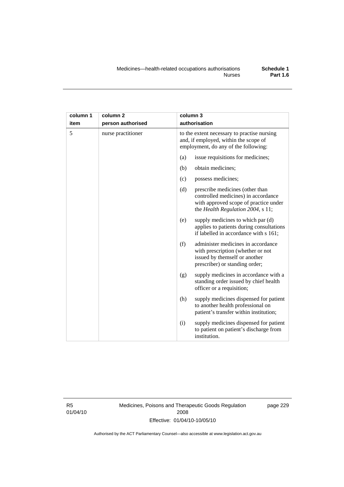| column 1 | column <sub>2</sub> | column 3                                                                                                                                                    |
|----------|---------------------|-------------------------------------------------------------------------------------------------------------------------------------------------------------|
| item     | person authorised   | authorisation                                                                                                                                               |
| 5        | nurse practitioner  | to the extent necessary to practise nursing<br>and, if employed, within the scope of<br>employment, do any of the following:                                |
|          |                     | issue requisitions for medicines;<br>(a)                                                                                                                    |
|          |                     | obtain medicines;<br>(b)                                                                                                                                    |
|          |                     | possess medicines;<br>(c)                                                                                                                                   |
|          |                     | (d)<br>prescribe medicines (other than<br>controlled medicines) in accordance<br>with approved scope of practice under<br>the Health Regulation 2004, s 11; |
|          |                     | supply medicines to which par (d)<br>(e)<br>applies to patients during consultations<br>if labelled in accordance with s 161;                               |
|          |                     | (f)<br>administer medicines in accordance<br>with prescription (whether or not<br>issued by themself or another<br>prescriber) or standing order;           |
|          |                     | supply medicines in accordance with a<br>(g)<br>standing order issued by chief health<br>officer or a requisition;                                          |
|          |                     | supply medicines dispensed for patient<br>(h)<br>to another health professional on<br>patient's transfer within institution;                                |
|          |                     | (i)<br>supply medicines dispensed for patient<br>to patient on patient's discharge from<br>institution.                                                     |

R5 01/04/10 Medicines, Poisons and Therapeutic Goods Regulation 2008 Effective: 01/04/10-10/05/10

page 229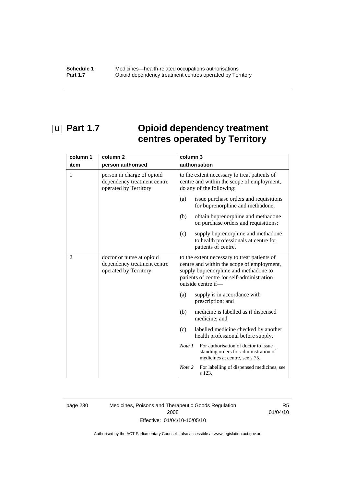# **U** Part 1.7 **Opioid dependency treatment centres operated by Territory**

| column 1       | column <sub>2</sub>                                                                | column 3                                                                                                                                                                                                |
|----------------|------------------------------------------------------------------------------------|---------------------------------------------------------------------------------------------------------------------------------------------------------------------------------------------------------|
| item           | person authorised                                                                  | authorisation                                                                                                                                                                                           |
| 1              | person in charge of opioid<br>dependency treatment centre<br>operated by Territory | to the extent necessary to treat patients of<br>centre and within the scope of employment,<br>do any of the following:                                                                                  |
|                |                                                                                    | issue purchase orders and requisitions<br>(a)<br>for buprenorphine and methadone;                                                                                                                       |
|                |                                                                                    | obtain buprenorphine and methadone<br>(b)<br>on purchase orders and requisitions;                                                                                                                       |
|                |                                                                                    | supply buprenorphine and methadone<br>(c)<br>to health professionals at centre for<br>patients of centre.                                                                                               |
| $\overline{2}$ | doctor or nurse at opioid<br>dependency treatment centre<br>operated by Territory  | to the extent necessary to treat patients of<br>centre and within the scope of employment,<br>supply buprenorphine and methadone to<br>patients of centre for self-administration<br>outside centre if- |
|                |                                                                                    | (a)<br>supply is in accordance with<br>prescription; and                                                                                                                                                |
|                |                                                                                    | (b)<br>medicine is labelled as if dispensed<br>medicine; and                                                                                                                                            |
|                |                                                                                    | labelled medicine checked by another<br>(c)<br>health professional before supply.                                                                                                                       |
|                |                                                                                    | For authorisation of doctor to issue<br>Note 1<br>standing orders for administration of<br>medicines at centre, see s 75.                                                                               |
|                |                                                                                    | For labelling of dispensed medicines, see<br>Note 2<br>s 123.                                                                                                                                           |

page 230 Medicines, Poisons and Therapeutic Goods Regulation 2008 Effective: 01/04/10-10/05/10

R5 01/04/10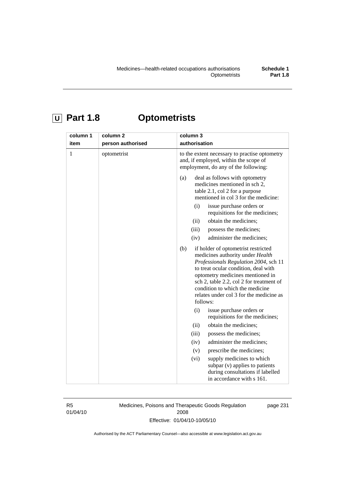# **U Part 1.8 Optometrists**

| column 1<br>item | column <sub>2</sub> | column 3<br>authorisation                                                                                                                                                                                                                                                                                                                                                                                                                                                                                                                                                                                                                                                                                       |
|------------------|---------------------|-----------------------------------------------------------------------------------------------------------------------------------------------------------------------------------------------------------------------------------------------------------------------------------------------------------------------------------------------------------------------------------------------------------------------------------------------------------------------------------------------------------------------------------------------------------------------------------------------------------------------------------------------------------------------------------------------------------------|
|                  | person authorised   |                                                                                                                                                                                                                                                                                                                                                                                                                                                                                                                                                                                                                                                                                                                 |
| $\mathbf{1}$     | optometrist         | to the extent necessary to practise optometry<br>and, if employed, within the scope of<br>employment, do any of the following:                                                                                                                                                                                                                                                                                                                                                                                                                                                                                                                                                                                  |
|                  |                     | deal as follows with optometry<br>(a)<br>medicines mentioned in sch 2,<br>table 2.1, col 2 for a purpose<br>mentioned in col 3 for the medicine:<br>issue purchase orders or<br>(i)<br>requisitions for the medicines;<br>obtain the medicines;<br>(ii)<br>(iii)<br>possess the medicines;<br>(iv)<br>administer the medicines;<br>if holder of optometrist restricted<br>(b)<br>medicines authority under Health<br>Professionals Regulation 2004, sch 11<br>to treat ocular condition, deal with<br>optometry medicines mentioned in<br>sch 2, table 2.2, col 2 for treatment of<br>condition to which the medicine<br>relates under col 3 for the medicine as<br>follows:<br>(i)<br>issue purchase orders or |
|                  |                     | requisitions for the medicines;<br>obtain the medicines;<br>(ii)                                                                                                                                                                                                                                                                                                                                                                                                                                                                                                                                                                                                                                                |
|                  |                     | (iii)<br>possess the medicines;                                                                                                                                                                                                                                                                                                                                                                                                                                                                                                                                                                                                                                                                                 |
|                  |                     | administer the medicines;<br>(iv)                                                                                                                                                                                                                                                                                                                                                                                                                                                                                                                                                                                                                                                                               |
|                  |                     | prescribe the medicines;<br>(v)                                                                                                                                                                                                                                                                                                                                                                                                                                                                                                                                                                                                                                                                                 |
|                  |                     | supply medicines to which<br>(vi)<br>subpar (v) applies to patients<br>during consultations if labelled<br>in accordance with s 161.                                                                                                                                                                                                                                                                                                                                                                                                                                                                                                                                                                            |

R5 01/04/10 Medicines, Poisons and Therapeutic Goods Regulation 2008 Effective: 01/04/10-10/05/10

page 231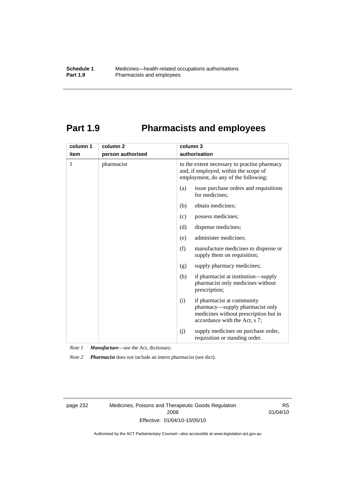### **Part 1.9 Pharmacists and employees**

| column 1 | column <sub>2</sub> | column 3                                                                                                                                       |  |
|----------|---------------------|------------------------------------------------------------------------------------------------------------------------------------------------|--|
| item     | person authorised   | authorisation                                                                                                                                  |  |
| 1        | pharmacist          | to the extent necessary to practise pharmacy<br>and, if employed, within the scope of<br>employment, do any of the following:                  |  |
|          |                     | issue purchase orders and requisitions<br>(a)<br>for medicines;                                                                                |  |
|          |                     | obtain medicines;<br>(b)                                                                                                                       |  |
|          |                     | possess medicines;<br>(c)                                                                                                                      |  |
|          |                     | dispense medicines;<br>(d)                                                                                                                     |  |
|          |                     | administer medicines;<br>(e)                                                                                                                   |  |
|          |                     | (f)<br>manufacture medicines to dispense or<br>supply them on requisition;                                                                     |  |
|          |                     | supply pharmacy medicines;<br>(g)                                                                                                              |  |
|          |                     | (h)<br>if pharmacist at institution—supply<br>pharmacist only medicines without<br>prescription;                                               |  |
|          |                     | if pharmacist at community<br>(i)<br>pharmacy—supply pharmacist only<br>medicines without prescription but in<br>accordance with the Act, s 7; |  |
|          |                     | supply medicines on purchase order,<br>(j)<br>requisition or standing order.                                                                   |  |

*Note 1 Manufacture*—see the Act, dictionary.

*Note 2 Pharmacist* does not include an intern pharmacist (see dict).

page 232 Medicines, Poisons and Therapeutic Goods Regulation 2008 Effective: 01/04/10-10/05/10

R5 01/04/10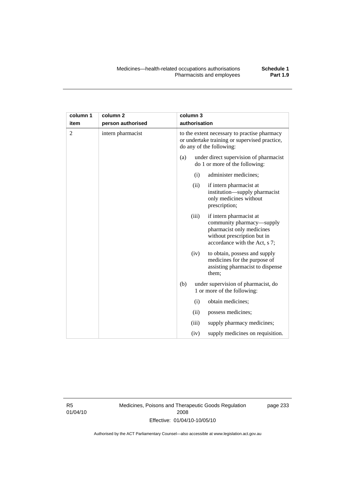| column 1 | column <sub>2</sub> |     | column 3      |                                                                                                                                                   |
|----------|---------------------|-----|---------------|---------------------------------------------------------------------------------------------------------------------------------------------------|
| item     | person authorised   |     | authorisation |                                                                                                                                                   |
| 2        | intern pharmacist   |     |               | to the extent necessary to practise pharmacy<br>or undertake training or supervised practice,<br>do any of the following:                         |
|          |                     | (a) |               | under direct supervision of pharmacist<br>do 1 or more of the following:                                                                          |
|          |                     |     | (i)           | administer medicines;                                                                                                                             |
|          |                     |     | (ii)          | if intern pharmacist at<br>institution-supply pharmacist<br>only medicines without<br>prescription;                                               |
|          |                     |     | (iii)         | if intern pharmacist at<br>community pharmacy—supply<br>pharmacist only medicines<br>without prescription but in<br>accordance with the Act, s 7; |
|          |                     |     | (iv)          | to obtain, possess and supply<br>medicines for the purpose of<br>assisting pharmacist to dispense<br>them;                                        |
|          |                     | (b) |               | under supervision of pharmacist, do<br>1 or more of the following:                                                                                |
|          |                     |     | (i)           | obtain medicines;                                                                                                                                 |
|          |                     |     | (ii)          | possess medicines;                                                                                                                                |
|          |                     |     | (iii)         | supply pharmacy medicines;                                                                                                                        |
|          |                     |     | (iv)          | supply medicines on requisition.                                                                                                                  |

R5 01/04/10 Medicines, Poisons and Therapeutic Goods Regulation 2008 Effective: 01/04/10-10/05/10

page 233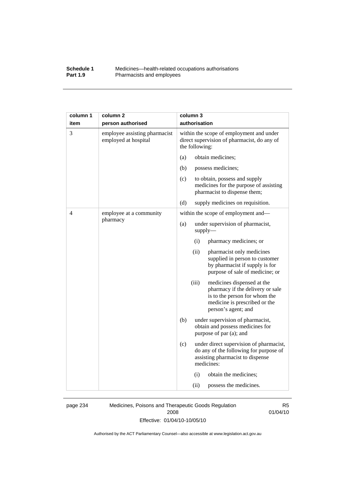#### **Schedule 1** Medicines—health-related occupations authorisations<br>**Part 1.9** Pharmacists and employees Pharmacists and employees

| column 1 | column <sub>2</sub>                                   | column 3                                                                                                                                                         |
|----------|-------------------------------------------------------|------------------------------------------------------------------------------------------------------------------------------------------------------------------|
| item     | person authorised                                     | authorisation                                                                                                                                                    |
| 3        | employee assisting pharmacist<br>employed at hospital | within the scope of employment and under<br>direct supervision of pharmacist, do any of<br>the following:                                                        |
|          |                                                       | obtain medicines;<br>(a)                                                                                                                                         |
|          |                                                       | (b)<br>possess medicines;                                                                                                                                        |
|          |                                                       | (c)<br>to obtain, possess and supply<br>medicines for the purpose of assisting<br>pharmacist to dispense them;                                                   |
|          |                                                       | (d)<br>supply medicines on requisition.                                                                                                                          |
| 4        | employee at a community                               | within the scope of employment and-                                                                                                                              |
|          | pharmacy                                              | (a)<br>under supervision of pharmacist,<br>$supply$ —                                                                                                            |
|          |                                                       | (i)<br>pharmacy medicines; or                                                                                                                                    |
|          |                                                       | (ii)<br>pharmacist only medicines<br>supplied in person to customer<br>by pharmacist if supply is for<br>purpose of sale of medicine; or                         |
|          |                                                       | (iii)<br>medicines dispensed at the<br>pharmacy if the delivery or sale<br>is to the person for whom the<br>medicine is prescribed or the<br>person's agent; and |
|          |                                                       | (b)<br>under supervision of pharmacist,<br>obtain and possess medicines for<br>purpose of par (a); and                                                           |
|          |                                                       | (c)<br>under direct supervision of pharmacist,<br>do any of the following for purpose of<br>assisting pharmacist to dispense<br>medicines:                       |
|          |                                                       | (i)<br>obtain the medicines;                                                                                                                                     |
|          |                                                       | (ii)<br>possess the medicines.                                                                                                                                   |

page 234 Medicines, Poisons and Therapeutic Goods Regulation 2008 Effective: 01/04/10-10/05/10

R5 01/04/10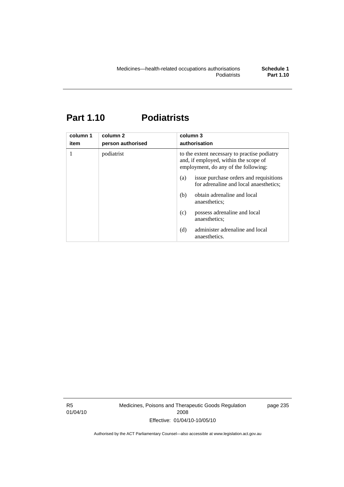# **Part 1.10 Podiatrists**

| column 1<br>item | column <sub>2</sub><br>person authorised | column 3<br>authorisation                                                                                                     |
|------------------|------------------------------------------|-------------------------------------------------------------------------------------------------------------------------------|
|                  | podiatrist                               | to the extent necessary to practise podiatry<br>and, if employed, within the scope of<br>employment, do any of the following: |
|                  |                                          | issue purchase orders and requisitions<br>(a)<br>for adrenaline and local anaesthetics;                                       |
|                  |                                          | obtain adrenaline and local<br>(b)<br>anaesthetics:                                                                           |
|                  |                                          | possess adrenaline and local<br>(c)<br>anaesthetics:                                                                          |
|                  |                                          | administer adrenaline and local<br>(d)<br>anaesthetics.                                                                       |

R5 01/04/10 Medicines, Poisons and Therapeutic Goods Regulation 2008 Effective: 01/04/10-10/05/10

page 235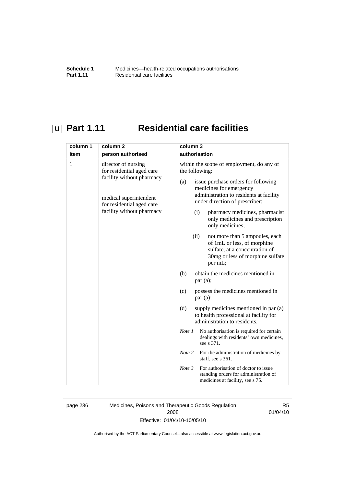# **U** Part 1.11 Residential care facilities

| column 1 | column <sub>2</sub>                                                                                                                                               | column 3                                                                                                                                                                                                                                                                                                                                                                                                                                                                                                                                                                                                                                                                                                                                                                                                                                                                                                                                                                                                                                   |
|----------|-------------------------------------------------------------------------------------------------------------------------------------------------------------------|--------------------------------------------------------------------------------------------------------------------------------------------------------------------------------------------------------------------------------------------------------------------------------------------------------------------------------------------------------------------------------------------------------------------------------------------------------------------------------------------------------------------------------------------------------------------------------------------------------------------------------------------------------------------------------------------------------------------------------------------------------------------------------------------------------------------------------------------------------------------------------------------------------------------------------------------------------------------------------------------------------------------------------------------|
| item     | person authorised                                                                                                                                                 | authorisation                                                                                                                                                                                                                                                                                                                                                                                                                                                                                                                                                                                                                                                                                                                                                                                                                                                                                                                                                                                                                              |
| 1        | director of nursing<br>for residential aged care<br>facility without pharmacy<br>medical superintendent<br>for residential aged care<br>facility without pharmacy | within the scope of employment, do any of<br>the following:<br>issue purchase orders for following<br>(a)<br>medicines for emergency<br>administration to residents at facility<br>under direction of prescriber:<br>pharmacy medicines, pharmacist<br>(i)<br>only medicines and prescription<br>only medicines;<br>(ii)<br>not more than 5 ampoules, each<br>of 1mL or less, of morphine<br>sulfate, at a concentration of<br>30mg or less of morphine sulfate<br>per mL;<br>(b)<br>obtain the medicines mentioned in<br>par(a);<br>possess the medicines mentioned in<br>(c)<br>par(a);<br>(d)<br>supply medicines mentioned in par (a)<br>to health professional at facility for<br>administration to residents.<br>No authorisation is required for certain<br>Note 1<br>dealings with residents' own medicines,<br>see s 371.<br>Note 2<br>For the administration of medicines by<br>staff, see s 361.<br>For authorisation of doctor to issue<br>Note 3<br>standing orders for administration of<br>medicines at facility, see s 75. |

page 236 Medicines, Poisons and Therapeutic Goods Regulation 2008 Effective: 01/04/10-10/05/10

R5 01/04/10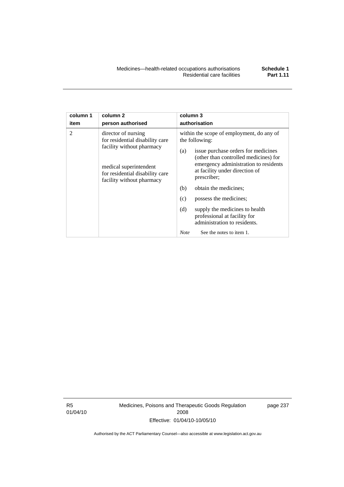| column 1       | column <sub>2</sub>                                                                                                                                                           | column 3                                                                                                                                                                                                                                                                                                                                                                                                                                                          |
|----------------|-------------------------------------------------------------------------------------------------------------------------------------------------------------------------------|-------------------------------------------------------------------------------------------------------------------------------------------------------------------------------------------------------------------------------------------------------------------------------------------------------------------------------------------------------------------------------------------------------------------------------------------------------------------|
| item           | person authorised                                                                                                                                                             | authorisation                                                                                                                                                                                                                                                                                                                                                                                                                                                     |
| $\mathfrak{D}$ | director of nursing<br>for residential disability care<br>facility without pharmacy<br>medical superintendent<br>for residential disability care<br>facility without pharmacy | within the scope of employment, do any of<br>the following:<br>issue purchase orders for medicines<br>(a)<br>(other than controlled medicines) for<br>emergency administration to residents<br>at facility under direction of<br>prescriber;<br>(b)<br>obtain the medicines;<br>(c)<br>possess the medicines;<br>(d)<br>supply the medicines to health<br>professional at facility for<br>administration to residents.<br>See the notes to item 1.<br><b>Note</b> |

R5 01/04/10 Medicines, Poisons and Therapeutic Goods Regulation 2008 Effective: 01/04/10-10/05/10

page 237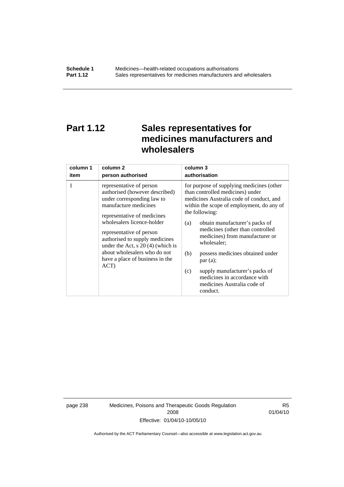# **Part 1.12 Sales representatives for medicines manufacturers and wholesalers**

| column 1 | column 2                                                                                                                                                                                                                                                                                                                                                       | column 3                                                                                                                                                                                                                                                                                                                                                                                                                                                                                          |
|----------|----------------------------------------------------------------------------------------------------------------------------------------------------------------------------------------------------------------------------------------------------------------------------------------------------------------------------------------------------------------|---------------------------------------------------------------------------------------------------------------------------------------------------------------------------------------------------------------------------------------------------------------------------------------------------------------------------------------------------------------------------------------------------------------------------------------------------------------------------------------------------|
| item     | person authorised                                                                                                                                                                                                                                                                                                                                              | authorisation                                                                                                                                                                                                                                                                                                                                                                                                                                                                                     |
| 1        | representative of person<br>authorised (however described)<br>under corresponding law to<br>manufacture medicines<br>representative of medicines<br>wholesalers licence-holder<br>representative of person<br>authorised to supply medicines<br>under the Act, $s$ 20 (4) (which is<br>about wholesalers who do not<br>have a place of business in the<br>ACT) | for purpose of supplying medicines (other<br>than controlled medicines) under<br>medicines Australia code of conduct, and<br>within the scope of employment, do any of<br>the following:<br>obtain manufacturer's packs of<br>(a)<br>medicines (other than controlled<br>medicines) from manufacturer or<br>wholesaler;<br>(b)<br>possess medicines obtained under<br>par(a);<br>supply manufacturer's packs of<br>(c)<br>medicines in accordance with<br>medicines Australia code of<br>conduct. |

page 238 Medicines, Poisons and Therapeutic Goods Regulation 2008 Effective: 01/04/10-10/05/10

R5 01/04/10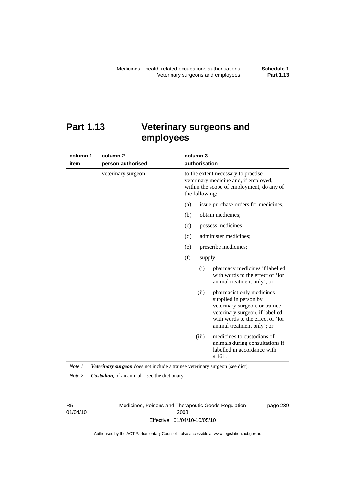# **Part 1.13 Veterinary surgeons and employees**

| column 1 | column <sub>2</sub> | column 3                                                                                                                                                                                          |
|----------|---------------------|---------------------------------------------------------------------------------------------------------------------------------------------------------------------------------------------------|
| item     | person authorised   | authorisation                                                                                                                                                                                     |
| 1        | veterinary surgeon  | to the extent necessary to practise<br>veterinary medicine and, if employed,<br>within the scope of employment, do any of<br>the following:                                                       |
|          |                     | issue purchase orders for medicines;<br>(a)                                                                                                                                                       |
|          |                     | obtain medicines;<br>(b)                                                                                                                                                                          |
|          |                     | possess medicines;<br>(c)                                                                                                                                                                         |
|          |                     | administer medicines;<br>(d)                                                                                                                                                                      |
|          |                     | prescribe medicines;<br>(e)                                                                                                                                                                       |
|          |                     | (f)<br>$supply$ —                                                                                                                                                                                 |
|          |                     | pharmacy medicines if labelled<br>(i)<br>with words to the effect of 'for<br>animal treatment only'; or                                                                                           |
|          |                     | (ii)<br>pharmacist only medicines<br>supplied in person by<br>veterinary surgeon, or trainee<br>veterinary surgeon, if labelled<br>with words to the effect of 'for<br>animal treatment only'; or |
|          |                     | medicines to custodians of<br>(iii)<br>animals during consultations if<br>labelled in accordance with<br>s 161.                                                                                   |

*Note 1 Veterinary surgeon* does not include a trainee veterinary surgeon (see dict).

*Note 2 Custodian*, of an animal—see the dictionary.

R5 01/04/10 Medicines, Poisons and Therapeutic Goods Regulation 2008 Effective: 01/04/10-10/05/10

page 239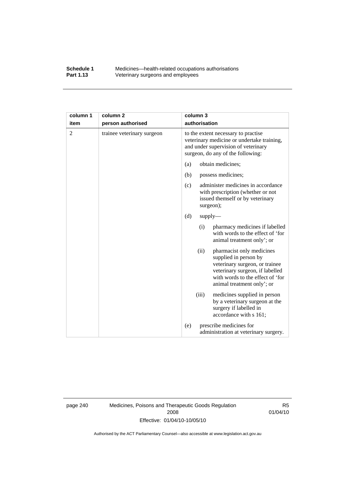#### **Schedule 1** Medicines—health-related occupations authorisations<br>**Part 1.13** Veterinary surgeons and employees Veterinary surgeons and employees

| column 1       | column <sub>2</sub>        | column 3                                                                                                                                                                                          |
|----------------|----------------------------|---------------------------------------------------------------------------------------------------------------------------------------------------------------------------------------------------|
| item           | person authorised          | authorisation                                                                                                                                                                                     |
| $\overline{2}$ | trainee veterinary surgeon | to the extent necessary to practise<br>veterinary medicine or undertake training,<br>and under supervision of veterinary<br>surgeon, do any of the following:                                     |
|                |                            | obtain medicines;<br>(a)                                                                                                                                                                          |
|                |                            | (b)<br>possess medicines;                                                                                                                                                                         |
|                |                            | administer medicines in accordance<br>(c)<br>with prescription (whether or not<br>issued themself or by veterinary<br>surgeon);                                                                   |
|                |                            | (d)<br>$supply$ —                                                                                                                                                                                 |
|                |                            | pharmacy medicines if labelled<br>(i)<br>with words to the effect of 'for<br>animal treatment only'; or                                                                                           |
|                |                            | (ii)<br>pharmacist only medicines<br>supplied in person by<br>veterinary surgeon, or trainee<br>veterinary surgeon, if labelled<br>with words to the effect of 'for<br>animal treatment only'; or |
|                |                            | medicines supplied in person<br>(iii)<br>by a veterinary surgeon at the<br>surgery if labelled in<br>accordance with s 161;                                                                       |
|                |                            | prescribe medicines for<br>(e)<br>administration at veterinary surgery.                                                                                                                           |

page 240 Medicines, Poisons and Therapeutic Goods Regulation 2008 Effective: 01/04/10-10/05/10

R5 01/04/10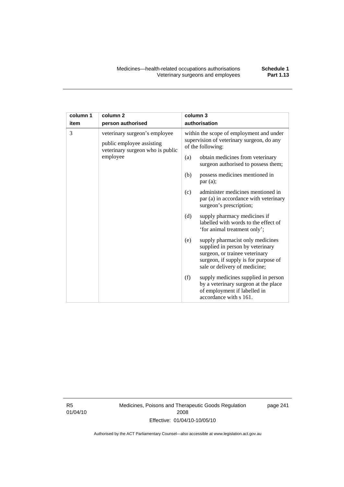| column 1 | column <sub>2</sub>                                                                            | column 3                                                                |                                                                                                                                                                                 |
|----------|------------------------------------------------------------------------------------------------|-------------------------------------------------------------------------|---------------------------------------------------------------------------------------------------------------------------------------------------------------------------------|
| item     | person authorised                                                                              |                                                                         | authorisation                                                                                                                                                                   |
| 3        | veterinary surgeon's employee<br>public employee assisting<br>veterinary surgeon who is public |                                                                         | within the scope of employment and under<br>supervision of veterinary surgeon, do any<br>of the following:                                                                      |
| employee | (a)                                                                                            | obtain medicines from veterinary<br>surgeon authorised to possess them; |                                                                                                                                                                                 |
|          |                                                                                                | (b)                                                                     | possess medicines mentioned in<br>par(a);                                                                                                                                       |
|          |                                                                                                | (c)                                                                     | administer medicines mentioned in<br>par (a) in accordance with veterinary<br>surgeon's prescription;                                                                           |
|          |                                                                                                | (d)                                                                     | supply pharmacy medicines if<br>labelled with words to the effect of<br>'for animal treatment only';                                                                            |
|          |                                                                                                | (e)                                                                     | supply pharmacist only medicines<br>supplied in person by veterinary<br>surgeon, or trainee veterinary<br>surgeon, if supply is for purpose of<br>sale or delivery of medicine; |
|          |                                                                                                | (f)                                                                     | supply medicines supplied in person<br>by a veterinary surgeon at the place<br>of employment if labelled in<br>accordance with s 161.                                           |

R5 01/04/10 Medicines, Poisons and Therapeutic Goods Regulation 2008 Effective: 01/04/10-10/05/10

page 241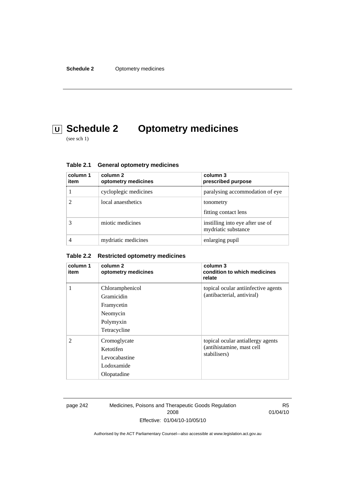# **U Schedule 2 Optometry medicines**

(see sch 1)

| column 1<br>item | column 2<br>optometry medicines | column 3<br>prescribed purpose                          |
|------------------|---------------------------------|---------------------------------------------------------|
|                  | cycloplegic medicines           | paralysing accommodation of eye                         |
|                  | local anaesthetics              | tonometry<br>fitting contact lens                       |
|                  | miotic medicines                | instilling into eye after use of<br>mydriatic substance |
|                  | mydriatic medicines             | enlarging pupil                                         |

| <b>General optometry medicines</b> | Table 2.1 |  |  |  |
|------------------------------------|-----------|--|--|--|
|------------------------------------|-----------|--|--|--|

### **Table 2.2 Restricted optometry medicines**

| column 1<br>item | column 2<br>optometry medicines                                                      | column 3<br>condition to which medicines<br>relate                             |
|------------------|--------------------------------------------------------------------------------------|--------------------------------------------------------------------------------|
| 1                | Chloramphenicol<br>Gramicidin<br>Framycetin<br>Neomycin<br>Polymyxin<br>Tetracycline | topical ocular antiinfective agents<br>(antibacterial, antiviral)              |
| $\mathfrak{D}$   | Cromoglycate<br>Ketotifen<br>Levocabastine<br>Lodoxamide<br>Olopatadine              | topical ocular antiallergy agents<br>(antihistamine, mast cell<br>stabilisers) |

page 242 Medicines, Poisons and Therapeutic Goods Regulation 2008 Effective: 01/04/10-10/05/10

R5 01/04/10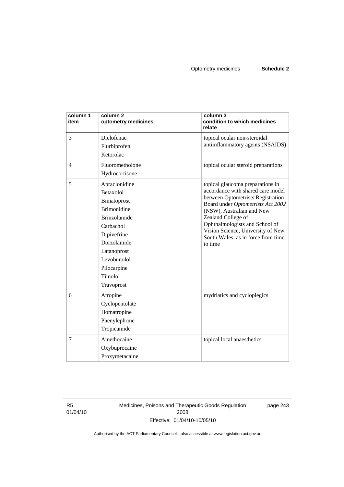| column 1<br>item | column <sub>2</sub><br>optometry medicines                                                                                                                                                                     | column 3<br>condition to which medicines<br>relate                                                                                                                                                                                                                                                                         |
|------------------|----------------------------------------------------------------------------------------------------------------------------------------------------------------------------------------------------------------|----------------------------------------------------------------------------------------------------------------------------------------------------------------------------------------------------------------------------------------------------------------------------------------------------------------------------|
| 3                | Diclofenac<br>Flurbiprofen<br>Ketorolac                                                                                                                                                                        | topical ocular non-steroidal<br>antiinflammatory agents (NSAIDS)                                                                                                                                                                                                                                                           |
| $\overline{4}$   | Fluorometholone<br>Hydrocortisone                                                                                                                                                                              | topical ocular steroid preparations                                                                                                                                                                                                                                                                                        |
| 5                | Apraclonidine<br><b>Betaxolol</b><br>Bimatoprost<br><b>Brimonidine</b><br><b>Brinzolamide</b><br>Carbachol<br>Dipivefrine<br>Dorzolamide<br>Latanoprost<br>Levobunolol<br>Pilocarpine<br>Timolol<br>Travoprost | topical glaucoma preparations in<br>accordance with shared care model<br>between Optometrists Registration<br>Board under Optometrists Act 2002<br>(NSW), Australian and New<br>Zealand College of<br>Ophthalmologists and School of<br>Vision Science, University of New<br>South Wales, as in force from time<br>to time |
| 6                | Atropine<br>Cyclopentolate<br>Homatropine<br>Phenylephrine<br>Tropicamide                                                                                                                                      | mydriatics and cycloplegics                                                                                                                                                                                                                                                                                                |
| 7                | Amethocaine<br>Oxybuprocaine<br>Proxymetacaine                                                                                                                                                                 | topical local anaesthetics                                                                                                                                                                                                                                                                                                 |

R5 01/04/10 Medicines, Poisons and Therapeutic Goods Regulation 2008 Effective: 01/04/10-10/05/10

page 243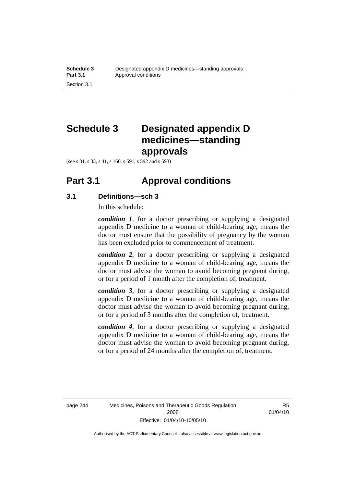# **Schedule 3 Designated appendix D medicines—standing approvals**

(see s 31, s 33, s 41, s 160, s 591, s 592 and s 593)

### **Part 3.1 Approval conditions**

### **3.1 Definitions—sch 3**

In this schedule:

*condition 1*, for a doctor prescribing or supplying a designated appendix D medicine to a woman of child-bearing age, means the doctor must ensure that the possibility of pregnancy by the woman has been excluded prior to commencement of treatment.

*condition 2*, for a doctor prescribing or supplying a designated appendix D medicine to a woman of child-bearing age, means the doctor must advise the woman to avoid becoming pregnant during, or for a period of 1 month after the completion of, treatment.

*condition 3*, for a doctor prescribing or supplying a designated appendix D medicine to a woman of child-bearing age, means the doctor must advise the woman to avoid becoming pregnant during, or for a period of 3 months after the completion of, treatment.

*condition 4*, for a doctor prescribing or supplying a designated appendix D medicine to a woman of child-bearing age, means the doctor must advise the woman to avoid becoming pregnant during, or for a period of 24 months after the completion of, treatment.

R5 01/04/10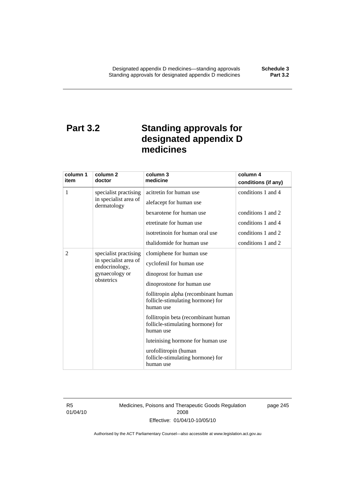# **Part 3.2 Standing approvals for designated appendix D medicines**

| column 1                                                                | column 2                                                                               | column 3                                                                              | column 4            |
|-------------------------------------------------------------------------|----------------------------------------------------------------------------------------|---------------------------------------------------------------------------------------|---------------------|
| item                                                                    | doctor                                                                                 | medicine                                                                              | conditions (if any) |
| 1                                                                       | specialist practising<br>in specialist area of<br>dermatology                          | acitretin for human use                                                               | conditions 1 and 4  |
|                                                                         |                                                                                        | alefacept for human use                                                               |                     |
|                                                                         |                                                                                        | bexarotene for human use                                                              | conditions 1 and 2  |
|                                                                         |                                                                                        | etretinate for human use                                                              | conditions 1 and 4  |
|                                                                         |                                                                                        | isotretinoin for human oral use                                                       | conditions 1 and 2  |
|                                                                         |                                                                                        | thalidomide for human use                                                             | conditions 1 and 2  |
| 2                                                                       | specialist practising                                                                  | clomiphene for human use                                                              |                     |
| in specialist area of<br>endocrinology,<br>gynaecology or<br>obstetrics | cyclofenil for human use                                                               |                                                                                       |                     |
|                                                                         | dinoprost for human use                                                                |                                                                                       |                     |
|                                                                         | dinoprostone for human use                                                             |                                                                                       |                     |
|                                                                         | follitropin alpha (recombinant human<br>follicle-stimulating hormone) for<br>human use |                                                                                       |                     |
|                                                                         |                                                                                        | follitropin beta (recombinant human<br>follicle-stimulating hormone) for<br>human use |                     |
|                                                                         |                                                                                        | luteinising hormone for human use                                                     |                     |
|                                                                         |                                                                                        | urofollitropin (human<br>follicle-stimulating hormone) for<br>human use               |                     |

R5 01/04/10 Medicines, Poisons and Therapeutic Goods Regulation 2008 Effective: 01/04/10-10/05/10

page 245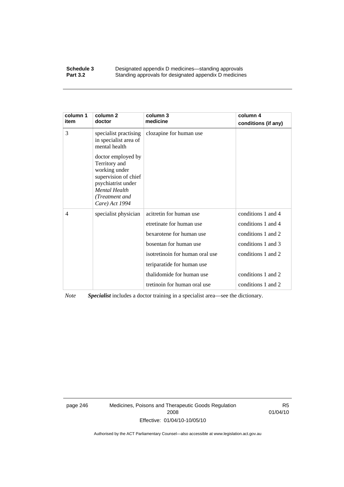#### **Schedule 3 Designated appendix D medicines—standing approvals**<br>**Part 3.2 Standing approvals for designated appendix D medicine** Standing approvals for designated appendix D medicines

| column 1<br>item | column 2<br>doctor                                                                                                                                             | column 3<br>medicine            | column 4<br>conditions (if any) |
|------------------|----------------------------------------------------------------------------------------------------------------------------------------------------------------|---------------------------------|---------------------------------|
| 3                | specialist practising<br>in specialist area of<br>mental health                                                                                                | clozapine for human use         |                                 |
|                  | doctor employed by<br>Territory and<br>working under<br>supervision of chief<br>psychiatrist under<br><b>Mental Health</b><br>(Treatment and<br>Care) Act 1994 |                                 |                                 |
| $\overline{4}$   | specialist physician                                                                                                                                           | acitretin for human use         | conditions 1 and 4              |
|                  |                                                                                                                                                                | etretinate for human use        | conditions 1 and 4              |
|                  |                                                                                                                                                                | bexarotene for human use        | conditions 1 and 2              |
|                  |                                                                                                                                                                | bosentan for human use          | conditions 1 and 3              |
|                  |                                                                                                                                                                | isotretinoin for human oral use | conditions 1 and 2              |
|                  |                                                                                                                                                                | teriparatide for human use      |                                 |
|                  |                                                                                                                                                                | thalidomide for human use       | conditions 1 and 2              |
|                  |                                                                                                                                                                | tretinoin for human oral use    | conditions 1 and 2              |

*Note Specialist* includes a doctor training in a specialist area—see the dictionary.

page 246 Medicines, Poisons and Therapeutic Goods Regulation 2008 Effective: 01/04/10-10/05/10

R5 01/04/10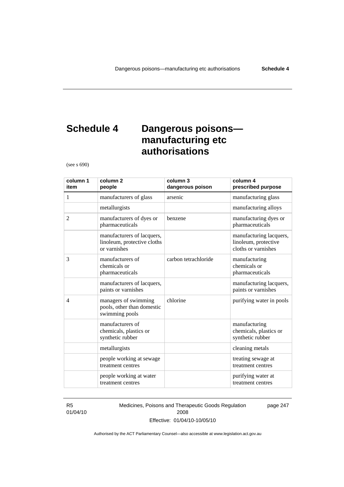page 247

# **Schedule 4 Dangerous poisons manufacturing etc authorisations**

(see s 690)

| column 1<br>item | column <sub>2</sub><br>people                                             | column 3<br>dangerous poison | column 4<br>prescribed purpose                                         |
|------------------|---------------------------------------------------------------------------|------------------------------|------------------------------------------------------------------------|
| 1                | manufacturers of glass                                                    | arsenic                      | manufacturing glass                                                    |
|                  | metallurgists                                                             |                              | manufacturing alloys                                                   |
| 2                | manufacturers of dyes or<br>pharmaceuticals                               | benzene                      | manufacturing dyes or<br>pharmaceuticals                               |
|                  | manufacturers of lacquers,<br>linoleum, protective cloths<br>or varnishes |                              | manufacturing lacquers,<br>linoleum, protective<br>cloths or varnishes |
| 3                | manufacturers of<br>chemicals or<br>pharmaceuticals                       | carbon tetrachloride         | manufacturing<br>chemicals or<br>pharmaceuticals                       |
|                  | manufacturers of lacquers,<br>paints or varnishes                         |                              | manufacturing lacquers,<br>paints or varnishes                         |
| $\overline{4}$   | managers of swimming<br>pools, other than domestic<br>swimming pools      | chlorine                     | purifying water in pools                                               |
|                  | manufacturers of<br>chemicals, plastics or<br>synthetic rubber            |                              | manufacturing<br>chemicals, plastics or<br>synthetic rubber            |
|                  | metallurgists                                                             |                              | cleaning metals                                                        |
|                  | people working at sewage<br>treatment centres                             |                              | treating sewage at<br>treatment centres                                |
|                  | people working at water<br>treatment centres                              |                              | purifying water at<br>treatment centres                                |

R5 01/04/10 Medicines, Poisons and Therapeutic Goods Regulation 2008 Effective: 01/04/10-10/05/10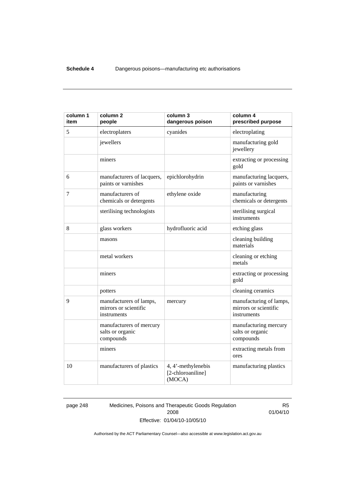| column 1<br>item | column <sub>2</sub><br>people                                   | column 3<br>dangerous poison                      | column 4<br>prescribed purpose                                  |
|------------------|-----------------------------------------------------------------|---------------------------------------------------|-----------------------------------------------------------------|
| 5                | electroplaters                                                  | cyanides                                          | electroplating                                                  |
|                  | jewellers                                                       |                                                   | manufacturing gold<br>jewellery                                 |
|                  | miners                                                          |                                                   | extracting or processing<br>gold                                |
| 6                | manufacturers of lacquers,<br>paints or varnishes               | epichlorohydrin                                   | manufacturing lacquers,<br>paints or varnishes                  |
| 7                | manufacturers of<br>chemicals or detergents                     | ethylene oxide                                    | manufacturing<br>chemicals or detergents                        |
|                  | sterilising technologists                                       |                                                   | sterilising surgical<br>instruments                             |
| 8                | glass workers                                                   | hydrofluoric acid                                 | etching glass                                                   |
|                  | masons                                                          |                                                   | cleaning building<br>materials                                  |
|                  | metal workers                                                   |                                                   | cleaning or etching<br>metals                                   |
|                  | miners                                                          |                                                   | extracting or processing<br>gold                                |
|                  | potters                                                         |                                                   | cleaning ceramics                                               |
| 9                | manufacturers of lamps,<br>mirrors or scientific<br>instruments | mercury                                           | manufacturing of lamps,<br>mirrors or scientific<br>instruments |
|                  | manufacturers of mercury<br>salts or organic<br>compounds       |                                                   | manufacturing mercury<br>salts or organic<br>compounds          |
|                  | miners                                                          |                                                   | extracting metals from<br>ores                                  |
| 10               | manufacturers of plastics                                       | 4, 4'-methylenebis<br>[2-chloroaniline]<br>(MOCA) | manufacturing plastics                                          |

page 248 Medicines, Poisons and Therapeutic Goods Regulation 2008 Effective: 01/04/10-10/05/10

R5 01/04/10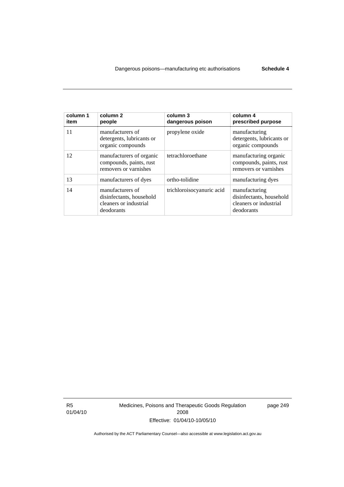| column 1<br>item | column <sub>2</sub><br>people                                                        | column 3<br>dangerous poison | column 4<br>prescribed purpose                                                    |
|------------------|--------------------------------------------------------------------------------------|------------------------------|-----------------------------------------------------------------------------------|
| 11               | manufacturers of<br>detergents, lubricants or<br>organic compounds                   | propylene oxide              | manufacturing<br>detergents, lubricants or<br>organic compounds                   |
| 12               | manufacturers of organic<br>compounds, paints, rust<br>removers or varnishes         | tetrachloroethane            | manufacturing organic<br>compounds, paints, rust<br>removers or varnishes         |
| 13               | manufacturers of dyes                                                                | ortho-tolidine               | manufacturing dyes                                                                |
| 14               | manufacturers of<br>disinfectants, household<br>cleaners or industrial<br>deodorants | trichloroisocyanuric acid    | manufacturing<br>disinfectants, household<br>cleaners or industrial<br>deodorants |

R5 01/04/10 Medicines, Poisons and Therapeutic Goods Regulation 2008 Effective: 01/04/10-10/05/10

page 249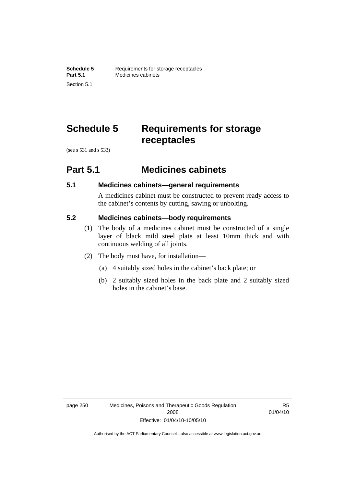# **Schedule 5 Requirements for storage receptacles**

(see s 531 and s 533)

### **Part 5.1 Medicines cabinets**

### **5.1 Medicines cabinets—general requirements**

A medicines cabinet must be constructed to prevent ready access to the cabinet's contents by cutting, sawing or unbolting.

### **5.2 Medicines cabinets—body requirements**

- (1) The body of a medicines cabinet must be constructed of a single layer of black mild steel plate at least 10mm thick and with continuous welding of all joints.
- (2) The body must have, for installation—
	- (a) 4 suitably sized holes in the cabinet's back plate; or
	- (b) 2 suitably sized holes in the back plate and 2 suitably sized holes in the cabinet's base.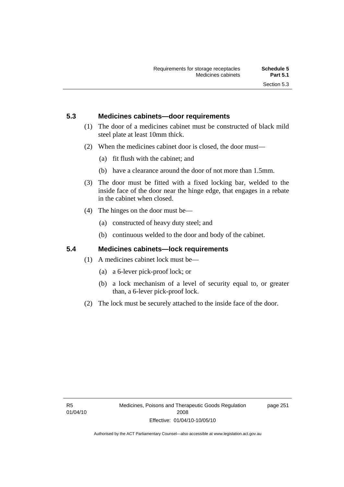### **5.3 Medicines cabinets—door requirements**

- (1) The door of a medicines cabinet must be constructed of black mild steel plate at least 10mm thick.
- (2) When the medicines cabinet door is closed, the door must—
	- (a) fit flush with the cabinet; and
	- (b) have a clearance around the door of not more than 1.5mm.
- (3) The door must be fitted with a fixed locking bar, welded to the inside face of the door near the hinge edge, that engages in a rebate in the cabinet when closed.
- (4) The hinges on the door must be—
	- (a) constructed of heavy duty steel; and
	- (b) continuous welded to the door and body of the cabinet.

### **5.4 Medicines cabinets—lock requirements**

- (1) A medicines cabinet lock must be—
	- (a) a 6-lever pick-proof lock; or
	- (b) a lock mechanism of a level of security equal to, or greater than, a 6-lever pick-proof lock.
- (2) The lock must be securely attached to the inside face of the door.

page 251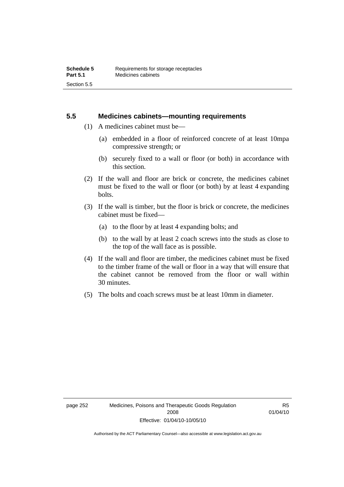### **5.5 Medicines cabinets—mounting requirements**

- (1) A medicines cabinet must be—
	- (a) embedded in a floor of reinforced concrete of at least 10mpa compressive strength; or
	- (b) securely fixed to a wall or floor (or both) in accordance with this section.
- (2) If the wall and floor are brick or concrete, the medicines cabinet must be fixed to the wall or floor (or both) by at least 4 expanding bolts.
- (3) If the wall is timber, but the floor is brick or concrete, the medicines cabinet must be fixed—
	- (a) to the floor by at least 4 expanding bolts; and
	- (b) to the wall by at least 2 coach screws into the studs as close to the top of the wall face as is possible.
- (4) If the wall and floor are timber, the medicines cabinet must be fixed to the timber frame of the wall or floor in a way that will ensure that the cabinet cannot be removed from the floor or wall within 30 minutes.
- (5) The bolts and coach screws must be at least 10mm in diameter.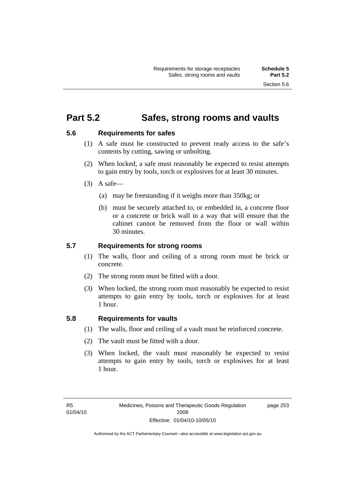page 253

### **Part 5.2 Safes, strong rooms and vaults**

### **5.6 Requirements for safes**

- (1) A safe must be constructed to prevent ready access to the safe's contents by cutting, sawing or unbolting.
- (2) When locked, a safe must reasonably be expected to resist attempts to gain entry by tools, torch or explosives for at least 30 minutes.
- $(3)$  A safe-
	- (a) may be freestanding if it weighs more than 350kg; or
	- (b) must be securely attached to, or embedded in, a concrete floor or a concrete or brick wall in a way that will ensure that the cabinet cannot be removed from the floor or wall within 30 minutes.

### **5.7 Requirements for strong rooms**

- (1) The walls, floor and ceiling of a strong room must be brick or concrete.
- (2) The strong room must be fitted with a door.
- (3) When locked, the strong room must reasonably be expected to resist attempts to gain entry by tools, torch or explosives for at least 1 hour.

#### **5.8 Requirements for vaults**

- (1) The walls, floor and ceiling of a vault must be reinforced concrete.
- (2) The vault must be fitted with a door.
- (3) When locked, the vault must reasonably be expected to resist attempts to gain entry by tools, torch or explosives for at least 1 hour.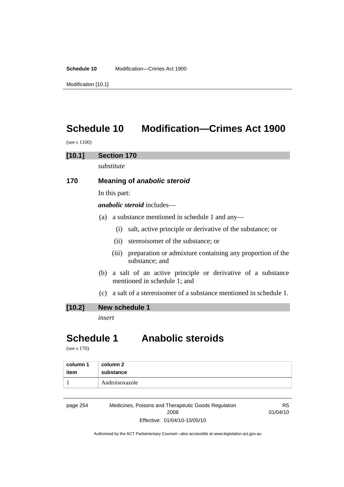**Schedule 10** Modification—Crimes Act 1900

Modification [10.1]

# **Schedule 10 Modification—Crimes Act 1900**

(see s 1100)

### **[10.1] Section 170**

*substitute* 

### **170 Meaning of** *anabolic steroid*

In this part:

*anabolic steroid* includes—

- (a) a substance mentioned in schedule 1 and any—
	- (i) salt, active principle or derivative of the substance; or
	- (ii) stereoisomer of the substance; or
	- (iii) preparation or admixture containing any proportion of the substance; and
- (b) a salt of an active principle or derivative of a substance mentioned in schedule 1; and
- (c) a salt of a stereoisomer of a substance mentioned in schedule 1.

### **[10.2] New schedule 1**

*insert* 

### **Schedule 1 Anabolic steroids**

(see s 170)

| column 1 | column 2       |
|----------|----------------|
| item     | substance      |
|          | Androisoxazole |

page 254 Medicines, Poisons and Therapeutic Goods Regulation 2008 Effective: 01/04/10-10/05/10

R5 01/04/10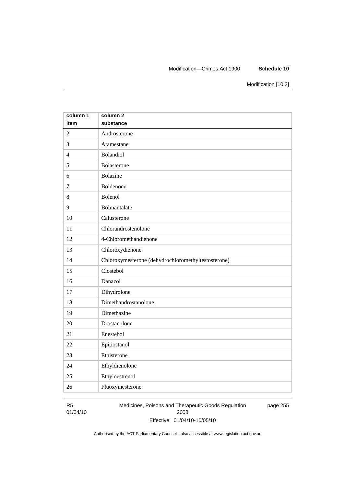#### Modification—Crimes Act 1900 **Schedule 10**

Modification [10.2]

| column 1       | column <sub>2</sub>                                 |
|----------------|-----------------------------------------------------|
| item           | substance                                           |
| $\overline{2}$ | Androsterone                                        |
| 3              | Atamestane                                          |
| $\overline{4}$ | Bolandiol                                           |
| 5              | Bolasterone                                         |
| 6              | <b>Bolazine</b>                                     |
| $\overline{7}$ | Boldenone                                           |
| 8              | Bolenol                                             |
| 9              | Bolmantalate                                        |
| 10             | Calusterone                                         |
| 11             | Chlorandrostenolone                                 |
| 12             | 4-Chloromethandienone                               |
| 13             | Chloroxydienone                                     |
| 14             | Chloroxymesterone (dehydrochloromethyltestosterone) |
| 15             | Clostebol                                           |
| 16             | Danazol                                             |
| 17             | Dihydrolone                                         |
| 18             | Dimethandrostanolone                                |
| 19             | Dimethazine                                         |
| 20             | Drostanolone                                        |
| 21             | Enestebol                                           |
| 22             | Epitiostanol                                        |
| 23             | Ethisterone                                         |
| 24             | Ethyldienolone                                      |
| 25             | Ethyloestrenol                                      |
| 26             | Fluoxymesterone                                     |

#### R5 01/04/10

Medicines, Poisons and Therapeutic Goods Regulation 2008 Effective: 01/04/10-10/05/10 page 255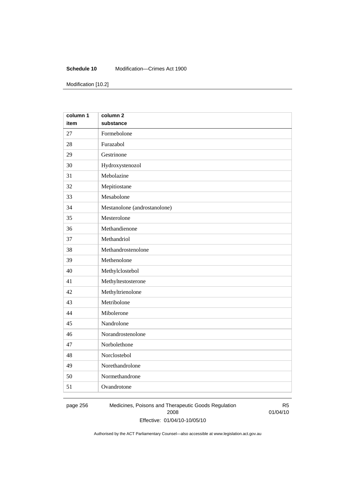#### **Schedule 10** Modification—Crimes Act 1900

Modification [10.2]

| column 1 | column <sub>2</sub>          |
|----------|------------------------------|
| item     | substance                    |
| 27       | Formebolone                  |
| 28       | Furazabol                    |
| 29       | Gestrinone                   |
| 30       | Hydroxystenozol              |
| 31       | Mebolazine                   |
| 32       | Mepitiostane                 |
| 33       | Mesabolone                   |
| 34       | Mestanolone (androstanolone) |
| 35       | Mesterolone                  |
| 36       | Methandienone                |
| 37       | Methandriol                  |
| 38       | Methandrostenolone           |
| 39       | Methenolone                  |
| 40       | Methylclostebol              |
| 41       | Methyltestosterone           |
| 42       | Methyltrienolone             |
| 43       | Metribolone                  |
| 44       | Mibolerone                   |
| 45       | Nandrolone                   |
| 46       | Norandrostenolone            |
| 47       | Norbolethone                 |
| 48       | Norclostebol                 |
| 49       | Norethandrolone              |
| 50       | Normethandrone               |
| 51       | Ovandrotone                  |

page 256 Medicines, Poisons and Therapeutic Goods Regulation 2008 Effective: 01/04/10-10/05/10

R5 01/04/10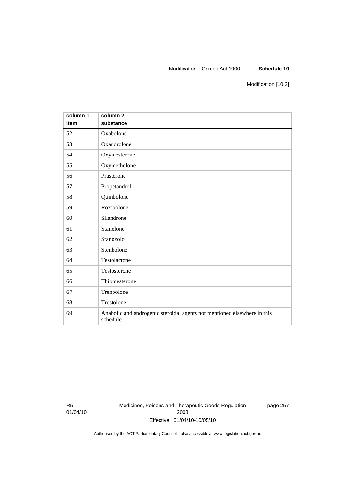#### Modification—Crimes Act 1900 **Schedule 10**

Modification [10.2]

| column 1<br>item | column <sub>2</sub><br>substance                                                     |
|------------------|--------------------------------------------------------------------------------------|
| 52               | Oxabolone                                                                            |
| 53               | Oxandrolone                                                                          |
| 54               | Oxymesterone                                                                         |
| 55               | Oxymetholone                                                                         |
| 56               | Prasterone                                                                           |
| 57               | Propetandrol                                                                         |
| 58               | Quinbolone                                                                           |
| 59               | Roxibolone                                                                           |
| 60               | Silandrone                                                                           |
| 61               | Stanolone                                                                            |
| 62               | Stanozolol                                                                           |
| 63               | Stenbolone                                                                           |
| 64               | Testolactone                                                                         |
| 65               | Testosterone                                                                         |
| 66               | Thiomesterone                                                                        |
| 67               | Trenbolone                                                                           |
| 68               | Trestolone                                                                           |
| 69               | Anabolic and androgenic steroidal agents not mentioned elsewhere in this<br>schedule |

R5 01/04/10 Medicines, Poisons and Therapeutic Goods Regulation 2008 Effective: 01/04/10-10/05/10

page 257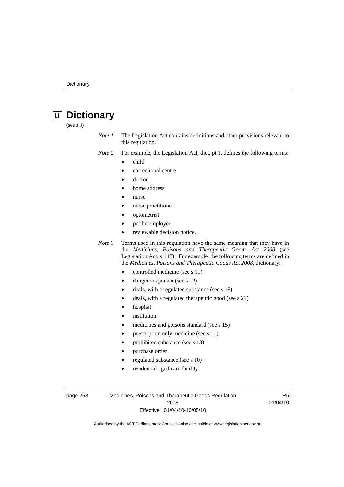# **U Dictionary**

(see s 3)

- *Note 1* The Legislation Act contains definitions and other provisions relevant to this regulation.
- *Note 2* For example, the Legislation Act, dict, pt 1, defines the following terms:
	- child
		- correctional centre
	- doctor
	- home address
	- nurse
	- nurse practitioner
	- optometrist
	- public employee
	- reviewable decision notice.

*Note 3* Terms used in this regulation have the same meaning that they have in the *Medicines, Poisons and Therapeutic Goods Act 2008* (see Legislation Act, s 148). For example, the following terms are defined in the *Medicines, Poisons and Therapeutic Goods Act 2008*, dictionary:

- controlled medicine (see s 11)
- dangerous poison (see s 12)
- deals, with a regulated substance (see s 19)
- deals, with a regulated therapeutic good (see s 21)
- hospital
- *institution*
- medicines and poisons standard (see s 15)
- prescription only medicine (see s 11)
- prohibited substance (see s 13)
- purchase order
- regulated substance (see s 10)
- residential aged care facility

page 258 Medicines, Poisons and Therapeutic Goods Regulation 2008 Effective: 01/04/10-10/05/10

R5 01/04/10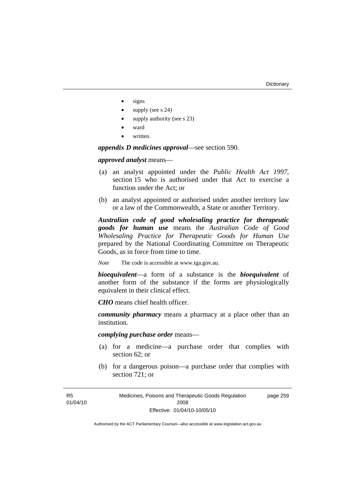- signs
- supply (see s 24)
- supply authority (see s 23)
- ward
- written.

*appendix D medicines approval*—see section 590.

*approved analyst* means—

- (a) an analyst appointed under the *Public Health Act 1997*, section 15 who is authorised under that Act to exercise a function under the Act; or
- (b) an analyst appointed or authorised under another territory law or a law of the Commonwealth, a State or another Territory.

*Australian code of good wholesaling practice for therapeutic goods for human use* means the *Australian Code of Good Wholesaling Practice for Therapeutic Goods for Human Use*  prepared by the National Coordinating Committee on Therapeutic Goods, as in force from time to time.

*Note* The code is accessible at www.tga.gov.au.

*bioequivalent*—a form of a substance is the *bioequivalent* of another form of the substance if the forms are physiologically equivalent in their clinical effect.

*CHO* means chief health officer.

*community pharmacy* means a pharmacy at a place other than an institution.

*complying purchase order* means—

- (a) for a medicine—a purchase order that complies with section 62; or
- (b) for a dangerous poison—a purchase order that complies with section 721; or

Medicines, Poisons and Therapeutic Goods Regulation 2008 Effective: 01/04/10-10/05/10 page 259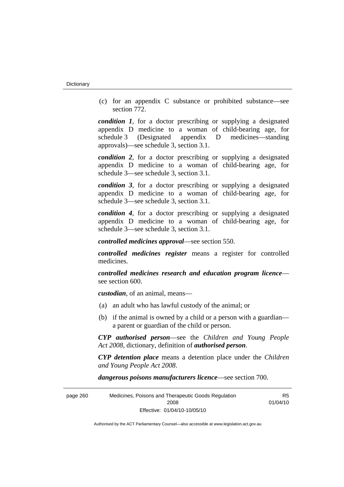(c) for an appendix C substance or prohibited substance—see section 772.

*condition 1*, for a doctor prescribing or supplying a designated appendix D medicine to a woman of child-bearing age, for schedule 3 (Designated appendix D medicines—standing approvals)—see schedule 3, section 3.1.

*condition 2*, for a doctor prescribing or supplying a designated appendix D medicine to a woman of child-bearing age, for schedule 3—see schedule 3, section 3.1.

*condition 3*, for a doctor prescribing or supplying a designated appendix D medicine to a woman of child-bearing age, for schedule 3—see schedule 3, section 3.1.

*condition 4*, for a doctor prescribing or supplying a designated appendix D medicine to a woman of child-bearing age, for schedule 3—see schedule 3, section 3.1.

*controlled medicines approval*—see section 550.

*controlled medicines register* means a register for controlled medicines.

*controlled medicines research and education program licence* see section 600.

*custodian*, of an animal, means—

- (a) an adult who has lawful custody of the animal; or
- (b) if the animal is owned by a child or a person with a guardian a parent or guardian of the child or person.

*CYP authorised person*—see the *Children and Young People Act 2008*, dictionary, definition of *authorised person*.

*CYP detention place* means a detention place under the *Children and Young People Act 2008*.

*dangerous poisons manufacturers licence*—see section 700.

| page 260 | Medicines, Poisons and Therapeutic Goods Regulation | R5       |
|----------|-----------------------------------------------------|----------|
|          | 2008                                                | 01/04/10 |
|          | Effective: 01/04/10-10/05/10                        |          |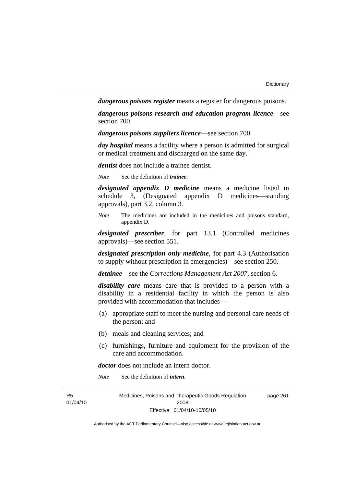*dangerous poisons register* means a register for dangerous poisons.

*dangerous poisons research and education program licence*—see section 700.

*dangerous poisons suppliers licence*—see section 700.

*day hospital* means a facility where a person is admitted for surgical or medical treatment and discharged on the same day.

*dentist* does not include a trainee dentist.

*Note* See the definition of *trainee*.

*designated appendix D medicine* means a medicine listed in schedule 3, (Designated appendix D medicines—standing approvals), part 3.2, column 3.

*Note* The medicines are included in the medicines and poisons standard, appendix D.

*designated prescriber*, for part 13.1 (Controlled medicines approvals)—see section 551.

*designated prescription only medicine*, for part 4.3 (Authorisation to supply without prescription in emergencies)—see section 250.

*detainee*—see the *Corrections Management Act 2007*, section 6.

*disability care* means care that is provided to a person with a disability in a residential facility in which the person is also provided with accommodation that includes—

- (a) appropriate staff to meet the nursing and personal care needs of the person; and
- (b) meals and cleaning services; and
- (c) furnishings, furniture and equipment for the provision of the care and accommodation.

*doctor* does not include an intern doctor.

*Note* See the definition of *intern*.

| R5       | Medicines, Poisons and Therapeutic Goods Regulation | page 261 |
|----------|-----------------------------------------------------|----------|
| 01/04/10 | 2008                                                |          |
|          | Effective: 01/04/10-10/05/10                        |          |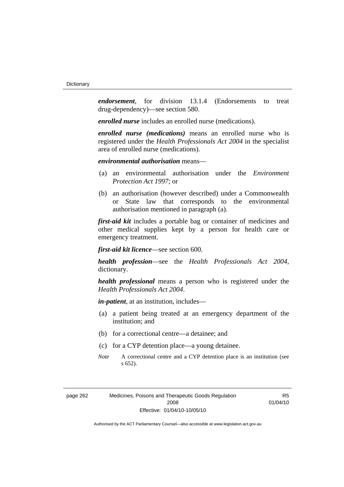*endorsement*, for division 13.1.4 (Endorsements to treat drug-dependency)—see section 580.

*enrolled nurse* includes an enrolled nurse (medications).

*enrolled nurse (medications)* means an enrolled nurse who is registered under the *Health Professionals Act 2004* in the specialist area of enrolled nurse (medications).

### *environmental authorisation* means—

- (a) an environmental authorisation under the *Environment Protection Act 1997*; or
- (b) an authorisation (however described) under a Commonwealth or State law that corresponds to the environmental authorisation mentioned in paragraph (a).

*first-aid kit* includes a portable bag or container of medicines and other medical supplies kept by a person for health care or emergency treatment.

*first-aid kit licence*—see section 600.

*health profession*—see the *Health Professionals Act 2004*, dictionary.

*health professional* means a person who is registered under the *Health Professionals Act 2004*.

*in-patient*, at an institution, includes—

- (a) a patient being treated at an emergency department of the institution; and
- (b) for a correctional centre—a detainee; and
- (c) for a CYP detention place—a young detainee.
- *Note* A correctional centre and a CYP detention place is an institution (see s 652).

R5 01/04/10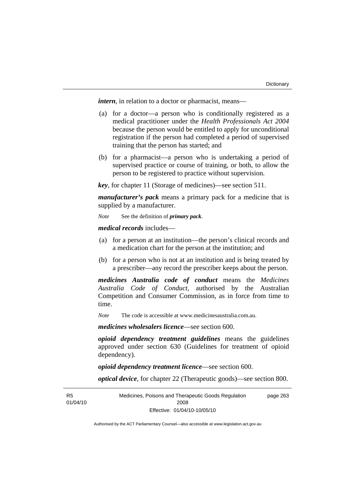*intern*, in relation to a doctor or pharmacist, means—

- (a) for a doctor—a person who is conditionally registered as a medical practitioner under the *Health Professionals Act 2004* because the person would be entitled to apply for unconditional registration if the person had completed a period of supervised training that the person has started; and
- (b) for a pharmacist—a person who is undertaking a period of supervised practice or course of training, or both, to allow the person to be registered to practice without supervision.

*key*, for chapter 11 (Storage of medicines)—see section 511.

*manufacturer's pack* means a primary pack for a medicine that is supplied by a manufacturer.

*Note* See the definition of *primary pack*.

*medical records* includes—

- (a) for a person at an institution—the person's clinical records and a medication chart for the person at the institution; and
- (b) for a person who is not at an institution and is being treated by a prescriber—any record the prescriber keeps about the person.

*medicines Australia code of conduct* means the *Medicines Australia Code of Conduct*, authorised by the Australian Competition and Consumer Commission, as in force from time to time.

*Note* The code is accessible at www.medicinesaustralia.com.au.

*medicines wholesalers licence*—see section 600.

*opioid dependency treatment guidelines* means the guidelines approved under section 630 (Guidelines for treatment of opioid dependency).

*opioid dependency treatment licence*—see section 600.

*optical device*, for chapter 22 (Therapeutic goods)—see section 800.

R5 01/04/10 Medicines, Poisons and Therapeutic Goods Regulation 2008 Effective: 01/04/10-10/05/10 page 263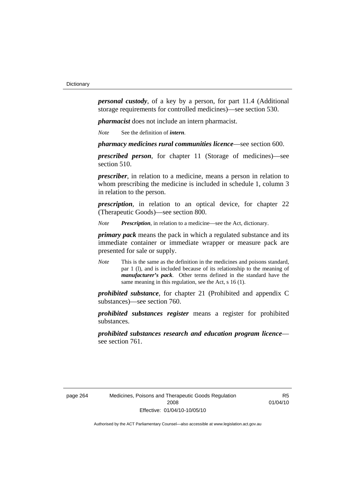*personal custody*, of a key by a person, for part 11.4 (Additional storage requirements for controlled medicines)—see section 530.

*pharmacist* does not include an intern pharmacist.

*Note* See the definition of *intern*.

*pharmacy medicines rural communities licence*—see section 600.

*prescribed person*, for chapter 11 (Storage of medicines)—see section 510.

*prescriber*, in relation to a medicine, means a person in relation to whom prescribing the medicine is included in schedule 1, column 3 in relation to the person.

*prescription*, in relation to an optical device, for chapter 22 (Therapeutic Goods)—see section 800.

*Note Prescription*, in relation to a medicine—see the Act, dictionary.

*primary pack* means the pack in which a regulated substance and its immediate container or immediate wrapper or measure pack are presented for sale or supply.

*Note* This is the same as the definition in the medicines and poisons standard, par 1 (l), and is included because of its relationship to the meaning of *manufacturer's pack*. Other terms defined in the standard have the same meaning in this regulation, see the Act, s 16 (1).

*prohibited substance*, for chapter 21 (Prohibited and appendix C substances)—see section 760.

*prohibited substances register* means a register for prohibited substances.

*prohibited substances research and education program licence* see section 761.

R<sub>5</sub> 01/04/10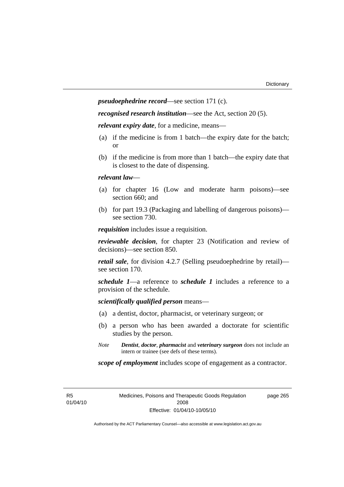*pseudoephedrine record*—see section 171 (c).

*recognised research institution*—see the Act, section 20 (5).

*relevant expiry date*, for a medicine, means—

- (a) if the medicine is from 1 batch—the expiry date for the batch; or
- (b) if the medicine is from more than 1 batch—the expiry date that is closest to the date of dispensing.

## *relevant law*—

- (a) for chapter 16 (Low and moderate harm poisons)—see section 660; and
- (b) for part 19.3 (Packaging and labelling of dangerous poisons) see section 730.

*requisition* includes issue a requisition.

*reviewable decision*, for chapter 23 (Notification and review of decisions)—see section 850.

*retail sale*, for division 4.2.7 (Selling pseudoephedrine by retail) see section 170.

*schedule 1*—a reference to *schedule 1* includes a reference to a provision of the schedule.

*scientifically qualified person* means—

- (a) a dentist, doctor, pharmacist, or veterinary surgeon; or
- (b) a person who has been awarded a doctorate for scientific studies by the person.
- *Note Dentist*, *doctor*, *pharmacist* and *veterinary surgeon* does not include an intern or trainee (see defs of these terms).

*scope of employment* includes scope of engagement as a contractor.

R5 01/04/10 Medicines, Poisons and Therapeutic Goods Regulation 2008 Effective: 01/04/10-10/05/10

page 265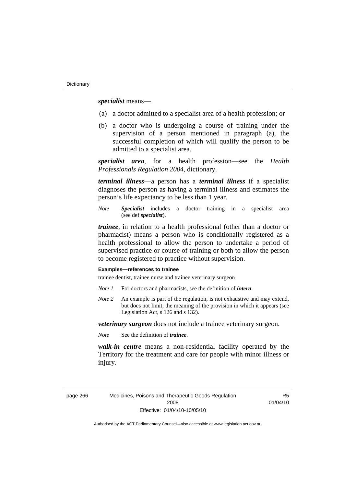*specialist* means—

- (a) a doctor admitted to a specialist area of a health profession; or
- (b) a doctor who is undergoing a course of training under the supervision of a person mentioned in paragraph (a), the successful completion of which will qualify the person to be admitted to a specialist area.

*specialist area*, for a health profession—see the *Health Professionals Regulation 2004*, dictionary.

*terminal illness*—a person has a *terminal illness* if a specialist diagnoses the person as having a terminal illness and estimates the person's life expectancy to be less than 1 year.

*Note Specialist* includes a doctor training in a specialist area (see def *specialist*).

*trainee*, in relation to a health professional (other than a doctor or pharmacist) means a person who is conditionally registered as a health professional to allow the person to undertake a period of supervised practice or course of training or both to allow the person to become registered to practice without supervision.

#### **Examples—references to trainee**

trainee dentist, trainee nurse and trainee veterinary surgeon

- *Note 1* For doctors and pharmacists, see the definition of *intern*.
- *Note 2* An example is part of the regulation, is not exhaustive and may extend, but does not limit, the meaning of the provision in which it appears (see Legislation Act, s 126 and s 132).

*veterinary surgeon* does not include a trainee veterinary surgeon.

*Note* See the definition of *trainee*.

*walk-in centre* means a non-residential facility operated by the Territory for the treatment and care for people with minor illness or injury.

page 266 Medicines, Poisons and Therapeutic Goods Regulation 2008 Effective: 01/04/10-10/05/10

R<sub>5</sub> 01/04/10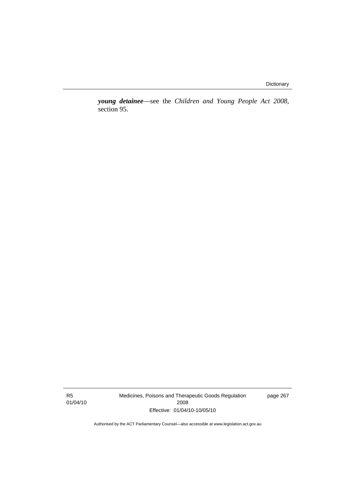*young detainee*—see the *Children and Young People Act 2008*, section 95.

R5 01/04/10 Medicines, Poisons and Therapeutic Goods Regulation 2008 Effective: 01/04/10-10/05/10

page 267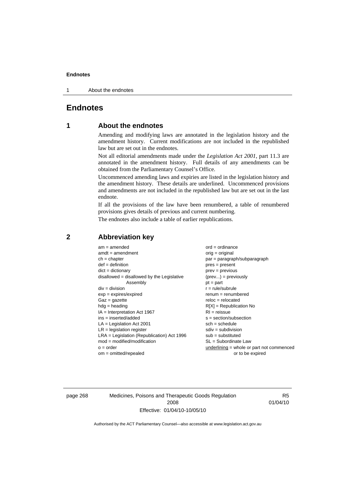1 About the endnotes

# **Endnotes**

# **1 About the endnotes**

Amending and modifying laws are annotated in the legislation history and the amendment history. Current modifications are not included in the republished law but are set out in the endnotes.

Not all editorial amendments made under the *Legislation Act 2001*, part 11.3 are annotated in the amendment history. Full details of any amendments can be obtained from the Parliamentary Counsel's Office.

Uncommenced amending laws and expiries are listed in the legislation history and the amendment history. These details are underlined. Uncommenced provisions and amendments are not included in the republished law but are set out in the last endnote.

If all the provisions of the law have been renumbered, a table of renumbered provisions gives details of previous and current numbering.

The endnotes also include a table of earlier republications.

| $am = amended$                               | $ord = ordinance$                         |
|----------------------------------------------|-------------------------------------------|
| $amdt = amendment$                           | $orig = original$                         |
| $ch = chapter$                               | $par = paragraph/subparagraph$            |
| $def = definition$                           | $pres = present$                          |
| $dict = dictionary$                          | $prev = previous$                         |
| $disallowed = disallowed by the Legislative$ | $(\text{prev}) = \text{previously}$       |
| Assembly                                     | $pt = part$                               |
| $div = division$                             | $r = rule/subrule$                        |
| $exp = expires/expired$                      | $remum = renumbered$                      |
| $Gaz = gazette$                              | $reloc = relocated$                       |
| $hdg =$ heading                              | $R[X]$ = Republication No                 |
| $IA = Interpretation Act 1967$               | $RI = reissue$                            |
| $ins = inserted/added$                       | $s = section/subsection$                  |
| $LA =$ Legislation Act 2001                  | $sch = schedule$                          |
| $LR =$ legislation register                  | $sdiv = subdivision$                      |
| $LRA =$ Legislation (Republication) Act 1996 | $sub =$ substituted                       |
| $mod = modified/modification$                | $SL = Subordinate$ Law                    |
| $o = order$                                  | underlining = whole or part not commenced |
| $om = omitted/repealed$                      | or to be expired                          |

# **2 Abbreviation key**

page 268 Medicines, Poisons and Therapeutic Goods Regulation 2008 Effective: 01/04/10-10/05/10

R5 01/04/10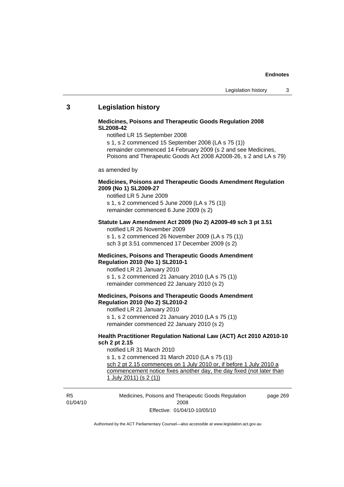## **3 Legislation history**

#### **Medicines, Poisons and Therapeutic Goods Regulation 2008 SL2008-42**

notified LR 15 September 2008

s 1, s 2 commenced 15 September 2008 (LA s 75 (1)) remainder commenced 14 February 2009 (s 2 and see Medicines, Poisons and Therapeutic Goods Act 2008 A2008-26, s 2 and LA s 79)

as amended by

### **Medicines, Poisons and Therapeutic Goods Amendment Regulation 2009 (No 1) SL2009-27**

notified LR 5 June 2009 s 1, s 2 commenced 5 June 2009 (LA s 75 (1)) remainder commenced 6 June 2009 (s 2)

#### **Statute Law Amendment Act 2009 (No 2) A2009-49 sch 3 pt 3.51**  notified LR 26 November 2009

s 1, s 2 commenced 26 November 2009 (LA s 75 (1)) sch 3 pt 3.51 commenced 17 December 2009 (s 2)

#### **Medicines, Poisons and Therapeutic Goods Amendment Regulation 2010 (No 1) SL2010-1**

notified LR 21 January 2010 s 1, s 2 commenced 21 January 2010 (LA s 75 (1)) remainder commenced 22 January 2010 (s 2)

## **Medicines, Poisons and Therapeutic Goods Amendment Regulation 2010 (No 2) SL2010-2**

notified LR 21 January 2010 s 1, s 2 commenced 21 January 2010 (LA s 75 (1)) remainder commenced 22 January 2010 (s 2)

#### **Health Practitioner Regulation National Law (ACT) Act 2010 A2010-10 sch 2 pt 2.15**

notified LR 31 March 2010 s 1, s 2 commenced 31 March 2010 (LA s 75 (1)) sch 2 pt 2.15 commences on 1 July 2010 or, if before 1 July 2010 a commencement notice fixes another day, the day fixed (not later than 1 July 2011) (s 2 (1))

R5 01/04/10 Medicines, Poisons and Therapeutic Goods Regulation 2008 Effective: 01/04/10-10/05/10 page 269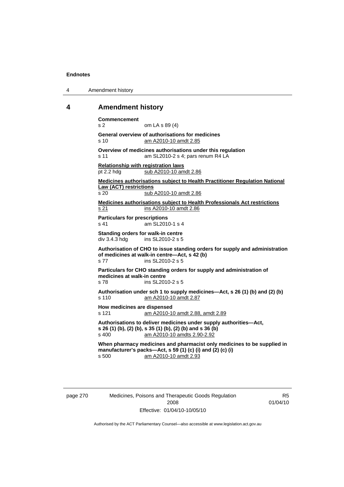| Amendment history<br>4 |  |
|------------------------|--|
|------------------------|--|

## **4 Amendment history**

**Commencement**  s 2 om LA s 89 (4) **General overview of authorisations for medicines**  s 10 am A2010-10 amdt 2.85 **Overview of medicines authorisations under this regulation**  s 11 am SL2010-2 s 4; pars renum R4 LA **Relationship with registration laws** pt 2.2 hdg sub A2010-10 amdt 2.86 **Medicines authorisations subject to Health Practitioner Regulation National Law (ACT) restrictions** s 20 sub A2010-10 amdt 2.86

**Medicines authorisations subject to Health Professionals Act restrictions** s 21 ins A2010-10 amdt 2.86

**Particulars for prescriptions**  s 41 am SL2010-1 s 4

**Standing orders for walk-in centre div 3.4.3 hdg ins SL2010-2 s 5** ins SL2010-2 s 5

**Authorisation of CHO to issue standing orders for supply and administration of medicines at walk-in centre—Act, s 42 (b)**  s 77 ins SL2010-2 s 5

**Particulars for CHO standing orders for supply and administration of medicines at walk-in centre**  s 78 ins SL2010-2 s 5

**Authorisation under sch 1 to supply medicines—Act, s 26 (1) (b) and (2) (b)**  s 110 am A2010-10 amdt 2.87

**How medicines are dispensed**  s 121 am A2010-10 amdt 2.88, amdt 2.89

**Authorisations to deliver medicines under supply authorities—Act, s 26 (1) (b), (2) (b), s 35 (1) (b), (2) (b) and s 36 (b)**  s 400 am A2010-10 amdts 2.90-2.92

**When pharmacy medicines and pharmacist only medicines to be supplied in manufacturer's packs—Act, s 59 (1) (c) (i) and (2) (c) (i)**  s 500 am A2010-10 amdt 2.93

page 270 Medicines, Poisons and Therapeutic Goods Regulation 2008 Effective: 01/04/10-10/05/10

R5 01/04/10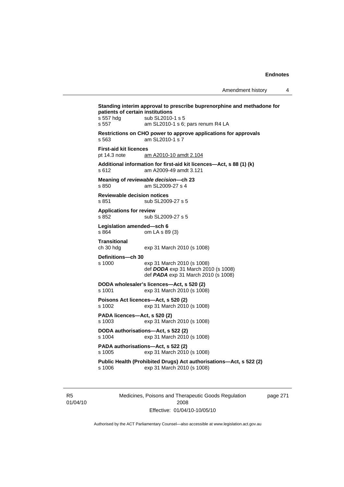**Standing interim approval to prescribe buprenorphine and methadone for patients of certain institutions**  s 557 hdg sub SL2010-1 s 5 s 557 am SL2010-1 s 6; pars renum R4 LA **Restrictions on CHO power to approve applications for approvals**  s 563 am SL2010-1 s 7 **First-aid kit licences**  pt 14.3 note am A2010-10 amdt 2.104 **Additional information for first-aid kit licences—Act, s 88 (1) (k)**  s 612 am A2009-49 amdt 3.121 **Meaning of** *reviewable decision—***ch 23**  s 850 am SL2009-27 s 4 **Reviewable decision notices**  s 851 sub SL2009-27 s 5 **Applications for review**  s 852 sub SL2009-27 s 5 **Legislation amended—sch 6**<br>s 864 om LA s 89 om LA s 89 (3) **Transitional**  ch 30 hdg exp 31 March 2010 (s 1008) **Definitions—ch 30**  exp 31 March 2010 (s 1008) def *DODA* exp 31 March 2010 (s 1008) def *PADA* exp 31 March 2010 (s 1008) **DODA wholesaler's licences—Act, s 520 (2)**  s 1001 exp 31 March 2010 (s 1008) **Poisons Act licences—Act, s 520 (2)**  s 1002 exp 31 March 2010 (s 1008) **PADA licences—Act, s 520 (2)**  s 1003 exp 31 March 2010 (s 1008) **DODA authorisations—Act, s 522 (2)**  s 1004 exp 31 March 2010 (s 1008) **PADA authorisations—Act, s 522 (2)**  s 1005 exp 31 March 2010 (s 1008) **Public Health (Prohibited Drugs) Act authorisations—Act, s 522 (2)**  s 1006 exp 31 March 2010 (s 1008)

R5 01/04/10 Medicines, Poisons and Therapeutic Goods Regulation 2008 Effective: 01/04/10-10/05/10

page 271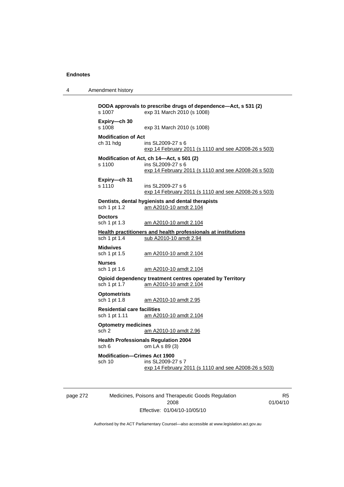4 Amendment history

**DODA approvals to prescribe drugs of dependence—Act, s 531 (2)**  s 1007 exp 31 March 2010 (s 1008) **Expiry—ch 30**  exp 31 March 2010 (s 1008) **Modification of Act** ch 31 hdg ins SL2009-27 s 6 exp 14 February 2011 (s 1110 and see A2008-26 s 503) **Modification of Act, ch 14—Act, s 501 (2)**  s 1100 ins SL2009-27 s 6 exp 14 February 2011 (s 1110 and see A2008-26 s 503) **Expiry—ch 31**  s 1110 ins SL2009-27 s 6 exp 14 February 2011 (s 1110 and see A2008-26 s 503) **Dentists, dental hygienists and dental therapists**  sch 1 pt 1.2 am A2010-10 amdt 2.104 **Doctors**  sch 1 pt 1.3 am A2010-10 amdt 2.104 **Health practitioners and health professionals at institutions** sch 1 pt 1.4 sub A2010-10 amdt 2.94 **Midwives**  sch 1 pt 1.5 am A2010-10 amdt 2.104 **Nurses**  sch 1 pt 1.6 am A2010-10 amdt 2.104 **Opioid dependency treatment centres operated by Territory**  sch 1 pt 1.7 am A2010-10 amdt 2.104 **Optometrists**  sch 1 pt 1.8 am A2010-10 amdt 2.95 **Residential care facilities**  sch 1 pt 1.11 am A2010-10 amdt 2.104 **Optometry medicines**  sch 2 am A2010-10 amdt 2.96 **Health Professionals Regulation 2004**  sch 6 om LA s 89 (3) **Modification—Crimes Act 1900**  sch 10 ins SL2009-27 s 7 exp 14 February 2011 (s 1110 and see A2008-26 s 503)

page 272 Medicines, Poisons and Therapeutic Goods Regulation 2008 Effective: 01/04/10-10/05/10

R5 01/04/10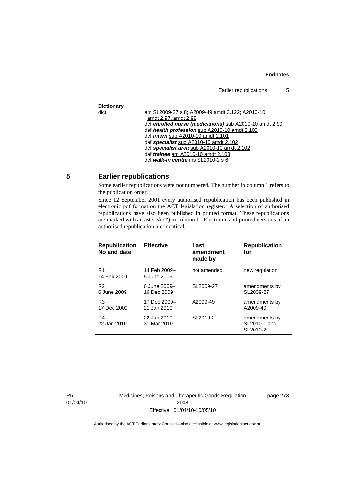Earlier republications 5

# **Dictionary**

am SL2009-27 s 8; A2009-49 amdt 3.122; A2010-10 amdt 2.97, amdt 2.98 def *enrolled nurse (medications)* sub A2010-10 amdt 2.99 def *health profession* sub A2010-10 amdt 2.100 def *intern* sub A2010-10 amdt 2.101 def *specialist* sub A2010-10 amdt 2.102 def *specialist area* sub A2010-10 amdt 2.102 def *trainee* am A2010-10 amdt 2.103 def *walk-in centre* ins SL2010-2 s 6

# **5 Earlier republications**

Some earlier republications were not numbered. The number in column 1 refers to the publication order.

Since 12 September 2001 every authorised republication has been published in electronic pdf format on the ACT legislation register. A selection of authorised republications have also been published in printed format. These republications are marked with an asterisk  $(*)$  in column 1. Electronic and printed versions of an authorised republication are identical.

| <b>Republication</b><br>No and date | <b>Effective</b>            | Last<br>amendment<br>made by | <b>Republication</b><br>for               |
|-------------------------------------|-----------------------------|------------------------------|-------------------------------------------|
| R1<br>14 Feb 2009                   | 14 Feb 2009-<br>5 June 2009 | not amended                  | new regulation                            |
| R <sub>2</sub><br>6 June 2009       | 6 June 2009-<br>16 Dec 2009 | SL2009-27                    | amendments by<br>SL2009-27                |
| R <sub>3</sub><br>17 Dec 2009       | 17 Dec 2009-<br>21 Jan 2010 | A2009-49                     | amendments by<br>A2009-49                 |
| R4<br>22 Jan 2010                   | 22 Jan 2010-<br>31 Mar 2010 | SL2010-2                     | amendments by<br>SL2010-1 and<br>SL2010-2 |

R5 01/04/10 Medicines, Poisons and Therapeutic Goods Regulation 2008 Effective: 01/04/10-10/05/10

page 273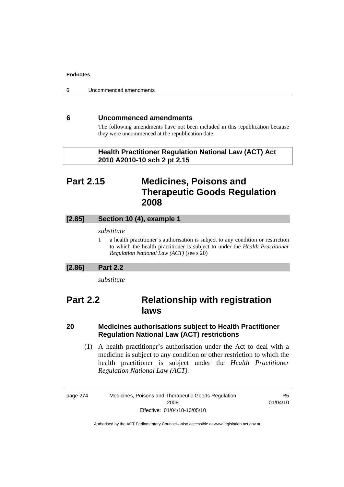6 Uncommenced amendments

# **6 Uncommenced amendments**

The following amendments have not been included in this republication because they were uncommenced at the republication date:

 **Health Practitioner Regulation National Law (ACT) Act 2010 A2010-10 sch 2 pt 2.15** 

# **Part 2.15 Medicines, Poisons and Therapeutic Goods Regulation 2008**

## **[2.85] Section 10 (4), example 1**

## *substitute*

1 a health practitioner's authorisation is subject to any condition or restriction to which the health practitioner is subject to under the *Health Practitioner Regulation National Law (ACT)* (see s 20)

## **[2.86] Part 2.2**

*substitute* 

# **Part 2.2 Relationship with registration laws**

# **20 Medicines authorisations subject to Health Practitioner Regulation National Law (ACT) restrictions**

 (1) A health practitioner's authorisation under the Act to deal with a medicine is subject to any condition or other restriction to which the health practitioner is subject under the *Health Practitioner Regulation National Law (ACT)*.

page 274 Medicines, Poisons and Therapeutic Goods Regulation 2008 Effective: 01/04/10-10/05/10

R5 01/04/10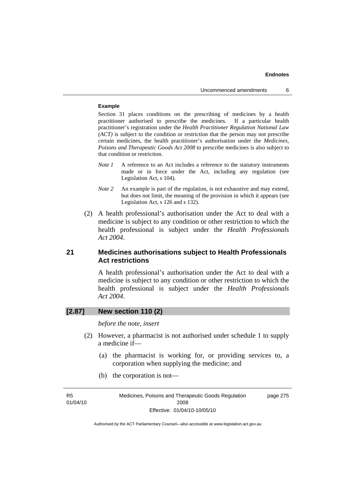## **Example**

Section 31 places conditions on the prescribing of medicines by a health practitioner authorised to prescribe the medicines. If a particular health practitioner's registration under the *Health Practitioner Regulation National Law (ACT)* is subject to the condition or restriction that the person may not prescribe certain medicines, the health practitioner's authorisation under the *Medicines, Poisons and Therapeutic Goods Act 2008* to prescribe medicines is also subject to that condition or restriction.

- *Note 1* A reference to an Act includes a reference to the statutory instruments made or in force under the Act, including any regulation (see Legislation Act, s 104).
- *Note 2* An example is part of the regulation, is not exhaustive and may extend, but does not limit, the meaning of the provision in which it appears (see Legislation Act, s 126 and s 132).
- (2) A health professional's authorisation under the Act to deal with a medicine is subject to any condition or other restriction to which the health professional is subject under the *Health Professionals Act 2004*.

## **21 Medicines authorisations subject to Health Professionals Act restrictions**

A health professional's authorisation under the Act to deal with a medicine is subject to any condition or other restriction to which the health professional is subject under the *Health Professionals Act 2004*.

## **[2.87] New section 110 (2)**

*before the note, insert* 

- (2) However, a pharmacist is not authorised under schedule 1 to supply a medicine if—
	- (a) the pharmacist is working for, or providing services to, a corporation when supplying the medicine; and
	- (b) the corporation is not—

| R5       | Medicines, Poisons and Therapeutic Goods Regulation | page 275 |
|----------|-----------------------------------------------------|----------|
| 01/04/10 | 2008                                                |          |
|          | Effective: 01/04/10-10/05/10                        |          |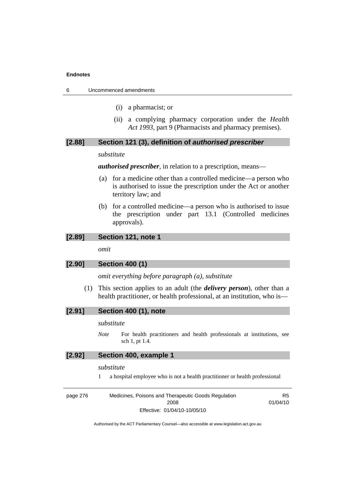6 Uncommenced amendments

- (i) a pharmacist; or
- (ii) a complying pharmacy corporation under the *Health Act 1993*, part 9 (Pharmacists and pharmacy premises).

## **[2.88] Section 121 (3), definition of** *authorised prescriber*

#### *substitute*

*authorised prescriber*, in relation to a prescription, means—

- (a) for a medicine other than a controlled medicine—a person who is authorised to issue the prescription under the Act or another territory law; and
- (b) for a controlled medicine—a person who is authorised to issue the prescription under part 13.1 (Controlled medicines approvals).

## **[2.89] Section 121, note 1**

*omit* 

## **[2.90] Section 400 (1)**

*omit everything before paragraph (a), substitute* 

 (1) This section applies to an adult (the *delivery person*), other than a health practitioner, or health professional, at an institution, who is—

| Section 400 (1), note | [2.91] |  |  |  |  |
|-----------------------|--------|--|--|--|--|
|-----------------------|--------|--|--|--|--|

### *substitute*

*Note* For health practitioners and health professionals at institutions, see sch 1, pt 1.4.

### **[2.92] Section 400, example 1**

### *substitute*

1 a hospital employee who is not a health practitioner or health professional

| page 276 | Medicines, Poisons and Therapeutic Goods Regulation | R5       |
|----------|-----------------------------------------------------|----------|
|          | 2008                                                | 01/04/10 |
|          | Effective: 01/04/10-10/05/10                        |          |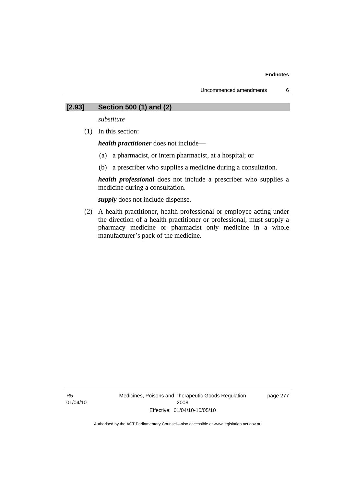## **[2.93] Section 500 (1) and (2)**

*substitute* 

(1) In this section:

*health practitioner* does not include—

- (a) a pharmacist, or intern pharmacist, at a hospital; or
- (b) a prescriber who supplies a medicine during a consultation.

*health professional* does not include a prescriber who supplies a medicine during a consultation.

*supply* does not include dispense.

 (2) A health practitioner, health professional or employee acting under the direction of a health practitioner or professional, must supply a pharmacy medicine or pharmacist only medicine in a whole manufacturer's pack of the medicine.

page 277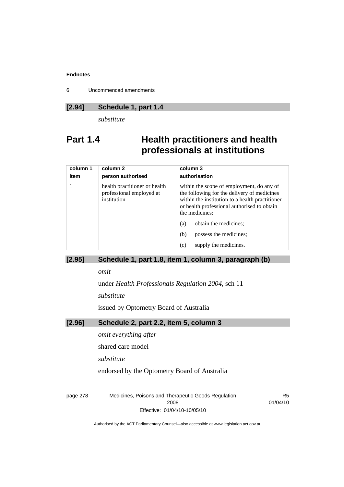6 Uncommenced amendments

## **[2.94] Schedule 1, part 1.4**

*substitute* 

# **Part 1.4 Health practitioners and health professionals at institutions**

| column 1<br>item | column <sub>2</sub><br>person authorised                                 | column 3<br>authorisation                                                                                                                                                                                    |
|------------------|--------------------------------------------------------------------------|--------------------------------------------------------------------------------------------------------------------------------------------------------------------------------------------------------------|
|                  | health practitioner or health<br>professional employed at<br>institution | within the scope of employment, do any of<br>the following for the delivery of medicines<br>within the institution to a health practitioner<br>or health professional authorised to obtain<br>the medicines: |
|                  |                                                                          | obtain the medicines;<br>(a)                                                                                                                                                                                 |
|                  |                                                                          | (b)<br>possess the medicines;                                                                                                                                                                                |
|                  |                                                                          | supply the medicines.<br>(c)                                                                                                                                                                                 |

# **[2.95] Schedule 1, part 1.8, item 1, column 3, paragraph (b)**

*omit* 

under *Health Professionals Regulation 2004*, sch 11

*substitute* 

issued by Optometry Board of Australia

# **[2.96] Schedule 2, part 2.2, item 5, column 3**

*omit everything after* 

shared care model

*substitute* 

endorsed by the Optometry Board of Australia

page 278 Medicines, Poisons and Therapeutic Goods Regulation 2008 Effective: 01/04/10-10/05/10

R5 01/04/10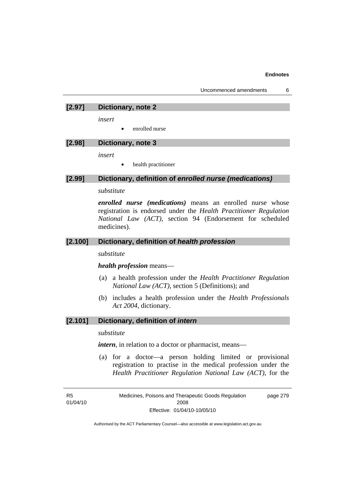## **[2.97] Dictionary, note 2**

*insert* 

• enrolled nurse

# **[2.98] Dictionary, note 3**

*insert* 

• health practitioner

### **[2.99] Dictionary, definition of** *enrolled nurse (medications)*

#### *substitute*

*enrolled nurse (medications)* means an enrolled nurse whose registration is endorsed under the *Health Practitioner Regulation National Law (ACT)*, section 94 (Endorsement for scheduled medicines).

## **[2.100] Dictionary, definition of** *health profession*

*substitute* 

#### *health profession* means—

- (a) a health profession under the *Health Practitioner Regulation National Law (ACT)*, section 5 (Definitions); and
- (b) includes a health profession under the *Health Professionals Act 2004*, dictionary.

## **[2.101] Dictionary, definition of** *intern*

## *substitute*

*intern*, in relation to a doctor or pharmacist, means—

 (a) for a doctor—a person holding limited or provisional registration to practise in the medical profession under the *Health Practitioner Regulation National Law (ACT)*, for the

R5 01/04/10 Medicines, Poisons and Therapeutic Goods Regulation 2008 Effective: 01/04/10-10/05/10 page 279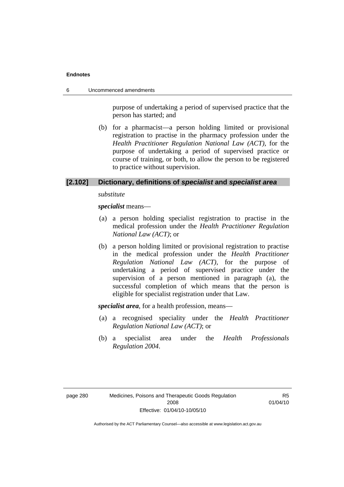6 Uncommenced amendments

purpose of undertaking a period of supervised practice that the person has started; and

 (b) for a pharmacist—a person holding limited or provisional registration to practise in the pharmacy profession under the *Health Practitioner Regulation National Law (ACT)*, for the purpose of undertaking a period of supervised practice or course of training, or both, to allow the person to be registered to practice without supervision.

## **[2.102] Dictionary, definitions of** *specialist* **and** *specialist area*

*substitute* 

*specialist* means—

- (a) a person holding specialist registration to practise in the medical profession under the *Health Practitioner Regulation National Law (ACT)*; or
- (b) a person holding limited or provisional registration to practise in the medical profession under the *Health Practitioner Regulation National Law (ACT)*, for the purpose of undertaking a period of supervised practice under the supervision of a person mentioned in paragraph (a), the successful completion of which means that the person is eligible for specialist registration under that Law.

*specialist area*, for a health profession, means—

- (a) a recognised speciality under the *Health Practitioner Regulation National Law (ACT)*; or
- (b) a specialist area under the *Health Professionals Regulation 2004*.